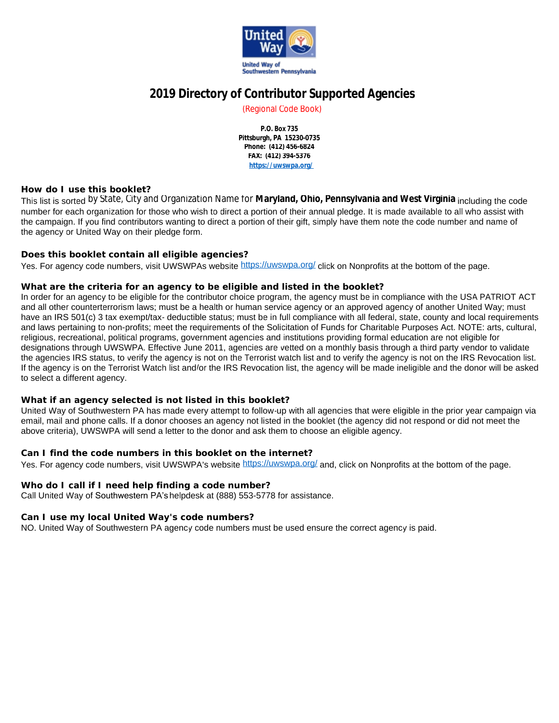

# **2019 Directory of Contributor Supported Agencies**

(Regional Code Book)

**P.O. Box 735 Pittsburgh, PA 15230-0735 Phone: (412) 456-6824 FAX: (412) 394-5376 <https://uwswpa.org/>**

#### **How do I use this booklet?**

This list is sorted by State, City and Organization Name for **Maryland, Ohio, Pennsylvania and West Virginia** including the code number for each organization for those who wish to direct a portion of their annual pledge. It is made available to all who assist with the campaign. If you find contributors wanting to direct a portion of their gift, simply have them note the code number and name of the agency or United Way on their pledge form.

#### **Does this booklet contain all eligible agencies?**

Yes. For agency code numbers, visit UWSWPAs website <https://uwswpa.org/> click on Nonprofits at the bottom of the page.

#### **What are the criteria for an agency to be eligible and listed in the booklet?**

In order for an agency to be eligible for the contributor choice program, the agency must be in compliance with the USA PATRIOT ACT and all other counterterrorism laws; must be a health or human service agency or an approved agency of another United Way; must have an IRS 501(c) 3 tax exempt/tax- deductible status; must be in full compliance with all federal, state, county and local requirements and laws pertaining to non-profits; meet the requirements of the Solicitation of Funds for Charitable Purposes Act. NOTE: arts, cultural, religious, recreational, political programs, government agencies and institutions providing formal education are not eligible for designations through UWSWPA. Effective June 2011, agencies are vetted on a monthly basis through a third party vendor to validate the agencies IRS status, to verify the agency is not on the Terrorist watch list and to verify the agency is not on the IRS Revocation list. If the agency is on the Terrorist Watch list and/or the IRS Revocation list, the agency will be made ineligible and the donor will be asked to select a different agency.

#### **What if an agency selected is not listed in this booklet?**

United Way of Southwestern PA has made every attempt to follow-up with all agencies that were eligible in the prior year campaign via email, mail and phone calls. If a donor chooses an agency not listed in the booklet (the agency did not respond or did not meet the above criteria), UWSWPA will send a letter to the donor and ask them to choose an eligible agency.

### **Can I find the code numbers in this booklet on the internet?**

Yes. For agency code numbers, visit UWSWPA's website <https://uwswpa.org/> and, click on Nonprofits at the bottom of the page.

#### **Who do I call if I need help finding a code number?**

Call United Way of Southwestern PA'shelpdesk at (888) 553-5778 for assistance.

#### **Can I use my local United Way's code numbers?**

NO. United Way of Southwestern PA agency code numbers must be used ensure the correct agency is paid.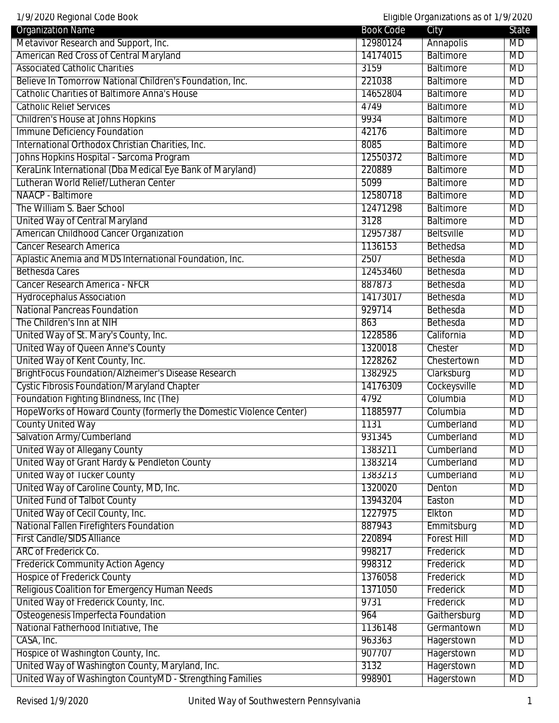1/9/2020 Regional Code Book Eligible Organizations as of 1/9/2020

| 1797 ZUZU NEYIUHAI GUUE DUUN                                       |                  | Liigipie Organizations as OL 17972020 |           |
|--------------------------------------------------------------------|------------------|---------------------------------------|-----------|
| <b>Organization Name</b>                                           | <b>Book Code</b> | City                                  | State     |
| Metavivor Research and Support, Inc.                               | 12980124         | Annapolis                             | MD        |
| American Red Cross of Central Maryland                             | 14174015         | <b>Baltimore</b>                      | <b>MD</b> |
| <b>Associated Catholic Charities</b>                               | 3159             | <b>Baltimore</b>                      | MD        |
| Believe In Tomorrow National Children's Foundation, Inc.           | 221038           | <b>Baltimore</b>                      | <b>MD</b> |
| <b>Catholic Charities of Baltimore Anna's House</b>                | 14652804         | <b>Baltimore</b>                      | <b>MD</b> |
| <b>Catholic Relief Services</b>                                    | 4749             | <b>Baltimore</b>                      | MD        |
| <b>Children's House at Johns Hopkins</b>                           | 9934             | <b>Baltimore</b>                      | <b>MD</b> |
| Immune Deficiency Foundation                                       | 42176            | <b>Baltimore</b>                      | MD        |
| International Orthodox Christian Charities, Inc.                   | 8085             | <b>Baltimore</b>                      | MD        |
| Johns Hopkins Hospital - Sarcoma Program                           | 12550372         | <b>Baltimore</b>                      | MD        |
| KeraLink International (Dba Medical Eye Bank of Maryland)          | 220889           | <b>Baltimore</b>                      | <b>MD</b> |
| Lutheran World Relief/Lutheran Center                              | 5099             | <b>Baltimore</b>                      | <b>MD</b> |
| NAACP - Baltimore                                                  | 12580718         | <b>Baltimore</b>                      | <b>MD</b> |
| The William S. Baer School                                         | 12471298         | <b>Baltimore</b>                      | <b>MD</b> |
| United Way of Central Maryland                                     | 3128             | <b>Baltimore</b>                      | MD        |
| American Childhood Cancer Organization                             | 12957387         | <b>Beltsville</b>                     | MD        |
| <b>Cancer Research America</b>                                     | 1136153          | Bethedsa                              | <b>MD</b> |
| Aplastic Anemia and MDS International Foundation, Inc.             | 2507             | Bethesda                              | <b>MD</b> |
| <b>Bethesda Cares</b>                                              | 12453460         | Bethesda                              | <b>MD</b> |
| Cancer Research America - NFCR                                     | 887873           | Bethesda                              | <b>MD</b> |
| <b>Hydrocephalus Association</b>                                   | 14173017         | Bethesda                              | <b>MD</b> |
| <b>National Pancreas Foundation</b>                                | 929714           | Bethesda                              | MD        |
| The Children's Inn at NIH                                          | 863              | Bethesda                              | <b>MD</b> |
| United Way of St. Mary's County, Inc.                              | 1228586          | California                            | MD        |
| United Way of Queen Anne's County                                  | 1320018          | Chester                               | <b>MD</b> |
| United Way of Kent County, Inc.                                    | 1228262          | Chestertown                           | <b>MD</b> |
| BrightFocus Foundation/Alzheimer's Disease Research                | 1382925          | Clarksburg                            | <b>MD</b> |
| <b>Cystic Fibrosis Foundation/Maryland Chapter</b>                 | 14176309         | Cockeysville                          | <b>MD</b> |
| Foundation Fighting Blindness, Inc (The)                           | 4792             | Columbia                              | MD        |
| HopeWorks of Howard County (formerly the Domestic Violence Center) | 11885977         | Columbia                              | MD        |
| <b>County United Way</b>                                           | 1131             | Cumberland                            | MD        |
| Salvation Army/Cumberland                                          | 931345           | Cumberland                            | <b>MD</b> |
| United Way of Allegany County                                      | 1383211          | Cumberland                            | <b>MD</b> |
| United Way of Grant Hardy & Pendleton County                       | 1383214          | Cumberland                            | MD        |
| <b>United Way of Tucker County</b>                                 | 1383213          | Cumberland                            | <b>MD</b> |
| United Way of Caroline County, MD, Inc.                            | 1320020          | Denton                                | MD        |
| <b>United Fund of Talbot County</b>                                | 13943204         | Easton                                | MD        |
| United Way of Cecil County, Inc.                                   | 1227975          | Elkton                                | MD        |
| <b>National Fallen Firefighters Foundation</b>                     | 887943           | Emmitsburg                            | <b>MD</b> |
| <b>First Candle/SIDS Alliance</b>                                  | 220894           | <b>Forest Hill</b>                    | MD        |
| ARC of Frederick Co.                                               | 998217           | Frederick                             | <b>MD</b> |
| <b>Frederick Community Action Agency</b>                           | 998312           | Frederick                             | <b>MD</b> |
| <b>Hospice of Frederick County</b>                                 | 1376058          | Frederick                             | MD        |
| Religious Coalition for Emergency Human Needs                      | 1371050          | Frederick                             | <b>MD</b> |
| United Way of Frederick County, Inc.                               | 9731             | Frederick                             | MD        |
| Osteogenesis Imperfecta Foundation                                 | 964              | Gaithersburg                          | <b>MD</b> |
| National Fatherhood Initiative, The                                | 1136148          | Germantown                            | MD        |
| CASA, Inc.                                                         | 963363           | Hagerstown                            | <b>MD</b> |
| Hospice of Washington County, Inc.                                 | 907707           | Hagerstown                            | MD        |
| United Way of Washington County, Maryland, Inc.                    | 3132             | Hagerstown                            | <b>MD</b> |
| United Way of Washington CountyMD - Strengthing Families           | 998901           | Hagerstown                            | <b>MD</b> |
|                                                                    |                  |                                       |           |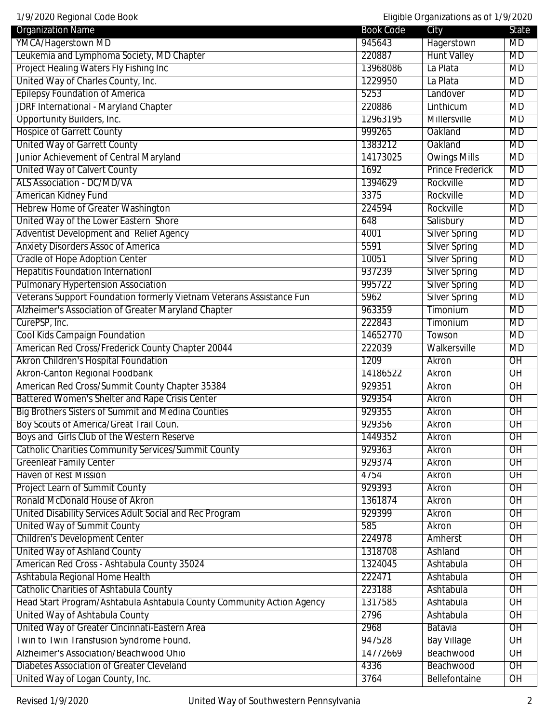| YMCA/Hagerstown MD<br>Hagerstown<br>945643<br><b>MD</b><br>Leukemia and Lymphoma Society, MD Chapter<br><b>Hunt Valley</b><br>220887<br><b>MD</b><br>Project Healing Waters Fly Fishing Inc<br>13968086<br>La Plata<br>MD<br>United Way of Charles County, Inc.<br>1229950<br><b>MD</b><br>La Plata<br><b>Epilepsy Foundation of America</b><br>5253<br>Landover<br>MD<br><b>JDRF International - Maryland Chapter</b><br>220886<br><b>MD</b><br>Linthicum<br>Opportunity Builders, Inc.<br>12963195<br><b>MD</b><br><b>Millersville</b><br><b>Hospice of Garrett County</b><br>999265<br>MD<br>Oakland<br><b>United Way of Garrett County</b><br><b>MD</b><br>1383212<br>Oakland<br>Junior Achievement of Central Maryland<br>14173025<br><b>Owings Mills</b><br>MD<br><b>United Way of Calvert County</b><br><b>Prince Frederick</b><br>1692<br><b>MD</b><br><b>ALS Association - DC/MD/VA</b><br>1394629<br><b>MD</b><br>Rockville<br>American Kidney Fund<br>3375<br><b>MD</b><br>Rockville<br><b>Hebrew Home of Greater Washington</b><br>Rockville<br>224594<br><b>MD</b><br>United Way of the Lower Eastern Shore<br>648<br>Salisbury<br>MD<br>Adventist Development and Relief Agency<br><b>Silver Spring</b><br>MD<br>4001<br><b>Anxiety Disorders Assoc of America</b><br><b>Silver Spring</b><br>5591<br><b>MD</b><br><b>Cradle of Hope Adoption Center</b><br><b>Silver Spring</b><br><b>MD</b><br>10051<br><b>Hepatitis Foundation InternationI</b><br><b>Silver Spring</b><br><b>MD</b><br>937239<br><b>Pulmonary Hypertension Association</b><br>995722<br><b>Silver Spring</b><br>MD<br>Veterans Support Foundation formerly Vietnam Veterans Assistance Fun<br>5962<br><b>Silver Spring</b><br><b>MD</b><br>Alzheimer's Association of Greater Maryland Chapter<br>963359<br>MD<br><b>Timonium</b><br>CurePSP, Inc.<br>MD<br>222843<br>Timonium<br><b>Cool Kids Campaign Foundation</b><br>14652770<br>MD<br>Towson<br>American Red Cross/Frederick County Chapter 20044<br><b>MD</b><br>222039<br>Walkersville<br>Akron Children's Hospital Foundation<br>1209<br>$\overline{OH}$<br>Akron<br>Akron-Canton Regional Foodbank<br>14186522<br>$\overline{OH}$<br>Akron<br>American Red Cross/Summit County Chapter 35384<br>929351<br>$\overline{OH}$<br>Akron<br>Battered Women's Shelter and Rape Crisis Center<br>929354<br>Akron<br>$\overline{OH}$<br><b>Big Brothers Sisters of Summit and Medina Counties</b><br>929355<br>$\overline{OH}$<br>Akron<br>Boy Scouts of America/Great Trail Coun.<br>929356<br>$\overline{OH}$<br>Akron<br>Boys and Girls Club of the Western Reserve<br>1449352<br>Akron<br>$\overline{OH}$<br><b>Catholic Charities Community Services/Summit County</b><br>929363<br>$\overline{OH}$<br>Akron<br><b>Greenleaf Family Center</b><br>$\overline{OH}$<br>929374<br>Akron<br><b>Haven of Rest Mission</b><br>4754<br>Akron<br>$\overline{OH}$<br>Project Learn of Summit County<br>929393<br>OH<br>Akron<br>Ronald McDonald House of Akron<br>OH<br>1361874<br>Akron<br>United Disability Services Adult Social and Rec Program<br>929399<br>$\overline{OH}$<br>Akron<br><b>United Way of Summit County</b><br>585<br>$\overline{OH}$<br>Akron<br><b>Children's Development Center</b><br>224978<br>$\overline{OH}$<br>Amherst<br><b>United Way of Ashland County</b><br>$\overline{OH}$<br>1318708<br>Ashland<br>American Red Cross - Ashtabula County 35024<br>1324045<br>OH<br>Ashtabula<br>Ashtabula Regional Home Health<br>222471<br>Ashtabula<br>OH<br><b>Catholic Charities of Ashtabula County</b><br>223188<br>Ashtabula<br>$\overline{OH}$ | <b>Organization Name</b>                                              | <b>Book Code</b> | $E1$ quintations as only<br>City | State           |
|----------------------------------------------------------------------------------------------------------------------------------------------------------------------------------------------------------------------------------------------------------------------------------------------------------------------------------------------------------------------------------------------------------------------------------------------------------------------------------------------------------------------------------------------------------------------------------------------------------------------------------------------------------------------------------------------------------------------------------------------------------------------------------------------------------------------------------------------------------------------------------------------------------------------------------------------------------------------------------------------------------------------------------------------------------------------------------------------------------------------------------------------------------------------------------------------------------------------------------------------------------------------------------------------------------------------------------------------------------------------------------------------------------------------------------------------------------------------------------------------------------------------------------------------------------------------------------------------------------------------------------------------------------------------------------------------------------------------------------------------------------------------------------------------------------------------------------------------------------------------------------------------------------------------------------------------------------------------------------------------------------------------------------------------------------------------------------------------------------------------------------------------------------------------------------------------------------------------------------------------------------------------------------------------------------------------------------------------------------------------------------------------------------------------------------------------------------------------------------------------------------------------------------------------------------------------------------------------------------------------------------------------------------------------------------------------------------------------------------------------------------------------------------------------------------------------------------------------------------------------------------------------------------------------------------------------------------------------------------------------------------------------------------------------------------------------------------------------------------------------------------------------------------------------------------------------------------------------------------------------------------------------------------------------------------------------------------------------------------------------------------------------------------------------------------------------------------------------------------------------------------------------------------------------------------------------------------------------------------|-----------------------------------------------------------------------|------------------|----------------------------------|-----------------|
|                                                                                                                                                                                                                                                                                                                                                                                                                                                                                                                                                                                                                                                                                                                                                                                                                                                                                                                                                                                                                                                                                                                                                                                                                                                                                                                                                                                                                                                                                                                                                                                                                                                                                                                                                                                                                                                                                                                                                                                                                                                                                                                                                                                                                                                                                                                                                                                                                                                                                                                                                                                                                                                                                                                                                                                                                                                                                                                                                                                                                                                                                                                                                                                                                                                                                                                                                                                                                                                                                                                                                                                                          |                                                                       |                  |                                  |                 |
|                                                                                                                                                                                                                                                                                                                                                                                                                                                                                                                                                                                                                                                                                                                                                                                                                                                                                                                                                                                                                                                                                                                                                                                                                                                                                                                                                                                                                                                                                                                                                                                                                                                                                                                                                                                                                                                                                                                                                                                                                                                                                                                                                                                                                                                                                                                                                                                                                                                                                                                                                                                                                                                                                                                                                                                                                                                                                                                                                                                                                                                                                                                                                                                                                                                                                                                                                                                                                                                                                                                                                                                                          |                                                                       |                  |                                  |                 |
|                                                                                                                                                                                                                                                                                                                                                                                                                                                                                                                                                                                                                                                                                                                                                                                                                                                                                                                                                                                                                                                                                                                                                                                                                                                                                                                                                                                                                                                                                                                                                                                                                                                                                                                                                                                                                                                                                                                                                                                                                                                                                                                                                                                                                                                                                                                                                                                                                                                                                                                                                                                                                                                                                                                                                                                                                                                                                                                                                                                                                                                                                                                                                                                                                                                                                                                                                                                                                                                                                                                                                                                                          |                                                                       |                  |                                  |                 |
|                                                                                                                                                                                                                                                                                                                                                                                                                                                                                                                                                                                                                                                                                                                                                                                                                                                                                                                                                                                                                                                                                                                                                                                                                                                                                                                                                                                                                                                                                                                                                                                                                                                                                                                                                                                                                                                                                                                                                                                                                                                                                                                                                                                                                                                                                                                                                                                                                                                                                                                                                                                                                                                                                                                                                                                                                                                                                                                                                                                                                                                                                                                                                                                                                                                                                                                                                                                                                                                                                                                                                                                                          |                                                                       |                  |                                  |                 |
|                                                                                                                                                                                                                                                                                                                                                                                                                                                                                                                                                                                                                                                                                                                                                                                                                                                                                                                                                                                                                                                                                                                                                                                                                                                                                                                                                                                                                                                                                                                                                                                                                                                                                                                                                                                                                                                                                                                                                                                                                                                                                                                                                                                                                                                                                                                                                                                                                                                                                                                                                                                                                                                                                                                                                                                                                                                                                                                                                                                                                                                                                                                                                                                                                                                                                                                                                                                                                                                                                                                                                                                                          |                                                                       |                  |                                  |                 |
|                                                                                                                                                                                                                                                                                                                                                                                                                                                                                                                                                                                                                                                                                                                                                                                                                                                                                                                                                                                                                                                                                                                                                                                                                                                                                                                                                                                                                                                                                                                                                                                                                                                                                                                                                                                                                                                                                                                                                                                                                                                                                                                                                                                                                                                                                                                                                                                                                                                                                                                                                                                                                                                                                                                                                                                                                                                                                                                                                                                                                                                                                                                                                                                                                                                                                                                                                                                                                                                                                                                                                                                                          |                                                                       |                  |                                  |                 |
|                                                                                                                                                                                                                                                                                                                                                                                                                                                                                                                                                                                                                                                                                                                                                                                                                                                                                                                                                                                                                                                                                                                                                                                                                                                                                                                                                                                                                                                                                                                                                                                                                                                                                                                                                                                                                                                                                                                                                                                                                                                                                                                                                                                                                                                                                                                                                                                                                                                                                                                                                                                                                                                                                                                                                                                                                                                                                                                                                                                                                                                                                                                                                                                                                                                                                                                                                                                                                                                                                                                                                                                                          |                                                                       |                  |                                  |                 |
|                                                                                                                                                                                                                                                                                                                                                                                                                                                                                                                                                                                                                                                                                                                                                                                                                                                                                                                                                                                                                                                                                                                                                                                                                                                                                                                                                                                                                                                                                                                                                                                                                                                                                                                                                                                                                                                                                                                                                                                                                                                                                                                                                                                                                                                                                                                                                                                                                                                                                                                                                                                                                                                                                                                                                                                                                                                                                                                                                                                                                                                                                                                                                                                                                                                                                                                                                                                                                                                                                                                                                                                                          |                                                                       |                  |                                  |                 |
|                                                                                                                                                                                                                                                                                                                                                                                                                                                                                                                                                                                                                                                                                                                                                                                                                                                                                                                                                                                                                                                                                                                                                                                                                                                                                                                                                                                                                                                                                                                                                                                                                                                                                                                                                                                                                                                                                                                                                                                                                                                                                                                                                                                                                                                                                                                                                                                                                                                                                                                                                                                                                                                                                                                                                                                                                                                                                                                                                                                                                                                                                                                                                                                                                                                                                                                                                                                                                                                                                                                                                                                                          |                                                                       |                  |                                  |                 |
|                                                                                                                                                                                                                                                                                                                                                                                                                                                                                                                                                                                                                                                                                                                                                                                                                                                                                                                                                                                                                                                                                                                                                                                                                                                                                                                                                                                                                                                                                                                                                                                                                                                                                                                                                                                                                                                                                                                                                                                                                                                                                                                                                                                                                                                                                                                                                                                                                                                                                                                                                                                                                                                                                                                                                                                                                                                                                                                                                                                                                                                                                                                                                                                                                                                                                                                                                                                                                                                                                                                                                                                                          |                                                                       |                  |                                  |                 |
|                                                                                                                                                                                                                                                                                                                                                                                                                                                                                                                                                                                                                                                                                                                                                                                                                                                                                                                                                                                                                                                                                                                                                                                                                                                                                                                                                                                                                                                                                                                                                                                                                                                                                                                                                                                                                                                                                                                                                                                                                                                                                                                                                                                                                                                                                                                                                                                                                                                                                                                                                                                                                                                                                                                                                                                                                                                                                                                                                                                                                                                                                                                                                                                                                                                                                                                                                                                                                                                                                                                                                                                                          |                                                                       |                  |                                  |                 |
|                                                                                                                                                                                                                                                                                                                                                                                                                                                                                                                                                                                                                                                                                                                                                                                                                                                                                                                                                                                                                                                                                                                                                                                                                                                                                                                                                                                                                                                                                                                                                                                                                                                                                                                                                                                                                                                                                                                                                                                                                                                                                                                                                                                                                                                                                                                                                                                                                                                                                                                                                                                                                                                                                                                                                                                                                                                                                                                                                                                                                                                                                                                                                                                                                                                                                                                                                                                                                                                                                                                                                                                                          |                                                                       |                  |                                  |                 |
|                                                                                                                                                                                                                                                                                                                                                                                                                                                                                                                                                                                                                                                                                                                                                                                                                                                                                                                                                                                                                                                                                                                                                                                                                                                                                                                                                                                                                                                                                                                                                                                                                                                                                                                                                                                                                                                                                                                                                                                                                                                                                                                                                                                                                                                                                                                                                                                                                                                                                                                                                                                                                                                                                                                                                                                                                                                                                                                                                                                                                                                                                                                                                                                                                                                                                                                                                                                                                                                                                                                                                                                                          |                                                                       |                  |                                  |                 |
|                                                                                                                                                                                                                                                                                                                                                                                                                                                                                                                                                                                                                                                                                                                                                                                                                                                                                                                                                                                                                                                                                                                                                                                                                                                                                                                                                                                                                                                                                                                                                                                                                                                                                                                                                                                                                                                                                                                                                                                                                                                                                                                                                                                                                                                                                                                                                                                                                                                                                                                                                                                                                                                                                                                                                                                                                                                                                                                                                                                                                                                                                                                                                                                                                                                                                                                                                                                                                                                                                                                                                                                                          |                                                                       |                  |                                  |                 |
|                                                                                                                                                                                                                                                                                                                                                                                                                                                                                                                                                                                                                                                                                                                                                                                                                                                                                                                                                                                                                                                                                                                                                                                                                                                                                                                                                                                                                                                                                                                                                                                                                                                                                                                                                                                                                                                                                                                                                                                                                                                                                                                                                                                                                                                                                                                                                                                                                                                                                                                                                                                                                                                                                                                                                                                                                                                                                                                                                                                                                                                                                                                                                                                                                                                                                                                                                                                                                                                                                                                                                                                                          |                                                                       |                  |                                  |                 |
|                                                                                                                                                                                                                                                                                                                                                                                                                                                                                                                                                                                                                                                                                                                                                                                                                                                                                                                                                                                                                                                                                                                                                                                                                                                                                                                                                                                                                                                                                                                                                                                                                                                                                                                                                                                                                                                                                                                                                                                                                                                                                                                                                                                                                                                                                                                                                                                                                                                                                                                                                                                                                                                                                                                                                                                                                                                                                                                                                                                                                                                                                                                                                                                                                                                                                                                                                                                                                                                                                                                                                                                                          |                                                                       |                  |                                  |                 |
|                                                                                                                                                                                                                                                                                                                                                                                                                                                                                                                                                                                                                                                                                                                                                                                                                                                                                                                                                                                                                                                                                                                                                                                                                                                                                                                                                                                                                                                                                                                                                                                                                                                                                                                                                                                                                                                                                                                                                                                                                                                                                                                                                                                                                                                                                                                                                                                                                                                                                                                                                                                                                                                                                                                                                                                                                                                                                                                                                                                                                                                                                                                                                                                                                                                                                                                                                                                                                                                                                                                                                                                                          |                                                                       |                  |                                  |                 |
|                                                                                                                                                                                                                                                                                                                                                                                                                                                                                                                                                                                                                                                                                                                                                                                                                                                                                                                                                                                                                                                                                                                                                                                                                                                                                                                                                                                                                                                                                                                                                                                                                                                                                                                                                                                                                                                                                                                                                                                                                                                                                                                                                                                                                                                                                                                                                                                                                                                                                                                                                                                                                                                                                                                                                                                                                                                                                                                                                                                                                                                                                                                                                                                                                                                                                                                                                                                                                                                                                                                                                                                                          |                                                                       |                  |                                  |                 |
|                                                                                                                                                                                                                                                                                                                                                                                                                                                                                                                                                                                                                                                                                                                                                                                                                                                                                                                                                                                                                                                                                                                                                                                                                                                                                                                                                                                                                                                                                                                                                                                                                                                                                                                                                                                                                                                                                                                                                                                                                                                                                                                                                                                                                                                                                                                                                                                                                                                                                                                                                                                                                                                                                                                                                                                                                                                                                                                                                                                                                                                                                                                                                                                                                                                                                                                                                                                                                                                                                                                                                                                                          |                                                                       |                  |                                  |                 |
|                                                                                                                                                                                                                                                                                                                                                                                                                                                                                                                                                                                                                                                                                                                                                                                                                                                                                                                                                                                                                                                                                                                                                                                                                                                                                                                                                                                                                                                                                                                                                                                                                                                                                                                                                                                                                                                                                                                                                                                                                                                                                                                                                                                                                                                                                                                                                                                                                                                                                                                                                                                                                                                                                                                                                                                                                                                                                                                                                                                                                                                                                                                                                                                                                                                                                                                                                                                                                                                                                                                                                                                                          |                                                                       |                  |                                  |                 |
|                                                                                                                                                                                                                                                                                                                                                                                                                                                                                                                                                                                                                                                                                                                                                                                                                                                                                                                                                                                                                                                                                                                                                                                                                                                                                                                                                                                                                                                                                                                                                                                                                                                                                                                                                                                                                                                                                                                                                                                                                                                                                                                                                                                                                                                                                                                                                                                                                                                                                                                                                                                                                                                                                                                                                                                                                                                                                                                                                                                                                                                                                                                                                                                                                                                                                                                                                                                                                                                                                                                                                                                                          |                                                                       |                  |                                  |                 |
|                                                                                                                                                                                                                                                                                                                                                                                                                                                                                                                                                                                                                                                                                                                                                                                                                                                                                                                                                                                                                                                                                                                                                                                                                                                                                                                                                                                                                                                                                                                                                                                                                                                                                                                                                                                                                                                                                                                                                                                                                                                                                                                                                                                                                                                                                                                                                                                                                                                                                                                                                                                                                                                                                                                                                                                                                                                                                                                                                                                                                                                                                                                                                                                                                                                                                                                                                                                                                                                                                                                                                                                                          |                                                                       |                  |                                  |                 |
|                                                                                                                                                                                                                                                                                                                                                                                                                                                                                                                                                                                                                                                                                                                                                                                                                                                                                                                                                                                                                                                                                                                                                                                                                                                                                                                                                                                                                                                                                                                                                                                                                                                                                                                                                                                                                                                                                                                                                                                                                                                                                                                                                                                                                                                                                                                                                                                                                                                                                                                                                                                                                                                                                                                                                                                                                                                                                                                                                                                                                                                                                                                                                                                                                                                                                                                                                                                                                                                                                                                                                                                                          |                                                                       |                  |                                  |                 |
|                                                                                                                                                                                                                                                                                                                                                                                                                                                                                                                                                                                                                                                                                                                                                                                                                                                                                                                                                                                                                                                                                                                                                                                                                                                                                                                                                                                                                                                                                                                                                                                                                                                                                                                                                                                                                                                                                                                                                                                                                                                                                                                                                                                                                                                                                                                                                                                                                                                                                                                                                                                                                                                                                                                                                                                                                                                                                                                                                                                                                                                                                                                                                                                                                                                                                                                                                                                                                                                                                                                                                                                                          |                                                                       |                  |                                  |                 |
|                                                                                                                                                                                                                                                                                                                                                                                                                                                                                                                                                                                                                                                                                                                                                                                                                                                                                                                                                                                                                                                                                                                                                                                                                                                                                                                                                                                                                                                                                                                                                                                                                                                                                                                                                                                                                                                                                                                                                                                                                                                                                                                                                                                                                                                                                                                                                                                                                                                                                                                                                                                                                                                                                                                                                                                                                                                                                                                                                                                                                                                                                                                                                                                                                                                                                                                                                                                                                                                                                                                                                                                                          |                                                                       |                  |                                  |                 |
|                                                                                                                                                                                                                                                                                                                                                                                                                                                                                                                                                                                                                                                                                                                                                                                                                                                                                                                                                                                                                                                                                                                                                                                                                                                                                                                                                                                                                                                                                                                                                                                                                                                                                                                                                                                                                                                                                                                                                                                                                                                                                                                                                                                                                                                                                                                                                                                                                                                                                                                                                                                                                                                                                                                                                                                                                                                                                                                                                                                                                                                                                                                                                                                                                                                                                                                                                                                                                                                                                                                                                                                                          |                                                                       |                  |                                  |                 |
|                                                                                                                                                                                                                                                                                                                                                                                                                                                                                                                                                                                                                                                                                                                                                                                                                                                                                                                                                                                                                                                                                                                                                                                                                                                                                                                                                                                                                                                                                                                                                                                                                                                                                                                                                                                                                                                                                                                                                                                                                                                                                                                                                                                                                                                                                                                                                                                                                                                                                                                                                                                                                                                                                                                                                                                                                                                                                                                                                                                                                                                                                                                                                                                                                                                                                                                                                                                                                                                                                                                                                                                                          |                                                                       |                  |                                  |                 |
|                                                                                                                                                                                                                                                                                                                                                                                                                                                                                                                                                                                                                                                                                                                                                                                                                                                                                                                                                                                                                                                                                                                                                                                                                                                                                                                                                                                                                                                                                                                                                                                                                                                                                                                                                                                                                                                                                                                                                                                                                                                                                                                                                                                                                                                                                                                                                                                                                                                                                                                                                                                                                                                                                                                                                                                                                                                                                                                                                                                                                                                                                                                                                                                                                                                                                                                                                                                                                                                                                                                                                                                                          |                                                                       |                  |                                  |                 |
|                                                                                                                                                                                                                                                                                                                                                                                                                                                                                                                                                                                                                                                                                                                                                                                                                                                                                                                                                                                                                                                                                                                                                                                                                                                                                                                                                                                                                                                                                                                                                                                                                                                                                                                                                                                                                                                                                                                                                                                                                                                                                                                                                                                                                                                                                                                                                                                                                                                                                                                                                                                                                                                                                                                                                                                                                                                                                                                                                                                                                                                                                                                                                                                                                                                                                                                                                                                                                                                                                                                                                                                                          |                                                                       |                  |                                  |                 |
|                                                                                                                                                                                                                                                                                                                                                                                                                                                                                                                                                                                                                                                                                                                                                                                                                                                                                                                                                                                                                                                                                                                                                                                                                                                                                                                                                                                                                                                                                                                                                                                                                                                                                                                                                                                                                                                                                                                                                                                                                                                                                                                                                                                                                                                                                                                                                                                                                                                                                                                                                                                                                                                                                                                                                                                                                                                                                                                                                                                                                                                                                                                                                                                                                                                                                                                                                                                                                                                                                                                                                                                                          |                                                                       |                  |                                  |                 |
|                                                                                                                                                                                                                                                                                                                                                                                                                                                                                                                                                                                                                                                                                                                                                                                                                                                                                                                                                                                                                                                                                                                                                                                                                                                                                                                                                                                                                                                                                                                                                                                                                                                                                                                                                                                                                                                                                                                                                                                                                                                                                                                                                                                                                                                                                                                                                                                                                                                                                                                                                                                                                                                                                                                                                                                                                                                                                                                                                                                                                                                                                                                                                                                                                                                                                                                                                                                                                                                                                                                                                                                                          |                                                                       |                  |                                  |                 |
|                                                                                                                                                                                                                                                                                                                                                                                                                                                                                                                                                                                                                                                                                                                                                                                                                                                                                                                                                                                                                                                                                                                                                                                                                                                                                                                                                                                                                                                                                                                                                                                                                                                                                                                                                                                                                                                                                                                                                                                                                                                                                                                                                                                                                                                                                                                                                                                                                                                                                                                                                                                                                                                                                                                                                                                                                                                                                                                                                                                                                                                                                                                                                                                                                                                                                                                                                                                                                                                                                                                                                                                                          |                                                                       |                  |                                  |                 |
|                                                                                                                                                                                                                                                                                                                                                                                                                                                                                                                                                                                                                                                                                                                                                                                                                                                                                                                                                                                                                                                                                                                                                                                                                                                                                                                                                                                                                                                                                                                                                                                                                                                                                                                                                                                                                                                                                                                                                                                                                                                                                                                                                                                                                                                                                                                                                                                                                                                                                                                                                                                                                                                                                                                                                                                                                                                                                                                                                                                                                                                                                                                                                                                                                                                                                                                                                                                                                                                                                                                                                                                                          |                                                                       |                  |                                  |                 |
|                                                                                                                                                                                                                                                                                                                                                                                                                                                                                                                                                                                                                                                                                                                                                                                                                                                                                                                                                                                                                                                                                                                                                                                                                                                                                                                                                                                                                                                                                                                                                                                                                                                                                                                                                                                                                                                                                                                                                                                                                                                                                                                                                                                                                                                                                                                                                                                                                                                                                                                                                                                                                                                                                                                                                                                                                                                                                                                                                                                                                                                                                                                                                                                                                                                                                                                                                                                                                                                                                                                                                                                                          |                                                                       |                  |                                  |                 |
|                                                                                                                                                                                                                                                                                                                                                                                                                                                                                                                                                                                                                                                                                                                                                                                                                                                                                                                                                                                                                                                                                                                                                                                                                                                                                                                                                                                                                                                                                                                                                                                                                                                                                                                                                                                                                                                                                                                                                                                                                                                                                                                                                                                                                                                                                                                                                                                                                                                                                                                                                                                                                                                                                                                                                                                                                                                                                                                                                                                                                                                                                                                                                                                                                                                                                                                                                                                                                                                                                                                                                                                                          |                                                                       |                  |                                  |                 |
|                                                                                                                                                                                                                                                                                                                                                                                                                                                                                                                                                                                                                                                                                                                                                                                                                                                                                                                                                                                                                                                                                                                                                                                                                                                                                                                                                                                                                                                                                                                                                                                                                                                                                                                                                                                                                                                                                                                                                                                                                                                                                                                                                                                                                                                                                                                                                                                                                                                                                                                                                                                                                                                                                                                                                                                                                                                                                                                                                                                                                                                                                                                                                                                                                                                                                                                                                                                                                                                                                                                                                                                                          |                                                                       |                  |                                  |                 |
|                                                                                                                                                                                                                                                                                                                                                                                                                                                                                                                                                                                                                                                                                                                                                                                                                                                                                                                                                                                                                                                                                                                                                                                                                                                                                                                                                                                                                                                                                                                                                                                                                                                                                                                                                                                                                                                                                                                                                                                                                                                                                                                                                                                                                                                                                                                                                                                                                                                                                                                                                                                                                                                                                                                                                                                                                                                                                                                                                                                                                                                                                                                                                                                                                                                                                                                                                                                                                                                                                                                                                                                                          |                                                                       |                  |                                  |                 |
|                                                                                                                                                                                                                                                                                                                                                                                                                                                                                                                                                                                                                                                                                                                                                                                                                                                                                                                                                                                                                                                                                                                                                                                                                                                                                                                                                                                                                                                                                                                                                                                                                                                                                                                                                                                                                                                                                                                                                                                                                                                                                                                                                                                                                                                                                                                                                                                                                                                                                                                                                                                                                                                                                                                                                                                                                                                                                                                                                                                                                                                                                                                                                                                                                                                                                                                                                                                                                                                                                                                                                                                                          |                                                                       |                  |                                  |                 |
|                                                                                                                                                                                                                                                                                                                                                                                                                                                                                                                                                                                                                                                                                                                                                                                                                                                                                                                                                                                                                                                                                                                                                                                                                                                                                                                                                                                                                                                                                                                                                                                                                                                                                                                                                                                                                                                                                                                                                                                                                                                                                                                                                                                                                                                                                                                                                                                                                                                                                                                                                                                                                                                                                                                                                                                                                                                                                                                                                                                                                                                                                                                                                                                                                                                                                                                                                                                                                                                                                                                                                                                                          |                                                                       |                  |                                  |                 |
|                                                                                                                                                                                                                                                                                                                                                                                                                                                                                                                                                                                                                                                                                                                                                                                                                                                                                                                                                                                                                                                                                                                                                                                                                                                                                                                                                                                                                                                                                                                                                                                                                                                                                                                                                                                                                                                                                                                                                                                                                                                                                                                                                                                                                                                                                                                                                                                                                                                                                                                                                                                                                                                                                                                                                                                                                                                                                                                                                                                                                                                                                                                                                                                                                                                                                                                                                                                                                                                                                                                                                                                                          |                                                                       |                  |                                  |                 |
|                                                                                                                                                                                                                                                                                                                                                                                                                                                                                                                                                                                                                                                                                                                                                                                                                                                                                                                                                                                                                                                                                                                                                                                                                                                                                                                                                                                                                                                                                                                                                                                                                                                                                                                                                                                                                                                                                                                                                                                                                                                                                                                                                                                                                                                                                                                                                                                                                                                                                                                                                                                                                                                                                                                                                                                                                                                                                                                                                                                                                                                                                                                                                                                                                                                                                                                                                                                                                                                                                                                                                                                                          |                                                                       |                  |                                  |                 |
|                                                                                                                                                                                                                                                                                                                                                                                                                                                                                                                                                                                                                                                                                                                                                                                                                                                                                                                                                                                                                                                                                                                                                                                                                                                                                                                                                                                                                                                                                                                                                                                                                                                                                                                                                                                                                                                                                                                                                                                                                                                                                                                                                                                                                                                                                                                                                                                                                                                                                                                                                                                                                                                                                                                                                                                                                                                                                                                                                                                                                                                                                                                                                                                                                                                                                                                                                                                                                                                                                                                                                                                                          |                                                                       |                  |                                  |                 |
|                                                                                                                                                                                                                                                                                                                                                                                                                                                                                                                                                                                                                                                                                                                                                                                                                                                                                                                                                                                                                                                                                                                                                                                                                                                                                                                                                                                                                                                                                                                                                                                                                                                                                                                                                                                                                                                                                                                                                                                                                                                                                                                                                                                                                                                                                                                                                                                                                                                                                                                                                                                                                                                                                                                                                                                                                                                                                                                                                                                                                                                                                                                                                                                                                                                                                                                                                                                                                                                                                                                                                                                                          |                                                                       |                  |                                  |                 |
|                                                                                                                                                                                                                                                                                                                                                                                                                                                                                                                                                                                                                                                                                                                                                                                                                                                                                                                                                                                                                                                                                                                                                                                                                                                                                                                                                                                                                                                                                                                                                                                                                                                                                                                                                                                                                                                                                                                                                                                                                                                                                                                                                                                                                                                                                                                                                                                                                                                                                                                                                                                                                                                                                                                                                                                                                                                                                                                                                                                                                                                                                                                                                                                                                                                                                                                                                                                                                                                                                                                                                                                                          |                                                                       |                  |                                  |                 |
|                                                                                                                                                                                                                                                                                                                                                                                                                                                                                                                                                                                                                                                                                                                                                                                                                                                                                                                                                                                                                                                                                                                                                                                                                                                                                                                                                                                                                                                                                                                                                                                                                                                                                                                                                                                                                                                                                                                                                                                                                                                                                                                                                                                                                                                                                                                                                                                                                                                                                                                                                                                                                                                                                                                                                                                                                                                                                                                                                                                                                                                                                                                                                                                                                                                                                                                                                                                                                                                                                                                                                                                                          | Head Start Program/Ashtabula Ashtabula County Community Action Agency | 1317585          | Ashtabula                        | $\overline{OH}$ |
| United Way of Ashtabula County<br>2796<br>$\overline{OH}$<br>Ashtabula                                                                                                                                                                                                                                                                                                                                                                                                                                                                                                                                                                                                                                                                                                                                                                                                                                                                                                                                                                                                                                                                                                                                                                                                                                                                                                                                                                                                                                                                                                                                                                                                                                                                                                                                                                                                                                                                                                                                                                                                                                                                                                                                                                                                                                                                                                                                                                                                                                                                                                                                                                                                                                                                                                                                                                                                                                                                                                                                                                                                                                                                                                                                                                                                                                                                                                                                                                                                                                                                                                                                   |                                                                       |                  |                                  |                 |
| United Way of Greater Cincinnati-Eastern Area<br>2968<br>$\overline{OH}$<br>Batavia                                                                                                                                                                                                                                                                                                                                                                                                                                                                                                                                                                                                                                                                                                                                                                                                                                                                                                                                                                                                                                                                                                                                                                                                                                                                                                                                                                                                                                                                                                                                                                                                                                                                                                                                                                                                                                                                                                                                                                                                                                                                                                                                                                                                                                                                                                                                                                                                                                                                                                                                                                                                                                                                                                                                                                                                                                                                                                                                                                                                                                                                                                                                                                                                                                                                                                                                                                                                                                                                                                                      |                                                                       |                  |                                  |                 |
| Twin to Twin Transfusion Syndrome Found.<br><b>Bay Village</b><br>947528<br>$\overline{OH}$                                                                                                                                                                                                                                                                                                                                                                                                                                                                                                                                                                                                                                                                                                                                                                                                                                                                                                                                                                                                                                                                                                                                                                                                                                                                                                                                                                                                                                                                                                                                                                                                                                                                                                                                                                                                                                                                                                                                                                                                                                                                                                                                                                                                                                                                                                                                                                                                                                                                                                                                                                                                                                                                                                                                                                                                                                                                                                                                                                                                                                                                                                                                                                                                                                                                                                                                                                                                                                                                                                              |                                                                       |                  |                                  |                 |
| Alzheimer's Association/Beachwood Ohio<br>14772669<br>Beachwood<br>$\overline{OH}$                                                                                                                                                                                                                                                                                                                                                                                                                                                                                                                                                                                                                                                                                                                                                                                                                                                                                                                                                                                                                                                                                                                                                                                                                                                                                                                                                                                                                                                                                                                                                                                                                                                                                                                                                                                                                                                                                                                                                                                                                                                                                                                                                                                                                                                                                                                                                                                                                                                                                                                                                                                                                                                                                                                                                                                                                                                                                                                                                                                                                                                                                                                                                                                                                                                                                                                                                                                                                                                                                                                       |                                                                       |                  |                                  |                 |
| Diabetes Association of Greater Cleveland<br>4336<br>Beachwood<br>OH                                                                                                                                                                                                                                                                                                                                                                                                                                                                                                                                                                                                                                                                                                                                                                                                                                                                                                                                                                                                                                                                                                                                                                                                                                                                                                                                                                                                                                                                                                                                                                                                                                                                                                                                                                                                                                                                                                                                                                                                                                                                                                                                                                                                                                                                                                                                                                                                                                                                                                                                                                                                                                                                                                                                                                                                                                                                                                                                                                                                                                                                                                                                                                                                                                                                                                                                                                                                                                                                                                                                     |                                                                       |                  |                                  |                 |
| 3764<br>Bellefontaine<br>United Way of Logan County, Inc.<br>OH                                                                                                                                                                                                                                                                                                                                                                                                                                                                                                                                                                                                                                                                                                                                                                                                                                                                                                                                                                                                                                                                                                                                                                                                                                                                                                                                                                                                                                                                                                                                                                                                                                                                                                                                                                                                                                                                                                                                                                                                                                                                                                                                                                                                                                                                                                                                                                                                                                                                                                                                                                                                                                                                                                                                                                                                                                                                                                                                                                                                                                                                                                                                                                                                                                                                                                                                                                                                                                                                                                                                          |                                                                       |                  |                                  |                 |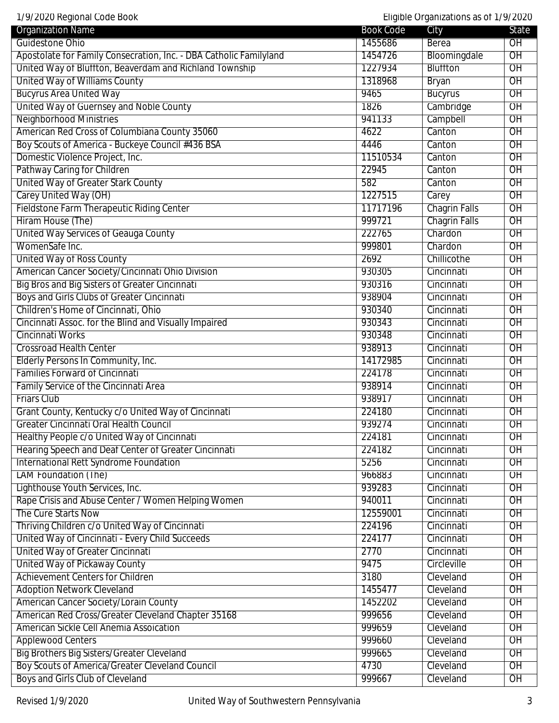1/9/2020 Regional Code Book Eligible Organizations as of 1/9/2020

| <b>Organization Name</b>                                           | <b>Book Code</b> | City                 | State           |
|--------------------------------------------------------------------|------------------|----------------------|-----------------|
| Guidestone Ohio                                                    | 1455686          | Berea                | O <sub>H</sub>  |
| Apostolate for Family Consecration, Inc. - DBA Catholic Familyland | 1454726          | Bloomingdale         | $\overline{OH}$ |
| United Way of Bluffton, Beaverdam and Richland Township            | 1227934          | <b>Bluffton</b>      | $\overline{OH}$ |
| <b>United Way of Williams County</b>                               | 1318968          | <b>Bryan</b>         | $\overline{OH}$ |
| <b>Bucyrus Area United Way</b>                                     | 9465             | <b>Bucyrus</b>       | $\overline{OH}$ |
| United Way of Guernsey and Noble County                            | 1826             | Cambridge            | $\overline{OH}$ |
| <b>Neighborhood Ministries</b>                                     | 941133           | Campbell             | $\overline{OH}$ |
| American Red Cross of Columbiana County 35060                      | 4622             | Canton               | OH              |
| Boy Scouts of America - Buckeye Council #436 BSA                   | 4446             | Canton               | OH              |
| Domestic Violence Project, Inc.                                    | 11510534         | Canton               | $\overline{OH}$ |
| Pathway Caring for Children                                        | 22945            | Canton               | $\overline{OH}$ |
| United Way of Greater Stark County                                 | 582              | Canton               | $\overline{OH}$ |
| Carey United Way (OH)                                              | 1227515          | Carey                | $\overline{OH}$ |
| Fieldstone Farm Therapeutic Riding Center                          | 11717196         | <b>Chagrin Falls</b> | OH              |
| Hiram House (The)                                                  | 999721           | <b>Chagrin Falls</b> | OH              |
| United Way Services of Geauga County                               | 222765           | Chardon              | OH              |
| WomenSafe Inc.                                                     | 999801           | Chardon              | $\overline{OH}$ |
| <b>United Way of Ross County</b>                                   | 2692             | Chillicothe          | $\overline{OH}$ |
| American Cancer Society/Cincinnati Ohio Division                   | 930305           | Cincinnati           | $\overline{OH}$ |
| <b>Big Bros and Big Sisters of Greater Cincinnati</b>              | 930316           | Cincinnati           | $\overline{OH}$ |
| <b>Boys and Girls Clubs of Greater Cincinnati</b>                  | 938904           | Cincinnati           | $\overline{OH}$ |
| Children's Home of Cincinnati, Ohio                                | 930340           | Cincinnati           | OH              |
| Cincinnati Assoc. for the Blind and Visually Impaired              | 930343           | Cincinnati           | OH              |
| Cincinnati Works                                                   | 930348           | Cincinnati           | $\overline{OH}$ |
| <b>Crossroad Health Center</b>                                     | 938913           | Cincinnati           | $\overline{OH}$ |
| Elderly Persons In Community, Inc.                                 | 14172985         | Cincinnati           | $\overline{OH}$ |
| <b>Families Forward of Cincinnati</b>                              | 224178           | Cincinnati           | $\overline{OH}$ |
| Family Service of the Cincinnati Area                              | 938914           | Cincinnati           | OH              |
| <b>Friars Club</b>                                                 | 938917           | Cincinnati           | OH              |
| Grant County, Kentucky c/o United Way of Cincinnati                | 224180           | Cincinnati           | OH              |
| Greater Cincinnati Oral Health Council                             | 939274           | Cincinnati           | $\overline{OH}$ |
| Healthy People c/o United Way of Cincinnati                        | 224181           | Cincinnati           | OH              |
| Hearing Speech and Deaf Center of Greater Cincinnati               | 224182           | Cincinnati           | $\overline{OH}$ |
| <b>International Rett Syndrome Foundation</b>                      | 5256             | Cincinnati           | $\overline{OH}$ |
| <b>LAM Foundation (The)</b>                                        | 966883           | Cincinnati           | $\overline{OH}$ |
| Lighthouse Youth Services, Inc.                                    | 939283           | Cincinnati           | OH              |
| Rape Crisis and Abuse Center / Women Helping Women                 | 940011           | Cincinnati           | OH              |
| The Cure Starts Now                                                | 12559001         | Cincinnati           | $\overline{OH}$ |
| Thriving Children c/o United Way of Cincinnati                     | 224196           | Cincinnati           | $\overline{OH}$ |
| United Way of Cincinnati - Every Child Succeeds                    | 224177           | Cincinnati           | $\overline{OH}$ |
| United Way of Greater Cincinnati                                   | 2770             | Cincinnati           | $\overline{OH}$ |
| United Way of Pickaway County                                      | 9475             | Circleville          | $\overline{OH}$ |
| <b>Achievement Centers for Children</b>                            | 3180             | Cleveland            | OH              |
| <b>Adoption Network Cleveland</b>                                  | 1455477          | Cleveland            | OH              |
| American Cancer Society/Lorain County                              | 1452202          | Cleveland            | $\overline{OH}$ |
| American Red Cross/Greater Cleveland Chapter 35168                 | 999656           | Cleveland            | $\overline{OH}$ |
| American Sickle Cell Anemia Assoication                            | 999659           | Cleveland            | $\overline{OH}$ |
| <b>Applewood Centers</b>                                           | 999660           | Cleveland            | OH              |
| Big Brothers Big Sisters/Greater Cleveland                         | 999665           | Cleveland            | $\overline{OH}$ |
| Boy Scouts of America/Greater Cleveland Council                    | 4730             | Cleveland            | OH              |
| Boys and Girls Club of Cleveland                                   | 999667           | Cleveland            | OH              |
|                                                                    |                  |                      |                 |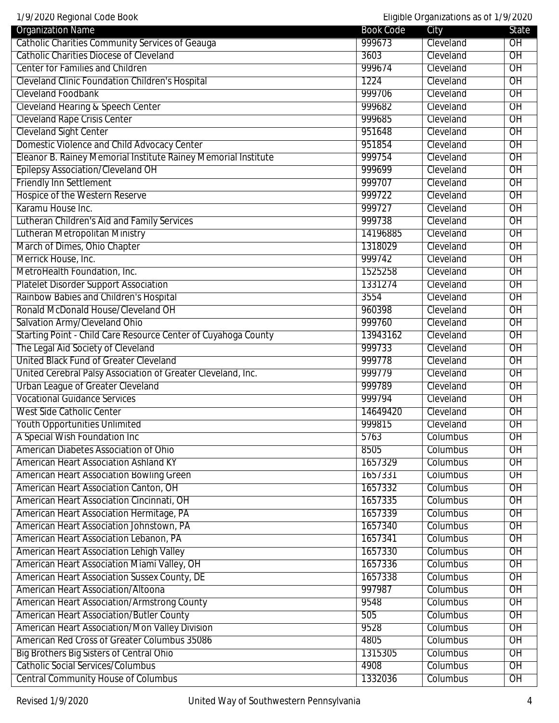1/9/2020 Regional Code Book Eligible Organizations as of 1/9/2020

| <i>n</i> EsEs Rogional sous Book<br><b>Organization Name</b>   | <b>Book Code</b> | $L$ ngibio organizationo ao or $n$<br>City | <b>State</b>    |
|----------------------------------------------------------------|------------------|--------------------------------------------|-----------------|
| Catholic Charities Community Services of Geauga                | 999673           | Cleveland                                  | $\overline{OH}$ |
| <b>Catholic Charities Diocese of Cleveland</b>                 | 3603             | Cleveland                                  | $\overline{OH}$ |
| <b>Center for Families and Children</b>                        | 999674           | Cleveland                                  | $\overline{OH}$ |
| <b>Cleveland Clinic Foundation Children's Hospital</b>         | 1224             | Cleveland                                  | $\overline{OH}$ |
| <b>Cleveland Foodbank</b>                                      | 999706           | Cleveland                                  | $\overline{OH}$ |
| <b>Cleveland Hearing &amp; Speech Center</b>                   | 999682           | Cleveland                                  | $\overline{OH}$ |
| <b>Cleveland Rape Crisis Center</b>                            | 999685           | Cleveland                                  | $\overline{OH}$ |
| <b>Cleveland Sight Center</b>                                  | 951648           | Cleveland                                  | OH              |
| Domestic Violence and Child Advocacy Center                    | 951854           | Cleveland                                  | O <sub>H</sub>  |
| Eleanor B. Rainey Memorial Institute Rainey Memorial Institute | 999754           | Cleveland                                  | $\overline{OH}$ |
| <b>Epilepsy Association/Cleveland OH</b>                       | 999699           | Cleveland                                  | $\overline{OH}$ |
| <b>Friendly Inn Settlement</b>                                 | 999707           | Cleveland                                  | $\overline{OH}$ |
| Hospice of the Western Reserve                                 | 999722           | Cleveland                                  | $\overline{OH}$ |
| Karamu House Inc.                                              | 999727           | Cleveland                                  | OH              |
| Lutheran Children's Aid and Family Services                    | 999738           | Cleveland                                  | OH              |
|                                                                | 14196885         |                                            | OH              |
| Lutheran Metropolitan Ministry                                 |                  | Cleveland                                  |                 |
| March of Dimes, Ohio Chapter                                   | 1318029          | Cleveland                                  | $\overline{OH}$ |
| Merrick House, Inc.                                            | 999742           | Cleveland                                  | $\overline{OH}$ |
| MetroHealth Foundation, Inc.                                   | 1525258          | Cleveland                                  | $\overline{OH}$ |
| <b>Platelet Disorder Support Association</b>                   | 1331274          | Cleveland                                  | $\overline{OH}$ |
| Rainbow Babies and Children's Hospital                         | 3554             | Cleveland                                  | $\overline{OH}$ |
| Ronald McDonald House/Cleveland OH                             | 960398           | Cleveland                                  | OH              |
| Salvation Army/Cleveland Ohio                                  | 999760           | Cleveland                                  | $\overline{OH}$ |
| Starting Point - Child Care Resource Center of Cuyahoga County | 13943162         | Cleveland                                  | $\overline{OH}$ |
| The Legal Aid Society of Cleveland                             | 999733           | Cleveland                                  | $\overline{OH}$ |
| United Black Fund of Greater Cleveland                         | 999778           | Cleveland                                  | $\overline{OH}$ |
| United Cerebral Palsy Association of Greater Cleveland, Inc.   | 999779           | Cleveland                                  | $\overline{OH}$ |
| <b>Urban League of Greater Cleveland</b>                       | 999789           | Cleveland                                  | $\overline{OH}$ |
| <b>Vocational Guidance Services</b>                            | 999794           | Cleveland                                  | OH              |
| West Side Catholic Center                                      | 14649420         | Cleveland                                  | $\overline{OH}$ |
| <b>Youth Opportunities Unlimited</b>                           | 999815           | Cleveland                                  | $\overline{OH}$ |
| A Special Wish Foundation Inc                                  | 5763             | Columbus                                   | $\overline{OH}$ |
| American Diabetes Association of Ohio                          | 8505             | Columbus                                   | $\overline{OH}$ |
| <b>American Heart Association Ashland KY</b>                   | 1657329          | Columbus                                   | $\overline{OH}$ |
| <b>American Heart Association Bowling Green</b>                | 1657331          | Columbus                                   | $\overline{OH}$ |
| American Heart Association Canton, OH                          | 1657332          | Columbus                                   | OH              |
| American Heart Association Cincinnati, OH                      | 1657335          | Columbus                                   | OH              |
| American Heart Association Hermitage, PA                       | 1657339          | Columbus                                   | $\overline{OH}$ |
| American Heart Association Johnstown, PA                       | 1657340          | Columbus                                   | $\overline{OH}$ |
| American Heart Association Lebanon, PA                         | 1657341          | Columbus                                   | $\overline{OH}$ |
| American Heart Association Lehigh Valley                       | 1657330          | Columbus                                   | $\overline{OH}$ |
| American Heart Association Miami Valley, OH                    | 1657336          | Columbus                                   | $\overline{OH}$ |
| American Heart Association Sussex County, DE                   | 1657338          | Columbus                                   | OH              |
| <b>American Heart Association/Altoona</b>                      | 997987           | Columbus                                   | OH              |
| <b>American Heart Association/Armstrong County</b>             | 9548             | Columbus                                   | $\overline{OH}$ |
| <b>American Heart Association/Butler County</b>                | 505              | Columbus                                   | $\overline{OH}$ |
| American Heart Association/Mon Valley Division                 | 9528             | Columbus                                   | $\overline{OH}$ |
| American Red Cross of Greater Columbus 35086                   | 4805             | Columbus                                   | $\overline{OH}$ |
| Big Brothers Big Sisters of Central Ohio                       | 1315305          | Columbus                                   | OH              |
| <b>Catholic Social Services/Columbus</b>                       | 4908             | Columbus                                   | OH              |
| <b>Central Community House of Columbus</b>                     | 1332036          | Columbus                                   | OH              |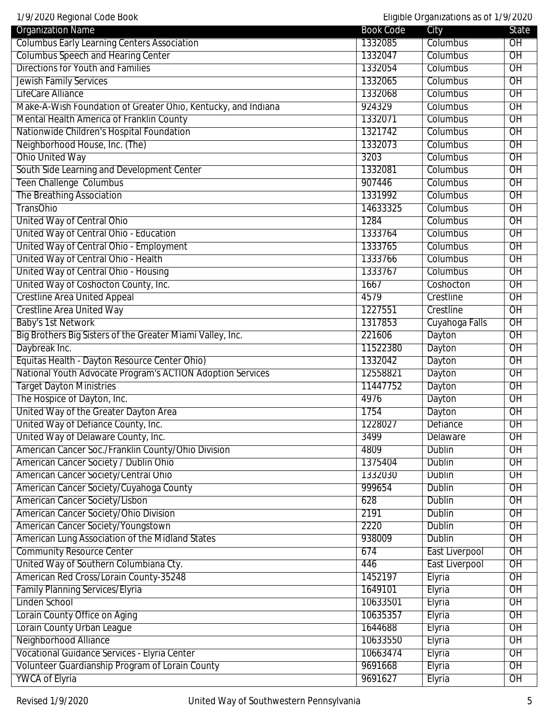| 1/9/2020 Regional Code Book                                   |                    | Eligible Organizations as of 1/9/2020 |                 |
|---------------------------------------------------------------|--------------------|---------------------------------------|-----------------|
| <b>Organization Name</b>                                      | <b>Book Code</b>   | City                                  | State           |
| <b>Columbus Early Learning Centers Association</b>            | 1332085            | Columbus                              | OH              |
| <b>Columbus Speech and Hearing Center</b>                     | 1332047            | Columbus                              | $\overline{OH}$ |
| <b>Directions for Youth and Families</b>                      | 1332054            | Columbus                              | $\overline{OH}$ |
| <b>Jewish Family Services</b>                                 | 1332065            | Columbus                              | $\overline{OH}$ |
| LifeCare Alliance                                             | 1332068            | Columbus                              | $\overline{OH}$ |
| Make-A-Wish Foundation of Greater Ohio, Kentucky, and Indiana | 924329             | Columbus                              | $\overline{OH}$ |
| Mental Health America of Franklin County                      | 1332071            | Columbus                              | $\overline{OH}$ |
| Nationwide Children's Hospital Foundation                     | 1321742            | Columbus                              | OH              |
| Neighborhood House, Inc. (The)                                | 1332073            | Columbus                              | OH              |
| <b>Ohio United Way</b>                                        | 3203               | Columbus                              | $\overline{OH}$ |
| South Side Learning and Development Center                    | 1332081            | Columbus                              | $\overline{OH}$ |
| <b>Teen Challenge Columbus</b>                                | 907446             | Columbus                              | $\overline{OH}$ |
| The Breathing Association                                     | 1331992            | Columbus                              | $\overline{OH}$ |
| <b>TransOhio</b>                                              | 14633325           | Columbus                              | OH              |
| United Way of Central Ohio                                    | 1284               | Columbus                              | OH              |
| United Way of Central Ohio - Education                        | 1333764            | Columbus                              | OH              |
| United Way of Central Ohio - Employment                       | 1333765            | Columbus                              | $\overline{OH}$ |
| United Way of Central Ohio - Health                           | 1333766            | Columbus                              | $\overline{OH}$ |
| United Way of Central Ohio - Housing                          | 1333767            | Columbus                              | $\overline{OH}$ |
| United Way of Coshocton County, Inc.                          | 1667               | Coshocton                             | $\overline{OH}$ |
| <b>Crestline Area United Appeal</b>                           | 4579               | Crestline                             | $\overline{OH}$ |
| <b>Crestline Area United Way</b>                              | 1227551            | Crestline                             | OH              |
| <b>Baby's 1st Network</b>                                     | 1317853            | Cuyahoga Falls                        | OH              |
| Big Brothers Big Sisters of the Greater Miami Valley, Inc.    | 221606             | Dayton                                | $\overline{OH}$ |
| Daybreak Inc.                                                 | 11522380           | Dayton                                | $\overline{OH}$ |
| Equitas Health - Dayton Resource Center Ohio)                 | 1332042            | Dayton                                | $\overline{OH}$ |
| National Youth Advocate Program's ACTION Adoption Services    | 12558821           | Dayton                                | OH              |
| <b>Target Dayton Ministries</b>                               | 11447752           | Dayton                                | OH              |
| The Hospice of Dayton, Inc.                                   | 4976               | Dayton                                | $\overline{OH}$ |
| United Way of the Greater Dayton Area                         | 1754               | Dayton                                | OH              |
| United Way of Defiance County, Inc.                           | 1228027            | Defiance                              | OH              |
| United Way of Delaware County, Inc.                           | 3499               | Delaware                              | $\overline{OH}$ |
| American Cancer Soc./Franklin County/Ohio Division            | 4809               | <b>Dublin</b>                         | $\overline{OH}$ |
|                                                               |                    |                                       | $\overline{OH}$ |
| American Cancer Society / Dublin Ohio                         | 1375404<br>1332030 | Dublin                                | $\overline{OH}$ |
| American Cancer Society/Central Ohio                          |                    | Dublin                                |                 |
| American Cancer Society/Cuyahoga County                       | 999654             | Dublin                                | OH              |
| American Cancer Society/Lisbon                                | 628                | Dublin                                | OH              |
| American Cancer Society/Ohio Division                         | 2191               | <b>Dublin</b>                         | $\overline{OH}$ |
| American Cancer Society/Youngstown                            | 2220               | <b>Dublin</b>                         | $\overline{OH}$ |
| American Lung Association of the Midland States               | 938009             | <b>Dublin</b>                         | $\overline{OH}$ |
| <b>Community Resource Center</b>                              | 674                | <b>East Liverpool</b>                 | $\overline{OH}$ |
| United Way of Southern Columbiana Cty.                        | 446                | <b>East Liverpool</b>                 | O <sub>H</sub>  |
| American Red Cross/Lorain County-35248                        | 1452197            | Elyria                                | OH              |
| <b>Family Planning Services/Elyria</b>                        | 1649101            | Elyria                                | OH              |
| Linden School                                                 | 10633501           | Elyria                                | $\overline{OH}$ |
| Lorain County Office on Aging                                 | 10635357           | Elyria                                | $\overline{OH}$ |
| Lorain County Urban League                                    | 1644688            | Elyria                                | $\overline{OH}$ |
| Neighborhood Alliance                                         | 10633550           | Elyria                                | $\overline{OH}$ |
| Vocational Guidance Services - Elyria Center                  | 10663474           | Elyria                                | OH              |
| Volunteer Guardianship Program of Lorain County               | 9691668            | Elyria                                | OH              |
| <b>YWCA of Elyria</b>                                         | 9691627            | Elyria                                | OH              |

 $\perp$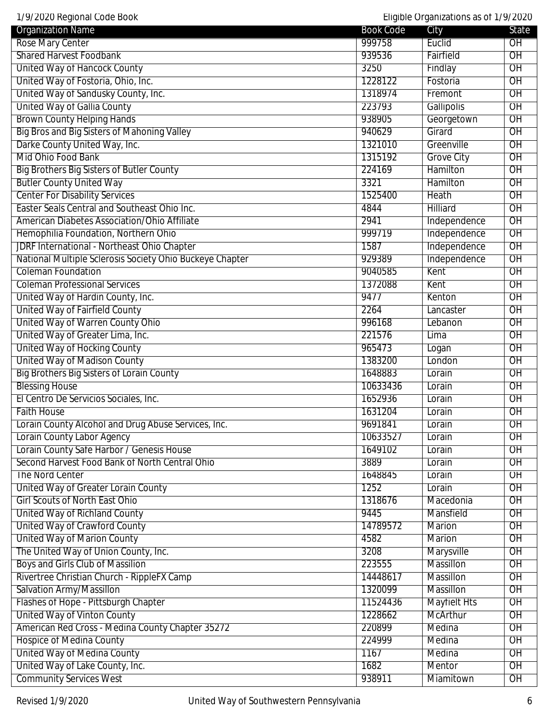| 1/9/2020 Regional Code Book                              |                  | Eligible Organizations as of 1/9/2020 |                 |
|----------------------------------------------------------|------------------|---------------------------------------|-----------------|
| <b>Organization Name</b>                                 | <b>Book Code</b> | City                                  | State           |
| Rose Mary Center                                         | 999758           | Euclid                                | OH              |
| <b>Shared Harvest Foodbank</b>                           | 939536           | Fairfield                             | $\overline{OH}$ |
| <b>United Way of Hancock County</b>                      | 3250             | Findlay                               | $\overline{OH}$ |
| United Way of Fostoria, Ohio, Inc.                       | 1228122          | Fostoria                              | $\overline{OH}$ |
| United Way of Sandusky County, Inc.                      | 1318974          | Fremont                               | $\overline{OH}$ |
| <b>United Way of Gallia County</b>                       | 223793           | Gallipolis                            | $\overline{OH}$ |
| <b>Brown County Helping Hands</b>                        | 938905           | Georgetown                            | $\overline{OH}$ |
| Big Bros and Big Sisters of Mahoning Valley              | 940629           | Girard                                | OH              |
| Darke County United Way, Inc.                            | 1321010          | Greenville                            | OH              |
| Mid Ohio Food Bank                                       | 1315192          | <b>Grove City</b>                     | $\overline{OH}$ |
| <b>Big Brothers Big Sisters of Butler County</b>         | 224169           | Hamilton                              | $\overline{OH}$ |
| <b>Butler County United Way</b>                          | 3321             | Hamilton                              | $\overline{OH}$ |
| <b>Center For Disability Services</b>                    | 1525400          | <b>Heath</b>                          | $\overline{OH}$ |
| Easter Seals Central and Southeast Ohio Inc.             | 4844             | Hilliard                              | OH              |
| American Diabetes Association/Ohio Affiliate             | 2941             | Independence                          | OH              |
| Hemophilia Foundation, Northern Ohio                     | 999719           | Independence                          | O <sub>H</sub>  |
| <b>JDRF International - Northeast Ohio Chapter</b>       | 1587             | Independence                          | $\overline{OH}$ |
| National Multiple Sclerosis Society Ohio Buckeye Chapter | 929389           | Independence                          | $\overline{OH}$ |
| <b>Coleman Foundation</b>                                | 9040585          | Kent                                  | $\overline{OH}$ |
| <b>Coleman Professional Services</b>                     | 1372088          | Kent                                  | $\overline{OH}$ |
| United Way of Hardin County, Inc.                        | 9477             | Kenton                                | $\overline{OH}$ |
| United Way of Fairfield County                           | 2264             | Lancaster                             | OH              |
| United Way of Warren County Ohio                         | 996168           | Lebanon                               | OH              |
| United Way of Greater Lima, Inc.                         | 221576           | Lima                                  | $\overline{OH}$ |
| <b>United Way of Hocking County</b>                      | 965473           | Logan                                 | $\overline{OH}$ |
| United Way of Madison County                             | 1383200          | London                                | $\overline{OH}$ |

Big Brothers Big Sisters of Lorain County **1648883** Lorain County 1648883 Blessing House **10633436** Lorain **CH** El Centro De Servicios Sociales, Inc. 1652936 Lorain OH Faith House 1631204 Lorain OH Lorain County Alcohol and Drug Abuse Services, Inc. 19691841 Lorain Lorain County Alcohol and Drug Abuse Services, Inc. Lorain County Labor Agency **County Labor Agency County Lorain County Lorain OH** Lorain County Safe Harbor / Genesis House 1649102 Lorain County Safe Harbor / Genesis House Second Harvest Food Bank of North Central Ohio 3889 Lorain 3889 Lorain OH The Nord Center 2008 Content 2008 Content 2008 Content 2008 Content 2008 Content 2008 Content 2008 Content 200 United Way of Greater Lorain County **1252** Lorain County 1252 Lorain COH Girl Scouts of North East Ohio 1318676 Macedonia OH United Way of Richland County 9445 Mansfield OH United Way of Crawford County County County County County County County County County County County County County United Way of Marion County **Accord County 1996** Marion County 19582 Marion County OH The United Way of Union County, Inc. **3208** Marysville OH Boys and Girls Club of Massilion and Club of Massilion 223555 Massillon CH Rivertree Christian Church - RippleFX Camp 14448617 Massillon 14448617 Massillon Salvation Army/Massillon 2012 1320099 Massillon OH Flashes of Hope - Pittsburgh Chapter 11524436 Mayfielt Hts OH United Way of Vinton County **1228662** McArthur OH American Red Cross - Medina County Chapter 35272 220899 220899 Medina DH Hospice of Medina County **Medina County Medina** OH United Way of Medina County **1167** Medina OU OH United Way of Lake County, Inc. **1682** Mentor Mentor OH Community Services West Community Services West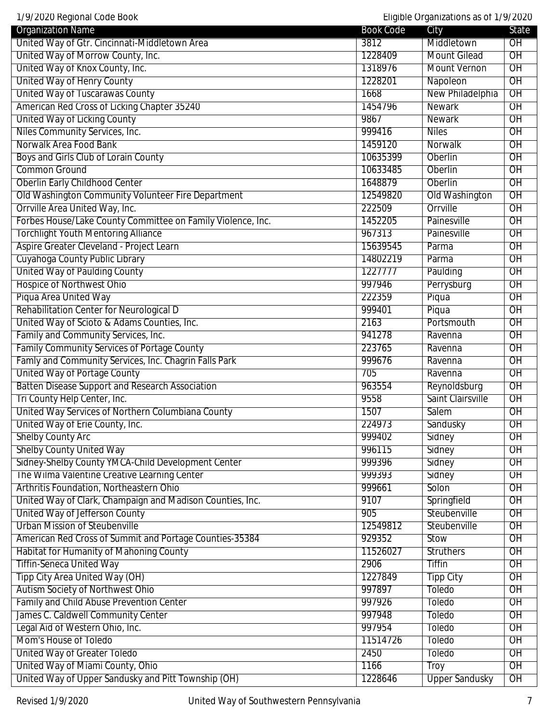Organization Name State State City State State City United Way of Gtr. Cincinnati-Middletown Area  $\vert$  3812 Middletown  $\vert$  OH United Way of Morrow County, Inc. 1228409 Mount Gilead OH United Way of Knox County, Inc. 1318976 Mount Vernon OH United Way of Henry County **1228201** Napoleon OH United Way of Tuscarawas County **New Philadelphia** OH American Red Cross of Licking Chapter 35240 1454796 Newark Newark OH United Way of Licking County **Newark County County County County County County County County County County County** Niles Community Services, Inc. 2008 1999 1999416 Niles OH Norwalk Area Food Bank 1459120 Norwalk Area Food Bank 1459120 Norwalk 1459120 Norwalk OH Boys and Girls Club of Lorain County **10635399** Oberlin **10635399** Oberlin **OH** Common Ground 10633485 Oberlin OH Oberlin Early Childhood Center 1648879 Oberlin Childhood Center 1648879 Oberlin OH Old Washington Community Volunteer Fire Department 12549820 | Old Washington | OH Orrville Area United Way, Inc. 222509 Orrville CH Forbes House/Lake County Committee on Family Violence, Inc. 1452205 Painesville OH Torchlight Youth Mentoring Alliance **1967313** Painesville OH Aspire Greater Cleveland - Project Learn **15639545** Parma OH Cuyahoga County Public Library **14802219** Parma OH United Way of Paulding County **122777 Paulding County** Hospice of Northwest Ohio **Perrysburg COM** Piqua Area United Way 222359 Piqua OH Rehabilitation Center for Neurological D 999401 Piqua OH United Way of Scioto & Adams Counties, Inc. 2163 Portsmouth OH Family and Community Services, Inc. **Example 2018** Ravenna **Community Services, Inc.** 941278 Ravenna OH Family Community Services of Portage County **Community Services of Portage County Ravenna** OH Famly and Community Services, Inc. Chagrin Falls Park 1999676 999676 Ravenna POH United Way of Portage County **The County County County County County County County County County County County** Batten Disease Support and Research Association and all the state of 963554 Reynoldsburg OH Tri County Help Center, Inc. 2008 Saint Clairsville County Help Center, Inc. 2014 United Way Services of Northern Columbiana County 1507 1507 Salem 1988 United Way of Erie County, Inc. **224973** Sandusky **OH** Shelby County Arc **999402** Sidney OH Shelby County United Way **1996115** Sidney OH Sidney-Shelby County YMCA-Child Development Center **1999396** Sidney Sidney Sidney OH The Wilma Valentine Creative Learning Center **1990 Community 1999393** Sidney Sidney OH Arthritis Foundation, Northeastern Ohio **1999661** Solon 1999661 Solon OH United Way of Clark, Champaign and Madison Counties, Inc. 9107 Springfield OH United Way of Jefferson County **Step Act and Step Act of Step Act of Step Act of Step Act of Step Act of OH** Urban Mission of Steubenville 12549812 Steubenville 12549812 Steubenville 12549812 Steubenville 12549812 Steubenville 12549812 Steubenville 12549812 Steubenville 12549812 Steubenville 12549812 Steubenville 12549812 Steuben American Red Cross of Summit and Portage Counties-35384 929352 Stow Stow Stow OH Habitat for Humanity of Mahoning County 11526027 Struthers 1988 Tiffin-Seneca United Way **2906** Tiffin OH Tipp City Area United Way (OH) and the City Area United Way (OH) and the City of Tipp City of OH Autism Society of Northwest Ohio **1997897** Toledo **OH** Family and Child Abuse Prevention Center **Child Abuse Prevention Center 1997** Toledo **The Struck Communist Communist Communist Communist Communist Communist Communist Communist Communist Communist Communist Communist Commu** James C. Caldwell Community Center **1997-1997948** Toledo **OH** Legal Aid of Western Ohio, Inc. **Contract to the Contract of America** Contract of America OH Mom's House of Toledo 11514726 Toledo OH United Way of Greater Toledo **2450** Toledo OH United Way of Miami County, Ohio 1166 1166 Troy OH

1/9/2020 Regional Code Book Eligible Organizations as of 1/9/2020

United Way of Upper Sandusky and Pitt Township (OH) 1228646 Upper Sandusky OH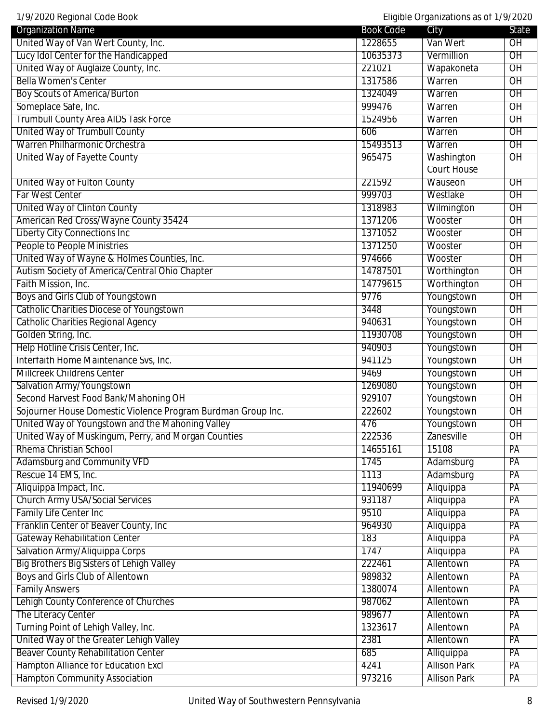| 1/9/2020 Regional Code Book                                  |                  | Eligible Organizations as of 1/9/2020 |                 |
|--------------------------------------------------------------|------------------|---------------------------------------|-----------------|
| <b>Organization Name</b>                                     | <b>Book Code</b> | City                                  | State           |
| United Way of Van Wert County, Inc.                          | 1228655          | Van Wert                              | $\overline{OH}$ |
| Lucy Idol Center for the Handicapped                         | 10635373         | Vermillion                            | $\overline{OH}$ |
| United Way of Auglaize County, Inc.                          | 221021           | Wapakoneta                            | $\overline{OH}$ |
| <b>Bella Women's Center</b>                                  | 1317586          | Warren                                | $\overline{OH}$ |
| <b>Boy Scouts of America/Burton</b>                          | 1324049          | Warren                                | $\overline{OH}$ |
| Someplace Safe, Inc.                                         | 999476           | Warren                                | $\overline{OH}$ |
| <b>Trumbull County Area AIDS Task Force</b>                  | 1524956          | Warren                                | $\overline{OH}$ |
| United Way of Trumbull County                                | 606              | Warren                                | OH              |
| Warren Philharmonic Orchestra                                | 15493513         | Warren                                | OH              |
| United Way of Fayette County                                 | 965475           | Washington                            | $\overline{OH}$ |
|                                                              |                  | Court House                           |                 |
| United Way of Fulton County                                  | 221592           | Wauseon                               | $\overline{OH}$ |
| Far West Center                                              | 999703           | Westlake                              | $\overline{OH}$ |
| United Way of Clinton County                                 | 1318983          | Wilmington                            | $\overline{OH}$ |
| American Red Cross/Wayne County 35424                        | 1371206          | Wooster                               | $\overline{OH}$ |
| Liberty City Connections Inc                                 | 1371052          | Wooster                               | $\overline{OH}$ |
| <b>People to People Ministries</b>                           | 1371250          | Wooster                               | $\overline{OH}$ |
| United Way of Wayne & Holmes Counties, Inc.                  | 974666           | Wooster                               | OH              |
| Autism Society of America/Central Ohio Chapter               | 14787501         | Worthington                           | $\overline{OH}$ |
| Faith Mission, Inc.                                          | 14779615         | Worthington                           | $\overline{OH}$ |
| Boys and Girls Club of Youngstown                            | 9776             | Youngstown                            | $\overline{OH}$ |
| <b>Catholic Charities Diocese of Youngstown</b>              | 3448             | Youngstown                            | $\overline{OH}$ |
| <b>Catholic Charities Regional Agency</b>                    | 940631           | Youngstown                            | $\overline{OH}$ |
| Golden String, Inc.                                          | 11930708         | Youngstown                            | OH              |
| Help Hotline Crisis Center, Inc.                             | 940903           | Youngstown                            | $\overline{OH}$ |
| Interfaith Home Maintenance Svs, Inc.                        | 941125           | Youngstown                            | $\overline{OH}$ |
| <b>Millcreek Childrens Center</b>                            | 9469             | Youngstown                            | $\overline{OH}$ |
| Salvation Army/Youngstown                                    | 1269080          | Youngstown                            | $\overline{OH}$ |
| Second Harvest Food Bank/Mahoning OH                         | 929107           | Youngstown                            | $\overline{OH}$ |
| Sojourner House Domestic Violence Program Burdman Group Inc. | 222602           | Youngstown                            | $\overline{OH}$ |
| United Way of Youngstown and the Mahoning Valley             | 476              | Youngstown                            | OH              |
| United Way of Muskingum, Perry, and Morgan Counties          | 222536           | Zanesville                            | $\overline{OH}$ |
| Rhema Christian School                                       | 14655161         | 15108                                 | PA              |
| <b>Adamsburg and Community VFD</b>                           | 1745             | Adamsburg                             | PA              |
| Rescue 14 EMS, Inc.                                          | 1113             | Adamsburg                             | PA              |
| Aliquippa Impact, Inc.                                       | 11940699         | Aliquippa                             | PA              |
| Church Army USA/Social Services                              | 931187           | Aliquippa                             | PA              |
| <b>Family Life Center Inc</b>                                | 9510             | Aliquippa                             | PA              |
| Franklin Center of Beaver County, Inc.                       | 964930           | Aliquippa                             | PA              |
| <b>Gateway Rehabilitation Center</b>                         | 183              | Aliquippa                             | PA              |
| Salvation Army/Aliquippa Corps                               | 1747             |                                       | PA              |
|                                                              | 222461           | Aliquippa<br>Allentown                | $\overline{PA}$ |
| <b>Big Brothers Big Sisters of Lehigh Valley</b>             |                  |                                       | PA              |
| Boys and Girls Club of Allentown                             | 989832           | Allentown                             |                 |
| <b>Family Answers</b>                                        | 1380074          | Allentown                             | PA              |
| Lehigh County Conference of Churches                         | 987062           | Allentown                             | PA              |
| The Literacy Center                                          | 989677           | Allentown                             | PA              |
| Turning Point of Lehigh Valley, Inc.                         | 1323617          | Allentown                             | PA              |
| United Way of the Greater Lehigh Valley                      | 2381             | Allentown                             | PA              |
| <b>Beaver County Rehabilitation Center</b>                   | 685              | Alliquippa                            | $\overline{PA}$ |
| <b>Hampton Alliance for Education Excl</b>                   | 4241             | <b>Allison Park</b>                   | PA              |
| <b>Hampton Community Association</b>                         | 973216           | <b>Allison Park</b>                   | PA              |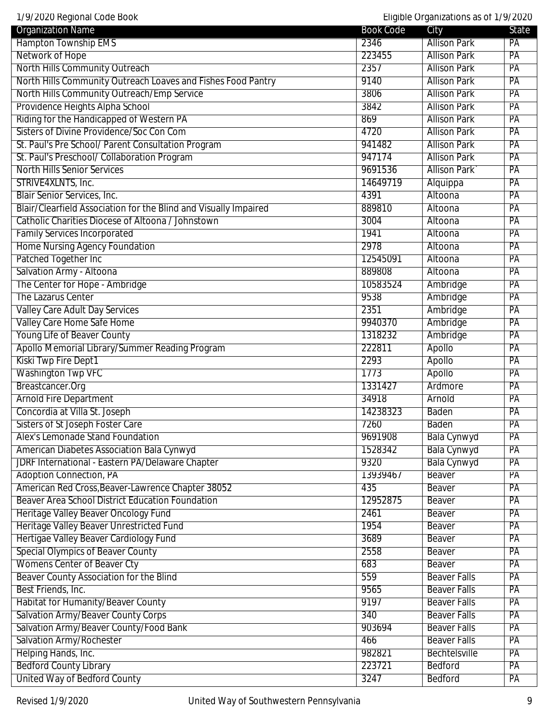1/9/2020 Regional Code Book Eligible Organizations as of 1/9/2020 Organization Name State State City State City Hampton Township EMS 2346 Allison Park PA Network of Hope 223455 Allison Park PA North Hills Community Outreach 2357 Allison Park PA North Hills Community Outreach Loaves and Fishes Food Pantry 19140 Allison Park PA North Hills Community Outreach/Emp Service 3806 Allison Park PA Providence Heights Alpha School **2008** Providence Heights Alpha School **3842** Allison Park PA Riding for the Handicapped of Western PA **869** Allison Park PA Sisters of Divine Providence/Soc Con Com **1999** Allison Park PA St. Paul's Pre School/ Parent Consultation Program 941482 Allison Park PA St. Paul's Preschool/ Collaboration Program 947174 Allison Park PA North Hills Senior Services **Contained Accord Parking Contained Accord Parking Contained Parking Park** PA STRIVE4XLNTS, Inc. 2004 PA 2014 14649719 Alquippa PA Blair Senior Services, Inc. **Altoona** PA Blair/Clearfield Association for the Blind and Visually Impaired 889810 Altoona PA Catholic Charities Diocese of Altoona / Johnstown 3004 Altoona PA Family Services Incorporated **1941** Altoona PA Home Nursing Agency Foundation **PA** Altoona PA Patched Together Inc 12545091 Altoona PA Salvation Army - Altoona **PACK Contract Contract Contract Contract Contract Contract Contract Contract Contract Contract Contract Contract Contract Contract Contract Contract Contract Contract Contract Contract Contract Co** The Center for Hope - Ambridge 10583524 Ambridge 10583524 Ambridge PA The Lazarus Center 9538 Ambridge PA Valley Care Adult Day Services **2351** Ambridge PA Valley Care Home Safe Home 9940370 Ambridge PA Young Life of Beaver County **The County County County County 1318232** Ambridge PA Apollo Memorial Library/Summer Reading Program 222811 Apollo PA Kiski Twp Fire Dept 1 **2293** Apollo PA Washington Twp VFC **1773** Apollo PA Breastcancer.Org 1331427 Ardmore PA Arnold Fire Department **34918** Arnold PA Concordia at Villa St. Joseph 14238323 Baden PA Sisters of St Joseph Foster Care **PA** Alex's Lemonade Stand Foundation **Bala Cynus and Stand Foundation** 9691908 Bala Cynus Bala Cynus PA American Diabetes Association Bala Cynwyd 1528342 Bala Cynwyd PA JDRF International - Eastern PA/Delaware Chapter **19320** Bala Cynwyd PA Adoption Connection, PA 13939467 Beaver PA American Red Cross,Beaver-Lawrence Chapter 38052 435 Beaver PA Beaver Area School District Education Foundation 12952875 Beaver PA Heritage Valley Beaver Oncology Fund **2461** Beaver PA Heritage Valley Beaver Unrestricted Fund **1954** and 1954 Beaver PA Hertigae Valley Beaver Cardiology Fund **Beaver Cardiology Fund Community Community** 3689 Beaver **PA** Special Olympics of Beaver County **2558** Beaver PA Womens Center of Beaver Cty **Example 20 and 20 and 20 and 20 and 20 and 20 and 20 and 20 and 20 and 20 and 20 and 20 and 20 and 20 and 20 and 20 and 20 and 20 and 20 and 20 and 20 and 20 and 20 and 20 and 20 and 20 and 20** Beaver County Association for the Blind **1990 Beaver County Association for the Blind** 559 Beaver Falls PA Best Friends, Inc. 2006 Beaver Falls PA and the Beaver Falls PA and the Beaver Falls PA Habitat for Humanity/Beaver County **Bisk and Structure County 19197** Beaver Falls PA Salvation Army/Beaver County Corps 6-40 and the Salvation Army/Beaver County Corps 340 Beaver Falls PA<br>
Salvation Army/Beaver County/Food Bank 6-40 and 5-40 and 5-40 and 5-40 and 5-40 and 5-40 and 5-40 and 5-40 an<br>
Salvati Salvation Army/Beaver County/Food Bank 1903694 Beaver Falls PA Salvation Army/Rochester **Army-Rochester Beaver Falls** PA Helping Hands, Inc. **PARTIC EXAMPLE 1982821** Bechtelsville PA Bedford County Library 223721 Bedford PA United Way of Bedford County **3247** Bedford PA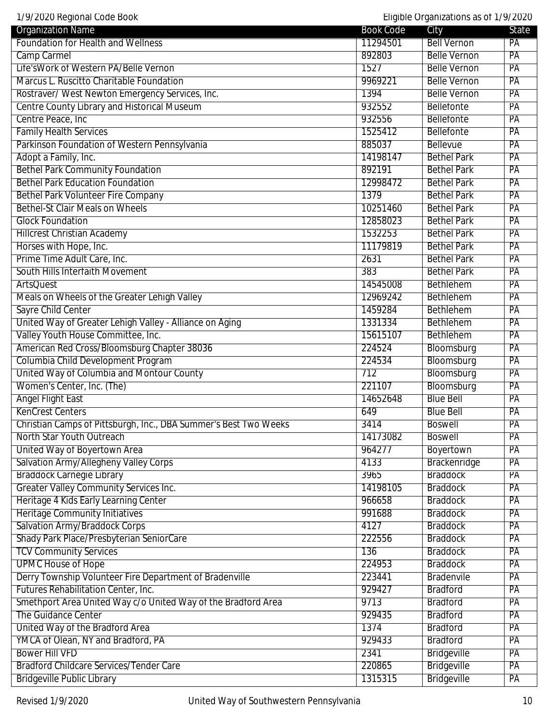1/9/2020 Regional Code Book Eligible Organizations as of 1/9/2020

| <b>Organization Name</b>                                         | <b>Book Code</b> | City                | State           |
|------------------------------------------------------------------|------------------|---------------------|-----------------|
| Foundation for Health and Wellness                               | 11294501         | <b>Bell Vernon</b>  | PA              |
| Camp Carmel                                                      | 892803           | <b>Belle Vernon</b> | PA              |
| Life'sWork of Western PA/Belle Vernon                            | 1527             | <b>Belle Vernon</b> | PA              |
| Marcus L. Ruscitto Charitable Foundation                         | 9969221          | <b>Belle Vernon</b> | PA              |
| Rostraver/ West Newton Emergency Services, Inc.                  | 1394             | <b>Belle Vernon</b> | PA              |
| Centre County Library and Historical Museum                      | 932552           | <b>Bellefonte</b>   | PA              |
| Centre Peace, Inc                                                | 932556           | <b>Bellefonte</b>   | PA              |
| <b>Family Health Services</b>                                    | 1525412          | Bellefonte          | PA              |
| Parkinson Foundation of Western Pennsylvania                     | 885037           | <b>Bellevue</b>     | PA              |
| Adopt a Family, Inc.                                             | 14198147         | <b>Bethel Park</b>  | $\overline{PA}$ |
| <b>Bethel Park Community Foundation</b>                          | 892191           | <b>Bethel Park</b>  | PA              |
| <b>Bethel Park Education Foundation</b>                          | 12998472         | <b>Bethel Park</b>  | PA              |
| <b>Bethel Park Volunteer Fire Company</b>                        | 1379             | <b>Bethel Park</b>  | PA              |
| <b>Bethel-St Clair Meals on Wheels</b>                           | 10251460         | <b>Bethel Park</b>  | PA              |
| <b>Glock Foundation</b>                                          | 12858023         | <b>Bethel Park</b>  | PA              |
| <b>Hillcrest Christian Academy</b>                               | 1532253          | <b>Bethel Park</b>  | PA              |
| Horses with Hope, Inc.                                           | 11179819         | <b>Bethel Park</b>  | PA              |
| Prime Time Adult Care, Inc.                                      | 2631             | <b>Bethel Park</b>  | PA              |
| South Hills Interfaith Movement                                  | 383              | <b>Bethel Park</b>  | PA              |
| <b>ArtsQuest</b>                                                 | 14545008         | <b>Bethlehem</b>    | PA              |
| Meals on Wheels of the Greater Lehigh Valley                     | 12969242         | <b>Bethlehem</b>    | PA              |
| Sayre Child Center                                               | 1459284          | Bethlehem           | PA              |
| United Way of Greater Lehigh Valley - Alliance on Aging          | 1331334          | Bethlehem           | PA              |
| Valley Youth House Committee, Inc.                               | 15615107         | Bethlehem           | PA              |
| American Red Cross/Bloomsburg Chapter 38036                      | 224524           | Bloomsburg          | PA              |
| Columbia Child Development Program                               | 224534           | Bloomsburg          | PA              |
| United Way of Columbia and Montour County                        | 712              | Bloomsburg          | PA              |
| Women's Center, Inc. (The)                                       | 221107           | Bloomsburg          | PA              |
| <b>Angel Flight East</b>                                         | 14652648         | <b>Blue Bell</b>    | PA              |
| <b>KenCrest Centers</b>                                          | 649              | <b>Blue Bell</b>    | PA              |
| Christian Camps of Pittsburgh, Inc., DBA Summer's Best Two Weeks | 3414             | <b>Boswell</b>      | $\overline{PA}$ |
| North Star Youth Outreach                                        | 14173082         | <b>Boswell</b>      | PA              |
| United Way of Boyertown Area                                     | 964277           | Boyertown           | PA              |
| Salvation Army/Allegheny Valley Corps                            | 4133             | Brackenridge        | PA              |
| <b>Braddock Carnegie Library</b>                                 | 3965             | <b>Braddock</b>     | PA              |
| <b>Greater Valley Community Services Inc.</b>                    | 14198105         | <b>Braddock</b>     | PA              |
| Heritage 4 Kids Early Learning Center                            | 966658           | <b>Braddock</b>     | PA              |
| <b>Heritage Community Initiatives</b>                            | 991688           | <b>Braddock</b>     | PA              |
| <b>Salvation Army/Braddock Corps</b>                             | 4127             | <b>Braddock</b>     | PA              |
| Shady Park Place/Presbyterian SeniorCare                         | 222556           | <b>Braddock</b>     | PA              |
| <b>TCV Community Services</b>                                    | 136              | <b>Braddock</b>     | $\overline{PA}$ |
| <b>UPMC House of Hope</b>                                        | 224953           | <b>Braddock</b>     | PA              |
| Derry Township Volunteer Fire Department of Bradenville          | 223441           | <b>Bradenvile</b>   | PA              |
| Futures Rehabilitation Center, Inc.                              | 929427           | <b>Bradford</b>     | PA              |
| Smethport Area United Way c/o United Way of the Bradford Area    | 9713             | <b>Bradford</b>     | PA              |
| The Guidance Center                                              | 929435           | <b>Bradford</b>     | $\overline{PA}$ |
| United Way of the Bradford Area                                  | 1374             | <b>Bradford</b>     | $\overline{PA}$ |
| YMCA of Olean, NY and Bradford, PA                               | 929433           | <b>Bradford</b>     | PA              |
| <b>Bower Hill VFD</b>                                            | 2341             | <b>Bridgeville</b>  | PA              |
| <b>Bradford Childcare Services/Tender Care</b>                   | 220865           | <b>Bridgeville</b>  | PA              |
| <b>Bridgeville Public Library</b>                                | 1315315          | <b>Bridgeville</b>  | PA              |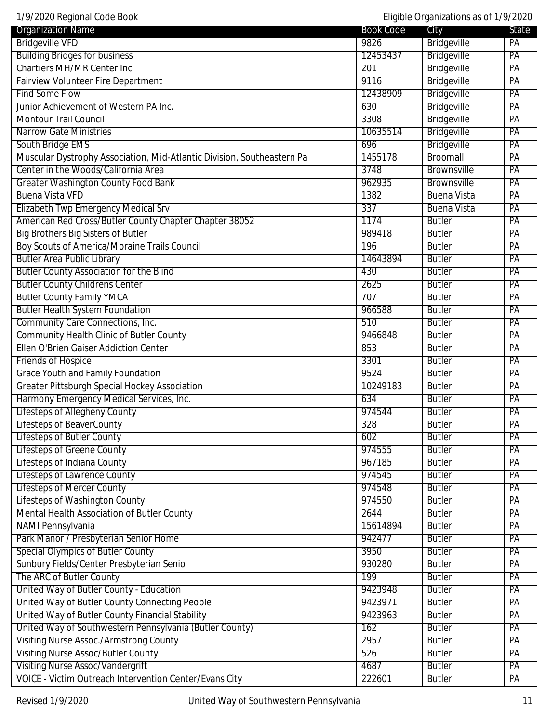| <b>Book Code</b> | City                               | <b>State</b>                                                                                                                                                                                                                                                 |
|------------------|------------------------------------|--------------------------------------------------------------------------------------------------------------------------------------------------------------------------------------------------------------------------------------------------------------|
| 9826             | Bridgeville                        | PA                                                                                                                                                                                                                                                           |
| 12453437         | <b>Bridgeville</b>                 | PA                                                                                                                                                                                                                                                           |
| 201              |                                    | PA                                                                                                                                                                                                                                                           |
| 9116             |                                    | PA                                                                                                                                                                                                                                                           |
| 12438909         |                                    | PA                                                                                                                                                                                                                                                           |
| 630              |                                    | PA                                                                                                                                                                                                                                                           |
| 3308             |                                    | PA                                                                                                                                                                                                                                                           |
| 10635514         |                                    | PA                                                                                                                                                                                                                                                           |
| 696              |                                    | PA                                                                                                                                                                                                                                                           |
| 1455178          | Broomall                           | PA                                                                                                                                                                                                                                                           |
| 3748             | Brownsville                        | $\overline{PA}$                                                                                                                                                                                                                                              |
| 962935           | Brownsville                        | $\overline{PA}$                                                                                                                                                                                                                                              |
| 1382             | <b>Buena Vista</b>                 | PA                                                                                                                                                                                                                                                           |
| 337              | <b>Buena Vista</b>                 | PA                                                                                                                                                                                                                                                           |
| 1174             | <b>Butler</b>                      | PA                                                                                                                                                                                                                                                           |
| 989418           | <b>Butler</b>                      | PA                                                                                                                                                                                                                                                           |
| 196              | <b>Butler</b>                      | PA                                                                                                                                                                                                                                                           |
|                  |                                    | PA                                                                                                                                                                                                                                                           |
| 430              | <b>Butler</b>                      | PA                                                                                                                                                                                                                                                           |
|                  |                                    | PA                                                                                                                                                                                                                                                           |
|                  |                                    | PA                                                                                                                                                                                                                                                           |
| 966588           | <b>Butler</b>                      | PA                                                                                                                                                                                                                                                           |
| 510              | <b>Butler</b>                      | PA                                                                                                                                                                                                                                                           |
|                  |                                    | PA                                                                                                                                                                                                                                                           |
| 853              | <b>Butler</b>                      | PA                                                                                                                                                                                                                                                           |
| 3301             | <b>Butler</b>                      | PA                                                                                                                                                                                                                                                           |
| 9524             | <b>Butler</b>                      | PA                                                                                                                                                                                                                                                           |
| 10249183         | <b>Butler</b>                      | PA                                                                                                                                                                                                                                                           |
| 634              | <b>Butler</b>                      | PA                                                                                                                                                                                                                                                           |
| 974544           | <b>Butler</b>                      | PA                                                                                                                                                                                                                                                           |
| 328              | <b>Butler</b>                      | PА                                                                                                                                                                                                                                                           |
| 602              | <b>Butler</b>                      | PA                                                                                                                                                                                                                                                           |
| 974555           | <b>Butler</b>                      | $\overline{PA}$                                                                                                                                                                                                                                              |
| 967185           | <b>Butler</b>                      | PA                                                                                                                                                                                                                                                           |
| 974545           | <b>Butler</b>                      | PA                                                                                                                                                                                                                                                           |
| 974548           | <b>Butler</b>                      | PA                                                                                                                                                                                                                                                           |
| 974550           | <b>Butler</b>                      | PA                                                                                                                                                                                                                                                           |
| 2644             | <b>Butler</b>                      | PA                                                                                                                                                                                                                                                           |
| 15614894         | <b>Butler</b>                      | PA                                                                                                                                                                                                                                                           |
| 942477           | <b>Butler</b>                      | PA                                                                                                                                                                                                                                                           |
| 3950             | <b>Butler</b>                      | PA                                                                                                                                                                                                                                                           |
| 930280           | <b>Butler</b>                      | PA                                                                                                                                                                                                                                                           |
| 199              | <b>Butler</b>                      | PA                                                                                                                                                                                                                                                           |
| 9423948          | <b>Butler</b>                      | PA                                                                                                                                                                                                                                                           |
| 9423971          | <b>Butler</b>                      | $\overline{PA}$                                                                                                                                                                                                                                              |
| 9423963          | <b>Butler</b>                      | PA                                                                                                                                                                                                                                                           |
| 162              | <b>Butler</b>                      | $\overline{PA}$                                                                                                                                                                                                                                              |
| 2957             | <b>Butler</b>                      | PA                                                                                                                                                                                                                                                           |
| 526              | <b>Butler</b>                      | PA                                                                                                                                                                                                                                                           |
| 4687             | <b>Butler</b>                      | PA                                                                                                                                                                                                                                                           |
|                  | 14643894<br>2625<br>707<br>9466848 | Eligible Organizations as of 1/9/2020<br><b>Bridgeville</b><br><b>Bridgeville</b><br><b>Bridgeville</b><br><b>Bridgeville</b><br><b>Bridgeville</b><br>Bridgeville<br><b>Bridgeville</b><br><b>Butler</b><br><b>Butler</b><br><b>Butler</b><br><b>Butler</b> |

VOICE - Victim Outreach Intervention Center/Evans City | 222601 | Butler | PA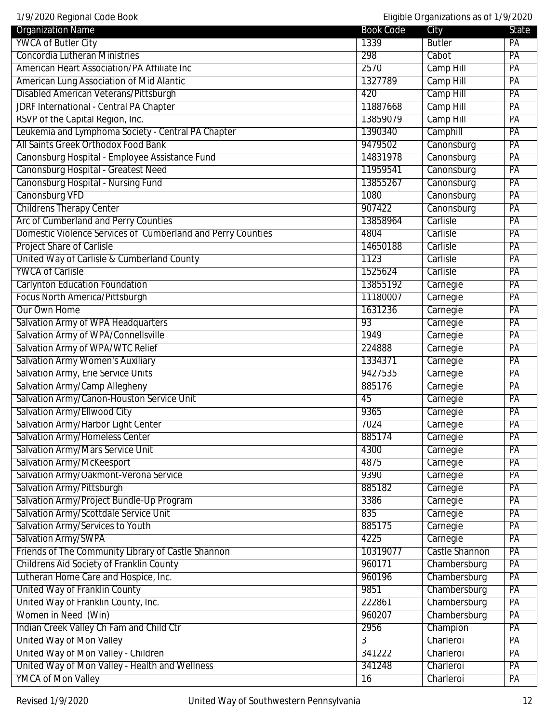1/9/2020 Regional Code Book Eligible Organizations as of 1/9/2020

| YWCA of Butler City<br><b>Butler</b><br>1339<br>PA<br><b>Concordia Lutheran Ministries</b><br>298<br>PA<br>Cabot<br>American Heart Association/PA Affiliate Inc<br>2570<br>Camp Hill<br>PA<br>Camp Hill<br>American Lung Association of Mid Alantic<br>1327789<br>$\overline{PA}$<br><b>Disabled American Veterans/Pittsburgh</b><br>Camp Hill<br>420<br>PA<br><b>JDRF International - Central PA Chapter</b><br>Camp Hill<br>PA<br>11887668<br>RSVP of the Capital Region, Inc.<br>Camp Hill<br>13859079<br>PA<br>Leukemia and Lymphoma Society - Central PA Chapter<br>Camphill<br>PA<br>1390340<br>All Saints Greek Orthodox Food Bank<br>Canonsburg<br>9479502<br>PA<br>Canonsburg Hospital - Employee Assistance Fund<br>Canonsburg<br>14831978<br>PA<br>Canonsburg Hospital - Greatest Need<br>Canonsburg<br>11959541<br>PA<br>Canonsburg Hospital - Nursing Fund<br>Canonsburg<br>13855267<br>PA<br>Canonsburg VFD<br>1080<br>Canonsburg<br>PA<br><b>Childrens Therapy Center</b><br>Canonsburg<br>907422<br>PA<br>Arc of Cumberland and Perry Counties<br>13858964<br>Carlisle<br>PA<br>Domestic Violence Services of Cumberland and Perry Counties<br>4804<br>PA<br>Carlisle<br><b>Project Share of Carlisle</b><br>14650188<br>Carlisle<br>PA<br>United Way of Carlisle & Cumberland County<br>1123<br>Carlisle<br>PA<br><b>YWCA of Carlisle</b><br>1525624<br>Carlisle<br>PA<br><b>Carlynton Education Foundation</b><br>13855192<br>Carnegie<br>PA<br>Focus North America/Pittsburgh<br>11180007<br>Carnegie<br>PA<br>Our Own Home<br>1631236<br>Carnegie<br>PA<br>Salvation Army of WPA Headquarters<br>Carnegie<br>PA<br>93<br>Salvation Army of WPA/Connellsville<br>Carnegie<br>$\overline{PA}$<br>1949<br>Salvation Army of WPA/WTC Relief<br>224888<br>Carnegie<br>PA<br><b>Salvation Army Women's Auxiliary</b><br>1334371<br>Carnegie<br>PA<br>Salvation Army, Erie Service Units<br>PA<br>9427535<br>Carnegie<br>Salvation Army/Camp Allegheny<br>Carnegie<br>PA<br>885176<br>Salvation Army/Canon-Houston Service Unit<br>Carnegie<br>PA<br>45<br>Salvation Army/Ellwood City<br>9365<br>Carnegie<br>PA<br>Salvation Army/Harbor Light Center<br>7024<br>Carnegie<br>PA<br><b>Salvation Army/Homeless Center</b><br>885174<br>Carnegie<br>PA<br>Salvation Army/Mars Service Unit<br>4300<br>Carnegie<br>PA<br>Salvation Army/McKeesport<br>4875<br>Carnegie<br>PA<br>Salvation Army/Oakmont-Verona Service<br>9390<br>Carnegie<br>PA<br>Salvation Army/Pittsburgh<br>Carnegie<br>PA<br>885182<br>Salvation Army/Project Bundle-Up Program<br>3386<br>Carnegie<br>PA<br>Salvation Army/Scottdale Service Unit<br>Carnegie<br>835<br>PA<br>Salvation Army/Services to Youth<br>Carnegie<br>885175<br>PA<br>Salvation Army/SWPA<br>Carnegie<br>4225<br>PA<br>Friends of The Community Library of Castle Shannon<br>Castle Shannon<br>10319077<br>PA<br>Childrens Aid Society of Franklin County<br>960171<br>Chambersburg<br>PA<br>Lutheran Home Care and Hospice, Inc.<br>Chambersburg<br>960196<br>PA<br>United Way of Franklin County<br>9851<br>Chambersburg<br>PA<br>United Way of Franklin County, Inc.<br>Chambersburg<br>PA<br>222861<br>Women in Need (Win)<br>Chambersburg<br>960207<br>PA<br>Indian Creek Valley Ch Fam and Child Ctr<br>2956<br>Champion<br>PA<br>United Way of Mon Valley<br>Charleroi<br>PA<br>3<br>United Way of Mon Valley - Children<br>341222<br>Charleroi<br>PA<br>United Way of Mon Valley - Health and Wellness<br>341248<br>Charleroi<br>PA<br><b>YMCA of Mon Valley</b><br>Charleroi<br>PA<br>16 | $\frac{1}{2}$ // 2020 nugiunal vouu Doon<br><b>Organization Name</b> | <b>Book Code</b> | Liigibic Organizations as on 1777 zozo<br>City | State |
|------------------------------------------------------------------------------------------------------------------------------------------------------------------------------------------------------------------------------------------------------------------------------------------------------------------------------------------------------------------------------------------------------------------------------------------------------------------------------------------------------------------------------------------------------------------------------------------------------------------------------------------------------------------------------------------------------------------------------------------------------------------------------------------------------------------------------------------------------------------------------------------------------------------------------------------------------------------------------------------------------------------------------------------------------------------------------------------------------------------------------------------------------------------------------------------------------------------------------------------------------------------------------------------------------------------------------------------------------------------------------------------------------------------------------------------------------------------------------------------------------------------------------------------------------------------------------------------------------------------------------------------------------------------------------------------------------------------------------------------------------------------------------------------------------------------------------------------------------------------------------------------------------------------------------------------------------------------------------------------------------------------------------------------------------------------------------------------------------------------------------------------------------------------------------------------------------------------------------------------------------------------------------------------------------------------------------------------------------------------------------------------------------------------------------------------------------------------------------------------------------------------------------------------------------------------------------------------------------------------------------------------------------------------------------------------------------------------------------------------------------------------------------------------------------------------------------------------------------------------------------------------------------------------------------------------------------------------------------------------------------------------------------------------------------------------------------------------------------------------------------------------------------------------------------------------------------------------------------------------------------------------------------------------------------------------------------------------------------------------------------------------------------------------------------------------------------------------------------------------------------------------------------------------------------------|----------------------------------------------------------------------|------------------|------------------------------------------------|-------|
|                                                                                                                                                                                                                                                                                                                                                                                                                                                                                                                                                                                                                                                                                                                                                                                                                                                                                                                                                                                                                                                                                                                                                                                                                                                                                                                                                                                                                                                                                                                                                                                                                                                                                                                                                                                                                                                                                                                                                                                                                                                                                                                                                                                                                                                                                                                                                                                                                                                                                                                                                                                                                                                                                                                                                                                                                                                                                                                                                                                                                                                                                                                                                                                                                                                                                                                                                                                                                                                                                                                                                            |                                                                      |                  |                                                |       |
|                                                                                                                                                                                                                                                                                                                                                                                                                                                                                                                                                                                                                                                                                                                                                                                                                                                                                                                                                                                                                                                                                                                                                                                                                                                                                                                                                                                                                                                                                                                                                                                                                                                                                                                                                                                                                                                                                                                                                                                                                                                                                                                                                                                                                                                                                                                                                                                                                                                                                                                                                                                                                                                                                                                                                                                                                                                                                                                                                                                                                                                                                                                                                                                                                                                                                                                                                                                                                                                                                                                                                            |                                                                      |                  |                                                |       |
|                                                                                                                                                                                                                                                                                                                                                                                                                                                                                                                                                                                                                                                                                                                                                                                                                                                                                                                                                                                                                                                                                                                                                                                                                                                                                                                                                                                                                                                                                                                                                                                                                                                                                                                                                                                                                                                                                                                                                                                                                                                                                                                                                                                                                                                                                                                                                                                                                                                                                                                                                                                                                                                                                                                                                                                                                                                                                                                                                                                                                                                                                                                                                                                                                                                                                                                                                                                                                                                                                                                                                            |                                                                      |                  |                                                |       |
|                                                                                                                                                                                                                                                                                                                                                                                                                                                                                                                                                                                                                                                                                                                                                                                                                                                                                                                                                                                                                                                                                                                                                                                                                                                                                                                                                                                                                                                                                                                                                                                                                                                                                                                                                                                                                                                                                                                                                                                                                                                                                                                                                                                                                                                                                                                                                                                                                                                                                                                                                                                                                                                                                                                                                                                                                                                                                                                                                                                                                                                                                                                                                                                                                                                                                                                                                                                                                                                                                                                                                            |                                                                      |                  |                                                |       |
|                                                                                                                                                                                                                                                                                                                                                                                                                                                                                                                                                                                                                                                                                                                                                                                                                                                                                                                                                                                                                                                                                                                                                                                                                                                                                                                                                                                                                                                                                                                                                                                                                                                                                                                                                                                                                                                                                                                                                                                                                                                                                                                                                                                                                                                                                                                                                                                                                                                                                                                                                                                                                                                                                                                                                                                                                                                                                                                                                                                                                                                                                                                                                                                                                                                                                                                                                                                                                                                                                                                                                            |                                                                      |                  |                                                |       |
|                                                                                                                                                                                                                                                                                                                                                                                                                                                                                                                                                                                                                                                                                                                                                                                                                                                                                                                                                                                                                                                                                                                                                                                                                                                                                                                                                                                                                                                                                                                                                                                                                                                                                                                                                                                                                                                                                                                                                                                                                                                                                                                                                                                                                                                                                                                                                                                                                                                                                                                                                                                                                                                                                                                                                                                                                                                                                                                                                                                                                                                                                                                                                                                                                                                                                                                                                                                                                                                                                                                                                            |                                                                      |                  |                                                |       |
|                                                                                                                                                                                                                                                                                                                                                                                                                                                                                                                                                                                                                                                                                                                                                                                                                                                                                                                                                                                                                                                                                                                                                                                                                                                                                                                                                                                                                                                                                                                                                                                                                                                                                                                                                                                                                                                                                                                                                                                                                                                                                                                                                                                                                                                                                                                                                                                                                                                                                                                                                                                                                                                                                                                                                                                                                                                                                                                                                                                                                                                                                                                                                                                                                                                                                                                                                                                                                                                                                                                                                            |                                                                      |                  |                                                |       |
|                                                                                                                                                                                                                                                                                                                                                                                                                                                                                                                                                                                                                                                                                                                                                                                                                                                                                                                                                                                                                                                                                                                                                                                                                                                                                                                                                                                                                                                                                                                                                                                                                                                                                                                                                                                                                                                                                                                                                                                                                                                                                                                                                                                                                                                                                                                                                                                                                                                                                                                                                                                                                                                                                                                                                                                                                                                                                                                                                                                                                                                                                                                                                                                                                                                                                                                                                                                                                                                                                                                                                            |                                                                      |                  |                                                |       |
|                                                                                                                                                                                                                                                                                                                                                                                                                                                                                                                                                                                                                                                                                                                                                                                                                                                                                                                                                                                                                                                                                                                                                                                                                                                                                                                                                                                                                                                                                                                                                                                                                                                                                                                                                                                                                                                                                                                                                                                                                                                                                                                                                                                                                                                                                                                                                                                                                                                                                                                                                                                                                                                                                                                                                                                                                                                                                                                                                                                                                                                                                                                                                                                                                                                                                                                                                                                                                                                                                                                                                            |                                                                      |                  |                                                |       |
|                                                                                                                                                                                                                                                                                                                                                                                                                                                                                                                                                                                                                                                                                                                                                                                                                                                                                                                                                                                                                                                                                                                                                                                                                                                                                                                                                                                                                                                                                                                                                                                                                                                                                                                                                                                                                                                                                                                                                                                                                                                                                                                                                                                                                                                                                                                                                                                                                                                                                                                                                                                                                                                                                                                                                                                                                                                                                                                                                                                                                                                                                                                                                                                                                                                                                                                                                                                                                                                                                                                                                            |                                                                      |                  |                                                |       |
|                                                                                                                                                                                                                                                                                                                                                                                                                                                                                                                                                                                                                                                                                                                                                                                                                                                                                                                                                                                                                                                                                                                                                                                                                                                                                                                                                                                                                                                                                                                                                                                                                                                                                                                                                                                                                                                                                                                                                                                                                                                                                                                                                                                                                                                                                                                                                                                                                                                                                                                                                                                                                                                                                                                                                                                                                                                                                                                                                                                                                                                                                                                                                                                                                                                                                                                                                                                                                                                                                                                                                            |                                                                      |                  |                                                |       |
|                                                                                                                                                                                                                                                                                                                                                                                                                                                                                                                                                                                                                                                                                                                                                                                                                                                                                                                                                                                                                                                                                                                                                                                                                                                                                                                                                                                                                                                                                                                                                                                                                                                                                                                                                                                                                                                                                                                                                                                                                                                                                                                                                                                                                                                                                                                                                                                                                                                                                                                                                                                                                                                                                                                                                                                                                                                                                                                                                                                                                                                                                                                                                                                                                                                                                                                                                                                                                                                                                                                                                            |                                                                      |                  |                                                |       |
|                                                                                                                                                                                                                                                                                                                                                                                                                                                                                                                                                                                                                                                                                                                                                                                                                                                                                                                                                                                                                                                                                                                                                                                                                                                                                                                                                                                                                                                                                                                                                                                                                                                                                                                                                                                                                                                                                                                                                                                                                                                                                                                                                                                                                                                                                                                                                                                                                                                                                                                                                                                                                                                                                                                                                                                                                                                                                                                                                                                                                                                                                                                                                                                                                                                                                                                                                                                                                                                                                                                                                            |                                                                      |                  |                                                |       |
|                                                                                                                                                                                                                                                                                                                                                                                                                                                                                                                                                                                                                                                                                                                                                                                                                                                                                                                                                                                                                                                                                                                                                                                                                                                                                                                                                                                                                                                                                                                                                                                                                                                                                                                                                                                                                                                                                                                                                                                                                                                                                                                                                                                                                                                                                                                                                                                                                                                                                                                                                                                                                                                                                                                                                                                                                                                                                                                                                                                                                                                                                                                                                                                                                                                                                                                                                                                                                                                                                                                                                            |                                                                      |                  |                                                |       |
|                                                                                                                                                                                                                                                                                                                                                                                                                                                                                                                                                                                                                                                                                                                                                                                                                                                                                                                                                                                                                                                                                                                                                                                                                                                                                                                                                                                                                                                                                                                                                                                                                                                                                                                                                                                                                                                                                                                                                                                                                                                                                                                                                                                                                                                                                                                                                                                                                                                                                                                                                                                                                                                                                                                                                                                                                                                                                                                                                                                                                                                                                                                                                                                                                                                                                                                                                                                                                                                                                                                                                            |                                                                      |                  |                                                |       |
|                                                                                                                                                                                                                                                                                                                                                                                                                                                                                                                                                                                                                                                                                                                                                                                                                                                                                                                                                                                                                                                                                                                                                                                                                                                                                                                                                                                                                                                                                                                                                                                                                                                                                                                                                                                                                                                                                                                                                                                                                                                                                                                                                                                                                                                                                                                                                                                                                                                                                                                                                                                                                                                                                                                                                                                                                                                                                                                                                                                                                                                                                                                                                                                                                                                                                                                                                                                                                                                                                                                                                            |                                                                      |                  |                                                |       |
|                                                                                                                                                                                                                                                                                                                                                                                                                                                                                                                                                                                                                                                                                                                                                                                                                                                                                                                                                                                                                                                                                                                                                                                                                                                                                                                                                                                                                                                                                                                                                                                                                                                                                                                                                                                                                                                                                                                                                                                                                                                                                                                                                                                                                                                                                                                                                                                                                                                                                                                                                                                                                                                                                                                                                                                                                                                                                                                                                                                                                                                                                                                                                                                                                                                                                                                                                                                                                                                                                                                                                            |                                                                      |                  |                                                |       |
|                                                                                                                                                                                                                                                                                                                                                                                                                                                                                                                                                                                                                                                                                                                                                                                                                                                                                                                                                                                                                                                                                                                                                                                                                                                                                                                                                                                                                                                                                                                                                                                                                                                                                                                                                                                                                                                                                                                                                                                                                                                                                                                                                                                                                                                                                                                                                                                                                                                                                                                                                                                                                                                                                                                                                                                                                                                                                                                                                                                                                                                                                                                                                                                                                                                                                                                                                                                                                                                                                                                                                            |                                                                      |                  |                                                |       |
|                                                                                                                                                                                                                                                                                                                                                                                                                                                                                                                                                                                                                                                                                                                                                                                                                                                                                                                                                                                                                                                                                                                                                                                                                                                                                                                                                                                                                                                                                                                                                                                                                                                                                                                                                                                                                                                                                                                                                                                                                                                                                                                                                                                                                                                                                                                                                                                                                                                                                                                                                                                                                                                                                                                                                                                                                                                                                                                                                                                                                                                                                                                                                                                                                                                                                                                                                                                                                                                                                                                                                            |                                                                      |                  |                                                |       |
|                                                                                                                                                                                                                                                                                                                                                                                                                                                                                                                                                                                                                                                                                                                                                                                                                                                                                                                                                                                                                                                                                                                                                                                                                                                                                                                                                                                                                                                                                                                                                                                                                                                                                                                                                                                                                                                                                                                                                                                                                                                                                                                                                                                                                                                                                                                                                                                                                                                                                                                                                                                                                                                                                                                                                                                                                                                                                                                                                                                                                                                                                                                                                                                                                                                                                                                                                                                                                                                                                                                                                            |                                                                      |                  |                                                |       |
|                                                                                                                                                                                                                                                                                                                                                                                                                                                                                                                                                                                                                                                                                                                                                                                                                                                                                                                                                                                                                                                                                                                                                                                                                                                                                                                                                                                                                                                                                                                                                                                                                                                                                                                                                                                                                                                                                                                                                                                                                                                                                                                                                                                                                                                                                                                                                                                                                                                                                                                                                                                                                                                                                                                                                                                                                                                                                                                                                                                                                                                                                                                                                                                                                                                                                                                                                                                                                                                                                                                                                            |                                                                      |                  |                                                |       |
|                                                                                                                                                                                                                                                                                                                                                                                                                                                                                                                                                                                                                                                                                                                                                                                                                                                                                                                                                                                                                                                                                                                                                                                                                                                                                                                                                                                                                                                                                                                                                                                                                                                                                                                                                                                                                                                                                                                                                                                                                                                                                                                                                                                                                                                                                                                                                                                                                                                                                                                                                                                                                                                                                                                                                                                                                                                                                                                                                                                                                                                                                                                                                                                                                                                                                                                                                                                                                                                                                                                                                            |                                                                      |                  |                                                |       |
|                                                                                                                                                                                                                                                                                                                                                                                                                                                                                                                                                                                                                                                                                                                                                                                                                                                                                                                                                                                                                                                                                                                                                                                                                                                                                                                                                                                                                                                                                                                                                                                                                                                                                                                                                                                                                                                                                                                                                                                                                                                                                                                                                                                                                                                                                                                                                                                                                                                                                                                                                                                                                                                                                                                                                                                                                                                                                                                                                                                                                                                                                                                                                                                                                                                                                                                                                                                                                                                                                                                                                            |                                                                      |                  |                                                |       |
|                                                                                                                                                                                                                                                                                                                                                                                                                                                                                                                                                                                                                                                                                                                                                                                                                                                                                                                                                                                                                                                                                                                                                                                                                                                                                                                                                                                                                                                                                                                                                                                                                                                                                                                                                                                                                                                                                                                                                                                                                                                                                                                                                                                                                                                                                                                                                                                                                                                                                                                                                                                                                                                                                                                                                                                                                                                                                                                                                                                                                                                                                                                                                                                                                                                                                                                                                                                                                                                                                                                                                            |                                                                      |                  |                                                |       |
|                                                                                                                                                                                                                                                                                                                                                                                                                                                                                                                                                                                                                                                                                                                                                                                                                                                                                                                                                                                                                                                                                                                                                                                                                                                                                                                                                                                                                                                                                                                                                                                                                                                                                                                                                                                                                                                                                                                                                                                                                                                                                                                                                                                                                                                                                                                                                                                                                                                                                                                                                                                                                                                                                                                                                                                                                                                                                                                                                                                                                                                                                                                                                                                                                                                                                                                                                                                                                                                                                                                                                            |                                                                      |                  |                                                |       |
|                                                                                                                                                                                                                                                                                                                                                                                                                                                                                                                                                                                                                                                                                                                                                                                                                                                                                                                                                                                                                                                                                                                                                                                                                                                                                                                                                                                                                                                                                                                                                                                                                                                                                                                                                                                                                                                                                                                                                                                                                                                                                                                                                                                                                                                                                                                                                                                                                                                                                                                                                                                                                                                                                                                                                                                                                                                                                                                                                                                                                                                                                                                                                                                                                                                                                                                                                                                                                                                                                                                                                            |                                                                      |                  |                                                |       |
|                                                                                                                                                                                                                                                                                                                                                                                                                                                                                                                                                                                                                                                                                                                                                                                                                                                                                                                                                                                                                                                                                                                                                                                                                                                                                                                                                                                                                                                                                                                                                                                                                                                                                                                                                                                                                                                                                                                                                                                                                                                                                                                                                                                                                                                                                                                                                                                                                                                                                                                                                                                                                                                                                                                                                                                                                                                                                                                                                                                                                                                                                                                                                                                                                                                                                                                                                                                                                                                                                                                                                            |                                                                      |                  |                                                |       |
|                                                                                                                                                                                                                                                                                                                                                                                                                                                                                                                                                                                                                                                                                                                                                                                                                                                                                                                                                                                                                                                                                                                                                                                                                                                                                                                                                                                                                                                                                                                                                                                                                                                                                                                                                                                                                                                                                                                                                                                                                                                                                                                                                                                                                                                                                                                                                                                                                                                                                                                                                                                                                                                                                                                                                                                                                                                                                                                                                                                                                                                                                                                                                                                                                                                                                                                                                                                                                                                                                                                                                            |                                                                      |                  |                                                |       |
|                                                                                                                                                                                                                                                                                                                                                                                                                                                                                                                                                                                                                                                                                                                                                                                                                                                                                                                                                                                                                                                                                                                                                                                                                                                                                                                                                                                                                                                                                                                                                                                                                                                                                                                                                                                                                                                                                                                                                                                                                                                                                                                                                                                                                                                                                                                                                                                                                                                                                                                                                                                                                                                                                                                                                                                                                                                                                                                                                                                                                                                                                                                                                                                                                                                                                                                                                                                                                                                                                                                                                            |                                                                      |                  |                                                |       |
|                                                                                                                                                                                                                                                                                                                                                                                                                                                                                                                                                                                                                                                                                                                                                                                                                                                                                                                                                                                                                                                                                                                                                                                                                                                                                                                                                                                                                                                                                                                                                                                                                                                                                                                                                                                                                                                                                                                                                                                                                                                                                                                                                                                                                                                                                                                                                                                                                                                                                                                                                                                                                                                                                                                                                                                                                                                                                                                                                                                                                                                                                                                                                                                                                                                                                                                                                                                                                                                                                                                                                            |                                                                      |                  |                                                |       |
|                                                                                                                                                                                                                                                                                                                                                                                                                                                                                                                                                                                                                                                                                                                                                                                                                                                                                                                                                                                                                                                                                                                                                                                                                                                                                                                                                                                                                                                                                                                                                                                                                                                                                                                                                                                                                                                                                                                                                                                                                                                                                                                                                                                                                                                                                                                                                                                                                                                                                                                                                                                                                                                                                                                                                                                                                                                                                                                                                                                                                                                                                                                                                                                                                                                                                                                                                                                                                                                                                                                                                            |                                                                      |                  |                                                |       |
|                                                                                                                                                                                                                                                                                                                                                                                                                                                                                                                                                                                                                                                                                                                                                                                                                                                                                                                                                                                                                                                                                                                                                                                                                                                                                                                                                                                                                                                                                                                                                                                                                                                                                                                                                                                                                                                                                                                                                                                                                                                                                                                                                                                                                                                                                                                                                                                                                                                                                                                                                                                                                                                                                                                                                                                                                                                                                                                                                                                                                                                                                                                                                                                                                                                                                                                                                                                                                                                                                                                                                            |                                                                      |                  |                                                |       |
|                                                                                                                                                                                                                                                                                                                                                                                                                                                                                                                                                                                                                                                                                                                                                                                                                                                                                                                                                                                                                                                                                                                                                                                                                                                                                                                                                                                                                                                                                                                                                                                                                                                                                                                                                                                                                                                                                                                                                                                                                                                                                                                                                                                                                                                                                                                                                                                                                                                                                                                                                                                                                                                                                                                                                                                                                                                                                                                                                                                                                                                                                                                                                                                                                                                                                                                                                                                                                                                                                                                                                            |                                                                      |                  |                                                |       |
|                                                                                                                                                                                                                                                                                                                                                                                                                                                                                                                                                                                                                                                                                                                                                                                                                                                                                                                                                                                                                                                                                                                                                                                                                                                                                                                                                                                                                                                                                                                                                                                                                                                                                                                                                                                                                                                                                                                                                                                                                                                                                                                                                                                                                                                                                                                                                                                                                                                                                                                                                                                                                                                                                                                                                                                                                                                                                                                                                                                                                                                                                                                                                                                                                                                                                                                                                                                                                                                                                                                                                            |                                                                      |                  |                                                |       |
|                                                                                                                                                                                                                                                                                                                                                                                                                                                                                                                                                                                                                                                                                                                                                                                                                                                                                                                                                                                                                                                                                                                                                                                                                                                                                                                                                                                                                                                                                                                                                                                                                                                                                                                                                                                                                                                                                                                                                                                                                                                                                                                                                                                                                                                                                                                                                                                                                                                                                                                                                                                                                                                                                                                                                                                                                                                                                                                                                                                                                                                                                                                                                                                                                                                                                                                                                                                                                                                                                                                                                            |                                                                      |                  |                                                |       |
|                                                                                                                                                                                                                                                                                                                                                                                                                                                                                                                                                                                                                                                                                                                                                                                                                                                                                                                                                                                                                                                                                                                                                                                                                                                                                                                                                                                                                                                                                                                                                                                                                                                                                                                                                                                                                                                                                                                                                                                                                                                                                                                                                                                                                                                                                                                                                                                                                                                                                                                                                                                                                                                                                                                                                                                                                                                                                                                                                                                                                                                                                                                                                                                                                                                                                                                                                                                                                                                                                                                                                            |                                                                      |                  |                                                |       |
|                                                                                                                                                                                                                                                                                                                                                                                                                                                                                                                                                                                                                                                                                                                                                                                                                                                                                                                                                                                                                                                                                                                                                                                                                                                                                                                                                                                                                                                                                                                                                                                                                                                                                                                                                                                                                                                                                                                                                                                                                                                                                                                                                                                                                                                                                                                                                                                                                                                                                                                                                                                                                                                                                                                                                                                                                                                                                                                                                                                                                                                                                                                                                                                                                                                                                                                                                                                                                                                                                                                                                            |                                                                      |                  |                                                |       |
|                                                                                                                                                                                                                                                                                                                                                                                                                                                                                                                                                                                                                                                                                                                                                                                                                                                                                                                                                                                                                                                                                                                                                                                                                                                                                                                                                                                                                                                                                                                                                                                                                                                                                                                                                                                                                                                                                                                                                                                                                                                                                                                                                                                                                                                                                                                                                                                                                                                                                                                                                                                                                                                                                                                                                                                                                                                                                                                                                                                                                                                                                                                                                                                                                                                                                                                                                                                                                                                                                                                                                            |                                                                      |                  |                                                |       |
|                                                                                                                                                                                                                                                                                                                                                                                                                                                                                                                                                                                                                                                                                                                                                                                                                                                                                                                                                                                                                                                                                                                                                                                                                                                                                                                                                                                                                                                                                                                                                                                                                                                                                                                                                                                                                                                                                                                                                                                                                                                                                                                                                                                                                                                                                                                                                                                                                                                                                                                                                                                                                                                                                                                                                                                                                                                                                                                                                                                                                                                                                                                                                                                                                                                                                                                                                                                                                                                                                                                                                            |                                                                      |                  |                                                |       |
|                                                                                                                                                                                                                                                                                                                                                                                                                                                                                                                                                                                                                                                                                                                                                                                                                                                                                                                                                                                                                                                                                                                                                                                                                                                                                                                                                                                                                                                                                                                                                                                                                                                                                                                                                                                                                                                                                                                                                                                                                                                                                                                                                                                                                                                                                                                                                                                                                                                                                                                                                                                                                                                                                                                                                                                                                                                                                                                                                                                                                                                                                                                                                                                                                                                                                                                                                                                                                                                                                                                                                            |                                                                      |                  |                                                |       |
|                                                                                                                                                                                                                                                                                                                                                                                                                                                                                                                                                                                                                                                                                                                                                                                                                                                                                                                                                                                                                                                                                                                                                                                                                                                                                                                                                                                                                                                                                                                                                                                                                                                                                                                                                                                                                                                                                                                                                                                                                                                                                                                                                                                                                                                                                                                                                                                                                                                                                                                                                                                                                                                                                                                                                                                                                                                                                                                                                                                                                                                                                                                                                                                                                                                                                                                                                                                                                                                                                                                                                            |                                                                      |                  |                                                |       |
|                                                                                                                                                                                                                                                                                                                                                                                                                                                                                                                                                                                                                                                                                                                                                                                                                                                                                                                                                                                                                                                                                                                                                                                                                                                                                                                                                                                                                                                                                                                                                                                                                                                                                                                                                                                                                                                                                                                                                                                                                                                                                                                                                                                                                                                                                                                                                                                                                                                                                                                                                                                                                                                                                                                                                                                                                                                                                                                                                                                                                                                                                                                                                                                                                                                                                                                                                                                                                                                                                                                                                            |                                                                      |                  |                                                |       |
|                                                                                                                                                                                                                                                                                                                                                                                                                                                                                                                                                                                                                                                                                                                                                                                                                                                                                                                                                                                                                                                                                                                                                                                                                                                                                                                                                                                                                                                                                                                                                                                                                                                                                                                                                                                                                                                                                                                                                                                                                                                                                                                                                                                                                                                                                                                                                                                                                                                                                                                                                                                                                                                                                                                                                                                                                                                                                                                                                                                                                                                                                                                                                                                                                                                                                                                                                                                                                                                                                                                                                            |                                                                      |                  |                                                |       |
|                                                                                                                                                                                                                                                                                                                                                                                                                                                                                                                                                                                                                                                                                                                                                                                                                                                                                                                                                                                                                                                                                                                                                                                                                                                                                                                                                                                                                                                                                                                                                                                                                                                                                                                                                                                                                                                                                                                                                                                                                                                                                                                                                                                                                                                                                                                                                                                                                                                                                                                                                                                                                                                                                                                                                                                                                                                                                                                                                                                                                                                                                                                                                                                                                                                                                                                                                                                                                                                                                                                                                            |                                                                      |                  |                                                |       |
|                                                                                                                                                                                                                                                                                                                                                                                                                                                                                                                                                                                                                                                                                                                                                                                                                                                                                                                                                                                                                                                                                                                                                                                                                                                                                                                                                                                                                                                                                                                                                                                                                                                                                                                                                                                                                                                                                                                                                                                                                                                                                                                                                                                                                                                                                                                                                                                                                                                                                                                                                                                                                                                                                                                                                                                                                                                                                                                                                                                                                                                                                                                                                                                                                                                                                                                                                                                                                                                                                                                                                            |                                                                      |                  |                                                |       |
|                                                                                                                                                                                                                                                                                                                                                                                                                                                                                                                                                                                                                                                                                                                                                                                                                                                                                                                                                                                                                                                                                                                                                                                                                                                                                                                                                                                                                                                                                                                                                                                                                                                                                                                                                                                                                                                                                                                                                                                                                                                                                                                                                                                                                                                                                                                                                                                                                                                                                                                                                                                                                                                                                                                                                                                                                                                                                                                                                                                                                                                                                                                                                                                                                                                                                                                                                                                                                                                                                                                                                            |                                                                      |                  |                                                |       |
|                                                                                                                                                                                                                                                                                                                                                                                                                                                                                                                                                                                                                                                                                                                                                                                                                                                                                                                                                                                                                                                                                                                                                                                                                                                                                                                                                                                                                                                                                                                                                                                                                                                                                                                                                                                                                                                                                                                                                                                                                                                                                                                                                                                                                                                                                                                                                                                                                                                                                                                                                                                                                                                                                                                                                                                                                                                                                                                                                                                                                                                                                                                                                                                                                                                                                                                                                                                                                                                                                                                                                            |                                                                      |                  |                                                |       |
|                                                                                                                                                                                                                                                                                                                                                                                                                                                                                                                                                                                                                                                                                                                                                                                                                                                                                                                                                                                                                                                                                                                                                                                                                                                                                                                                                                                                                                                                                                                                                                                                                                                                                                                                                                                                                                                                                                                                                                                                                                                                                                                                                                                                                                                                                                                                                                                                                                                                                                                                                                                                                                                                                                                                                                                                                                                                                                                                                                                                                                                                                                                                                                                                                                                                                                                                                                                                                                                                                                                                                            |                                                                      |                  |                                                |       |
|                                                                                                                                                                                                                                                                                                                                                                                                                                                                                                                                                                                                                                                                                                                                                                                                                                                                                                                                                                                                                                                                                                                                                                                                                                                                                                                                                                                                                                                                                                                                                                                                                                                                                                                                                                                                                                                                                                                                                                                                                                                                                                                                                                                                                                                                                                                                                                                                                                                                                                                                                                                                                                                                                                                                                                                                                                                                                                                                                                                                                                                                                                                                                                                                                                                                                                                                                                                                                                                                                                                                                            |                                                                      |                  |                                                |       |
|                                                                                                                                                                                                                                                                                                                                                                                                                                                                                                                                                                                                                                                                                                                                                                                                                                                                                                                                                                                                                                                                                                                                                                                                                                                                                                                                                                                                                                                                                                                                                                                                                                                                                                                                                                                                                                                                                                                                                                                                                                                                                                                                                                                                                                                                                                                                                                                                                                                                                                                                                                                                                                                                                                                                                                                                                                                                                                                                                                                                                                                                                                                                                                                                                                                                                                                                                                                                                                                                                                                                                            |                                                                      |                  |                                                |       |
|                                                                                                                                                                                                                                                                                                                                                                                                                                                                                                                                                                                                                                                                                                                                                                                                                                                                                                                                                                                                                                                                                                                                                                                                                                                                                                                                                                                                                                                                                                                                                                                                                                                                                                                                                                                                                                                                                                                                                                                                                                                                                                                                                                                                                                                                                                                                                                                                                                                                                                                                                                                                                                                                                                                                                                                                                                                                                                                                                                                                                                                                                                                                                                                                                                                                                                                                                                                                                                                                                                                                                            |                                                                      |                  |                                                |       |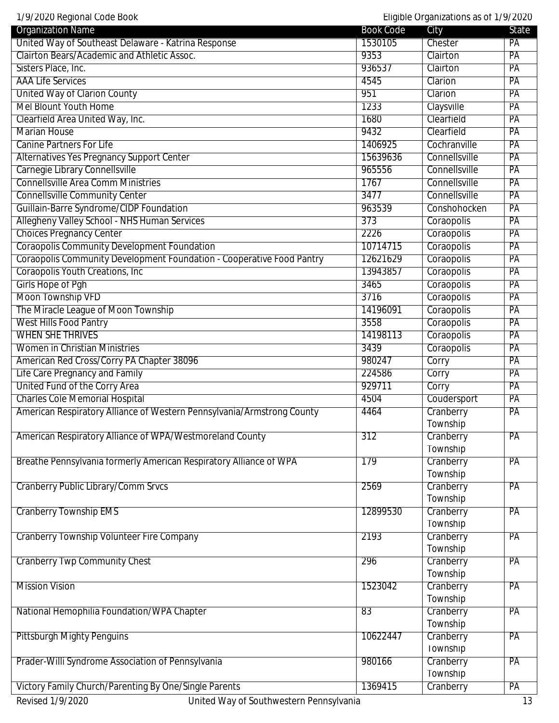| 1/9/2020 Regional Code Book<br>Eligible Organizations as of 1/9/2020   |                  |               |       |
|------------------------------------------------------------------------|------------------|---------------|-------|
| <b>Organization Name</b>                                               | <b>Book Code</b> | City          | State |
| United Way of Southeast Delaware - Katrina Response                    | 1530105          | Chester       | PA    |
| Clairton Bears/Academic and Athletic Assoc.                            | 9353             | Clairton      | PA    |
| Sisters Place, Inc.                                                    | 936537           | Clairton      | PA    |
| <b>AAA Life Services</b>                                               | 4545             | Clarion       | PA    |
| <b>United Way of Clarion County</b>                                    | 951              | Clarion       | PA    |
| <b>Mel Blount Youth Home</b>                                           | 1233             | Claysville    | PA    |
| Clearfield Area United Way, Inc.                                       | 1680             | Clearfield    | PA    |
| <b>Marian House</b>                                                    | 9432             | Clearfield    | PA    |
| <b>Canine Partners For Life</b>                                        | 1406925          | Cochranville  | PA    |
| <b>Alternatives Yes Pregnancy Support Center</b>                       | 15639636         | Connellsville | PA    |
| Carnegie Library Connellsville                                         | 965556           | Connellsville | PA    |
| <b>Connellsville Area Comm Ministries</b>                              | 1767             | Connellsville | PA    |
| <b>Connellsville Community Center</b>                                  | 3477             | Connellsville | PA    |
| Guillain-Barre Syndrome/CIDP Foundation                                | 963539           | Conshohocken  | PA    |
| Allegheny Valley School - NHS Human Services                           | 373              | Coraopolis    | PA    |
| <b>Choices Pregnancy Center</b>                                        | 2226             | Coraopolis    | PA    |
| <b>Coraopolis Community Development Foundation</b>                     | 10714715         | Coraopolis    | PA    |
| Coraopolis Community Development Foundation - Cooperative Food Pantry  | 12621629         | Coraopolis    | PA    |
| Coraopolis Youth Creations, Inc.                                       | 13943857         | Coraopolis    | PA    |
| <b>Girls Hope of Pgh</b>                                               | 3465             | Coraopolis    | PA    |
| Moon Township VFD                                                      | 3716             | Coraopolis    | PA    |
| The Miracle League of Moon Township                                    | 14196091         | Coraopolis    | PA    |
| <b>West Hills Food Pantry</b>                                          | 3558             | Coraopolis    | PA    |
| <b>WHEN SHE THRIVES</b>                                                | 14198113         | Coraopolis    | PA    |
| <b>Women in Christian Ministries</b>                                   | 3439             | Coraopolis    | PA    |
| American Red Cross/Corry PA Chapter 38096                              | 980247           | Corry         | PA    |
| Life Care Pregnancy and Family                                         | 224586           | Corry         | PA    |
| United Fund of the Corry Area                                          | 929711           | Corry         | PA    |
| <b>Charles Cole Memorial Hospital</b>                                  | 4504             | Coudersport   | PA    |
| American Respiratory Alliance of Western Pennsylvania/Armstrong County | 4464             | Cranberry     | PA    |
|                                                                        |                  | Township      |       |
| American Respiratory Alliance of WPA/Westmoreland County               | 312              | Cranberry     | PA    |
|                                                                        |                  | Township      |       |
| Breathe Pennsylvania formerly American Respiratory Alliance of WPA     | 179              | Cranberry     | PA    |
|                                                                        |                  | Township      |       |
| <b>Cranberry Public Library/Comm Srvcs</b>                             | 2569             | Cranberry     | PA    |
|                                                                        |                  | Township      |       |
| <b>Cranberry Township EMS</b>                                          | 12899530         | Cranberry     | PA    |
|                                                                        |                  | Township      |       |
| <b>Cranberry Township Volunteer Fire Company</b>                       | 2193             | Cranberry     | PA    |
|                                                                        |                  | Township      |       |
| <b>Cranberry Twp Community Chest</b>                                   | 296              | Cranberry     | PA    |
|                                                                        |                  | Township      |       |
| <b>Mission Vision</b>                                                  | 1523042          | Cranberry     | PA    |
|                                                                        |                  | Township      |       |
| National Hemophilia Foundation/WPA Chapter                             | 83               | Cranberry     | PA    |
|                                                                        |                  | Township      |       |
| <b>Pittsburgh Mighty Penguins</b>                                      | 10622447         | Cranberry     | PA    |
|                                                                        |                  | Township      |       |
| Prader-Willi Syndrome Association of Pennsylvania                      | 980166           | Cranberry     | PA    |
|                                                                        |                  | Township      |       |
| Victory Family Church/Parenting By One/Single Parents                  | 1369415          | Cranberry     | PA    |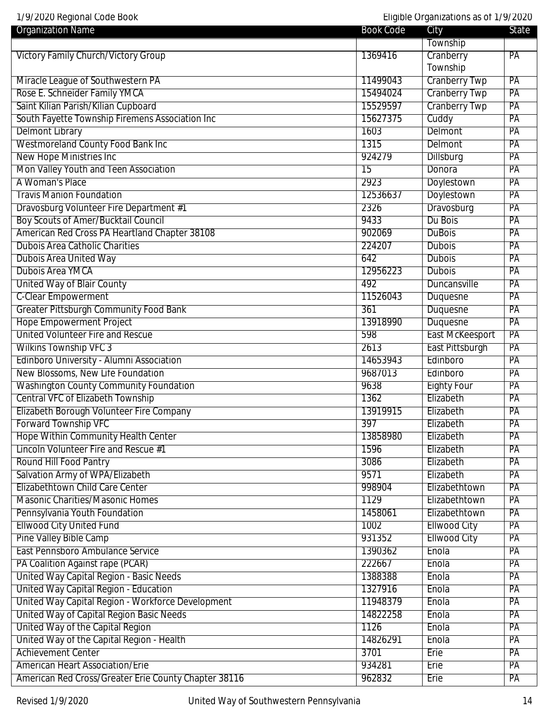| <b>Organization Name</b>                             | <b>Book Code</b> | City                   | <b>State</b>    |
|------------------------------------------------------|------------------|------------------------|-----------------|
|                                                      |                  | Township               |                 |
| <b>Victory Family Church/Victory Group</b>           | 1369416          | Cranberry              | PA              |
|                                                      |                  | Township               |                 |
| Miracle League of Southwestern PA                    | 11499043         | <b>Cranberry Twp</b>   | PA              |
| Rose E. Schneider Family YMCA                        | 15494024         | <b>Cranberry Twp</b>   | PA              |
| Saint Kilian Parish/Kilian Cupboard                  | 15529597         | <b>Cranberry Twp</b>   | PA              |
| South Fayette Township Firemens Association Inc      | 15627375         | Cuddy                  | $\overline{PA}$ |
| <b>Delmont Library</b>                               | 1603             | <b>Delmont</b>         | PA              |
| Westmoreland County Food Bank Inc                    | 1315             | Delmont                | PA              |
| <b>New Hope Ministries Inc</b>                       | 924279           | Dillsburg              | PA              |
| Mon Valley Youth and Teen Association                | $\overline{15}$  | Donora                 | PA              |
| A Woman's Place                                      | 2923             | Doylestown             | PA              |
| <b>Travis Manion Foundation</b>                      | 12536637         | Doylestown             | $\overline{PA}$ |
| Dravosburg Volunteer Fire Department #1              | 2326             | Dravosburg             | $\overline{PA}$ |
| <b>Boy Scouts of Amer/Bucktail Council</b>           | 9433             | Du Bois                | PA              |
| American Red Cross PA Heartland Chapter 38108        | 902069           | <b>DuBois</b>          | PA              |
| <b>Dubois Area Catholic Charities</b>                | 224207           | <b>Dubois</b>          | PA              |
| <b>Dubois Area United Way</b>                        | 642              | <b>Dubois</b>          | PA              |
| <b>Dubois Area YMCA</b>                              | 12956223         | <b>Dubois</b>          | PA              |
| <b>United Way of Blair County</b>                    | 492              | Duncansville           | $\overline{PA}$ |
| <b>C-Clear Empowerment</b>                           | 11526043         | Duquesne               | $\overline{PA}$ |
| <b>Greater Pittsburgh Community Food Bank</b>        | 361              | Duquesne               | PA              |
| <b>Hope Empowerment Project</b>                      | 13918990         | Duquesne               | PA              |
| <b>United Volunteer Fire and Rescue</b>              | 598              | <b>East McKeesport</b> | PA              |
| <b>Wilkins Township VFC 3</b>                        | 2613             | East Pittsburgh        | PA              |
| Edinboro University - Alumni Association             | 14653943         | Edinboro               | PA              |
| New Blossoms, New Life Foundation                    | 9687013          | Edinboro               | $\overline{PA}$ |
| <b>Washington County Community Foundation</b>        | 9638             | <b>Eighty Four</b>     | $\overline{PA}$ |
| <b>Central VFC of Elizabeth Township</b>             | 1362             | Elizabeth              | PA              |
| Elizabeth Borough Volunteer Fire Company             | 13919915         | Elizabeth              | PA              |
| <b>Forward Township VFC</b>                          | 397              | Elizabeth              | PA              |
| <b>Hope Within Community Health Center</b>           | 13858980         | Elizabeth              | PA              |
| Lincoln Volunteer Fire and Rescue #1                 | 1596             | Elizabeth              | PA              |
| <b>Round Hill Food Pantry</b>                        | 3086             | Elizabeth              | PA              |
| Salvation Army of WPA/Elizabeth                      | 9571             | Elizabeth              | PA              |
| Elizabethtown Child Care Center                      | 998904           | Elizabethtown          | PA              |
| <b>Masonic Charities/Masonic Homes</b>               | 1129             | Elizabethtown          | PA              |
| Pennsylvania Youth Foundation                        | 1458061          | Elizabethtown          | PA              |
| <b>Ellwood City United Fund</b>                      | 1002             | <b>Ellwood City</b>    | PA              |
| <b>Pine Valley Bible Camp</b>                        | 931352           | <b>Ellwood City</b>    | PA              |
| East Pennsboro Ambulance Service                     | 1390362          | Enola                  | PA              |
| PA Coalition Against rape (PCAR)                     | 222667           | Enola                  | $\overline{PA}$ |
| United Way Capital Region - Basic Needs              | 1388388          | Enola                  | PA              |
| United Way Capital Region - Education                | 1327916          | Enola                  | PA              |
| United Way Capital Region - Workforce Development    | 11948379         | Enola                  | PA              |
| United Way of Capital Region Basic Needs             | 14822258         | Enola                  | PA              |
| United Way of the Capital Region                     | 1126             | Enola                  | PA              |
| United Way of the Capital Region - Health            | 14826291         | Enola                  | PA              |
| <b>Achievement Center</b>                            | 3701             | Erie                   | PA              |
| <b>American Heart Association/Erie</b>               | 934281           | Erie                   | PA              |
| American Red Cross/Greater Erie County Chapter 38116 | 962832           | Erie                   | PA              |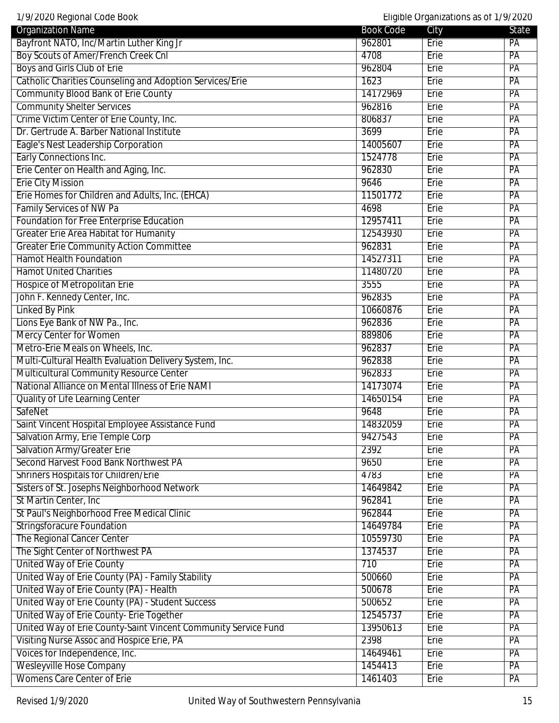| 1/9/2020 Regional Code Book                                     |                  | Eligible Organizations as of 1/9/2020 |       |
|-----------------------------------------------------------------|------------------|---------------------------------------|-------|
| <b>Organization Name</b>                                        | <b>Book Code</b> | City                                  | State |
| Bayfront NATO, Inc/Martin Luther King Jr                        | 962801           | Erie                                  | PA    |
| <b>Boy Scouts of Amer/French Creek Cnl</b>                      | 4708             | Erie                                  | PA    |
| Boys and Girls Club of Erie                                     | 962804           | Erie                                  | PA    |
| <b>Catholic Charities Counseling and Adoption Services/Erie</b> | 1623             | Erie                                  | PA    |
| <b>Community Blood Bank of Erie County</b>                      | 14172969         | Erie                                  | PA    |
| <b>Community Shelter Services</b>                               | 962816           | Erie                                  | PA    |
| Crime Victim Center of Erie County, Inc.                        | 806837           | Erie                                  | PA    |
| Dr. Gertrude A. Barber National Institute                       | 3699             | Erie                                  | PA    |
| Eagle's Nest Leadership Corporation                             | 14005607         | Erie                                  | PA    |
| Early Connections Inc.                                          | 1524778          | Erie                                  | PA    |
| Erie Center on Health and Aging, Inc.                           | 962830           | Erie                                  | PA    |
| <b>Erie City Mission</b>                                        | 9646             | Erie                                  | PA    |
| Erie Homes for Children and Adults, Inc. (EHCA)                 | 11501772         | Erie                                  | PA    |
| <b>Family Services of NW Pa</b>                                 | 4698             | Erie                                  | PA    |
| Foundation for Free Enterprise Education                        | 12957411         | Erie                                  | PA    |
| <b>Greater Erie Area Habitat for Humanity</b>                   | 12543930         | Erie                                  | PA    |
| <b>Greater Erie Community Action Committee</b>                  | 962831           | Erie                                  | PA    |
| <b>Hamot Health Foundation</b>                                  | 14527311         | Erie                                  | PA    |
| <b>Hamot United Charities</b>                                   | 11480720         | Erie                                  | PA    |
| Hospice of Metropolitan Erie                                    | 3555             | Erie                                  | PA    |
| John F. Kennedy Center, Inc.                                    | 962835           | Erie                                  | PA    |
| Linked By Pink                                                  | 10660876         | Erie                                  | PA    |
| Lions Eye Bank of NW Pa., Inc.                                  | 962836           | Erie                                  | PA    |
| <b>Mercy Center for Women</b>                                   | 889806           | Erie                                  | PA    |
| Metro-Erie Meals on Wheels, Inc.                                | 962837           | Erie                                  | PA    |
| Multi-Cultural Health Evaluation Delivery System, Inc.          | 962838           | Erie                                  | PA    |
| Multicultural Community Resource Center                         | 962833           | Erie                                  | PA    |
| National Alliance on Mental Illness of Erie NAMI                | 14173074         | Erie                                  | PA    |
| Quality of Life Learning Center                                 | 14650154         | Erie                                  | PA    |
| SafeNet                                                         | 9648             | Erie                                  | PA    |
| Saint Vincent Hospital Employee Assistance Fund                 | 14832059         | Erie                                  | РA    |
| Salvation Army, Erie Temple Corp                                | 9427543          | Erie                                  | PA    |
| <b>Salvation Army/Greater Erie</b>                              | 2392             | <b>Erie</b>                           | PA    |
| Second Harvest Food Bank Northwest PA                           | 9650             | Erie                                  | PA    |
| <b>Shriners Hospitals for Children/Erie</b>                     | 4783             | Erie                                  | PA    |
| Sisters of St. Josephs Neighborhood Network                     | 14649842         | Erie                                  | PA    |
| St Martin Center, Inc                                           | 962841           | Erie                                  | PA    |
| St Paul's Neighborhood Free Medical Clinic                      | 962844           | Erie                                  | PA    |
| <b>Stringsforacure Foundation</b>                               | 14649784         | Erie                                  | PA    |
| The Regional Cancer Center                                      | 10559730         | <b>Erie</b>                           | PA    |
| The Sight Center of Northwest PA                                | 1374537          | Erie                                  | PA    |
| United Way of Erie County                                       | 710              | Erie                                  | PA    |
| United Way of Erie County (PA) - Family Stability               | 500660           | Erie                                  | PA    |
| United Way of Erie County (PA) - Health                         | 500678           | Erie                                  | PA    |
| United Way of Erie County (PA) - Student Success                | 500652           | Erie                                  | PA    |
| United Way of Erie County- Erie Together                        | 12545737         | Erie                                  | PA    |
| United Way of Erie County-Saint Vincent Community Service Fund  | 13950613         | Erie                                  | PA    |
| Visiting Nurse Assoc and Hospice Erie, PA                       | 2398             | Erie                                  | PA    |
| Voices for Independence, Inc.                                   | 14649461         | Erie                                  | PA    |
| <b>Wesleyville Hose Company</b>                                 | 1454413          | Erie                                  | PA    |
| <b>Womens Care Center of Erie</b>                               | 1461403          | Erie                                  | PA    |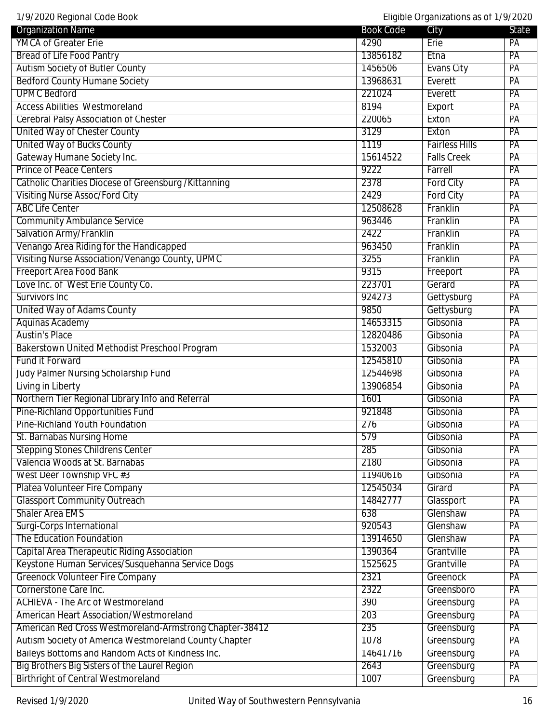| 1/9/2020 Regional Code Book<br>Eligible Organizations as of 1/9/2020 |                  |                       |                 |
|----------------------------------------------------------------------|------------------|-----------------------|-----------------|
| <b>Organization Name</b>                                             | <b>Book Code</b> | City                  | <b>State</b>    |
| <b>YMCA of Greater Erie</b>                                          | 4290             | Erie                  | PA              |
| <b>Bread of Life Food Pantry</b>                                     | 13856182         | Etna                  | PA              |
| <b>Autism Society of Butler County</b>                               | 1456506          | <b>Evans City</b>     | PA              |
| <b>Bedford County Humane Society</b>                                 | 13968631         | Everett               | PA              |
| <b>UPMC Bedford</b>                                                  | 221024           | Everett               | PA              |
| <b>Access Abilities Westmoreland</b>                                 | 8194             | Export                | PA              |
| <b>Cerebral Palsy Association of Chester</b>                         | 220065           | Exton                 | PA              |
| United Way of Chester County                                         | 3129             | Exton                 | PA              |
| <b>United Way of Bucks County</b>                                    | 1119             | <b>Fairless Hills</b> | PA              |
| Gateway Humane Society Inc.                                          | 15614522         | <b>Falls Creek</b>    | PA              |
| <b>Prince of Peace Centers</b>                                       | 9222             | Farrell               | PA              |
| Catholic Charities Diocese of Greensburg / Kittanning                | 2378             | <b>Ford City</b>      | PA              |
| <b>Visiting Nurse Assoc/Ford City</b>                                | 2429             | <b>Ford City</b>      | PA              |
| <b>ABC Life Center</b>                                               | 12508628         | Franklin              | PA              |
| <b>Community Ambulance Service</b>                                   | 963446           | Franklin              | PA              |
| Salvation Army/Franklin                                              | 2422             | Franklin              | PA              |
| Venango Area Riding for the Handicapped                              | 963450           | Franklin              | PA              |
| Visiting Nurse Association/Venango County, UPMC                      | 3255             | Franklin              | PA              |
| Freeport Area Food Bank                                              | 9315             | Freeport              | PA              |
| Love Inc. of West Erie County Co.                                    | 223701           | Gerard                | PA              |
| Survivors Inc                                                        | 924273           | Gettysburg            | PA              |
| United Way of Adams County                                           | 9850             | Gettysburg            | PA              |
| <b>Aquinas Academy</b>                                               | 14653315         | Gibsonia              | PA              |
| <b>Austin's Place</b>                                                | 12820486         | Gibsonia              | PA              |
| <b>Bakerstown United Methodist Preschool Program</b>                 | 1532003          | Gibsonia              | PA              |
| <b>Fund it Forward</b>                                               | 12545810         | Gibsonia              | PA              |
|                                                                      | 12544698         |                       | PA              |
| Judy Palmer Nursing Scholarship Fund                                 |                  | Gibsonia              |                 |
| Living in Liberty                                                    | 13906854         | Gibsonia              | PA              |
| Northern Tier Regional Library Info and Referral                     | 1601             | Gibsonia              | PA              |
| Pine-Richland Opportunities Fund                                     | 921848           | Gibsonia              | PA              |
| Pine-Richland Youth Foundation                                       | 276              | Gibsonia              | $\overline{PA}$ |
| St. Barnabas Nursing Home                                            | 579              | Gibsonia              | $\overline{PA}$ |
| <b>Stepping Stones Childrens Center</b>                              | 285              | Gibsonia              | PA              |
| Valencia Woods at St. Barnabas                                       | 2180             | Gibsonia              | PA              |
| West Deer Township VFC #3                                            | 11940616         | Gibsonia              | $\overline{PA}$ |
| Platea Volunteer Fire Company                                        | 12545034         | Girard                | PA              |
| <b>Glassport Community Outreach</b>                                  | 14842777         | Glassport             | PA              |
| <b>Shaler Area EMS</b>                                               | 638              | Glenshaw              | PA              |
| Surgi-Corps International                                            | 920543           | Glenshaw              | PA              |
| The Education Foundation                                             | 13914650         | Glenshaw              | PA              |
| <b>Capital Area Therapeutic Riding Association</b>                   | 1390364          | Grantville            | PA              |
| Keystone Human Services/Susquehanna Service Dogs                     | 1525625          | Grantville            | PA              |
| <b>Greenock Volunteer Fire Company</b>                               | 2321             | <b>Greenock</b>       | PA              |
| Cornerstone Care Inc.                                                | 2322             | Greensboro            | PA              |
| <b>ACHIEVA - The Arc of Westmoreland</b>                             | 390              | Greensburg            | $\overline{PA}$ |
| <b>American Heart Association/Westmoreland</b>                       | 203              | Greensburg            | PA              |
| American Red Cross Westmoreland-Armstrong Chapter-38412              | 235              | Greensburg            | PA              |
| Autism Society of America Westmoreland County Chapter                | 1078             | Greensburg            | PA              |
| Baileys Bottoms and Random Acts of Kindness Inc.                     | 14641716         | Greensburg            | PA              |
| Big Brothers Big Sisters of the Laurel Region                        | 2643             | Greensburg            | PA              |
| <b>Birthright of Central Westmoreland</b>                            | 1007             | Greensburg            | PA              |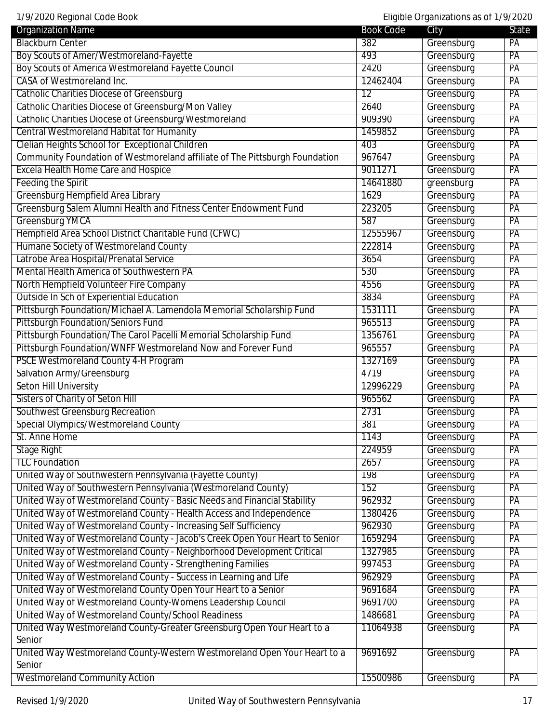1/9/2020 Regional Code Book Eligible Organizations as of 1/9/2020

| <b>Organization Name</b>                                                    | <b>Book Code</b> | City       | State |
|-----------------------------------------------------------------------------|------------------|------------|-------|
| <b>Blackburn Center</b>                                                     | 382              | Greensburg | PA    |
| Boy Scouts of Amer/Westmoreland-Fayette                                     | 493              | Greensburg | PA    |
| Boy Scouts of America Westmoreland Fayette Council                          | 2420             | Greensburg | PA    |
| <b>CASA of Westmoreland Inc.</b>                                            | 12462404         | Greensburg | PA    |
| <b>Catholic Charities Diocese of Greensburg</b>                             | $\overline{12}$  | Greensburg | PA    |
| Catholic Charities Diocese of Greensburg/Mon Valley                         | 2640             | Greensburg | PA    |
| Catholic Charities Diocese of Greensburg/Westmoreland                       | 909390           | Greensburg | PA    |
| <b>Central Westmoreland Habitat for Humanity</b>                            | 1459852          | Greensburg | PA    |
| Clelian Heights School for Exceptional Children                             | 403              | Greensburg | PA    |
| Community Foundation of Westmoreland affiliate of The Pittsburgh Foundation | 967647           | Greensburg | PA    |
| <b>Excela Health Home Care and Hospice</b>                                  | 9011271          | Greensburg | PA    |
| <b>Feeding the Spirit</b>                                                   | 14641880         | greensburg | PA    |
| Greensburg Hempfield Area Library                                           | 1629             | Greensburg | PA    |
| Greensburg Salem Alumni Health and Fitness Center Endowment Fund            | 223205           | Greensburg | PA    |
| Greensburg YMCA                                                             | 587              | Greensburg | PA    |
| Hempfield Area School District Charitable Fund (CFWC)                       | 12555967         | Greensburg | PA    |
| Humane Society of Westmoreland County                                       | 222814           | Greensburg | PA    |
| Latrobe Area Hospital/Prenatal Service                                      | 3654             | Greensburg | PA    |
| <b>Mental Health America of Southwestern PA</b>                             | 530              | Greensburg | PA    |
| North Hempfield Volunteer Fire Company                                      | 4556             | Greensburg | PA    |
| <b>Outside In Sch of Experiential Education</b>                             | 3834             | Greensburg | PA    |
| Pittsburgh Foundation/Michael A. Lamendola Memorial Scholarship Fund        | 1531111          | Greensburg | PA    |
| Pittsburgh Foundation/Seniors Fund                                          | 965513           | Greensburg | PA    |
| Pittsburgh Foundation/The Carol Pacelli Memorial Scholarship Fund           | 1356761          | Greensburg | PA    |
| Pittsburgh Foundation/WNFF Westmoreland Now and Forever Fund                | 965557           | Greensburg | PA    |
| <b>PSCE Westmoreland County 4-H Program</b>                                 | 1327169          | Greensburg | PA    |
| Salvation Army/Greensburg                                                   | 4719             | Greensburg | PA    |
| <b>Seton Hill University</b>                                                | 12996229         | Greensburg | PA    |
| <b>Sisters of Charity of Seton Hill</b>                                     | 965562           | Greensburg | PA    |
| Southwest Greensburg Recreation                                             | 2731             | Greensburg | PA    |
| Special Olympics/Westmoreland County                                        | 381              | Greensburg | PA    |
| St. Anne Home                                                               | 1143             | Greensburg | PA    |
| <b>Stage Right</b>                                                          | 224959           | Greensburg | PA    |
| <b>TLC Foundation</b>                                                       | 2657             | Greensburg | PA    |
| United Way of Southwestern Pennsylvania (Fayette County)                    | 198              | Greensburg | PA    |
| United Way of Southwestern Pennsylvania (Westmoreland County)               | 152              | Greensburg | PA    |
| United Way of Westmoreland County - Basic Needs and Financial Stability     | 962932           | Greensburg | PA    |
| United Way of Westmoreland County - Health Access and Independence          | 1380426          | Greensburg | PA    |
| United Way of Westmoreland County - Increasing Self Sufficiency             | 962930           | Greensburg | PA    |
| United Way of Westmoreland County - Jacob's Creek Open Your Heart to Senior | 1659294          | Greensburg | PA    |
| United Way of Westmoreland County - Neighborhood Development Critical       | 1327985          | Greensburg | PA    |
| United Way of Westmoreland County - Strengthening Families                  | 997453           | Greensburg | PA    |
| United Way of Westmoreland County - Success in Learning and Life            | 962929           | Greensburg | PA    |
| United Way of Westmoreland County Open Your Heart to a Senior               | 9691684          | Greensburg | PA    |
| United Way of Westmoreland County-Womens Leadership Council                 | 9691700          | Greensburg | PA    |
| United Way of Westmoreland County/School Readiness                          | 1486681          | Greensburg | PA    |
| United Way Westmoreland County-Greater Greensburg Open Your Heart to a      | 11064938         | Greensburg | PA    |
| Senior                                                                      |                  |            |       |
| United Way Westmoreland County-Western Westmoreland Open Your Heart to a    | 9691692          | Greensburg | PA    |
| Senior                                                                      |                  |            |       |
| <b>Westmoreland Community Action</b>                                        | 15500986         | Greensburg | PA    |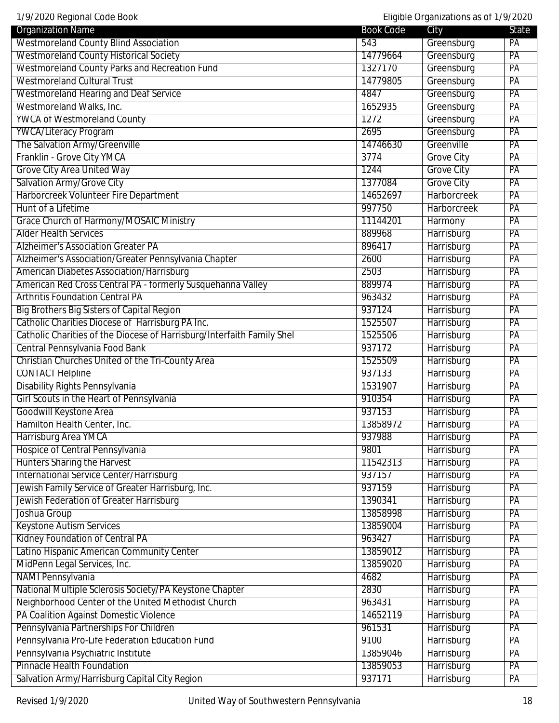| <b>Organization Name</b>                                               | <b>Book Code</b> | City               | State           |
|------------------------------------------------------------------------|------------------|--------------------|-----------------|
| <b>Westmoreland County Blind Association</b>                           | 543              | Greensburg         | PA              |
| <b>Westmoreland County Historical Society</b>                          | 14779664         | Greensburg         | PA              |
| <b>Westmoreland County Parks and Recreation Fund</b>                   | 1327170          | Greensburg         | $\overline{PA}$ |
| <b>Westmoreland Cultural Trust</b>                                     | 14779805         | Greensburg         | PA              |
| <b>Westmoreland Hearing and Deaf Service</b>                           | 4847             | Greensburg         | $\overline{PA}$ |
| Westmoreland Walks, Inc.                                               | 1652935          | Greensburg         | PA              |
| <b>YWCA of Westmoreland County</b>                                     | 1272             | Greensburg         | PA              |
| <b>YWCA/Literacy Program</b>                                           | 2695             | Greensburg         | PA              |
| The Salvation Army/Greenville                                          | 14746630         | Greenville         | PA              |
| Franklin - Grove City YMCA                                             | 3774             | <b>Grove City</b>  | PA              |
| <b>Grove City Area United Way</b>                                      | 1244             | <b>Grove City</b>  | PA              |
| Salvation Army/Grove City                                              | 1377084          | <b>Grove City</b>  | PA              |
| Harborcreek Volunteer Fire Department                                  | 14652697         | <b>Harborcreek</b> | PA              |
| Hunt of a Lifetime                                                     | 997750           | <b>Harborcreek</b> | PA              |
| <b>Grace Church of Harmony/MOSAIC Ministry</b>                         | 11144201         | Harmony            | PA              |
| <b>Alder Health Services</b>                                           | 889968           | Harrisburg         | PA              |
| <b>Alzheimer's Association Greater PA</b>                              | 896417           | Harrisburg         | PA              |
| Alzheimer's Association/Greater Pennsylvania Chapter                   | 2600             | Harrisburg         | PA              |
| <b>American Diabetes Association/Harrisburg</b>                        | 2503             | Harrisburg         | PA              |
| American Red Cross Central PA - formerly Susquehanna Valley            | 889974           | Harrisburg         | PA              |
| <b>Arthritis Foundation Central PA</b>                                 | 963432           | Harrisburg         | PA              |
| <b>Big Brothers Big Sisters of Capital Region</b>                      | 937124           | Harrisburg         | PA              |
| Catholic Charities Diocese of Harrisburg PA Inc.                       | 1525507          | Harrisburg         | PA              |
| Catholic Charities of the Diocese of Harrisburg/Interfaith Family Shel | 1525506          | Harrisburg         | PA              |
| Central Pennsylvania Food Bank                                         | 937172           | Harrisburg         | $\overline{PA}$ |
| Christian Churches United of the Tri-County Area                       | 1525509          | Harrisburg         | PA              |
| <b>CONTACT Helpline</b>                                                | 937133           | Harrisburg         | PA              |
| Disability Rights Pennsylvania                                         | 1531907          | Harrisburg         | PA              |
| Girl Scouts in the Heart of Pennsylvania                               | 910354           | Harrisburg         | PA              |
| Goodwill Keystone Area                                                 | 937153           | Harrisburg         | PA              |
| Hamilton Health Center, Inc.                                           | 13858972         | Harrisburg         | $\overline{PA}$ |
| Harrisburg Area YMCA                                                   | 937988           | Harrisburg         | $\overline{PA}$ |
| Hospice of Central Pennsylvania                                        | 9801             | Harrisburg         | $\overline{PA}$ |
| <b>Hunters Sharing the Harvest</b>                                     | 11542313         | Harrisburg         | PA              |
| <b>International Service Center/Harrisburg</b>                         | 937157           | Harrisburg         | PA              |
| Jewish Family Service of Greater Harrisburg, Inc.                      | 937159           | Harrisburg         | PA              |
| Jewish Federation of Greater Harrisburg                                | 1390341          | Harrisburg         | PA              |
| Joshua Group                                                           | 13858998         | Harrisburg         | $\overline{PA}$ |
| <b>Keystone Autism Services</b>                                        | 13859004         | Harrisburg         | $\overline{PA}$ |
| <b>Kidney Foundation of Central PA</b>                                 | 963427           | Harrisburg         | PA              |
| Latino Hispanic American Community Center                              | 13859012         | Harrisburg         | PA              |
| MidPenn Legal Services, Inc.                                           | 13859020         | Harrisburg         | PA              |
| <b>NAMI Pennsylvania</b>                                               | 4682             | Harrisburg         | PA              |
| National Multiple Sclerosis Society/PA Keystone Chapter                | 2830             | Harrisburg         | PA              |
| Neighborhood Center of the United Methodist Church                     | 963431           | Harrisburg         | PA              |
| PA Coalition Against Domestic Violence                                 | 14652119         | Harrisburg         | PA              |
| Pennsylvania Partnerships For Children                                 | 961531           | Harrisburg         | PA              |
| Pennsylvania Pro-Life Federation Education Fund                        | 9100             | Harrisburg         | PA              |
| Pennsylvania Psychiatric Institute                                     | 13859046         | Harrisburg         | PA              |
| <b>Pinnacle Health Foundation</b>                                      | 13859053         | Harrisburg         | PA              |
| Salvation Army/Harrisburg Capital City Region                          | 937171           | Harrisburg         | PA              |
|                                                                        |                  |                    |                 |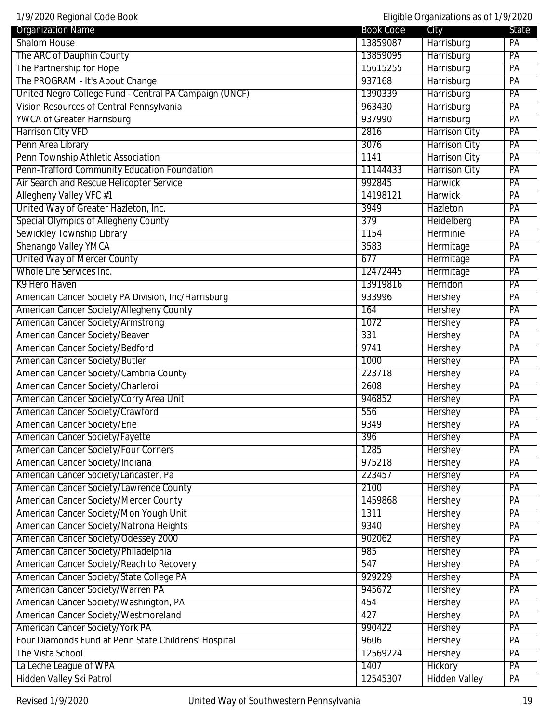1/9/2020 Regional Code Book Eligible Organizations as of 1/9/2020

| 17 77 ZUZU NUYIDHAL UUUU DUUN                          |                  | Lilyibic Organizations as OFT7772020 |       |
|--------------------------------------------------------|------------------|--------------------------------------|-------|
| <b>Organization Name</b>                               | <b>Book Code</b> | City                                 | State |
| Shalom House                                           | 13859087         | Harrisburg                           | PA    |
| The ARC of Dauphin County                              | 13859095         | Harrisburg                           | PA    |
| The Partnership for Hope                               | 15615255         | Harrisburg                           | PA    |
| The PROGRAM - It's About Change                        | 937168           | Harrisburg                           | PA    |
| United Negro College Fund - Central PA Campaign (UNCF) | 1390339          | Harrisburg                           | PA    |
| Vision Resources of Central Pennsylvania               | 963430           | Harrisburg                           | PA    |
| <b>YWCA of Greater Harrisburg</b>                      | 937990           | Harrisburg                           | PA    |
| <b>Harrison City VFD</b>                               | 2816             | <b>Harrison City</b>                 | PA    |
| Penn Area Library                                      | 3076             | <b>Harrison City</b>                 | PA    |
| Penn Township Athletic Association                     | 1141             | <b>Harrison City</b>                 | PA    |
| Penn-Trafford Community Education Foundation           | 11144433         | <b>Harrison City</b>                 | PA    |
| Air Search and Rescue Helicopter Service               | 992845           | <b>Harwick</b>                       | PA    |
| Allegheny Valley VFC #1                                | 14198121         | <b>Harwick</b>                       | PA    |
| United Way of Greater Hazleton, Inc.                   | 3949             | Hazleton                             | PA    |
| <b>Special Olympics of Allegheny County</b>            | 379              | Heidelberg                           | PA    |
| Sewickley Township Library                             | 1154             | Herminie                             | PA    |
| Shenango Valley YMCA                                   | 3583             | Hermitage                            | PA    |
| <b>United Way of Mercer County</b>                     | 677              | Hermitage                            | PA    |
| Whole Life Services Inc.                               | 12472445         | Hermitage                            | PA    |
| K9 Hero Haven                                          | 13919816         | Herndon                              | PA    |
| American Cancer Society PA Division, Inc/Harrisburg    | 933996           | Hershey                              | PA    |
| American Cancer Society/Allegheny County               | 164              | Hershey                              | PA    |
| <b>American Cancer Society/Armstrong</b>               | 1072             | Hershey                              | PA    |
| <b>American Cancer Society/Beaver</b>                  | 331              | <b>Hershey</b>                       | PA    |
| American Cancer Society/Bedford                        | 9741             | <b>Hershey</b>                       | PA    |
| <b>American Cancer Society/Butler</b>                  | 1000             | <b>Hershey</b>                       | PA    |
| American Cancer Society/Cambria County                 | 223718           | Hershey                              | PA    |
| American Cancer Society/Charleroi                      | 2608             | Hershey                              | PA    |
| American Cancer Society/Corry Area Unit                | 946852           | Hershey                              | PA    |
| American Cancer Society/Crawford                       | 556              | Hershey                              | PA    |
| American Cancer Society/Erie                           | 9349             | <b>Hershey</b>                       | PA    |
| American Cancer Society/Fayette                        | 396              | <b>Hershey</b>                       | PA    |
| <b>American Cancer Society/Four Corners</b>            | 1285             | <b>Hershey</b>                       | PA    |
| American Cancer Society/Indiana                        | 975218           | Hershey                              | PA    |
| American Cancer Society/Lancaster, Pa                  | 223457           | <b>Hershey</b>                       | PA    |
| American Cancer Society/Lawrence County                | 2100             | Hershey                              | PA    |
| <b>American Cancer Society/Mercer County</b>           | 1459868          | Hershey                              | PA    |
| American Cancer Society/Mon Yough Unit                 | 1311             | <b>Hershey</b>                       | PA    |
| American Cancer Society/Natrona Heights                | 9340             | <b>Hershey</b>                       | PA    |
|                                                        |                  |                                      |       |
| American Cancer Society/Odessey 2000                   | 902062           | Hershey                              | PA    |
| American Cancer Society/Philadelphia                   | 985              | <b>Hershey</b>                       | PA    |
| American Cancer Society/Reach to Recovery              | 547              | <b>Hershey</b>                       | PA    |
| American Cancer Society/State College PA               | 929229           | Hershey                              | PA    |
| American Cancer Society/Warren PA                      | 945672           | Hershey                              | PA    |
| American Cancer Society/Washington, PA                 | 454              | Hershey                              | PA    |
| American Cancer Society/Westmoreland                   | 427              | <b>Hershey</b>                       | PA    |
| <b>American Cancer Society/York PA</b>                 | 990422           | <b>Hershey</b>                       | PA    |
| Four Diamonds Fund at Penn State Childrens' Hospital   | 9606             | Hershey                              | PA    |
| The Vista School                                       | 12569224         | <b>Hershey</b>                       | PA    |
| La Leche League of WPA                                 | 1407             | Hickory                              | PA    |
| Hidden Valley Ski Patrol                               | 12545307         | <b>Hidden Valley</b>                 | PA    |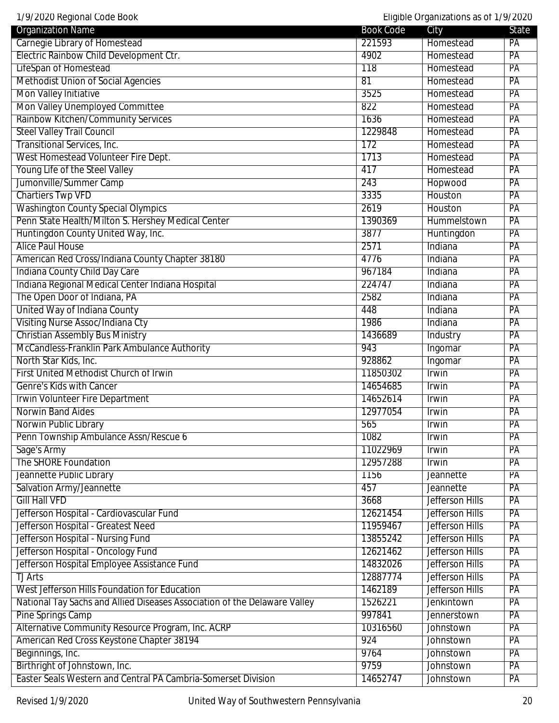| 1/9/2020 Regional Code Book                                               |                  | Eligible Organizations as of 1/9/2020 |                 |
|---------------------------------------------------------------------------|------------------|---------------------------------------|-----------------|
| <b>Organization Name</b>                                                  | <b>Book Code</b> | City                                  | State           |
| Carnegie Library of Homestead                                             | 221593           | Homestead                             | PA              |
| Electric Rainbow Child Development Ctr.                                   | 4902             | Homestead                             | PA              |
| LifeSpan of Homestead                                                     | 118              | Homestead                             | $\overline{PA}$ |
| <b>Methodist Union of Social Agencies</b>                                 | $\overline{81}$  | Homestead                             | $\overline{PA}$ |
| <b>Mon Valley Initiative</b>                                              | 3525             | Homestead                             | PA              |
| Mon Valley Unemployed Committee                                           | 822              | Homestead                             | PA              |
| Rainbow Kitchen/Community Services                                        | 1636             | Homestead                             | PA              |
| <b>Steel Valley Trail Council</b>                                         | 1229848          | Homestead                             | PA              |
| <b>Transitional Services, Inc.</b>                                        | 172              | Homestead                             | PA              |
| West Homestead Volunteer Fire Dept.                                       | 1713             | Homestead                             | PA              |
| Young Life of the Steel Valley                                            | 417              | Homestead                             | PA              |
| Jumonville/Summer Camp                                                    | 243              | Hopwood                               | PA              |
| <b>Chartiers Twp VFD</b>                                                  | 3335             | Houston                               | PA              |
| <b>Washington County Special Olympics</b>                                 | 2619             | Houston                               | PA              |
| Penn State Health/Milton S. Hershey Medical Center                        | 1390369          | Hummelstown                           | PA              |
| Huntingdon County United Way, Inc.                                        | 3877             | Huntingdon                            | PA              |
| <b>Alice Paul House</b>                                                   | 2571             | Indiana                               | PA              |
| American Red Cross/Indiana County Chapter 38180                           | 4776             | Indiana                               | PA              |
| Indiana County Child Day Care                                             | 967184           | Indiana                               | PA              |
| Indiana Regional Medical Center Indiana Hospital                          | 224747           | Indiana                               | PA              |
| The Open Door of Indiana, PA                                              | 2582             | Indiana                               | PA              |
| United Way of Indiana County                                              | 448              | Indiana                               | PA              |
| Visiting Nurse Assoc/Indiana Cty                                          | 1986             | Indiana                               | PA              |
| <b>Christian Assembly Bus Ministry</b>                                    | 1436689          | Industry                              | PA              |
| McCandless-Franklin Park Ambulance Authority                              | 943              | Ingomar                               | PA              |
| North Star Kids, Inc.                                                     | 928862           | Ingomar                               | $\overline{PA}$ |
| First United Methodist Church of Irwin                                    | 11850302         | Irwin                                 | PA              |
| Genre's Kids with Cancer                                                  | 14654685         | Irwin                                 | PA              |
| Irwin Volunteer Fire Department                                           | 14652614         | Irwin                                 | PA              |
| Norwin Band Aides                                                         | 12977054         | Irwin                                 | PA              |
| Norwin Public Library                                                     | 565              | Irwin                                 | $\overline{PA}$ |
| Penn Township Ambulance Assn/Rescue 6                                     | 1082             | Irwin                                 | $\overline{PA}$ |
| Sage's Army                                                               | 11022969         | <b>Irwin</b>                          | PA              |
| The SHORE Foundation                                                      | 12957288         | Irwin                                 | PA              |
| Jeannette Public Library                                                  | 1156             | Jeannette                             | PA              |
| Salvation Army/Jeannette                                                  | 457              | Jeannette                             | PA              |
| <b>Gill Hall VFD</b>                                                      | 3668             | Jefferson Hills                       | PA              |
| Jefferson Hospital - Cardiovascular Fund                                  | 12621454         | <b>Jefferson Hills</b>                | PA              |
| Jefferson Hospital - Greatest Need                                        | 11959467         | <b>Jefferson Hills</b>                | PA              |
| Jefferson Hospital - Nursing Fund                                         | 13855242         | <b>Jefferson Hills</b>                | PA              |
| Jefferson Hospital - Oncology Fund                                        | 12621462         | <b>Jefferson Hills</b>                | PA              |
| Jefferson Hospital Employee Assistance Fund                               | 14832026         | <b>Jefferson Hills</b>                | PA              |
| <b>TJ Arts</b>                                                            | 12887774         | <b>Jefferson Hills</b>                | PA              |
| West Jefferson Hills Foundation for Education                             | 1462189          | Jefferson Hills                       | PA              |
|                                                                           | 1526221          | <b>Jenkintown</b>                     | PA              |
| National Tay Sachs and Allied Diseases Association of the Delaware Valley | 997841           |                                       |                 |
| Pine Springs Camp                                                         |                  | Jennerstown                           | PA              |
| Alternative Community Resource Program, Inc. ACRP                         | 10316560         | Johnstown                             | PA              |
| American Red Cross Keystone Chapter 38194                                 | 924              | Johnstown                             | PA              |
| Beginnings, Inc.                                                          | 9764             | Johnstown                             | PA              |
| Birthright of Johnstown, Inc.                                             | 9759             | Johnstown                             | PA              |
| Easter Seals Western and Central PA Cambria-Somerset Division             | 14652747         | Johnstown                             | PA              |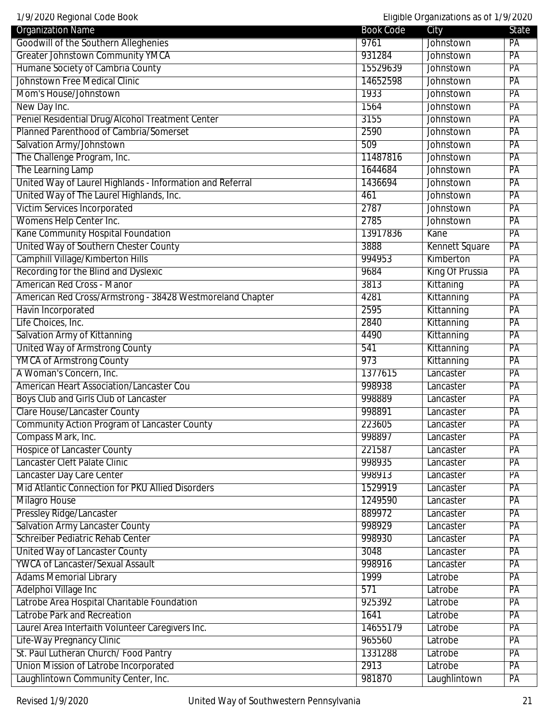| 1/9/2020 Regional Code Book                               |                  | Eligible Organizations as of 1/9/2020 |                 |
|-----------------------------------------------------------|------------------|---------------------------------------|-----------------|
| <b>Organization Name</b>                                  | <b>Book Code</b> | City                                  | State           |
| Goodwill of the Southern Alleghenies                      | 9761             | Johnstown                             | PA              |
| <b>Greater Johnstown Community YMCA</b>                   | 931284           | Johnstown                             | PA              |
| Humane Society of Cambria County                          | 15529639         | Johnstown                             | PA              |
| <b>Johnstown Free Medical Clinic</b>                      | 14652598         | Johnstown                             | PA              |
| Mom's House/Johnstown                                     | 1933             | Johnstown                             | PA              |
| New Day Inc.                                              | 1564             | Johnstown                             | PA              |
| Peniel Residential Drug/Alcohol Treatment Center          | 3155             | Johnstown                             | PA              |
| Planned Parenthood of Cambria/Somerset                    | 2590             | Johnstown                             | PA              |
| Salvation Army/Johnstown                                  | 509              | Johnstown                             | PA              |
| The Challenge Program, Inc.                               | 11487816         | Johnstown                             | PA              |
| The Learning Lamp                                         | 1644684          | <b>Johnstown</b>                      | PA              |
| United Way of Laurel Highlands - Information and Referral | 1436694          | Johnstown                             | PA              |
| United Way of The Laurel Highlands, Inc.                  | 461              | Johnstown                             | PA              |
| <b>Victim Services Incorporated</b>                       | 2787             | Johnstown                             | PA              |
| Womens Help Center Inc.                                   | 2785             | Johnstown                             | PA              |
| Kane Community Hospital Foundation                        | 13917836         | Kane                                  | PA              |
| United Way of Southern Chester County                     | 3888             | <b>Kennett Square</b>                 | PA              |
| <b>Camphill Village/Kimberton Hills</b>                   | 994953           | Kimberton                             | PA              |
| Recording for the Blind and Dyslexic                      | 9684             | King Of Prussia                       | PA              |
| <b>American Red Cross - Manor</b>                         | 3813             | Kittaning                             | PA              |
| American Red Cross/Armstrong - 38428 Westmoreland Chapter | 4281             | Kittanning                            | PA              |
| Havin Incorporated                                        | 2595             | Kittanning                            | PA              |
| Life Choices, Inc.                                        | 2840             | Kittanning                            | PA              |
| Salvation Army of Kittanning                              | 4490             | Kittanning                            | PA              |
| <b>United Way of Armstrong County</b>                     | 541              | Kittanning                            | PA              |
| <b>YMCA of Armstrong County</b>                           | 973              | Kittanning                            | PA              |
| A Woman's Concern, Inc.                                   | 1377615          | Lancaster                             | PA              |
| American Heart Association/Lancaster Cou                  | 998938           | Lancaster                             | PA              |
| Boys Club and Girls Club of Lancaster                     | 998889           | Lancaster                             | PA              |
| <b>Clare House/Lancaster County</b>                       | 998891           | Lancaster                             | PA              |
| <b>Community Action Program of Lancaster County</b>       | 223605           | Lancaster                             | $\overline{PA}$ |
| Compass Mark, Inc.                                        | 998897           | Lancaster                             | $\overline{PA}$ |
| <b>Hospice of Lancaster County</b>                        | 221587           | Lancaster                             | PA              |
| Lancaster Cleft Palate Clinic                             | 998935           | Lancaster                             | PA              |
| Lancaster Day Care Center                                 | 998913           | Lancaster                             | PA              |
| Mid Atlantic Connection for PKU Allied Disorders          | 1529919          | Lancaster                             | PA              |
| <b>Milagro House</b>                                      | 1249590          | Lancaster                             | PA              |
| <b>Pressley Ridge/Lancaster</b>                           | 889972           | Lancaster                             | PA              |
| <b>Salvation Army Lancaster County</b>                    | 998929           | Lancaster                             | PA              |
| Schreiber Pediatric Rehab Center                          | 998930           | Lancaster                             | PA              |
| United Way of Lancaster County                            | 3048             | Lancaster                             | PA              |
| <b>YWCA of Lancaster/Sexual Assault</b>                   | 998916           | Lancaster                             | PA              |
| <b>Adams Memorial Library</b>                             | 1999             | Latrobe                               | PA              |
| Adelphoi Village Inc                                      | 571              | Latrobe                               | PA              |
| Latrobe Area Hospital Charitable Foundation               | 925392           | Latrobe                               | PA              |
| Latrobe Park and Recreation                               | 1641             | Latrobe                               | PA              |
| Laurel Area Interfaith Volunteer Caregivers Inc.          | 14655179         | Latrobe                               | PA              |
| Life-Way Pregnancy Clinic                                 | 965560           | Latrobe                               | PA              |
| St. Paul Lutheran Church/Food Pantry                      | 1331288          | Latrobe                               | PA              |
| Union Mission of Latrobe Incorporated                     | 2913             | Latrobe                               | PA              |
| Laughlintown Community Center, Inc.                       | 981870           | Laughlintown                          | PA              |
|                                                           |                  |                                       |                 |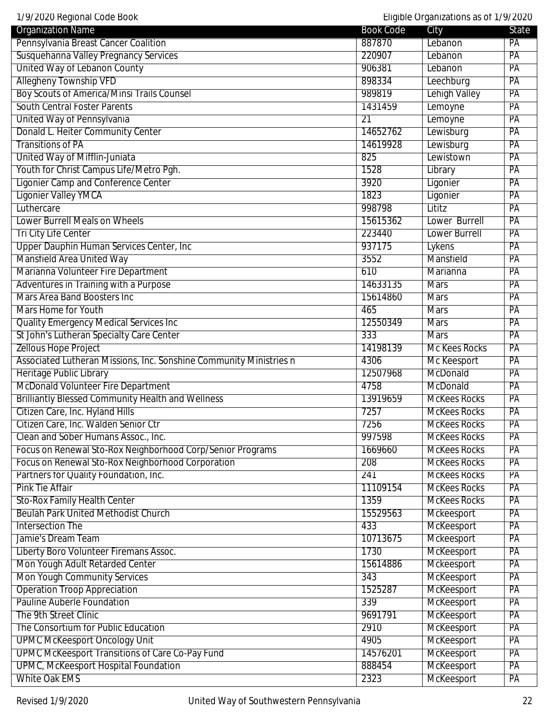| 1/9/2020 Regional Code Book                                        |                  | Eligible Organizations as of 1/9/2020 |                 |
|--------------------------------------------------------------------|------------------|---------------------------------------|-----------------|
| <b>Organization Name</b>                                           | <b>Book Code</b> | City                                  | State           |
| Pennsylvania Breast Cancer Coalition                               | 887870           | Lebanon                               | PA              |
| Susquehanna Valley Pregnancy Services                              | 220907           | Lebanon                               | PA              |
| United Way of Lebanon County                                       | 906381           | Lebanon                               | PA              |
| <b>Allegheny Township VFD</b>                                      | 898334           | Leechburg                             | PA              |
| <b>Boy Scouts of America/Minsi Trails Counsel</b>                  | 989819           | Lehigh Valley                         | PA              |
| <b>South Central Foster Parents</b>                                | 1431459          | Lemoyne                               | PA              |
| United Way of Pennsylvania                                         | $\overline{21}$  | Lemoyne                               | PA              |
| Donald L. Heiter Community Center                                  | 14652762         | Lewisburg                             | PA              |
| <b>Transitions of PA</b>                                           | 14619928         | Lewisburg                             | PA              |
| United Way of Mifflin-Juniata                                      | 825              | Lewistown                             | PA              |
| Youth for Christ Campus Life/Metro Pgh.                            | 1528             | Library                               | PA              |
| <b>Ligonier Camp and Conference Center</b>                         | 3920             | Ligonier                              | PA              |
| <b>Ligonier Valley YMCA</b>                                        | 1823             | Ligonier                              | PA              |
| Luthercare                                                         | 998798           | Lititz                                | PA              |
| Lower Burrell Meals on Wheels                                      | 15615362         | Lower Burrell                         | PA              |
| <b>Tri City Life Center</b>                                        | 223440           | <b>Lower Burrell</b>                  | PA              |
| Upper Dauphin Human Services Center, Inc.                          | 937175           | Lykens                                | PA              |
| Mansfield Area United Way                                          | 3552             | Mansfield                             | PA              |
| Marianna Volunteer Fire Department                                 | 610              | Marianna                              | PA              |
| Adventures in Training with a Purpose                              | 14633135         | <b>Mars</b>                           | PA              |
| <b>Mars Area Band Boosters Inc.</b>                                | 15614860         | <b>Mars</b>                           | PA              |
| Mars Home for Youth                                                | 465              | <b>Mars</b>                           | PA              |
| <b>Quality Emergency Medical Services Inc.</b>                     | 12550349         | <b>Mars</b>                           | PA              |
| St John's Lutheran Specialty Care Center                           | 333              | <b>Mars</b>                           | PA              |
| <b>Zellous Hope Project</b>                                        | 14198139         | <b>Mc Kees Rocks</b>                  | PA              |
| Associated Lutheran Missions, Inc. Sonshine Community Ministries n | 4306             | Mc Keesport                           | PA              |
| Heritage Public Library                                            | 12507968         | McDonald                              | PA              |
| McDonald Volunteer Fire Department                                 | 4758             | McDonald                              | PA              |
| <b>Brilliantly Blessed Community Health and Wellness</b>           | 13919659         | <b>McKees Rocks</b>                   | PA              |
| Citizen Care, Inc. Hyland Hills                                    | 7257             | <b>McKees Rocks</b>                   | PA              |
| Citizen Care, Inc. Walden Senior Ctr                               | 7256             | <b>McKees Rocks</b>                   | $\overline{PA}$ |
| Clean and Sober Humans Assoc., Inc.                                | 997598           | <b>McKees Rocks</b>                   | $\overline{PA}$ |
| Focus on Renewal Sto-Rox Neighborhood Corp/Senior Programs         | 1669660          | <b>McKees Rocks</b>                   | PA              |
| Focus on Renewal Sto-Rox Neighborhood Corporation                  | 208              | <b>McKees Rocks</b>                   | PA              |
| Partners for Quality Foundation, Inc.                              | 241              | <b>McKees Rocks</b>                   | PA              |
| <b>Pink Tie Affair</b>                                             | 11109154         | <b>McKees Rocks</b>                   | PA              |
| <b>Sto-Rox Family Health Center</b>                                | 1359             | <b>McKees Rocks</b>                   | PA              |
| <b>Beulah Park United Methodist Church</b>                         | 15529563         | Mckeesport                            | PA              |
| <b>Intersection The</b>                                            | 433              | McKeesport                            | PA              |
| Jamie's Dream Team                                                 | 10713675         | Mckeesport                            | PA              |
| Liberty Boro Volunteer Firemans Assoc.                             | 1730             | McKeesport                            | PA              |
| Mon Yough Adult Retarded Center                                    | 15614886         | Mckeesport                            | PA              |
| Mon Yough Community Services                                       | 343              | McKeesport                            | PA              |
| <b>Operation Troop Appreciation</b>                                | 1525287          | McKeesport                            | PA              |
| <b>Pauline Auberle Foundation</b>                                  | 339              | McKeesport                            | PA              |
| The 9th Street Clinic                                              | 9691791          | McKeesport                            | PA              |
| The Consortium for Public Education                                | 2910             | McKeesport                            | PA              |
| <b>UPMC McKeesport Oncology Unit</b>                               | 4905             | McKeesport                            | PA              |
| <b>UPMC McKeesport Transitions of Care Co-Pay Fund</b>             | 14576201         | McKeesport                            | PA              |
| <b>UPMC, McKeesport Hospital Foundation</b>                        | 888454           |                                       | PA              |
|                                                                    |                  | McKeesport                            |                 |
| <b>White Oak EMS</b>                                               | 2323             | McKeesport                            | PA              |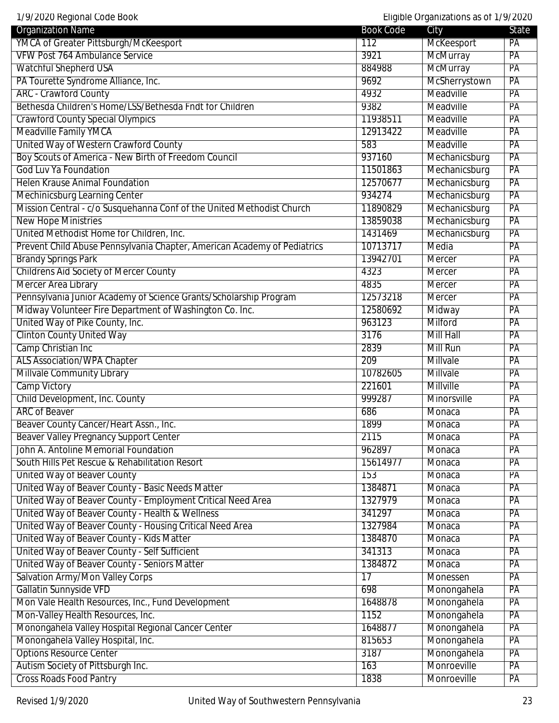1/9/2020 Regional Code Book Eligible Organizations as of 1/9/2020

| <b>Organization Name</b>                                                 | <b>Book Code</b> | $\mathsf{m}$ gives $\mathsf{m}$ gamed not is as on the $\mathsf{m}$<br>City | <b>State</b>    |
|--------------------------------------------------------------------------|------------------|-----------------------------------------------------------------------------|-----------------|
| YMCA of Greater Pittsburgh/McKeesport                                    | 112              | McKeesport                                                                  | PA              |
| <b>VFW Post 764 Ambulance Service</b>                                    | 3921             | McMurray                                                                    | PA              |
| <b>Watchful Shepherd USA</b>                                             | 884988           | <b>McMurray</b>                                                             | PA              |
| PA Tourette Syndrome Alliance, Inc.                                      | 9692             | McSherrystown                                                               | PA              |
| <b>ARC</b> - Crawford County                                             | 4932             | Meadville                                                                   | $\overline{PA}$ |
| Bethesda Children's Home/LSS/Bethesda Fndt for Children                  | 9382             | Meadville                                                                   | PA              |
| <b>Crawford County Special Olympics</b>                                  | 11938511         | Meadville                                                                   | PA              |
| Meadville Family YMCA                                                    | 12913422         | Meadville                                                                   | PA              |
| United Way of Western Crawford County                                    | 583              | Meadville                                                                   | PA              |
| Boy Scouts of America - New Birth of Freedom Council                     | 937160           | Mechanicsburg                                                               | PA              |
| <b>God Luv Ya Foundation</b>                                             | 11501863         | Mechanicsburg                                                               | PA              |
| <b>Helen Krause Animal Foundation</b>                                    | 12570677         | Mechanicsburg                                                               | $\overline{PA}$ |
| Mechinicsburg Learning Center                                            | 934274           | Mechanicsburg                                                               | PA              |
| Mission Central - c/o Susquehanna Conf of the United Methodist Church    | 11890829         | Mechanicsburg                                                               | PA              |
| <b>New Hope Ministries</b>                                               | 13859038         | Mechanicsburg                                                               | PA              |
| United Methodist Home for Children, Inc.                                 | 1431469          | Mechanicsburg                                                               | PA              |
| Prevent Child Abuse Pennsylvania Chapter, American Academy of Pediatrics | 10713717         | Media                                                                       | PA              |
| <b>Brandy Springs Park</b>                                               | 13942701         | <b>Mercer</b>                                                               | PA              |
| <b>Childrens Aid Society of Mercer County</b>                            | 4323             | Mercer                                                                      | PA              |
| Mercer Area Library                                                      | 4835             | <b>Mercer</b>                                                               | PA              |
| Pennsylvania Junior Academy of Science Grants/Scholarship Program        | 12573218         | Mercer                                                                      | PA              |
| Midway Volunteer Fire Department of Washington Co. Inc.                  | 12580692         | Midway                                                                      | PA              |
| United Way of Pike County, Inc.                                          | 963123           | Milford                                                                     | PA              |
| <b>Clinton County United Way</b>                                         | 3176             | <b>Mill Hall</b>                                                            | PA              |
| Camp Christian Inc                                                       | 2839             | <b>Mill Run</b>                                                             | PA              |
| <b>ALS Association/WPA Chapter</b>                                       | 209              | Millvale                                                                    | PA              |
| Millvale Community Library                                               | 10782605         | Millvale                                                                    | PA              |
| <b>Camp Victory</b>                                                      | 221601           | Millville                                                                   | PA              |
| Child Development, Inc. County                                           | 999287           | Minorsville                                                                 | PA              |
| <b>ARC of Beaver</b>                                                     | 686              | Monaca                                                                      | PA              |
| Beaver County Cancer/Heart Assn., Inc.                                   | 1899             | Monaca                                                                      | PA              |
| <b>Beaver Valley Pregnancy Support Center</b>                            | 2115             | Monaca                                                                      | PA              |
| John A. Antoline Memorial Foundation                                     | 962897           | Monaca                                                                      | PA              |
| South Hills Pet Rescue & Rehabilitation Resort                           | 15614977         | Monaca                                                                      | PA              |
| United Way of Beaver County                                              | $\overline{153}$ | Monaca                                                                      | PA              |
| United Way of Beaver County - Basic Needs Matter                         | 1384871          | Monaca                                                                      | PA              |
| United Way of Beaver County - Employment Critical Need Area              | 1327979          | Monaca                                                                      | PA              |
| United Way of Beaver County - Health & Wellness                          | 341297           | Monaca                                                                      | PA              |
| United Way of Beaver County - Housing Critical Need Area                 | 1327984          | Monaca                                                                      | PA              |
| United Way of Beaver County - Kids Matter                                | 1384870          | Monaca                                                                      | $\overline{PA}$ |
| United Way of Beaver County - Self Sufficient                            | 341313           | Monaca                                                                      | PA              |
| United Way of Beaver County - Seniors Matter                             | 1384872          | Monaca                                                                      | PA              |
| <b>Salvation Army/Mon Valley Corps</b>                                   | 17               | Monessen                                                                    | PA              |
| Gallatin Sunnyside VFD                                                   | 698              | Monongahela                                                                 | PA              |
| Mon Vale Health Resources, Inc., Fund Development                        | 1648878          | Monongahela                                                                 | PA              |
| Mon-Valley Health Resources, Inc.                                        | 1152             | Monongahela                                                                 | $\overline{PA}$ |
| Monongahela Valley Hospital Regional Cancer Center                       | 1648877          | Monongahela                                                                 | PA              |
| Monongahela Valley Hospital, Inc.                                        | 815653           | Monongahela                                                                 | PA              |
| <b>Options Resource Center</b>                                           | 3187             | Monongahela                                                                 | PA              |
| Autism Society of Pittsburgh Inc.                                        | 163              | Monroeville                                                                 | PA              |
| <b>Cross Roads Food Pantry</b>                                           | 1838             | Monroeville                                                                 | PA              |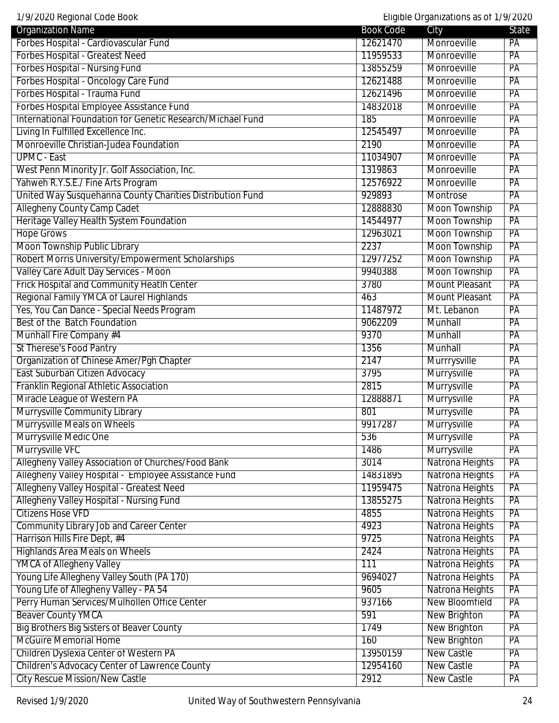1/9/2020 Regional Code Book Eligible Organizations as of 1/9/2020

| 17772020 Rogional obde Door<br><b>Organization Name</b>    | <b>Book Code</b> | $\epsilon$ and $\epsilon$ or darried though as on the $\epsilon$ $\epsilon$<br>City | State           |
|------------------------------------------------------------|------------------|-------------------------------------------------------------------------------------|-----------------|
| Forbes Hospital - Cardiovascular Fund                      | 12621470         | Monroeville                                                                         | PA              |
| Forbes Hospital - Greatest Need                            | 11959533         | Monroeville                                                                         | PA              |
| <b>Forbes Hospital - Nursing Fund</b>                      | 13855259         | Monroeville                                                                         | PA              |
| Forbes Hospital - Oncology Care Fund                       | 12621488         | Monroeville                                                                         | PA              |
| Forbes Hospital - Trauma Fund                              | 12621496         | Monroeville                                                                         | PA              |
|                                                            |                  |                                                                                     |                 |
| Forbes Hospital Employee Assistance Fund                   | 14832018         | Monroeville                                                                         | PA              |
| International Foundation for Genetic Research/Michael Fund | 185              | Monroeville                                                                         | PA              |
| Living In Fulfilled Excellence Inc.                        | 12545497         | Monroeville                                                                         | PA              |
| Monroeville Christian-Judea Foundation                     | 2190             | Monroeville                                                                         | PA              |
| <b>UPMC - East</b>                                         | 11034907         | Monroeville                                                                         | PA              |
| West Penn Minority Jr. Golf Association, Inc.              | 1319863          | Monroeville                                                                         | PA              |
| Yahweh R.Y.S.E./ Fine Arts Program                         | 12576922         | Monroeville                                                                         | $\overline{PA}$ |
| United Way Susquehanna County Charities Distribution Fund  | 929893           | Montrose                                                                            | PA              |
| <b>Allegheny County Camp Cadet</b>                         | 12888830         | <b>Moon Township</b>                                                                | PA              |
| Heritage Valley Health System Foundation                   | 14544977         | <b>Moon Township</b>                                                                | PA              |
| <b>Hope Grows</b>                                          | 12963021         | <b>Moon Township</b>                                                                | PA              |
| Moon Township Public Library                               | 2237             | <b>Moon Township</b>                                                                | PA              |
| Robert Morris University/Empowerment Scholarships          | 12977252         | <b>Moon Township</b>                                                                | PA              |
| Valley Care Adult Day Services - Moon                      | 9940388          | <b>Moon Township</b>                                                                | PA              |
| Frick Hospital and Community Heatlh Center                 | 3780             | <b>Mount Pleasant</b>                                                               | PA              |
| Regional Family YMCA of Laurel Highlands                   | 463              | <b>Mount Pleasant</b>                                                               | PA              |
| Yes, You Can Dance - Special Needs Program                 | 11487972         | Mt. Lebanon                                                                         | PA              |
| Best of the Batch Foundation                               | 9062209          | Munhall                                                                             | PA              |
| Munhall Fire Company #4                                    | 9370             | Munhall                                                                             | PA              |
| St Therese's Food Pantry                                   | 1356             | Munhall                                                                             | PA              |
| Organization of Chinese Amer/Pgh Chapter                   | 2147             | Murrrysville                                                                        | PA              |
| East Suburban Citizen Advocacy                             | 3795             | Murrysville                                                                         | PA              |
| Franklin Regional Athletic Association                     | 2815             | Murrysville                                                                         | PA              |
| Miracle League of Western PA                               | 12888871         | Murrysville                                                                         | PA              |
| Murrysville Community Library                              | 801              | Murrysville                                                                         | PA              |
| Murrysville Meals on Wheels                                | 9917287          | Murrysville                                                                         | PA              |
| <b>Murrysville Medic One</b>                               | 536              | Murrysville                                                                         | PA              |
| Murrysville VFC                                            | 1486             | Murrysville                                                                         | PA              |
| Allegheny Valley Association of Churches/Food Bank         | 3014             | Natrona Heights                                                                     | PA              |
| Allegheny Valley Hospital - Employee Assistance Fund       | 14831895         | Natrona Heights                                                                     | PA              |
| Allegheny Valley Hospital - Greatest Need                  | 11959475         | Natrona Heights                                                                     | PA              |
| Allegheny Valley Hospital - Nursing Fund                   | 13855275         | Natrona Heights                                                                     | PA              |
| <b>Citizens Hose VFD</b>                                   | 4855             | Natrona Heights                                                                     | PA              |
| <b>Community Library Job and Career Center</b>             | 4923             | Natrona Heights                                                                     | PA              |
| Harrison Hills Fire Dept, #4                               | 9725             | Natrona Heights                                                                     | PA              |
| <b>Highlands Area Meals on Wheels</b>                      | 2424             | Natrona Heights                                                                     | PA              |
| <b>YMCA of Allegheny Valley</b>                            | 111              | Natrona Heights                                                                     | PA              |
| Young Life Allegheny Valley South (PA 170)                 | 9694027          | Natrona Heights                                                                     | PA              |
| Young Life of Allegheny Valley - PA 54                     | 9605             | Natrona Heights                                                                     | PA              |
| Perry Human Services/Mulhollen Office Center               | 937166           | <b>New Bloomfield</b>                                                               | PA              |
| <b>Beaver County YMCA</b>                                  | 591              | New Brighton                                                                        | PA              |
| <b>Big Brothers Big Sisters of Beaver County</b>           | 1749             | New Brighton                                                                        | PA              |
| <b>McGuire Memorial Home</b>                               | 160              | <b>New Brighton</b>                                                                 | PA              |
| Children Dyslexia Center of Western PA                     | 13950159         | <b>New Castle</b>                                                                   | PA              |
|                                                            |                  | <b>New Castle</b>                                                                   |                 |
| Children's Advocacy Center of Lawrence County              | 12954160         |                                                                                     | PA              |
| <b>City Rescue Mission/New Castle</b>                      | 2912             | <b>New Castle</b>                                                                   | PA              |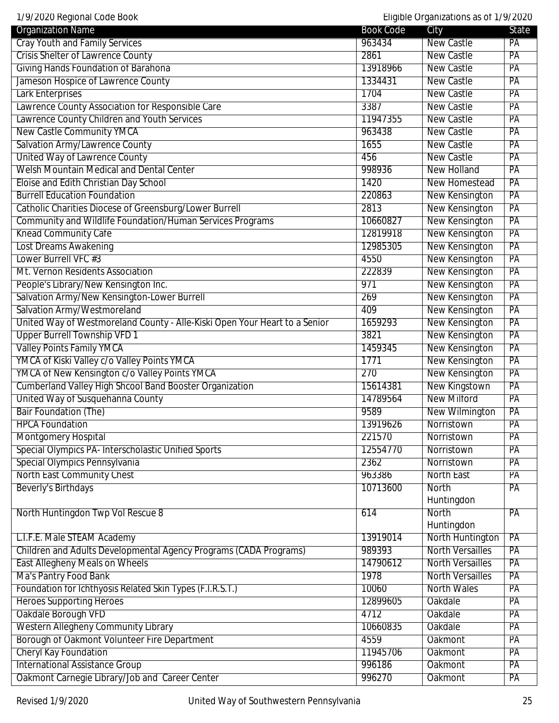| 1/9/2020 Regional Code Book                                                |                  | Eligible Organizations as of 1/9/2020 |                 |
|----------------------------------------------------------------------------|------------------|---------------------------------------|-----------------|
| <b>Organization Name</b>                                                   | <b>Book Code</b> | City                                  | State           |
| <b>Cray Youth and Family Services</b>                                      | 963434           | New Castle                            | PA              |
| <b>Crisis Shelter of Lawrence County</b>                                   | 2861             | <b>New Castle</b>                     | PA              |
| <b>Giving Hands Foundation of Barahona</b>                                 | 13918966         | <b>New Castle</b>                     | $\overline{PA}$ |
| Jameson Hospice of Lawrence County                                         | 1334431          | <b>New Castle</b>                     | $\overline{PA}$ |
| <b>Lark Enterprises</b>                                                    | 1704             | <b>New Castle</b>                     | PA              |
| Lawrence County Association for Responsible Care                           | 3387             | <b>New Castle</b>                     | PA              |
| Lawrence County Children and Youth Services                                | 11947355         | <b>New Castle</b>                     | PA              |
| <b>New Castle Community YMCA</b>                                           | 963438           | New Castle                            | PA              |
| Salvation Army/Lawrence County                                             | 1655             | <b>New Castle</b>                     | PA              |
| United Way of Lawrence County                                              | 456              | <b>New Castle</b>                     | $\overline{PA}$ |
| <b>Welsh Mountain Medical and Dental Center</b>                            | 998936           | <b>New Holland</b>                    | PA              |
| Eloise and Edith Christian Day School                                      | 1420             | New Homestead                         | PA              |
| <b>Burrell Education Foundation</b>                                        | 220863           | New Kensington                        | PA              |
| Catholic Charities Diocese of Greensburg/Lower Burrell                     | 2813             | New Kensington                        | PA              |
| Community and Wildlife Foundation/Human Services Programs                  | 10660827         | <b>New Kensington</b>                 | PA              |
| <b>Knead Community Cafe</b>                                                | 12819918         | <b>New Kensington</b>                 | PA              |
| Lost Dreams Awakening                                                      | 12985305         | New Kensington                        | $\overline{PA}$ |
| Lower Burrell VFC #3                                                       | 4550             | New Kensington                        | PA              |
| Mt. Vernon Residents Association                                           | 222839           | <b>New Kensington</b>                 | PA              |
| People's Library/New Kensington Inc.                                       | 971              | <b>New Kensington</b>                 | PA              |
| Salvation Army/New Kensington-Lower Burrell                                | 269              | <b>New Kensington</b>                 | PA              |
| Salvation Army/Westmoreland                                                | 409              | New Kensington                        | PA              |
| United Way of Westmoreland County - Alle-Kiski Open Your Heart to a Senior | 1659293          | <b>New Kensington</b>                 | PA              |
| <b>Upper Burrell Township VFD 1</b>                                        | 3821             | New Kensington                        | PA              |
| <b>Valley Points Family YMCA</b>                                           | 1459345          | New Kensington                        | PA              |
| YMCA of Kiski Valley c/o Valley Points YMCA                                | 1771             | <b>New Kensington</b>                 | PA              |
| YMCA of New Kensington c/o Valley Points YMCA                              | 270              | New Kensington                        | PA              |
| <b>Cumberland Valley High Shcool Band Booster Organization</b>             | 15614381         | New Kingstown                         | PA              |
| United Way of Susquehanna County                                           | 14789564         | <b>New Milford</b>                    | PA              |
| <b>Bair Foundation (The)</b>                                               | 9589             | <b>New Wilmington</b>                 | PA              |
| <b>HPCA Foundation</b>                                                     | 13919626         | Norristown                            | $\overline{PA}$ |
| <b>Montgomery Hospital</b>                                                 | 221570           | Norristown                            | $\overline{PA}$ |
| Special Olympics PA- Interscholastic Unified Sports                        | 12554770         | Norristown                            | $\overline{PA}$ |
| Special Olympics Pennsylvania                                              | 2362             | Norristown                            | PA              |
| North East Community Chest                                                 | 963386           | <b>North East</b>                     | PA              |
| Beverly's Birthdays                                                        | 10713600         | North                                 | PA              |
|                                                                            |                  | Huntingdon                            |                 |
| North Huntingdon Twp Vol Rescue 8                                          | 614              | North                                 | PA              |
|                                                                            |                  | Huntingdon                            |                 |
| L.I.F.E. Male STEAM Academy                                                | 13919014         | North Huntington                      | PA              |
| Children and Adults Developmental Agency Programs (CADA Programs)          | 989393           | <b>North Versailles</b>               | PA              |
| <b>East Allegheny Meals on Wheels</b>                                      | 14790612         | <b>North Versailles</b>               | PA              |
| Ma's Pantry Food Bank                                                      | 1978             | <b>North Versailles</b>               | $\overline{PA}$ |
| Foundation for Ichthyosis Related Skin Types (F.I.R.S.T.)                  | 10060            | <b>North Wales</b>                    | $\overline{PA}$ |
| <b>Heroes Supporting Heroes</b>                                            | 12899605         | Oakdale                               | PA              |
| Oakdale Borough VFD                                                        | 4712             | Oakdale                               | PA              |
| <b>Western Allegheny Community Library</b>                                 | 10660835         | <b>Oakdale</b>                        | PA              |
| Borough of Oakmont Volunteer Fire Department                               | 4559             | <b>Oakmont</b>                        | PA              |
| <b>Cheryl Kay Foundation</b>                                               | 11945706         | <b>Oakmont</b>                        | PA              |
| <b>International Assistance Group</b>                                      | 996186           | Oakmont                               | PA              |
| Oakmont Carnegie Library/Job and Career Center                             | 996270           | <b>Oakmont</b>                        | PA              |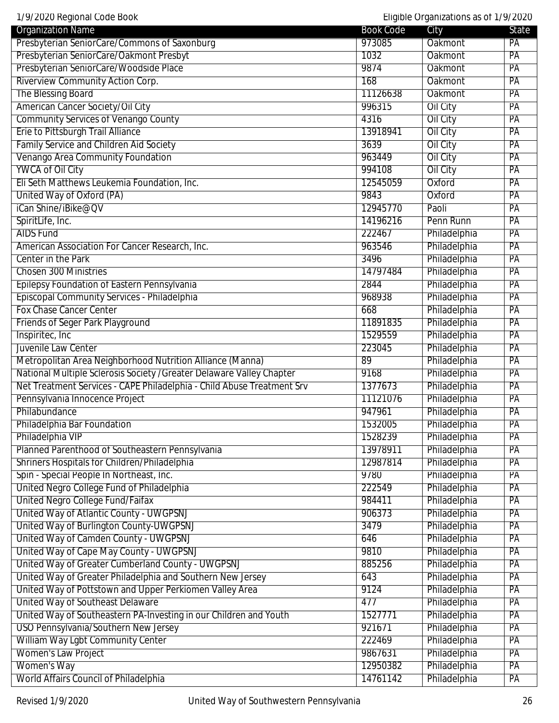| 1/9/2020 Regional Code Book<br>Eligible Organizations as of 1/9/2020   |                  |                 |                 |
|------------------------------------------------------------------------|------------------|-----------------|-----------------|
| <b>Organization Name</b>                                               | <b>Book Code</b> | City            | State           |
| Presbyterian SeniorCare/Commons of Saxonburg                           | 973085           | Oakmont         | PA              |
| Presbyterian SeniorCare/Oakmont Presbyt                                | 1032             | <b>Oakmont</b>  | PA              |
| Presbyterian SeniorCare/Woodside Place                                 | 9874             | <b>Oakmont</b>  | PA              |
| Riverview Community Action Corp.                                       | 168              | Oakmont         | PA              |
| The Blessing Board                                                     | 11126638         | <b>Oakmont</b>  | PA              |
| American Cancer Society/Oil City                                       | 996315           | Oil City        | PA              |
| <b>Community Services of Venango County</b>                            | 4316             | <b>Oil City</b> | PA              |
| Erie to Pittsburgh Trail Alliance                                      | 13918941         | Oil City        | PA              |
| <b>Family Service and Children Aid Society</b>                         | 3639             | Oil City        | PA              |
| Venango Area Community Foundation                                      | 963449           | Oil City        | PA              |
| <b>YWCA of Oil City</b>                                                | 994108           | <b>Oil City</b> | PA              |
| Eli Seth Matthews Leukemia Foundation, Inc.                            | 12545059         | Oxford          | PA              |
| United Way of Oxford (PA)                                              | 9843             | Oxford          | PA              |
| iCan Shine/iBike@QV                                                    | 12945770         | Paoli           | PA              |
| SpiritLife, Inc.                                                       | 14196216         | Penn Runn       | PA              |
| <b>AIDS Fund</b>                                                       | 222467           | Philadelphia    | PA              |
| American Association For Cancer Research, Inc.                         | 963546           | Philadelphia    | PA              |
| Center in the Park                                                     | 3496             | Philadelphia    | PA              |
| <b>Chosen 300 Ministries</b>                                           | 14797484         | Philadelphia    | PA              |
| Epilepsy Foundation of Eastern Pennsylvania                            | 2844             | Philadelphia    | PA              |
| Episcopal Community Services - Philadelphia                            | 968938           | Philadelphia    | PA              |
| <b>Fox Chase Cancer Center</b>                                         | 668              | Philadelphia    | PA              |
| Friends of Seger Park Playground                                       | 11891835         | Philadelphia    | PA              |
| Inspiritec, Inc                                                        | 1529559          | Philadelphia    | PA              |
| Juvenile Law Center                                                    | 223045           | Philadelphia    | PA              |
| Metropolitan Area Neighborhood Nutrition Alliance (Manna)              | 89               | Philadelphia    | $\overline{PA}$ |
| National Multiple Sclerosis Society / Greater Delaware Valley Chapter  | 9168             | Philadelphia    | PA              |
| Net Treatment Services - CAPE Philadelphia - Child Abuse Treatment Srv | 1377673          | Philadelphia    | PA              |
| Pennsylvania Innocence Project                                         | 11121076         | Philadelphia    | PA              |
| Philabundance                                                          | 947961           | Philadelphia    | PA              |
| Philadelphia Bar Foundation                                            | 1532005          | Philadelphia    | PA              |
| Philadelphia VIP                                                       | 1528239          | Philadelphia    | $\overline{PA}$ |
| Planned Parenthood of Southeastern Pennsylvania                        | 13978911         | Philadelphia    | PA              |
| Shriners Hospitals for Children/Philadelphia                           | 12987814         | Philadelphia    | PA              |
| Spin - Special People In Northeast, Inc.                               | 9780             | Philadelphia    | PA              |
| United Negro College Fund of Philadelphia                              | 222549           | Philadelphia    | PA              |
| United Negro College Fund/Faifax                                       | 984411           | Philadelphia    | PA              |
| United Way of Atlantic County - UWGPSNJ                                | 906373           | Philadelphia    | PA              |
| United Way of Burlington County-UWGPSNJ                                | 3479             | Philadelphia    |                 |
| United Way of Camden County - UWGPSNJ                                  |                  | Philadelphia    | PA              |
|                                                                        | 646              |                 | PA              |
| United Way of Cape May County - UWGPSNJ                                | 9810             | Philadelphia    | PA              |
| United Way of Greater Cumberland County - UWGPSNJ                      | 885256           | Philadelphia    | PA              |
| United Way of Greater Philadelphia and Southern New Jersey             | 643              | Philadelphia    | PA              |
| United Way of Pottstown and Upper Perkiomen Valley Area                | 9124             | Philadelphia    | PA              |
| United Way of Southeast Delaware                                       | 477              | Philadelphia    | PA              |
| United Way of Southeastern PA-Investing in our Children and Youth      | 1527771          | Philadelphia    | PA              |
| USO Pennsylvania/Southern New Jersey                                   | 921671           | Philadelphia    | PA              |
| William Way Lgbt Community Center                                      | 222469           | Philadelphia    | PA              |
| <b>Women's Law Project</b>                                             | 9867631          | Philadelphia    | PA              |
| Women's Way                                                            | 12950382         | Philadelphia    | PA              |
| World Affairs Council of Philadelphia                                  | 14761142         | Philadelphia    | PA              |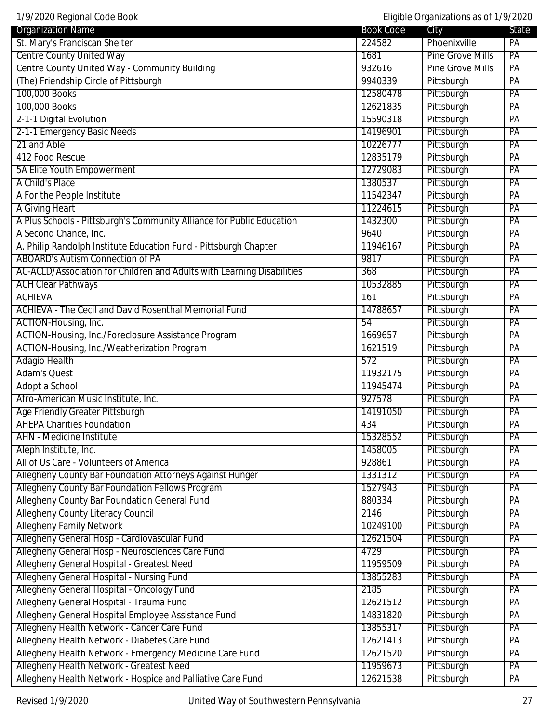| <b>Organization Name</b>                                               | <b>Book Code</b> | City                    | <b>State</b>    |
|------------------------------------------------------------------------|------------------|-------------------------|-----------------|
| St. Mary's Franciscan Shelter                                          | 224582           | Phoenixville            | PA              |
| <b>Centre County United Way</b>                                        | 1681             | <b>Pine Grove Mills</b> | PA              |
| Centre County United Way - Community Building                          | 932616           | <b>Pine Grove Mills</b> | PA              |
| (The) Friendship Circle of Pittsburgh                                  | 9940339          | Pittsburgh              | PA              |
| 100,000 Books                                                          | 12580478         | Pittsburgh              | PA              |
| 100,000 Books                                                          | 12621835         | Pittsburgh              | PA              |
| 2-1-1 Digital Evolution                                                | 15590318         | Pittsburgh              | PA              |
| 2-1-1 Emergency Basic Needs                                            | 14196901         | Pittsburgh              | PA              |
| 21 and Able                                                            | 10226777         | Pittsburgh              | PA              |
| 412 Food Rescue                                                        | 12835179         | Pittsburgh              | PA              |
| 5A Elite Youth Empowerment                                             | 12729083         | Pittsburgh              | PA              |
| A Child's Place                                                        | 1380537          | Pittsburgh              | PA              |
| A For the People Institute                                             | 11542347         | Pittsburgh              | PA              |
| A Giving Heart                                                         | 11224615         | Pittsburgh              | PA              |
| A Plus Schools - Pittsburgh's Community Alliance for Public Education  | 1432300          | Pittsburgh              | PA              |
| A Second Chance, Inc.                                                  | 9640             | Pittsburgh              | PA              |
| A. Philip Randolph Institute Education Fund - Pittsburgh Chapter       | 11946167         | Pittsburgh              | PA              |
| <b>ABOARD's Autism Connection of PA</b>                                | 9817             | Pittsburgh              | $\overline{PA}$ |
| AC-ACLD/Association for Children and Adults with Learning Disabilities | 368              | Pittsburgh              | PA              |
| <b>ACH Clear Pathways</b>                                              | 10532885         | Pittsburgh              | PA              |
| <b>ACHIEVA</b>                                                         | 161              | Pittsburgh              | PA              |
| <b>ACHIEVA - The Cecil and David Rosenthal Memorial Fund</b>           | 14788657         | Pittsburgh              | PA              |
| ACTION-Housing, Inc.                                                   | 54               | Pittsburgh              | PA              |
| ACTION-Housing, Inc./Foreclosure Assistance Program                    | 1669657          | Pittsburgh              | PA              |
| ACTION-Housing, Inc./Weatherization Program                            | 1621519          | Pittsburgh              | PA              |
| <b>Adagio Health</b>                                                   | 572              | Pittsburgh              | PA              |
| <b>Adam's Quest</b>                                                    | 11932175         | Pittsburgh              | PA              |
| Adopt a School                                                         | 11945474         | Pittsburgh              | PA              |
| Afro-American Music Institute, Inc.                                    | 927578           | Pittsburgh              | PA              |
| <b>Age Friendly Greater Pittsburgh</b>                                 | 14191050         | Pittsburgh              | PA              |
| <b>AHEPA Charities Foundation</b>                                      | 434              | Pittsburgh              | PA              |
| <b>AHN</b> - Medicine Institute                                        | 15328552         | Pittsburgh              | PA              |
| Aleph Institute, Inc.                                                  | 1458005          | Pittsburgh              | PA              |
| All of Us Care - Volunteers of America                                 | 928861           | Pittsburgh              | PA              |
| Allegheny County Bar Foundation Attorneys Against Hunger               | 1331312          | Pittsburgh              | PA              |
| Allegheny County Bar Foundation Fellows Program                        | 1527943          | Pittsburgh              | PA              |
| <b>Allegheny County Bar Foundation General Fund</b>                    | 880334           | Pittsburgh              | PA              |
| <b>Allegheny County Literacy Council</b>                               | 2146             | Pittsburgh              | PA              |
| <b>Allegheny Family Network</b>                                        | 10249100         | Pittsburgh              | PA              |
| Allegheny General Hosp - Cardiovascular Fund                           | 12621504         | Pittsburgh              | PA              |
| Allegheny General Hosp - Neurosciences Care Fund                       | 4729             | Pittsburgh              | PA              |
| Allegheny General Hospital - Greatest Need                             | 11959509         | Pittsburgh              | PA              |
| Allegheny General Hospital - Nursing Fund                              | 13855283         | Pittsburgh              | PA              |
| Allegheny General Hospital - Oncology Fund                             | 2185             | Pittsburgh              | PA              |
| Allegheny General Hospital - Trauma Fund                               | 12621512         | Pittsburgh              | PA              |
| Allegheny General Hospital Employee Assistance Fund                    | 14831820         | Pittsburgh              | PA              |
| Allegheny Health Network - Cancer Care Fund                            | 13855317         | Pittsburgh              | PA              |
| Allegheny Health Network - Diabetes Care Fund                          | 12621413         | Pittsburgh              | PA              |
| Allegheny Health Network - Emergency Medicine Care Fund                | 12621520         | Pittsburgh              | PA              |
| Allegheny Health Network - Greatest Need                               | 11959673         | Pittsburgh              | PA              |
| Allegheny Health Network - Hospice and Palliative Care Fund            | 12621538         | Pittsburgh              | PA              |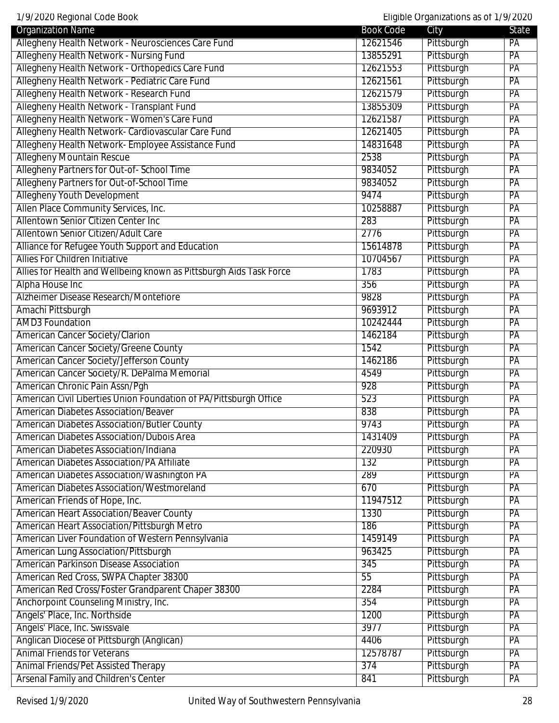| <b>Organization Name</b>                                            | <b>Book Code</b> | $Engiono$ or garmeations as or $n$<br>City | State           |
|---------------------------------------------------------------------|------------------|--------------------------------------------|-----------------|
| Allegheny Health Network - Neurosciences Care Fund                  | 12621546         | Pittsburgh                                 | PA              |
| Allegheny Health Network - Nursing Fund                             | 13855291         | Pittsburgh                                 | PA              |
| Allegheny Health Network - Orthopedics Care Fund                    | 12621553         | Pittsburgh                                 | PA              |
| Allegheny Health Network - Pediatric Care Fund                      | 12621561         | Pittsburgh                                 | $\overline{PA}$ |
| Allegheny Health Network - Research Fund                            | 12621579         | Pittsburgh                                 | $\overline{PA}$ |
| Allegheny Health Network - Transplant Fund                          | 13855309         | Pittsburgh                                 | PA              |
| Allegheny Health Network - Women's Care Fund                        | 12621587         | Pittsburgh                                 | PA              |
| Allegheny Health Network- Cardiovascular Care Fund                  | 12621405         | Pittsburgh                                 | PA              |
| Allegheny Health Network- Employee Assistance Fund                  | 14831648         | Pittsburgh                                 | PA              |
| <b>Allegheny Mountain Rescue</b>                                    | 2538             | Pittsburgh                                 | PA              |
| Allegheny Partners for Out-of-School Time                           | 9834052          | Pittsburgh                                 | $\overline{PA}$ |
| Allegheny Partners for Out-of-School Time                           | 9834052          | Pittsburgh                                 | PA              |
| <b>Allegheny Youth Development</b>                                  | 9474             | Pittsburgh                                 | PA              |
| Allen Place Community Services, Inc.                                | 10258887         | Pittsburgh                                 | PA              |
| Allentown Senior Citizen Center Inc                                 | 283              | Pittsburgh                                 | PA              |
| Allentown Senior Citizen/Adult Care                                 | 2776             | Pittsburgh                                 | PA              |
| Alliance for Refugee Youth Support and Education                    | 15614878         | Pittsburgh                                 | PA              |
| <b>Allies For Children Initiative</b>                               | 10704567         | Pittsburgh                                 | PA              |
| Allies for Health and Wellbeing known as Pittsburgh Aids Task Force | 1783             | Pittsburgh                                 | PA              |
| Alpha House Inc                                                     | 356              | Pittsburgh                                 | PA              |
| Alzheimer Disease Research/Montefiore                               | 9828             | Pittsburgh                                 | PA              |
| Amachi Pittsburgh                                                   | 9693912          | Pittsburgh                                 | PA              |
| <b>AMD3 Foundation</b>                                              | 10242444         | Pittsburgh                                 | PA              |
| American Cancer Society/Clarion                                     | 1462184          | Pittsburgh                                 | PA              |
| American Cancer Society/Greene County                               | 1542             | Pittsburgh                                 | $\overline{PA}$ |
| American Cancer Society/Jefferson County                            | 1462186          | Pittsburgh                                 | $\overline{PA}$ |
| American Cancer Society/R. DePalma Memorial                         | 4549             | Pittsburgh                                 | PA              |
| American Chronic Pain Assn/Pgh                                      | 928              | Pittsburgh                                 | PA              |
| American Civil Liberties Union Foundation of PA/Pittsburgh Office   | 523              | Pittsburgh                                 | PA              |
| <b>American Diabetes Association/Beaver</b>                         | 838              | Pittsburgh                                 | PA              |
| <b>American Diabetes Association/Butler County</b>                  | 9743             | Pittsburgh                                 | PA              |
| <b>American Diabetes Association/Dubois Area</b>                    | 1431409          | Pittsburgh                                 | PA              |
| <b>American Diabetes Association/Indiana</b>                        | 220930           | Pittsburgh                                 | PA              |
| <b>American Diabetes Association/PA Affiliate</b>                   | 132              | Pittsburgh                                 | PA              |
| American Diabetes Association/Washington PA                         | 289              | Pittsburgh                                 | PA              |
| American Diabetes Association/Westmoreland                          | 670              | Pittsburgh                                 | PA              |
| American Friends of Hope, Inc.                                      | 11947512         | Pittsburgh                                 | PA              |
| <b>American Heart Association/Beaver County</b>                     | 1330             | Pittsburgh                                 | PA              |
| American Heart Association/Pittsburgh Metro                         | 186              | Pittsburgh                                 | $\overline{PA}$ |
| American Liver Foundation of Western Pennsylvania                   | 1459149          | Pittsburgh                                 | PA              |
| American Lung Association/Pittsburgh                                | 963425           | Pittsburgh                                 | PA              |
| American Parkinson Disease Association                              | 345              | Pittsburgh                                 | PA              |
| American Red Cross, SWPA Chapter 38300                              | 55               | Pittsburgh                                 | PA              |
| American Red Cross/Foster Grandparent Chaper 38300                  | 2284             | Pittsburgh                                 | PA              |
| Anchorpoint Counseling Ministry, Inc.                               | 354              | Pittsburgh                                 | $\overline{PA}$ |
| Angels' Place, Inc. Northside                                       | 1200             | Pittsburgh                                 | $\overline{PA}$ |
| Angels' Place, Inc. Swissvale                                       | 3977             | Pittsburgh                                 | PA              |
| Anglican Diocese of Pittsburgh (Anglican)                           | 4406             | Pittsburgh                                 | PA              |
| <b>Animal Friends for Veterans</b>                                  | 12578787         | Pittsburgh                                 | PA              |
| Animal Friends/Pet Assisted Therapy                                 | 374              | Pittsburgh                                 | PA              |
| Arsenal Family and Children's Center                                | 841              | Pittsburgh                                 | PA              |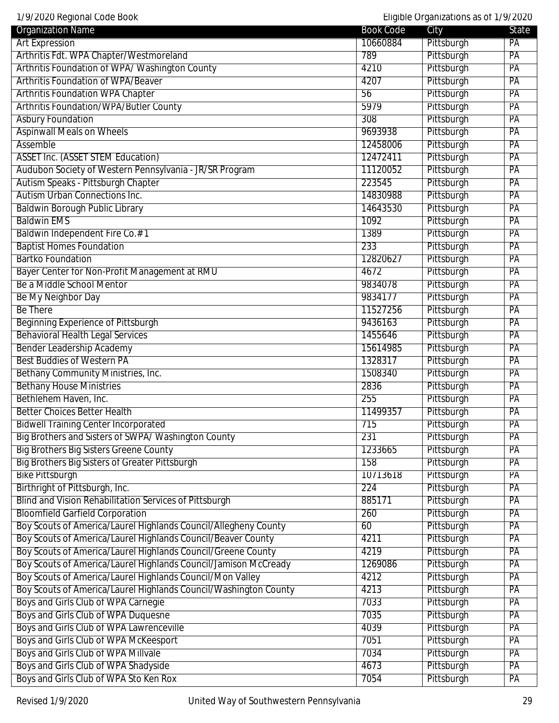| 17772020 Rugional oodd Doort<br><b>Organization Name</b>                     | Book Code    | Lingtone original internations as on the research<br>City | State           |
|------------------------------------------------------------------------------|--------------|-----------------------------------------------------------|-----------------|
| <b>Art Expression</b>                                                        | 10660884     | Pittsburgh                                                | PA              |
| Arthritis Fdt. WPA Chapter/Westmoreland                                      | 789          | Pittsburgh                                                | PA              |
| Arthritis Foundation of WPA/Washington County                                | 4210         | Pittsburgh                                                | PA              |
| <b>Arthritis Foundation of WPA/Beaver</b>                                    | 4207         | Pittsburgh                                                | PA              |
| <b>Arthritis Foundation WPA Chapter</b>                                      | 56           | Pittsburgh                                                | PA              |
| <b>Arthritis Foundation/WPA/Butler County</b>                                | 5979         | Pittsburgh                                                | PA              |
| <b>Asbury Foundation</b>                                                     | 308          | Pittsburgh                                                | PA              |
| <b>Aspinwall Meals on Wheels</b>                                             | 9693938      | Pittsburgh                                                | PA              |
| Assemble                                                                     | 12458006     | Pittsburgh                                                | PA              |
| <b>ASSET Inc. (ASSET STEM Education)</b>                                     | 12472411     | Pittsburgh                                                | PA              |
| Audubon Society of Western Pennsylvania - JR/SR Program                      | 11120052     | Pittsburgh                                                | PA              |
| Autism Speaks - Pittsburgh Chapter                                           | 223545       | Pittsburgh                                                | PA              |
| Autism Urban Connections Inc.                                                | 14830988     | Pittsburgh                                                | PA              |
| <b>Baldwin Borough Public Library</b>                                        | 14643530     | Pittsburgh                                                | PA              |
| <b>Baldwin EMS</b>                                                           | 1092         | Pittsburgh                                                | PA              |
| Baldwin Independent Fire Co.#1                                               | 1389         | Pittsburgh                                                | PA              |
| <b>Baptist Homes Foundation</b>                                              | 233          | Pittsburgh                                                | PA              |
| <b>Bartko Foundation</b>                                                     | 12820627     | Pittsburgh                                                | PA              |
| Bayer Center for Non-Profit Management at RMU                                | 4672         | Pittsburgh                                                | PA              |
| Be a Middle School Mentor                                                    | 9834078      | Pittsburgh                                                | PA              |
| Be My Neighbor Day                                                           | 9834177      | Pittsburgh                                                | PA              |
| <b>Be There</b>                                                              | 11527256     | Pittsburgh                                                | PA              |
| <b>Beginning Experience of Pittsburgh</b>                                    | 9436163      | Pittsburgh                                                | PA              |
| <b>Behavioral Health Legal Services</b>                                      | 1455646      | Pittsburgh                                                | PA              |
| <b>Bender Leadership Academy</b>                                             | 15614985     | Pittsburgh                                                | PA              |
| <b>Best Buddies of Western PA</b>                                            | 1328317      | Pittsburgh                                                | PA              |
| Bethany Community Ministries, Inc.                                           | 1508340      | Pittsburgh                                                | PA              |
| <b>Bethany House Ministries</b>                                              | 2836         | Pittsburgh                                                | PA              |
| Bethlehem Haven, Inc.                                                        | 255          | Pittsburgh                                                | PA              |
| <b>Better Choices Better Health</b>                                          | 11499357     | Pittsburgh                                                | PA              |
| <b>Bidwell Training Center Incorporated</b>                                  | 715          | Pittsburgh                                                | PA              |
| Big Brothers and Sisters of SWPA/Washington County                           | 231          | Pittsburgh                                                | PA              |
| <b>Big Brothers Big Sisters Greene County</b>                                | 1233665      | Pittsburgh                                                | PA              |
| <b>Big Brothers Big Sisters of Greater Pittsburgh</b>                        | 158          | Pittsburgh                                                | PA              |
| <b>Bike Pittsburgh</b>                                                       | 10713618     | Pittsburgh                                                | PA              |
| Birthright of Pittsburgh, Inc.                                               | 224          | Pittsburgh                                                | PA              |
| Blind and Vision Rehabilitation Services of Pittsburgh                       | 885171       | Pittsburgh                                                | PA              |
| <b>Bloomfield Garfield Corporation</b>                                       | 260          | Pittsburgh                                                | PA              |
| Boy Scouts of America/Laurel Highlands Council/Allegheny County              | 60           | Pittsburgh                                                | PA              |
| Boy Scouts of America/Laurel Highlands Council/Beaver County                 | 4211         | Pittsburgh                                                | PA              |
| Boy Scouts of America/Laurel Highlands Council/Greene County                 | 4219         | Pittsburgh                                                | PA              |
| Boy Scouts of America/Laurel Highlands Council/Jamison McCready              | 1269086      | Pittsburgh                                                | PA              |
| Boy Scouts of America/Laurel Highlands Council/Mon Valley                    | 4212         | Pittsburgh                                                | PA              |
| Boy Scouts of America/Laurel Highlands Council/Washington County             | 4213         | Pittsburgh                                                | PA              |
| Boys and Girls Club of WPA Carnegie                                          | 7033         | Pittsburgh                                                | PA              |
| Boys and Girls Club of WPA Duquesne                                          | 7035         | Pittsburgh                                                | $\overline{PA}$ |
|                                                                              |              |                                                           |                 |
| Boys and Girls Club of WPA Lawrenceville                                     | 4039<br>7051 | Pittsburgh<br>Pittsburgh                                  | PA<br>PA        |
| Boys and Girls Club of WPA McKeesport<br>Boys and Girls Club of WPA Millvale | 7034         | Pittsburgh                                                | PA              |
| Boys and Girls Club of WPA Shadyside                                         | 4673         | Pittsburgh                                                | PA              |
| Boys and Girls Club of WPA Sto Ken Rox                                       | 7054         | Pittsburgh                                                | PA              |
|                                                                              |              |                                                           |                 |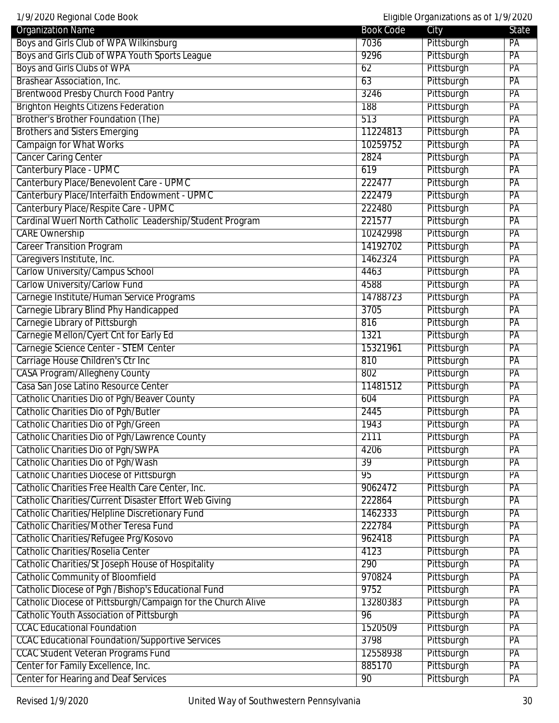| 1/9/2020 Regional Code Book                                  |                  | Eligible Organizations as of 1/9/2020 |                 |
|--------------------------------------------------------------|------------------|---------------------------------------|-----------------|
| <b>Organization Name</b>                                     | <b>Book Code</b> | City                                  | State           |
| Boys and Girls Club of WPA Wilkinsburg                       | 7036             | Pittsburgh                            | PA              |
| Boys and Girls Club of WPA Youth Sports League               | 9296             | Pittsburgh                            | PA              |
| Boys and Girls Clubs of WPA                                  | 62               | Pittsburgh                            | PA              |
| Brashear Association, Inc.                                   | 63               | Pittsburgh                            | PA              |
| <b>Brentwood Presby Church Food Pantry</b>                   | 3246             | Pittsburgh                            | PA              |
| <b>Brighton Heights Citizens Federation</b>                  | 188              | Pittsburgh                            | PA              |
| Brother's Brother Foundation (The)                           | 513              | Pittsburgh                            | PA              |
| <b>Brothers and Sisters Emerging</b>                         | 11224813         | Pittsburgh                            | PA              |
| <b>Campaign for What Works</b>                               | 10259752         | Pittsburgh                            | PA              |
| <b>Cancer Caring Center</b>                                  | 2824             | Pittsburgh                            | PA              |
| Canterbury Place - UPMC                                      | 619              | Pittsburgh                            | PA              |
| Canterbury Place/Benevolent Care - UPMC                      | 222477           | Pittsburgh                            | PA              |
| Canterbury Place/Interfaith Endowment - UPMC                 | 222479           | Pittsburgh                            | PA              |
| Canterbury Place/Respite Care - UPMC                         | 222480           | Pittsburgh                            | PA              |
| Cardinal Wuerl North Catholic Leadership/Student Program     | 221577           | Pittsburgh                            | PA              |
| <b>CARE Ownership</b>                                        | 10242998         | Pittsburgh                            | PA              |
| <b>Career Transition Program</b>                             | 14192702         | Pittsburgh                            | PA              |
| Caregivers Institute, Inc.                                   | 1462324          | Pittsburgh                            | $\overline{PA}$ |
| Carlow University/Campus School                              | 4463             | Pittsburgh                            | PA              |
| Carlow University/Carlow Fund                                | 4588             | Pittsburgh                            | PA              |
| Carnegie Institute/Human Service Programs                    | 14788723         | Pittsburgh                            | PA              |
| Carnegie Library Blind Phy Handicapped                       | 3705             | Pittsburgh                            | PA              |
| Carnegie Library of Pittsburgh                               | 816              | Pittsburgh                            | PA              |
| Carnegie Mellon/Cyert Cnt for Early Ed                       | 1321             | Pittsburgh                            | PA              |
| Carnegie Science Center - STEM Center                        | 15321961         | Pittsburgh                            | PA              |
| Carriage House Children's Ctr Inc                            | 810              | Pittsburgh                            | PA              |
| <b>CASA Program/Allegheny County</b>                         | 802              | Pittsburgh                            | PA              |
| Casa San Jose Latino Resource Center                         | 11481512         | Pittsburgh                            | PA              |
| <b>Catholic Charities Dio of Pgh/Beaver County</b>           | 604              | Pittsburgh                            | PA              |
| Catholic Charities Dio of Pgh/Butler                         | 2445             | Pittsburgh                            | PA              |
| Catholic Charities Dio of Pgh/Green                          | 1943             | Pittsburgh                            | $\overline{PA}$ |
| Catholic Charities Dio of Pgh/Lawrence County                | 2111             | Pittsburgh                            | $\overline{PA}$ |
| <b>Catholic Charities Dio of Pgh/SWPA</b>                    | 4206             | Pittsburgh                            | PA              |
| <b>Catholic Charities Dio of Pgh/Wash</b>                    | 39               | Pittsburgh                            | PA              |
| <b>Catholic Charities Diocese of Pittsburgh</b>              | 95               | Pittsburgh                            | PA              |
| Catholic Charities Free Health Care Center, Inc.             | 9062472          | Pittsburgh                            | PA              |
| <b>Catholic Charities/Current Disaster Effort Web Giving</b> | 222864           | Pittsburgh                            | PA              |
| Catholic Charities/Helpline Discretionary Fund               | 1462333          | Pittsburgh                            | PA              |
| Catholic Charities/Mother Teresa Fund                        | 222784           | Pittsburgh                            | PA              |
| Catholic Charities/Refugee Prg/Kosovo                        | 962418           | Pittsburgh                            | PA              |
| Catholic Charities/Roselia Center                            | 4123             | Pittsburgh                            | PA              |
| Catholic Charities/St Joseph House of Hospitality            | 290              | Pittsburgh                            | PA              |
| <b>Catholic Community of Bloomfield</b>                      | 970824           | Pittsburgh                            | PA              |
| Catholic Diocese of Pgh /Bishop's Educational Fund           | 9752             | Pittsburgh                            | PA              |
| Catholic Diocese of Pittsburgh/Campaign for the Church Alive | 13280383         | Pittsburgh                            | PA              |
| <b>Catholic Youth Association of Pittsburgh</b>              | 96               | Pittsburgh                            | PA              |
| <b>CCAC Educational Foundation</b>                           | 1520509          | Pittsburgh                            | PA              |
| <b>CCAC Educational Foundation/Supportive Services</b>       | 3798             | Pittsburgh                            | PA              |
| <b>CCAC Student Veteran Programs Fund</b>                    | 12558938         | Pittsburgh                            | PA              |
| Center for Family Excellence, Inc.                           | 885170           | Pittsburgh                            | PA              |
| <b>Center for Hearing and Deaf Services</b>                  | 90               | Pittsburgh                            | PA              |
|                                                              |                  |                                       |                 |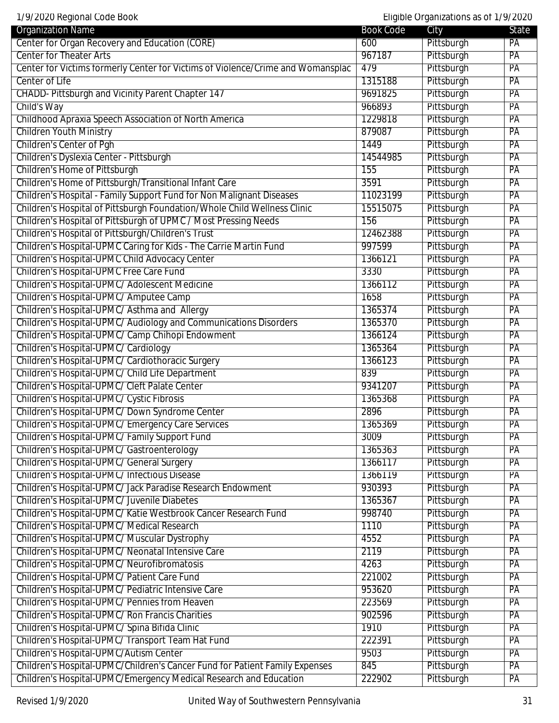1/9/2020 Regional Code Book Eligible Organizations as of 1/9/2020

| 17772020 Regional oode Book<br><b>Organization Name</b>                         | Book Code | Lingtone original international data in 17 Zozo<br>City | State           |
|---------------------------------------------------------------------------------|-----------|---------------------------------------------------------|-----------------|
| Center for Organ Recovery and Education (CORE)                                  | 600       | Pittsburgh                                              | PA              |
| <b>Center for Theater Arts</b>                                                  | 967187    | Pittsburgh                                              | PA              |
| Center for Victims formerly Center for Victims of Violence/Crime and Womansplac | 479       | Pittsburgh                                              | $\overline{PA}$ |
| Center of Life                                                                  | 1315188   | Pittsburgh                                              | PA              |
| CHADD- Pittsburgh and Vicinity Parent Chapter 147                               | 9691825   | Pittsburgh                                              | PA              |
| Child's Way                                                                     | 966893    | Pittsburgh                                              | PA              |
| Childhood Apraxia Speech Association of North America                           | 1229818   | Pittsburgh                                              | PA              |
| <b>Children Youth Ministry</b>                                                  | 879087    | Pittsburgh                                              | PA              |
| <b>Children's Center of Pgh</b>                                                 | 1449      | Pittsburgh                                              | PA              |
| Children's Dyslexia Center - Pittsburgh                                         | 14544985  | Pittsburgh                                              | PA              |
| Children's Home of Pittsburgh                                                   | 155       | Pittsburgh                                              | PA              |
| Children's Home of Pittsburgh/Transitional Infant Care                          | 3591      | Pittsburgh                                              | PA              |
| Children's Hospital - Family Support Fund for Non Malignant Diseases            | 11023199  | Pittsburgh                                              | PA              |
| Children's Hospital of Pittsburgh Foundation/Whole Child Wellness Clinic        | 15515075  | Pittsburgh                                              | PA              |
| Children's Hospital of Pittsburgh of UPMC / Most Pressing Needs                 | 156       | Pittsburgh                                              | PA              |
| Children's Hospital of Pittsburgh/Children's Trust                              | 12462388  | Pittsburgh                                              | PA              |
| Children's Hospital-UPMC Caring for Kids - The Carrie Martin Fund               | 997599    | Pittsburgh                                              | PA              |
| Children's Hospital-UPMC Child Advocacy Center                                  | 1366121   | Pittsburgh                                              | $\overline{PA}$ |
| Children's Hospital-UPMC Free Care Fund                                         | 3330      | Pittsburgh                                              | PA              |
| Children's Hospital-UPMC/ Adolescent Medicine                                   | 1366112   | Pittsburgh                                              | PA              |
| Children's Hospital-UPMC/ Amputee Camp                                          | 1658      | Pittsburgh                                              | PA              |
| Children's Hospital-UPMC/ Asthma and Allergy                                    | 1365374   | Pittsburgh                                              | PA              |
| Children's Hospital-UPMC/ Audiology and Communications Disorders                | 1365370   | Pittsburgh                                              | PA              |
| Children's Hospital-UPMC/ Camp Chihopi Endowment                                | 1366124   | Pittsburgh                                              | $\overline{PA}$ |
| Children's Hospital-UPMC/ Cardiology                                            | 1365364   | Pittsburgh                                              | PA              |
| Children's Hospital-UPMC/ Cardiothoracic Surgery                                | 1366123   | Pittsburgh                                              | PA              |
| Children's Hospital-UPMC/ Child Life Department                                 | 839       | Pittsburgh                                              | PA              |
| Children's Hospital-UPMC/ Cleft Palate Center                                   | 9341207   | Pittsburgh                                              | PA              |
| Children's Hospital-UPMC/ Cystic Fibrosis                                       | 1365368   | Pittsburgh                                              | PA              |
| Children's Hospital-UPMC/ Down Syndrome Center                                  | 2896      | Pittsburgh                                              | PA              |
| Children's Hospital-UPMC/ Emergency Care Services                               | 1365369   | Pittsburgh                                              | PA              |
| Children's Hospital-UPMC/ Family Support Fund                                   | 3009      | Pittsburgh                                              | PA              |
| Children's Hospital-UPMC/ Gastroenterology                                      | 1365363   | Pittsburgh                                              | PA              |
| Children's Hospital-UPMC/ General Surgery                                       | 1366117   | Pittsburgh                                              | PA              |
| Children's Hospital-UPMC/ Infectious Disease                                    | 1366119   | Pittsburgh                                              | PA              |
| Children's Hospital-UPMC/ Jack Paradise Research Endowment                      | 930393    | Pittsburgh                                              | PA              |
| Children's Hospital-UPMC/ Juvenile Diabetes                                     | 1365367   | Pittsburgh                                              | PA              |
| Children's Hospital-UPMC/ Katie Westbrook Cancer Research Fund                  | 998740    | Pittsburgh                                              | PA              |
| Children's Hospital-UPMC/ Medical Research                                      | 1110      | Pittsburgh                                              | $\overline{PA}$ |
| Children's Hospital-UPMC/ Muscular Dystrophy                                    | 4552      | Pittsburgh                                              | PA              |
| Children's Hospital-UPMC/ Neonatal Intensive Care                               | 2119      | Pittsburgh                                              | PA              |
| Children's Hospital-UPMC/ Neurofibromatosis                                     | 4263      | Pittsburgh                                              | PA              |
| Children's Hospital-UPMC/ Patient Care Fund                                     | 221002    | Pittsburgh                                              | PA              |
| Children's Hospital-UPMC/ Pediatric Intensive Care                              | 953620    | Pittsburgh                                              | PA              |
| Children's Hospital-UPMC/ Pennies from Heaven                                   | 223569    | Pittsburgh                                              | PA              |
| Children's Hospital-UPMC/ Ron Francis Charities                                 | 902596    | Pittsburgh                                              | $\overline{PA}$ |
| Children's Hospital-UPMC/ Spina Bifida Clinic                                   | 1910      | Pittsburgh                                              | PA              |
| Children's Hospital-UPMC/ Transport Team Hat Fund                               | 222391    | Pittsburgh                                              | PA              |
| Children's Hospital-UPMC/Autism Center                                          | 9503      | Pittsburgh                                              | PA              |
| Children's Hospital-UPMC/Children's Cancer Fund for Patient Family Expenses     | 845       | Pittsburgh                                              | PA              |
| Children's Hospital-UPMC/Emergency Medical Research and Education               | 222902    | Pittsburgh                                              | PA              |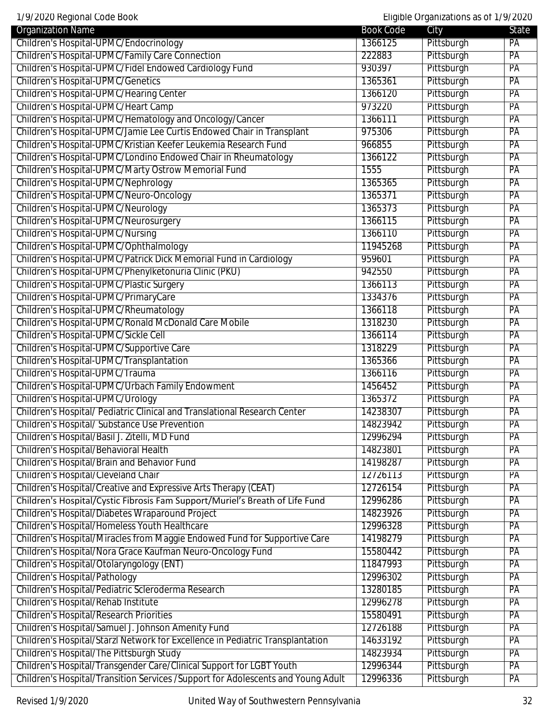1/9/2020 Regional Code Book Eligible Organizations as of 1/9/2020

| <b>Organization Name</b>                                                          | <b>Book Code</b> | City       | State           |
|-----------------------------------------------------------------------------------|------------------|------------|-----------------|
| Children's Hospital-UPMC/Endocrinology                                            | 1366125          | Pittsburgh | PA              |
| Children's Hospital-UPMC/Family Care Connection                                   | 222883           | Pittsburgh | PA              |
| Children's Hospital-UPMC/Fidel Endowed Cardiology Fund                            | 930397           | Pittsburgh | PA              |
| <b>Children's Hospital-UPMC/Genetics</b>                                          | 1365361          | Pittsburgh | $\overline{PA}$ |
| Children's Hospital-UPMC/Hearing Center                                           | 1366120          | Pittsburgh | $\overline{PA}$ |
| Children's Hospital-UPMC/Heart Camp                                               | 973220           | Pittsburgh | PA              |
| Children's Hospital-UPMC/Hematology and Oncology/Cancer                           | 1366111          | Pittsburgh | PA              |
| Children's Hospital-UPMC/Jamie Lee Curtis Endowed Chair in Transplant             | 975306           | Pittsburgh | PA              |
| Children's Hospital-UPMC/Kristian Keefer Leukemia Research Fund                   | 966855           | Pittsburgh | PA              |
| Children's Hospital-UPMC/Londino Endowed Chair in Rheumatology                    | 1366122          | Pittsburgh | PA              |
| Children's Hospital-UPMC/Marty Ostrow Memorial Fund                               | 1555             | Pittsburgh | PA              |
| Children's Hospital-UPMC/Nephrology                                               | 1365365          | Pittsburgh | PA              |
| Children's Hospital-UPMC/Neuro-Oncology                                           | 1365371          | Pittsburgh | PA              |
| Children's Hospital-UPMC/Neurology                                                | 1365373          | Pittsburgh | PA              |
| Children's Hospital-UPMC/Neurosurgery                                             | 1366115          | Pittsburgh | PA              |
| <b>Children's Hospital-UPMC/Nursing</b>                                           | 1366110          | Pittsburgh | PA              |
| Children's Hospital-UPMC/Ophthalmology                                            | 11945268         | Pittsburgh | PA              |
| Children's Hospital-UPMC/Patrick Dick Memorial Fund in Cardiology                 | 959601           | Pittsburgh | $\overline{PA}$ |
| Children's Hospital-UPMC/Phenylketonuria Clinic (PKU)                             | 942550           | Pittsburgh | $\overline{PA}$ |
| Children's Hospital-UPMC/Plastic Surgery                                          | 1366113          | Pittsburgh | PA              |
| Children's Hospital-UPMC/PrimaryCare                                              | 1334376          | Pittsburgh | PA              |
| Children's Hospital-UPMC/Rheumatology                                             | 1366118          | Pittsburgh | PA              |
| Children's Hospital-UPMC/Ronald McDonald Care Mobile                              | 1318230          | Pittsburgh | PA              |
| Children's Hospital-UPMC/Sickle Cell                                              | 1366114          | Pittsburgh | PA              |
| Children's Hospital-UPMC/Supportive Care                                          | 1318229          | Pittsburgh | PA              |
| Children's Hospital-UPMC/Transplantation                                          | 1365366          | Pittsburgh | $\overline{PA}$ |
| Children's Hospital-UPMC/Trauma                                                   | 1366116          | Pittsburgh | PA              |
| Children's Hospital-UPMC/Urbach Family Endowment                                  | 1456452          | Pittsburgh | PA              |
| Children's Hospital-UPMC/Urology                                                  | 1365372          | Pittsburgh | PA              |
| Children's Hospital/ Pediatric Clinical and Translational Research Center         | 14238307         | Pittsburgh | PA              |
| <b>Children's Hospital/ Substance Use Prevention</b>                              | 14823942         | Pittsburgh | PA              |
| Children's Hospital/Basil J. Zitelli, MD Fund                                     | 12996294         | Pittsburgh | $\overline{PA}$ |
| Children's Hospital/Behavioral Health                                             | 14823801         | Pittsburgh | PA              |
| Children's Hospital/Brain and Behavior Fund                                       | 14198287         | Pittsburgh | PA              |
| <b>Children's Hospital/Cleveland Chair</b>                                        | 12726113         | Pittsburgh | PA              |
| Children's Hospital/Creative and Expressive Arts Therapy (CEAT)                   | 12726154         | Pittsburgh | PA              |
| Children's Hospital/Cystic Fibrosis Fam Support/Muriel's Breath of Life Fund      | 12996286         | Pittsburgh | PA              |
| Children's Hospital/Diabetes Wraparound Project                                   | 14823926         | Pittsburgh | PA              |
| Children's Hospital/Homeless Youth Healthcare                                     | 12996328         | Pittsburgh | PA              |
| Children's Hospital/Miracles from Maggie Endowed Fund for Supportive Care         | 14198279         | Pittsburgh | PA              |
| Children's Hospital/Nora Grace Kaufman Neuro-Oncology Fund                        | 15580442         | Pittsburgh | PA              |
| Children's Hospital/Otolaryngology (ENT)                                          | 11847993         | Pittsburgh | PA              |
| <b>Children's Hospital/Pathology</b>                                              | 12996302         | Pittsburgh | PA              |
| Children's Hospital/Pediatric Scleroderma Research                                | 13280185         | Pittsburgh | PA              |
| Children's Hospital/Rehab Institute                                               | 12996278         | Pittsburgh | PA              |
| <b>Children's Hospital/Research Priorities</b>                                    | 15580491         | Pittsburgh | $\overline{PA}$ |
| Children's Hospital/Samuel J. Johnson Amenity Fund                                | 12726188         | Pittsburgh | $\overline{PA}$ |
| Children's Hospital/Starzl Network for Excellence in Pediatric Transplantation    | 14633192         | Pittsburgh | PA              |
| Children's Hospital/The Pittsburgh Study                                          | 14823934         | Pittsburgh | PA              |
| Children's Hospital/Transgender Care/Clinical Support for LGBT Youth              | 12996344         | Pittsburgh | PA              |
| Children's Hospital/Transition Services / Support for Adolescents and Young Adult | 12996336         | Pittsburgh | PA              |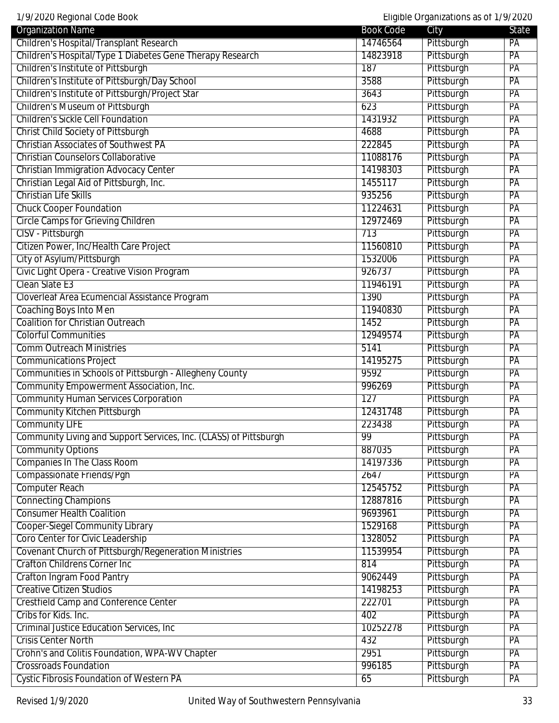| 1/9/2020 Regional Code Book<br>Eligible Organizations as of 1/9/2020 |                  |            |                 |
|----------------------------------------------------------------------|------------------|------------|-----------------|
| <b>Organization Name</b>                                             | <b>Book Code</b> | City       | <b>State</b>    |
| Children's Hospital/Transplant Research                              | 14746564         | Pittsburgh | PA              |
| Children's Hospital/Type 1 Diabetes Gene Therapy Research            | 14823918         | Pittsburgh | PA              |
| Children's Institute of Pittsburgh                                   | 187              | Pittsburgh | PA              |
| Children's Institute of Pittsburgh/Day School                        | 3588             | Pittsburgh | $\overline{PA}$ |
| Children's Institute of Pittsburgh/Project Star                      | 3643             | Pittsburgh | PA              |
| <b>Children's Museum of Pittsburgh</b>                               | 623              | Pittsburgh | PA              |
| <b>Children's Sickle Cell Foundation</b>                             | 1431932          | Pittsburgh | PA              |
| <b>Christ Child Society of Pittsburgh</b>                            | 4688             | Pittsburgh | PA              |
| <b>Christian Associates of Southwest PA</b>                          | 222845           | Pittsburgh | PA              |
| <b>Christian Counselors Collaborative</b>                            | 11088176         | Pittsburgh | PA              |
| <b>Christian Immigration Advocacy Center</b>                         | 14198303         | Pittsburgh | $\overline{PA}$ |
| Christian Legal Aid of Pittsburgh, Inc.                              | 1455117          | Pittsburgh | PA              |
| <b>Christian Life Skills</b>                                         | 935256           | Pittsburgh | PA              |
| <b>Chuck Cooper Foundation</b>                                       | 11224631         | Pittsburgh | PA              |
| <b>Circle Camps for Grieving Children</b>                            | 12972469         | Pittsburgh | PA              |
| CISV - Pittsburgh                                                    | 713              | Pittsburgh | PA              |
| Citizen Power, Inc/Health Care Project                               | 11560810         | Pittsburgh | PA              |
| City of Asylum/Pittsburgh                                            | 1532006          | Pittsburgh | PA              |
| Civic Light Opera - Creative Vision Program                          | 926737           | Pittsburgh | PA              |
| Clean Slate E3                                                       | 11946191         | Pittsburgh | PA              |
| Cloverleaf Area Ecumencial Assistance Program                        | 1390             | Pittsburgh | PA              |
| <b>Coaching Boys Into Men</b>                                        | 11940830         | Pittsburgh | PA              |
| <b>Coalition for Christian Outreach</b>                              | 1452             | Pittsburgh | PA              |
| <b>Colorful Communities</b>                                          | 12949574         | Pittsburgh | PA              |
| <b>Comm Outreach Ministries</b>                                      | 5141             | Pittsburgh | PA              |
| <b>Communications Project</b>                                        | 14195275         | Pittsburgh | PA              |
| Communities in Schools of Pittsburgh - Allegheny County              | 9592             | Pittsburgh | PA              |
| Community Empowerment Association, Inc.                              | 996269           | Pittsburgh | PA              |
| <b>Community Human Services Corporation</b>                          | 127              | Pittsburgh | PA              |
| <b>Community Kitchen Pittsburgh</b>                                  | 12431748         | Pittsburgh | PA              |
| <b>Community LIFE</b>                                                | 223438           | Pittsburgh | $\overline{PA}$ |
| Community Living and Support Services, Inc. (CLASS) of Pittsburgh    | 99               | Pittsburgh | PA              |
| <b>Community Options</b>                                             | 887035           | Pittsburgh | PA              |
| <b>Companies In The Class Room</b>                                   | 14197336         | Pittsburgh | PA              |
| Compassionate Friends/Pqh                                            | 2647             | Pittsburgh | PA              |
| <b>Computer Reach</b>                                                | 12545752         | Pittsburgh | PA              |
| <b>Connecting Champions</b>                                          | 12887816         | Pittsburgh | PA              |
|                                                                      |                  |            |                 |
| <b>Consumer Health Coalition</b>                                     | 9693961          | Pittsburgh | PA              |
| <b>Cooper-Siegel Community Library</b>                               | 1529168          | Pittsburgh | PA              |
| Coro Center for Civic Leadership                                     | 1328052          | Pittsburgh | PA              |
| Covenant Church of Pittsburgh/Regeneration Ministries                | 11539954         | Pittsburgh | PA              |
| <b>Crafton Childrens Corner Inc</b>                                  | 814              | Pittsburgh | PA              |
| <b>Crafton Ingram Food Pantry</b>                                    | 9062449          | Pittsburgh | PA              |
| <b>Creative Citizen Studios</b>                                      | 14198253         | Pittsburgh | PA              |
| <b>Crestfield Camp and Conference Center</b>                         | 222701           | Pittsburgh | PA              |
| Cribs for Kids. Inc.                                                 | 402              | Pittsburgh | PA              |
| <b>Criminal Justice Education Services, Inc.</b>                     | 10252278         | Pittsburgh | PA              |
| <b>Crisis Center North</b>                                           | 432              | Pittsburgh | PA              |
| Crohn's and Colitis Foundation, WPA-WV Chapter                       | 2951             | Pittsburgh | PA              |
| <b>Crossroads Foundation</b>                                         | 996185           | Pittsburgh | PA              |
| <b>Cystic Fibrosis Foundation of Western PA</b>                      | 65               | Pittsburgh | PA              |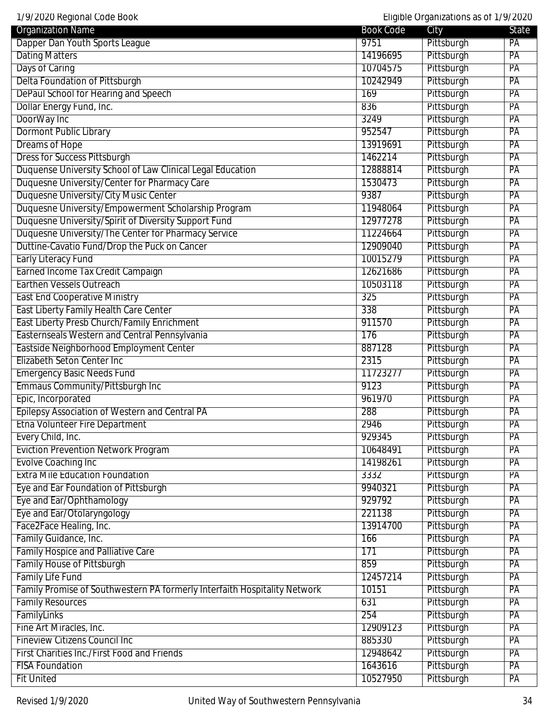| <b>Organization Name</b>                                   | <b>Book Code</b> | City       | State           |
|------------------------------------------------------------|------------------|------------|-----------------|
| Dapper Dan Youth Sports League                             | 9751             | Pittsburgh | PA              |
| <b>Dating Matters</b>                                      | 14196695         | Pittsburgh | PA              |
| Days of Caring                                             | 10704575         | Pittsburgh | PA              |
| Delta Foundation of Pittsburgh                             | 10242949         | Pittsburgh | $\overline{PA}$ |
| DePaul School for Hearing and Speech                       | 169              | Pittsburgh | PA              |
| Dollar Energy Fund, Inc.                                   | 836              | Pittsburgh | PA              |
| DoorWay Inc                                                | 3249             | Pittsburgh | PA              |
| <b>Dormont Public Library</b>                              | 952547           | Pittsburgh | PA              |
| <b>Dreams of Hope</b>                                      | 13919691         | Pittsburgh | PA              |
| <b>Dress for Success Pittsburgh</b>                        | 1462214          | Pittsburgh | $\overline{PA}$ |
| Duquense University School of Law Clinical Legal Education | 12888814         | Pittsburgh | $\overline{PA}$ |
| Duquesne University/Center for Pharmacy Care               | 1530473          | Pittsburgh | PA              |
| Duquesne University/City Music Center                      | 9387             | Pittsburgh | PA              |
| Duquesne University/Empowerment Scholarship Program        | 11948064         | Pittsburgh | PA              |
| Duquesne University/Spirit of Diversity Support Fund       | 12977278         | Pittsburgh | PA              |
| Duquesne University/The Center for Pharmacy Service        | 11224664         | Pittsburgh | PA              |
| Duttine-Cavatio Fund/Drop the Puck on Cancer               | 12909040         | Pittsburgh | $\overline{PA}$ |
| <b>Early Literacy Fund</b>                                 | 10015279         | Pittsburgh | $\overline{PA}$ |
| Earned Income Tax Credit Campaign                          | 12621686         | Pittsburgh | PA              |
| <b>Earthen Vessels Outreach</b>                            | 10503118         | Pittsburgh | PA              |
| <b>East End Cooperative Ministry</b>                       | 325              | Pittsburgh | PA              |
| East Liberty Family Health Care Center                     | 338              | Pittsburgh | PA              |
| East Liberty Presb Church/Family Enrichment                | 911570           | Pittsburgh | PA              |
| Easternseals Western and Central Pennsylvania              | 176              | Pittsburgh | $\overline{PA}$ |
| Eastside Neighborhood Employment Center                    | 887128           | Pittsburgh | $\overline{PA}$ |
| Elizabeth Seton Center Inc                                 | 2315             | Pittsburgh | PA              |
| <b>Emergency Basic Needs Fund</b>                          | 11723277         | Pittsburgh | PA              |
| Emmaus Community/Pittsburgh Inc                            | 9123             | Pittsburgh | PA              |
| Epic, Incorporated                                         | 961970           | Pittsburgh | PA              |
| Epilepsy Association of Western and Central PA             | 288              | Pittsburgh | PA              |
| <b>Etna Volunteer Fire Department</b>                      | 2946             | Pittsburgh | PA              |
| Every Child, Inc.                                          | 929345           | Pittsburgh | PA              |
| <b>Eviction Prevention Network Program</b>                 | 10648491         | Pittsburgh | $\overline{PA}$ |
| <b>Evolve Coaching Inc</b>                                 | 14198261         | Pittsburgh | PA              |
| <b>Extra Mile Education Foundation</b>                     | 3332             | Pittsburgh | PA              |
| Eye and Ear Foundation of Pittsburgh                       | 9940321          | Pittsburgh | PA              |
| Eye and Ear/Ophthamology                                   | 929792           | Pittsburgh | PA              |
| Eye and Ear/Otolaryngology                                 | 221138           | Pittsburgh | PA              |
| Face2Face Healing, Inc.                                    | 13914700         | Pittsburgh | $\overline{PA}$ |
| Family Guidance, Inc.                                      | 166              | Pittsburgh | PA              |
| <b>Family Hospice and Palliative Care</b>                  | 171              | Pittsburgh | PA              |
| <b>Family House of Pittsburgh</b>                          | 859              | Pittsburgh | PA              |

Family House of Pittsburgh 859 Pittsburgh 859

Family Life Fund PA PA PA Camera Contract Contract Contract Contract Contract Contract PA PA PA PA PA PA PA PA Family Promise of Southwestern PA formerly Interfaith Hospitality Network 10151 Pittsburgh PA Family Resources **Family Resources** PA FamilyLinks 254 Pittsburgh PA Fine Art Miracles, Inc. 2012 Page 2014 12909123 Pittsburgh PA Fineview Citizens Council Inc **PA** Research PA Research Part of the B85330 Pittsburgh PA First Charities Inc./First Food and Friends 12948642 Pittsburgh PA FISA Foundation PA PA PA PARTICLE PRODUCED PROPERTY AT A PARTICLE PARTICLE PARTICLE PARTICLE PARTICLE PARTICLE Fit United 10527950 Pittsburgh PA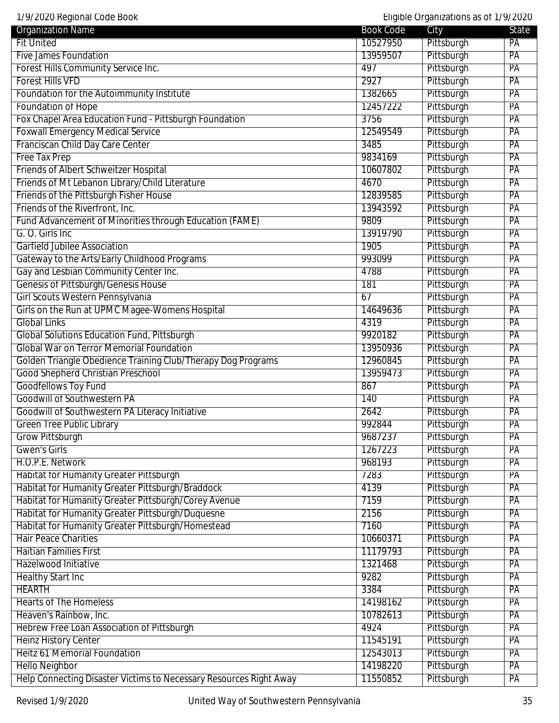| 1/9/2020 Regional Code Book                                        |                  | Eligible Organizations as of 1/9/2020 |                 |
|--------------------------------------------------------------------|------------------|---------------------------------------|-----------------|
| <b>Organization Name</b>                                           | <b>Book Code</b> | City                                  | State           |
| <b>Fit United</b>                                                  | 10527950         | Pittsburgh                            | PA              |
| <b>Five James Foundation</b>                                       | 13959507         | Pittsburgh                            | PA              |
| Forest Hills Community Service Inc.                                | 497              | Pittsburgh                            | PA              |
| <b>Forest Hills VFD</b>                                            | 2927             | Pittsburgh                            | PA              |
| Foundation for the Autoimmunity Institute                          | 1382665          | Pittsburgh                            | PA              |
| <b>Foundation of Hope</b>                                          | 12457222         | Pittsburgh                            | PA              |
| Fox Chapel Area Education Fund - Pittsburgh Foundation             | 3756             | Pittsburgh                            | PA              |
| <b>Foxwall Emergency Medical Service</b>                           | 12549549         | Pittsburgh                            | PA              |
| Franciscan Child Day Care Center                                   | 3485             | Pittsburgh                            | PA              |
| <b>Free Tax Prep</b>                                               | 9834169          | Pittsburgh                            | PA              |
| <b>Friends of Albert Schweitzer Hospital</b>                       | 10607802         | Pittsburgh                            | PA              |
| Friends of Mt Lebanon Library/Child Literature                     | 4670             | Pittsburgh                            | PA              |
| Friends of the Pittsburgh Fisher House                             | 12839585         | Pittsburgh                            | PA              |
| Friends of the Riverfront, Inc.                                    | 13943592         | Pittsburgh                            | PA              |
| Fund Advancement of Minorities through Education (FAME)            | 9809             | Pittsburgh                            | PA              |
| G. O. Girls Inc                                                    | 13919790         | Pittsburgh                            | PA              |
| <b>Garfield Jubilee Association</b>                                | 1905             | Pittsburgh                            | PA              |
| Gateway to the Arts/Early Childhood Programs                       | 993099           | Pittsburgh                            | PA              |
| Gay and Lesbian Community Center Inc.                              | 4788             | Pittsburgh                            | PA              |
| <b>Genesis of Pittsburgh/Genesis House</b>                         | 181              | Pittsburgh                            | PA              |
| Girl Scouts Western Pennsylvania                                   | 67               | Pittsburgh                            | PA              |
| Girls on the Run at UPMC Magee-Womens Hospital                     | 14649636         | Pittsburgh                            | PA              |
| <b>Global Links</b>                                                | 4319             | Pittsburgh                            | PA              |
| <b>Global Solutions Education Fund, Pittsburgh</b>                 | 9920182          | Pittsburgh                            | PA              |
| <b>Global War on Terror Memorial Foundation</b>                    | 13950936         | Pittsburgh                            | PA              |
| Golden Triangle Obedience Training Club/Therapy Dog Programs       | 12960845         | Pittsburgh                            | PA              |
| <b>Good Shepherd Christian Preschool</b>                           | 13959473         | Pittsburgh                            | PA              |
| <b>Goodfellows Toy Fund</b>                                        | 867              | Pittsburgh                            | PA              |
| <b>Goodwill of Southwestern PA</b>                                 | 140              | Pittsburgh                            | PA              |
| Goodwill of Southwestern PA Literacy Initiative                    | 2642             | Pittsburgh                            | PA              |
| <b>Green Tree Public Library</b>                                   | 992844           | Pittsburgh                            | $\overline{PA}$ |
| <b>Grow Pittsburgh</b>                                             | 9687237          | Pittsburgh                            | PA              |
| <b>Gwen's Girls</b>                                                | 1267223          | Pittsburgh                            | PA              |
| H.O.P.E. Network                                                   | 968193           | Pittsburgh                            | PA              |
| <b>Habitat for Humanity Greater Pittsburgh</b>                     | 7283             | Pittsburgh                            | PA              |
| Habitat for Humanity Greater Pittsburgh/Braddock                   | 4139             | Pittsburgh                            | PA              |
| Habitat for Humanity Greater Pittsburgh/Corey Avenue               |                  |                                       | PA              |
|                                                                    | 7159             | Pittsburgh                            |                 |
| Habitat for Humanity Greater Pittsburgh/Duquesne                   | 2156             | Pittsburgh                            | PA              |
| Habitat for Humanity Greater Pittsburgh/Homestead                  | 7160             | Pittsburgh                            | PA              |
| <b>Hair Peace Charities</b>                                        | 10660371         | Pittsburgh                            | PA              |
| <b>Haitian Families First</b>                                      | 11179793         | Pittsburgh                            | PA              |
| Hazelwood Initiative                                               | 1321468          | Pittsburgh                            | PA              |
| <b>Healthy Start Inc</b>                                           | 9282             | Pittsburgh                            | PA              |
| <b>HEARTH</b>                                                      | 3384             | Pittsburgh                            | PA              |
| <b>Hearts of The Homeless</b>                                      | 14198162         | Pittsburgh                            | PA              |
| Heaven's Rainbow, Inc.                                             | 10782613         | Pittsburgh                            | PA              |
| Hebrew Free Loan Association of Pittsburgh                         | 4924             | Pittsburgh                            | PA              |
| <b>Heinz History Center</b>                                        | 11545191         | Pittsburgh                            | PA              |
| <b>Heitz 61 Memorial Foundation</b>                                | 12543013         | Pittsburgh                            | PA              |
| <b>Hello Neighbor</b>                                              | 14198220         | Pittsburgh                            | PA              |
| Help Connecting Disaster Victims to Necessary Resources Right Away | 11550852         | Pittsburgh                            | PA              |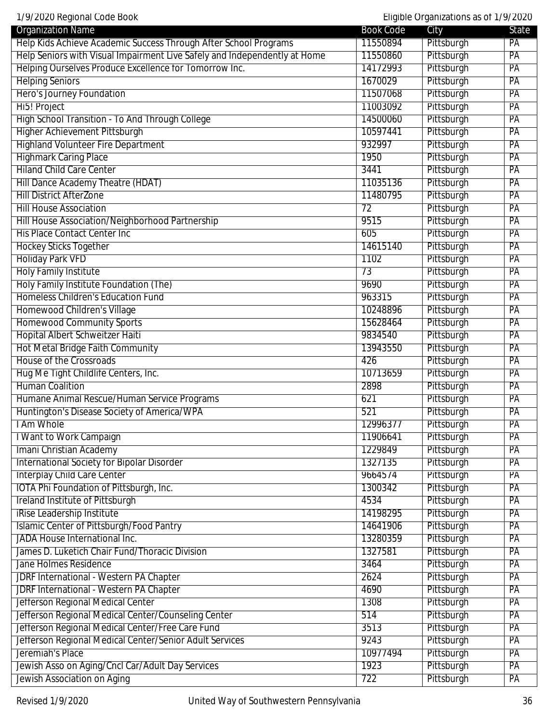1/9/2020 Regional Code Book Eligible Organizations as of 1/9/2020 Organization Name State State City State City Help Kids Achieve Academic Success Through After School Programs 11550894 Pittsburgh PA Help Seniors with Visual Impairment Live Safely and Independently at Home 11550860 Pittsburgh PA Helping Ourselves Produce Excellence for Tomorrow Inc. 14172993 Pittsburgh PA Helping Seniors **PACK PROXIMATE PROXIMATE PROXIMATE PROXIMATE PROXIMATE PROXIMATE PROXIMATE PROXIMATE PROXIMATE** Hero's Journey Foundation **PA** Hi5! Project 11003092 Pittsburgh PA High School Transition - To And Through College 14500060 Pittsburgh PA Higher Achievement Pittsburgh 10597441 Pittsburgh PA Highland Volunteer Fire Department PA Highmark Caring Place **1950** Pittsburgh PA Hiland Child Care Center 2008 PA 2009 Page 2014 12:00 Page 2014 12:00 Page 2014 12:00 PA Hill Dance Academy Theatre (HDAT) Theory of the Academy Theatre (HDAT) 11035136 Pittsburgh PA Hill District AfterZone **PA** Hill House Association **PA** Hill House Association/Neighborhood Partnership 19515 Pittsburgh PA His Place Contact Center Inc **Product Center Inc.** This Place Contact Center Inc Hockey Sticks Together PA Contact the Contact of the Contact of the Pittsburgh PA PA PA Contact PA PA PA PA PA Holiday Park VFD 1102 Pittsburgh PA Holy Family Institute **PA** Holy Family Institute Foundation (The) 19690 Pittsburgh PA Homeless Children's Education Fund 963315 Pittsburgh PA Homewood Children's Village 10248896 Pittsburgh PA Homewood Community Sports 15628464 Pittsburgh PA Hopital Albert Schweitzer Haiti 9834540 Pittsburgh PA Hot Metal Bridge Faith Community **13943550** Pittsburgh PA House of the Crossroads **According PA** Pittsburgh PA PA Pittsburgh PA Hug Me Tight Childlife Centers, Inc. 10713659 Pittsburgh PA Human Coalition 2898 Pittsburgh PA Humane Animal Rescue/Human Service Programs 621 bitsburgh Pittsburgh PA Huntington's Disease Society of America/WPA 521 Pittsburgh PA I Am Whole 12996377 Pittsburgh PA I Want to Work Campaign **PA** Imani Christian Academy 1229849 Pittsburgh PA International Society for Bipolar Disorder 1327135 Pittsburgh PA Interplay Child Care Center 9664574 Pittsburgh PA IOTA Phi Foundation of Pittsburgh, Inc. 1300342 Pittsburgh PA Ireland Institute of Pittsburgh 4534 Pittsburgh PA iRise Leadership Institute 14198295 Pittsburgh PA Islamic Center of Pittsburgh/Food Pantry 14641906 Pittsburgh PA JADA House International Inc. 13280359 Pittsburgh PA James D. Luketich Chair Fund/Thoracic Division 1327581 Pittsburgh PA Jane Holmes Residence 3464 Pittsburgh PA JDRF International - Western PA Chapter 2624 Pittsburgh PA JDRF International - Western PA Chapter 4690 Pittsburgh PA Jefferson Regional Medical Center 1308 Pittsburgh PA Jefferson Regional Medical Center/Counseling Center 514 Pittsburgh PA Jefferson Regional Medical Center/Free Care Fund 3513 Pittsburgh PA Jefferson Regional Medical Center/Senior Adult Services 9243 Pittsburgh PA Jeremiah's Place **10977494** Pittsburgh PA Jewish Asso on Aging/Cncl Car/Adult Day Services 1923 1923 Pittsburgh PA Jewish Association on Aging PA Participate on Aging Participate on the Participate of Participate PA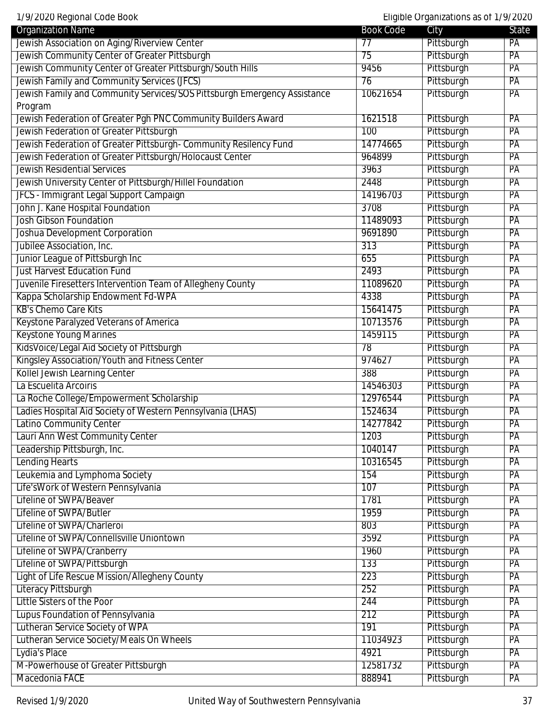1/9/2020 Regional Code Book Eligible Organizations as of 1/9/2020

| <b>Organization Name</b>                                                 | <b>Book Code</b> | City       | State |
|--------------------------------------------------------------------------|------------------|------------|-------|
| Jewish Association on Aging/Riverview Center                             | 77               | Pittsburgh | PA    |
| Jewish Community Center of Greater Pittsburgh                            | 75               | Pittsburgh | PA    |
| Jewish Community Center of Greater Pittsburgh/South Hills                | 9456             | Pittsburgh | PA    |
| Jewish Family and Community Services (JFCS)                              | 76               | Pittsburgh | PA    |
| Jewish Family and Community Services/SOS Pittsburgh Emergency Assistance | 10621654         | Pittsburgh | PA    |
| Program                                                                  |                  |            |       |
| Jewish Federation of Greater Pgh PNC Community Builders Award            | 1621518          | Pittsburgh | PA    |
| Jewish Federation of Greater Pittsburgh                                  | 100              | Pittsburgh | PA    |
| Jewish Federation of Greater Pittsburgh- Community Resilency Fund        | 14774665         | Pittsburgh | PA    |
| Jewish Federation of Greater Pittsburgh/Holocaust Center                 | 964899           | Pittsburgh | PA    |
| <b>Jewish Residential Services</b>                                       | 3963             | Pittsburgh | PA    |
| Jewish University Center of Pittsburgh/Hillel Foundation                 | 2448             | Pittsburgh | PA    |
| JFCS - Immigrant Legal Support Campaign                                  | 14196703         | Pittsburgh | PA    |
| John J. Kane Hospital Foundation                                         | 3708             | Pittsburgh | PA    |
| <b>Josh Gibson Foundation</b>                                            | 11489093         | Pittsburgh | PA    |
| Joshua Development Corporation                                           | 9691890          | Pittsburgh | PA    |
| Jubilee Association, Inc.                                                | 313              | Pittsburgh | PA    |
| Junior League of Pittsburgh Inc                                          | 655              | Pittsburgh | PA    |
| <b>Just Harvest Education Fund</b>                                       | 2493             | Pittsburgh | PA    |
| Juvenile Firesetters Intervention Team of Allegheny County               | 11089620         | Pittsburgh | PA    |
| Kappa Scholarship Endowment Fd-WPA                                       | 4338             | Pittsburgh | PA    |
| <b>KB's Chemo Care Kits</b>                                              | 15641475         | Pittsburgh | PA    |
| Keystone Paralyzed Veterans of America                                   | 10713576         | Pittsburgh | PA    |
| <b>Keystone Young Marines</b>                                            | 1459115          | Pittsburgh | PA    |
| KidsVoice/Legal Aid Society of Pittsburgh                                | 78               | Pittsburgh | PA    |
| Kingsley Association/Youth and Fitness Center                            | 974627           | Pittsburgh | PA    |
| Kollel Jewish Learning Center                                            | 388              | Pittsburgh | PA    |
| La Escuelita Arcoiris                                                    | 14546303         | Pittsburgh | PA    |
| La Roche College/Empowerment Scholarship                                 | 12976544         | Pittsburgh | PA    |
| Ladies Hospital Aid Society of Western Pennsylvania (LHAS)               | 1524634          | Pittsburgh | PA    |
| Latino Community Center                                                  | 14277842         | Pittsburgh | PA    |
| Lauri Ann West Community Center                                          | 1203             | Pittsburgh | PA    |
| Leadership Pittsburgh, Inc.                                              | 1040147          | Pittsburgh | PA    |
| <b>Lending Hearts</b>                                                    | 10316545         | Pittsburgh | PA    |
| Leukemia and Lymphoma Society                                            | 154              | Pittsburgh | PA    |
| Life'sWork of Western Pennsylvania                                       | 107              | Pittsburgh | PA    |
| Lifeline of SWPA/Beaver                                                  | 1781             | Pittsburgh | PA    |
| Lifeline of SWPA/Butler                                                  | 1959             | Pittsburgh | PA    |
| Lifeline of SWPA/Charleroi                                               | 803              | Pittsburgh | PA    |
| Lifeline of SWPA/Connellsville Uniontown                                 | 3592             | Pittsburgh | PA    |
| Lifeline of SWPA/Cranberry                                               | 1960             | Pittsburgh | PA    |
| Lifeline of SWPA/Pittsburgh                                              | 133              | Pittsburgh | PA    |
| Light of Life Rescue Mission/Allegheny County                            | 223              | Pittsburgh | PA    |
| <b>Literacy Pittsburgh</b>                                               | 252              | Pittsburgh | PA    |
| Little Sisters of the Poor                                               | 244              | Pittsburgh | PA    |
| Lupus Foundation of Pennsylvania                                         | 212              | Pittsburgh | PA    |
| Lutheran Service Society of WPA                                          | 191              | Pittsburgh | PA    |
| Lutheran Service Society/Meals On Wheels                                 | 11034923         | Pittsburgh | PA    |
| Lydia's Place                                                            | 4921             | Pittsburgh | PA    |
| M-Powerhouse of Greater Pittsburgh                                       | 12581732         | Pittsburgh | PA    |
| Macedonia FACE                                                           | 888941           | Pittsburgh | PA    |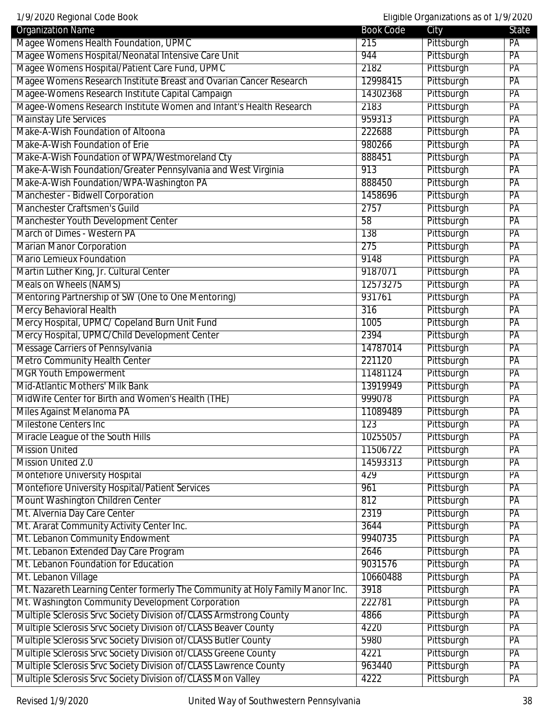| <b>Organization Name</b>                                                      | <b>Book Code</b> | City       | <b>State</b> |
|-------------------------------------------------------------------------------|------------------|------------|--------------|
| Magee Womens Health Foundation, UPMC                                          | 215              | Pittsburgh | PA           |
| Magee Womens Hospital/Neonatal Intensive Care Unit                            | 944              | Pittsburgh | PA           |
| Magee Womens Hospital/Patient Care Fund, UPMC                                 | 2182             | Pittsburgh | PA           |
| Magee Womens Research Institute Breast and Ovarian Cancer Research            | 12998415         | Pittsburgh | PA           |
| Magee-Womens Research Institute Capital Campaign                              | 14302368         | Pittsburgh | PA           |
| Magee-Womens Research Institute Women and Infant's Health Research            | 2183             | Pittsburgh | PA           |
| <b>Mainstay Life Services</b>                                                 | 959313           | Pittsburgh | PA           |
| Make-A-Wish Foundation of Altoona                                             | 222688           | Pittsburgh | PA           |
| Make-A-Wish Foundation of Erie                                                | 980266           | Pittsburgh | PA           |
| Make-A-Wish Foundation of WPA/Westmoreland Cty                                | 888451           | Pittsburgh | PA           |
| Make-A-Wish Foundation/Greater Pennsylvania and West Virginia                 | 913              | Pittsburgh | PA           |
| Make-A-Wish Foundation/WPA-Washington PA                                      | 888450           | Pittsburgh | PA           |
| Manchester - Bidwell Corporation                                              | 1458696          | Pittsburgh | PA           |
| Manchester Craftsmen's Guild                                                  | 2757             | Pittsburgh | PA           |
| Manchester Youth Development Center                                           | 58               | Pittsburgh | PA           |
| March of Dimes - Western PA                                                   | 138              | Pittsburgh | PA           |
| <b>Marian Manor Corporation</b>                                               | 275              | Pittsburgh | PA           |
| <b>Mario Lemieux Foundation</b>                                               | 9148             | Pittsburgh | PA           |
| Martin Luther King, Jr. Cultural Center                                       | 9187071          | Pittsburgh | PA           |
| <b>Meals on Wheels (NAMS)</b>                                                 | 12573275         | Pittsburgh | PA           |
| Mentoring Partnership of SW (One to One Mentoring)                            | 931761           | Pittsburgh | PA           |
| Mercy Behavioral Health                                                       | 316              | Pittsburgh | PA           |
| Mercy Hospital, UPMC/ Copeland Burn Unit Fund                                 | 1005             | Pittsburgh | PA           |
| Mercy Hospital, UPMC/Child Development Center                                 | 2394             | Pittsburgh | PA           |
| Message Carriers of Pennsylvania                                              | 14787014         | Pittsburgh | PA           |
| <b>Metro Community Health Center</b>                                          | 221120           | Pittsburgh | PA           |
| <b>MGR Youth Empowerment</b>                                                  | 11481124         | Pittsburgh | PA           |
| Mid-Atlantic Mothers' Milk Bank                                               | 13919949         | Pittsburgh | PA           |
| MidWife Center for Birth and Women's Health (THE)                             | 999078           | Pittsburgh | PA           |
| Miles Against Melanoma PA                                                     | 11089489         | Pittsburgh | PA           |
| <b>Milestone Centers Inc</b>                                                  | $\overline{123}$ | Pittsburgh | PA           |
| Miracle League of the South Hills                                             | 10255057         | Pittsburgh | PA           |
| <b>Mission United</b>                                                         | 11506722         | Pittsburgh | PA           |
| <b>Mission United 2.0</b>                                                     | 14593313         | Pittsburgh | PA           |
| <b>Montefiore University Hospital</b>                                         | 429              | Pittsburgh | PA           |
| Montefiore University Hospital/Patient Services                               | 961              | Pittsburgh | PA           |
| Mount Washington Children Center                                              | 812              | Pittsburgh | PA           |
| Mt. Alvernia Day Care Center                                                  | 2319             | Pittsburgh | PA           |
| Mt. Ararat Community Activity Center Inc.                                     | 3644             | Pittsburgh | PA           |
| Mt. Lebanon Community Endowment                                               | 9940735          | Pittsburgh | PA           |
| Mt. Lebanon Extended Day Care Program                                         | 2646             | Pittsburgh | PA           |
| Mt. Lebanon Foundation for Education                                          | 9031576          | Pittsburgh | PA           |
| Mt. Lebanon Village                                                           | 10660488         | Pittsburgh | PA           |
| Mt. Nazareth Learning Center formerly The Community at Holy Family Manor Inc. | 3918             | Pittsburgh | PA           |
| Mt. Washington Community Development Corporation                              | 222781           | Pittsburgh | PA           |
| Multiple Sclerosis Srvc Society Division of/CLASS Armstrong County            | 4866             | Pittsburgh | PA           |
| Multiple Sclerosis Srvc Society Division of/CLASS Beaver County               | 4220             | Pittsburgh | PA           |
| Multiple Sclerosis Srvc Society Division of/CLASS Butler County               | 5980             | Pittsburgh | PA           |
| Multiple Sclerosis Srvc Society Division of/CLASS Greene County               | 4221             | Pittsburgh | PA           |
| Multiple Sclerosis Srvc Society Division of/CLASS Lawrence County             | 963440           | Pittsburgh | PA           |
| Multiple Sclerosis Srvc Society Division of/CLASS Mon Valley                  | 4222             | Pittsburgh | PA           |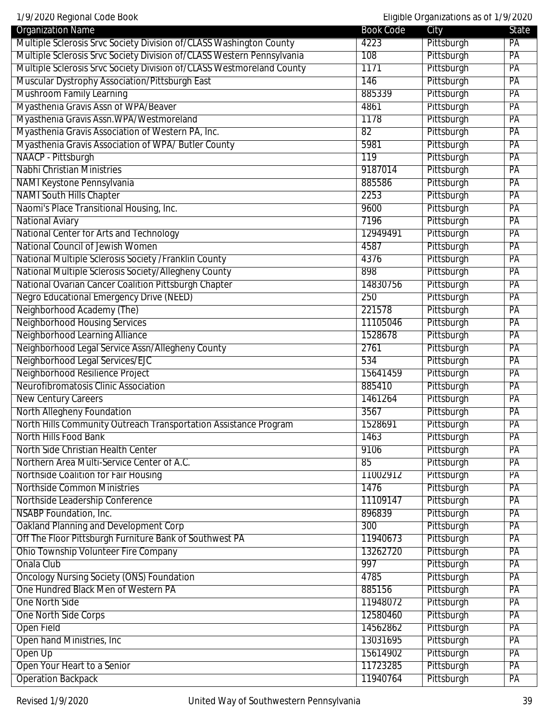1/9/2020 Regional Code Book Eligible Organizations as of 1/9/2020

| Multiple Sclerosis Srvc Society Division of/CLASS Washington County<br>4223<br>Pittsburgh<br>PA   |  |
|---------------------------------------------------------------------------------------------------|--|
|                                                                                                   |  |
| Multiple Sclerosis Srvc Society Division of/CLASS Western Pennsylvania<br>PA<br>108<br>Pittsburgh |  |
| Multiple Sclerosis Srvc Society Division of/CLASS Westmoreland County<br>Pittsburgh<br>1171<br>PA |  |
| Muscular Dystrophy Association/Pittsburgh East<br>146<br>Pittsburgh<br>PA                         |  |
| <b>Mushroom Family Learning</b><br>885339<br>Pittsburgh<br>PA                                     |  |
| Myasthenia Gravis Assn of WPA/Beaver<br>Pittsburgh<br>4861<br>PA                                  |  |
| Myasthenia Gravis Assn. WPA/Westmoreland<br>1178<br>Pittsburgh<br>PA                              |  |
| Myasthenia Gravis Association of Western PA, Inc.<br>Pittsburgh<br>82<br>PA                       |  |
| Myasthenia Gravis Association of WPA/Butler County<br>Pittsburgh<br>PA<br>5981                    |  |
| NAACP - Pittsburgh<br>Pittsburgh<br>119<br>PA                                                     |  |
| <b>Nabhi Christian Ministries</b><br>Pittsburgh<br>9187014<br>PA                                  |  |
| Pittsburgh<br>885586<br>PA<br>NAMI Keystone Pennsylvania                                          |  |
| <b>NAMI South Hills Chapter</b><br>Pittsburgh<br>2253<br>PA                                       |  |
| Naomi's Place Transitional Housing, Inc.<br>9600<br>Pittsburgh<br>PA                              |  |
| <b>National Aviary</b><br>7196<br>Pittsburgh<br>PA                                                |  |
| National Center for Arts and Technology<br>12949491<br>Pittsburgh<br>PA                           |  |
| National Council of Jewish Women<br>Pittsburgh<br>4587<br>PA                                      |  |
| National Multiple Sclerosis Society / Franklin County<br>Pittsburgh<br>4376<br>PA                 |  |
| National Multiple Sclerosis Society/Allegheny County<br>Pittsburgh<br>898<br>PA                   |  |
| National Ovarian Cancer Coalition Pittsburgh Chapter<br>Pittsburgh<br>PA<br>14830756              |  |
| <b>Negro Educational Emergency Drive (NEED)</b><br>Pittsburgh<br>PA<br>250                        |  |
| Neighborhood Academy (The)<br>Pittsburgh<br>221578<br>PA                                          |  |
| <b>Neighborhood Housing Services</b><br>Pittsburgh<br>PA<br>11105046                              |  |
| Neighborhood Learning Alliance<br>Pittsburgh<br>1528678<br>PA                                     |  |
| Neighborhood Legal Service Assn/Allegheny County<br>Pittsburgh<br>2761<br>PA                      |  |
| Neighborhood Legal Services/EJC<br>534<br>Pittsburgh<br>PA                                        |  |
| Neighborhood Resilience Project<br>Pittsburgh<br>PA<br>15641459                                   |  |
| Neurofibromatosis Clinic Association<br>Pittsburgh<br>885410<br>PA                                |  |
| <b>New Century Careers</b><br>Pittsburgh<br>1461264<br>PA                                         |  |
| North Allegheny Foundation<br>Pittsburgh<br>3567<br>PA                                            |  |
| North Hills Community Outreach Transportation Assistance Program<br>Pittsburgh<br>1528691<br>PA   |  |
| North Hills Food Bank<br>1463<br>Pittsburgh<br>PA                                                 |  |
| North Side Christian Health Center<br>9106<br>Pittsburgh<br>PA                                    |  |
| Pittsburgh<br>Northern Area Multi-Service Center of A.C.<br>85<br>PA                              |  |
| Northside Coalition for Fair Housing<br>Pittsburgh<br>11002912<br>PA                              |  |
| Northside Common Ministries<br>Pittsburgh<br>1476<br>PA                                           |  |
| Pittsburgh<br>Northside Leadership Conference<br>PA<br>11109147                                   |  |
| <b>NSABP Foundation, Inc.</b><br>Pittsburgh<br>896839<br>PA                                       |  |
| Oakland Planning and Development Corp<br>Pittsburgh<br>300<br>PA                                  |  |
| Off The Floor Pittsburgh Furniture Bank of Southwest PA<br>Pittsburgh<br>11940673<br>PA           |  |
| <b>Ohio Township Volunteer Fire Company</b><br>Pittsburgh<br>13262720<br>PA                       |  |
| Pittsburgh<br>Onala Club<br>997<br>PA                                                             |  |
| <b>Oncology Nursing Society (ONS) Foundation</b><br>4785<br>Pittsburgh<br>PA                      |  |
| One Hundred Black Men of Western PA<br>Pittsburgh<br>885156<br>PA                                 |  |
| Pittsburgh<br>One North Side<br>11948072<br>PA                                                    |  |
| <b>One North Side Corps</b><br>12580460<br>Pittsburgh<br>PA                                       |  |
| Pittsburgh<br>Open Field<br>14562862<br>PA                                                        |  |
| Pittsburgh<br><b>Open hand Ministries, Inc.</b><br>13031695<br>PA                                 |  |
| Open Up<br>15614902<br>Pittsburgh<br>PA                                                           |  |
| Open Your Heart to a Senior<br>11723285<br>Pittsburgh<br>PA                                       |  |
| <b>Operation Backpack</b><br>Pittsburgh<br>11940764<br>PA                                         |  |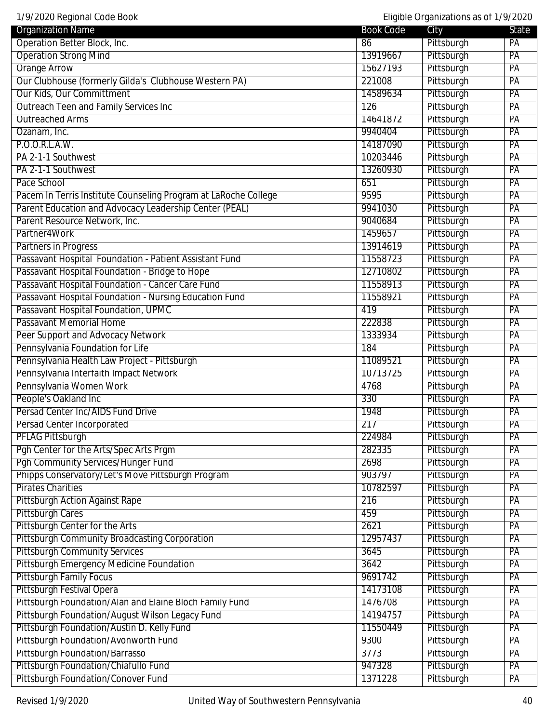| 1/9/2020 Regional Code Book                                     |                  | Eligible Organizations as of 1/9/2020 |       |
|-----------------------------------------------------------------|------------------|---------------------------------------|-------|
| <b>Organization Name</b>                                        | <b>Book Code</b> | City                                  | State |
| Operation Better Block, Inc.                                    | 86               | Pittsburgh                            | PA    |
| <b>Operation Strong Mind</b>                                    | 13919667         | Pittsburgh                            | PA    |
| <b>Orange Arrow</b>                                             | 15627193         | Pittsburgh                            | PA    |
| Our Clubhouse (formerly Gilda's Clubhouse Western PA)           | 221008           | Pittsburgh                            | PA    |
| Our Kids, Our Committment                                       | 14589634         | Pittsburgh                            | PA    |
| Outreach Teen and Family Services Inc                           | 126              | Pittsburgh                            | PA    |
| <b>Outreached Arms</b>                                          | 14641872         | Pittsburgh                            | PA    |
| Ozanam, Inc.                                                    | 9940404          | Pittsburgh                            | PA    |
| P.O.O.R.L.A.W.                                                  | 14187090         | Pittsburgh                            | PA    |
| PA 2-1-1 Southwest                                              | 10203446         | Pittsburgh                            | PA    |
| PA 2-1-1 Southwest                                              | 13260930         | Pittsburgh                            | PA    |
| Pace School                                                     | 651              | Pittsburgh                            | PA    |
| Pacem In Terris Institute Counseling Program at LaRoche College | 9595             | Pittsburgh                            | PA    |
| Parent Education and Advocacy Leadership Center (PEAL)          | 9941030          | Pittsburgh                            | PA    |
| Parent Resource Network, Inc.                                   | 9040684          | Pittsburgh                            | PA    |
| Partner4Work                                                    | 1459657          | Pittsburgh                            | PA    |
| <b>Partners in Progress</b>                                     | 13914619         | Pittsburgh                            | PA    |
| Passavant Hospital Foundation - Patient Assistant Fund          | 11558723         | Pittsburgh                            | PA    |
| Passavant Hospital Foundation - Bridge to Hope                  | 12710802         | Pittsburgh                            | PA    |
| Passavant Hospital Foundation - Cancer Care Fund                | 11558913         | Pittsburgh                            | PA    |
| Passavant Hospital Foundation - Nursing Education Fund          | 11558921         | Pittsburgh                            | PA    |
| Passavant Hospital Foundation, UPMC                             | 419              | Pittsburgh                            | PA    |
| Passavant Memorial Home                                         | 222838           | Pittsburgh                            | PA    |
| Peer Support and Advocacy Network                               | 1333934          | Pittsburgh                            | PA    |
| Pennsylvania Foundation for Life                                | 184              | Pittsburgh                            | PA    |
| Pennsylvania Health Law Project - Pittsburgh                    | 11089521         | Pittsburgh                            | PA    |
| Pennsylvania Interfaith Impact Network                          | 10713725         | Pittsburgh                            | PA    |
| Pennsylvania Women Work                                         | 4768             | Pittsburgh                            | PA    |
| People's Oakland Inc                                            | 330              | Pittsburgh                            | PA    |
| Persad Center Inc/AIDS Fund Drive                               | 1948             | Pittsburgh                            | PA    |
|                                                                 | 217              |                                       | PA    |
| Persad Center Incorporated                                      |                  | Pittsburgh                            |       |
| <b>PFLAG Pittsburgh</b>                                         | 224984           | Pittsburgh                            | PA    |
| Pgh Center for the Arts/Spec Arts Prgm                          | 282335           | Pittsburgh                            | PA    |
| Pgh Community Services/Hunger Fund                              | 2698             | Pittsburgh                            | PA    |
| Phipps Conservatory/Let's Move Pittsburgh Program               | 903797           | Pittsburgh                            | PA    |
| <b>Pirates Charities</b>                                        | 10782597         | Pittsburgh                            | PA    |
| <b>Pittsburgh Action Against Rape</b>                           | 216              | Pittsburgh                            | PA    |
| <b>Pittsburgh Cares</b>                                         | 459              | Pittsburgh                            | PA    |
| Pittsburgh Center for the Arts                                  | 2621             | Pittsburgh                            | PA    |
| <b>Pittsburgh Community Broadcasting Corporation</b>            | 12957437         | Pittsburgh                            | PA    |
| <b>Pittsburgh Community Services</b>                            | 3645             | Pittsburgh                            | PA    |
| <b>Pittsburgh Emergency Medicine Foundation</b>                 | 3642             | Pittsburgh                            | PA    |
| <b>Pittsburgh Family Focus</b>                                  | 9691742          | Pittsburgh                            | PA    |
| <b>Pittsburgh Festival Opera</b>                                | 14173108         | Pittsburgh                            | PA    |
| Pittsburgh Foundation/Alan and Elaine Bloch Family Fund         | 1476708          | Pittsburgh                            | PA    |
| Pittsburgh Foundation/August Wilson Legacy Fund                 | 14194757         | Pittsburgh                            | PA    |
| Pittsburgh Foundation/Austin D. Kelly Fund                      | 11550449         | Pittsburgh                            | PA    |
| Pittsburgh Foundation/Avonworth Fund                            | 9300             | Pittsburgh                            | PA    |
| <b>Pittsburgh Foundation/Barrasso</b>                           | 3773             | Pittsburgh                            | PA    |
| Pittsburgh Foundation/Chiafullo Fund                            | 947328           | Pittsburgh                            | PA    |
| Pittsburgh Foundation/Conover Fund                              | 1371228          | Pittsburgh                            | PA    |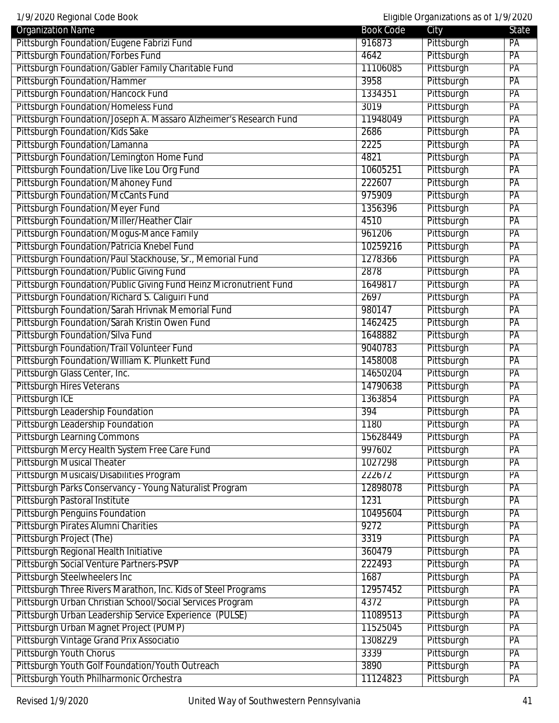1/9/2020 Regional Code Book Eligible Organizations as of 1/9/2020

| <b>Organization Name</b>                                          | <b>Book Code</b> | City       | State |
|-------------------------------------------------------------------|------------------|------------|-------|
| Pittsburgh Foundation/Eugene Fabrizi Fund                         | 916873           | Pittsburgh | PA    |
| <b>Pittsburgh Foundation/Forbes Fund</b>                          | 4642             | Pittsburgh | PA    |
| Pittsburgh Foundation/Gabler Family Charitable Fund               | 11106085         | Pittsburgh | PA    |
| <b>Pittsburgh Foundation/Hammer</b>                               | 3958             | Pittsburgh | PA    |
| Pittsburgh Foundation/Hancock Fund                                | 1334351          | Pittsburgh | PA    |
| <b>Pittsburgh Foundation/Homeless Fund</b>                        | 3019             | Pittsburgh | PA    |
| Pittsburgh Foundation/Joseph A. Massaro Alzheimer's Research Fund | 11948049         | Pittsburgh | PA    |
| Pittsburgh Foundation/Kids Sake                                   | 2686             | Pittsburgh | PA    |
| Pittsburgh Foundation/Lamanna                                     | 2225             | Pittsburgh | PA    |
| Pittsburgh Foundation/Lemington Home Fund                         | 4821             | Pittsburgh | PA    |
| Pittsburgh Foundation/Live like Lou Org Fund                      | 10605251         | Pittsburgh | PA    |
| Pittsburgh Foundation/Mahoney Fund                                | 222607           | Pittsburgh | PA    |
| <b>Pittsburgh Foundation/McCants Fund</b>                         | 975909           | Pittsburgh | PA    |
| <b>Pittsburgh Foundation/Meyer Fund</b>                           | 1356396          | Pittsburgh | PA    |
| Pittsburgh Foundation/Miller/Heather Clair                        | 4510             | Pittsburgh | PA    |
| Pittsburgh Foundation/Mogus-Mance Family                          | 961206           | Pittsburgh | PA    |
| Pittsburgh Foundation/Patricia Knebel Fund                        | 10259216         | Pittsburgh | PA    |
| Pittsburgh Foundation/Paul Stackhouse, Sr., Memorial Fund         | 1278366          | Pittsburgh | PA    |
| Pittsburgh Foundation/Public Giving Fund                          | 2878             | Pittsburgh | PA    |
| Pittsburgh Foundation/Public Giving Fund Heinz Micronutrient Fund | 1649817          | Pittsburgh | PA    |
| Pittsburgh Foundation/Richard S. Caliguiri Fund                   | 2697             | Pittsburgh | PA    |
| Pittsburgh Foundation/Sarah Hrivnak Memorial Fund                 | 980147           | Pittsburgh | PA    |
| Pittsburgh Foundation/Sarah Kristin Owen Fund                     | 1462425          | Pittsburgh | PA    |
| Pittsburgh Foundation/Silva Fund                                  | 1648882          | Pittsburgh | PA    |
| Pittsburgh Foundation/Trail Volunteer Fund                        | 9040783          | Pittsburgh | PA    |
| Pittsburgh Foundation/William K. Plunkett Fund                    | 1458008          | Pittsburgh | PA    |
| Pittsburgh Glass Center, Inc.                                     | 14650204         | Pittsburgh | PA    |
| <b>Pittsburgh Hires Veterans</b>                                  | 14790638         | Pittsburgh | PA    |
| Pittsburgh ICE                                                    | 1363854          | Pittsburgh | PA    |
| Pittsburgh Leadership Foundation                                  | 394              | Pittsburgh | PA    |
| Pittsburgh Leadership Foundation                                  | 1180             | Pittsburgh | PA    |
| <b>Pittsburgh Learning Commons</b>                                | 15628449         | Pittsburgh | PA    |
| Pittsburgh Mercy Health System Free Care Fund                     | 997602           | Pittsburgh | PA    |
| <b>Pittsburgh Musical Theater</b>                                 | 1027298          | Pittsburgh | PA    |
| Pittsburgh Musicals/Disabilities Program                          | 222672           | Pittsburgh | PA    |
| Pittsburgh Parks Conservancy - Young Naturalist Program           | 12898078         | Pittsburgh | PA    |
| Pittsburgh Pastoral Institute                                     | 1231             | Pittsburgh | PA    |
| <b>Pittsburgh Penguins Foundation</b>                             | 10495604         | Pittsburgh | PA    |
| <b>Pittsburgh Pirates Alumni Charities</b>                        | 9272             | Pittsburgh | PA    |
| Pittsburgh Project (The)                                          | 3319             | Pittsburgh | PA    |
| Pittsburgh Regional Health Initiative                             | 360479           | Pittsburgh | PA    |
| Pittsburgh Social Venture Partners-PSVP                           | 222493           | Pittsburgh | PA    |
| Pittsburgh Steelwheelers Inc                                      | 1687             | Pittsburgh | PA    |
| Pittsburgh Three Rivers Marathon, Inc. Kids of Steel Programs     | 12957452         | Pittsburgh | PA    |
| Pittsburgh Urban Christian School/Social Services Program         | 4372             | Pittsburgh | PA    |
| Pittsburgh Urban Leadership Service Experience (PULSE)            | 11089513         | Pittsburgh | PA    |
| Pittsburgh Urban Magnet Project (PUMP)                            | 11525045         | Pittsburgh | PA    |
| Pittsburgh Vintage Grand Prix Associatio                          | 1308229          | Pittsburgh | PA    |
| <b>Pittsburgh Youth Chorus</b>                                    | 3339             | Pittsburgh | PA    |
| Pittsburgh Youth Golf Foundation/Youth Outreach                   | 3890             | Pittsburgh | PA    |
|                                                                   |                  |            |       |
| Pittsburgh Youth Philharmonic Orchestra                           | 11124823         | Pittsburgh | PA    |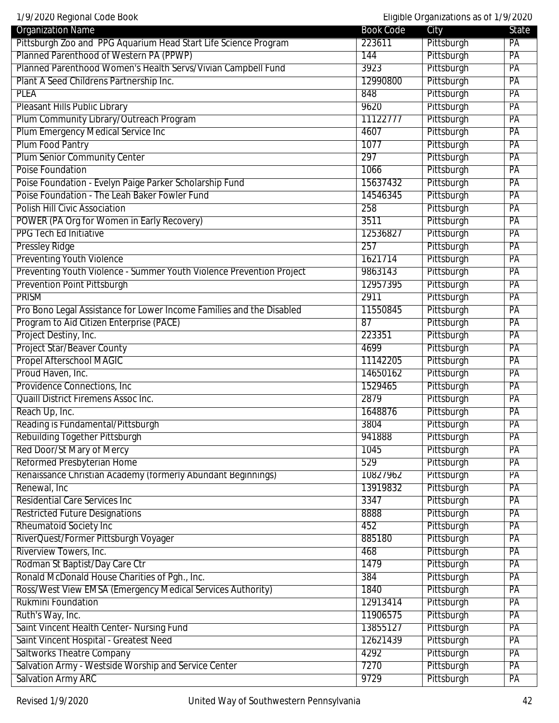| 1/9/2020 Regional Code Book                                          |                  | Eligible Organizations as of 1/9/2020 |                 |
|----------------------------------------------------------------------|------------------|---------------------------------------|-----------------|
| <b>Organization Name</b>                                             | <b>Book Code</b> | City                                  | State           |
| Pittsburgh Zoo and PPG Aquarium Head Start Life Science Program      | 223611           | Pittsburgh                            | PA              |
| Planned Parenthood of Western PA (PPWP)                              | 144              | Pittsburgh                            | PA              |
| Planned Parenthood Women's Health Servs/Vivian Campbell Fund         | 3923             | Pittsburgh                            | PA              |
| Plant A Seed Childrens Partnership Inc.                              | 12990800         | Pittsburgh                            | $\overline{PA}$ |
| <b>PLEA</b>                                                          | 848              | Pittsburgh                            | PA              |
| Pleasant Hills Public Library                                        | 9620             | Pittsburgh                            | PA              |
| Plum Community Library/Outreach Program                              | 11122777         | Pittsburgh                            | PA              |
| Plum Emergency Medical Service Inc                                   | 4607             | Pittsburgh                            | PA              |
| <b>Plum Food Pantry</b>                                              | 1077             | Pittsburgh                            | PA              |
| <b>Plum Senior Community Center</b>                                  | 297              | Pittsburgh                            | PA              |
| <b>Poise Foundation</b>                                              | 1066             | Pittsburgh                            | PA              |
| Poise Foundation - Evelyn Paige Parker Scholarship Fund              | 15637432         | Pittsburgh                            | PA              |
| Poise Foundation - The Leah Baker Fowler Fund                        | 14546345         | Pittsburgh                            | PA              |
| <b>Polish Hill Civic Association</b>                                 | 258              | Pittsburgh                            | PA              |
| POWER (PA Org for Women in Early Recovery)                           | 3511             | Pittsburgh                            | PA              |
| <b>PPG Tech Ed Initiative</b>                                        | 12536827         | Pittsburgh                            | PA              |
| <b>Pressley Ridge</b>                                                | 257              | Pittsburgh                            | PA              |
| <b>Preventing Youth Violence</b>                                     | 1621714          | Pittsburgh                            | PA              |
| Preventing Youth Violence - Summer Youth Violence Prevention Project | 9863143          | Pittsburgh                            | PA              |
| <b>Prevention Point Pittsburgh</b>                                   | 12957395         | Pittsburgh                            | PA              |
| <b>PRISM</b>                                                         | 2911             | Pittsburgh                            | PA              |
| Pro Bono Legal Assistance for Lower Income Families and the Disabled | 11550845         | Pittsburgh                            | PA              |
| Program to Aid Citizen Enterprise (PACE)                             | 87               | Pittsburgh                            | PA              |
| Project Destiny, Inc.                                                | 223351           | Pittsburgh                            | PA              |
| <b>Project Star/Beaver County</b>                                    | 4699             | Pittsburgh                            | PA              |
| Propel Afterschool MAGIC                                             | 11142205         | Pittsburgh                            | PA              |
| Proud Haven, Inc.                                                    | 14650162         | Pittsburgh                            | PA              |
| Providence Connections, Inc.                                         | 1529465          | Pittsburgh                            | PA              |
| <b>Quaill District Firemens Assoc Inc.</b>                           | 2879             | Pittsburgh                            | PA              |
| Reach Up, Inc.                                                       | 1648876          | Pittsburgh                            | PA              |
| Reading is Fundamental/Pittsburgh                                    | 3804             | Pittsburgh                            | PA              |
| <b>Rebuilding Together Pittsburgh</b>                                | 941888           | Pittsburgh                            | $\overline{PA}$ |
| Red Door/St Mary of Mercy                                            | 1045             | Pittsburgh                            | PA              |
| Reformed Presbyterian Home                                           | 529              | Pittsburgh                            | PA              |
| Renaissance Christian Academy (formerly Abundant Beginnings)         | 10827962         | Pittsburgh                            | PA              |
| Renewal, Inc                                                         | 13919832         | Pittsburgh                            | PA              |
| Residential Care Services Inc                                        | 3347             | Pittsburgh                            | PA              |
| <b>Restricted Future Designations</b>                                | 8888             | Pittsburgh                            | PA              |
| <b>Rheumatoid Society Inc</b>                                        | 452              | Pittsburgh                            | PA              |
| RiverQuest/Former Pittsburgh Voyager                                 | 885180           | Pittsburgh                            | PA              |
| Riverview Towers, Inc.                                               | 468              | Pittsburgh                            | PA              |
| Rodman St Baptist/Day Care Ctr                                       | 1479             | Pittsburgh                            | PA              |
| Ronald McDonald House Charities of Pgh., Inc.                        | 384              | Pittsburgh                            | PA              |
| Ross/West View EMSA (Emergency Medical Services Authority)           | 1840             | Pittsburgh                            | PA              |
| <b>Rukmini Foundation</b>                                            | 12913414         | Pittsburgh                            | $\overline{PA}$ |
| Ruth's Way, Inc.                                                     | 11906575         | Pittsburgh                            | $\overline{PA}$ |
| Saint Vincent Health Center- Nursing Fund                            | 13855127         | Pittsburgh                            | PA              |
| Saint Vincent Hospital - Greatest Need                               | 12621439         | Pittsburgh                            | PA              |
| <b>Saltworks Theatre Company</b>                                     | 4292             | Pittsburgh                            | PA              |
| Salvation Army - Westside Worship and Service Center                 | 7270             | Pittsburgh                            | PA              |
| Salvation Army ARC                                                   | 9729             | Pittsburgh                            | PA              |
|                                                                      |                  |                                       |                 |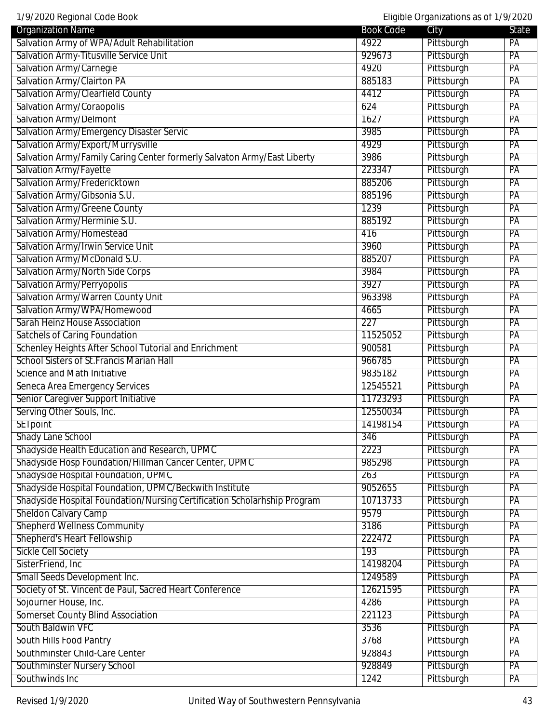| 1/9/2020 Regional Code Book<br>Eligible Organizations as of 1/9/2020     |                  |            |                 |
|--------------------------------------------------------------------------|------------------|------------|-----------------|
| <b>Organization Name</b>                                                 | <b>Book Code</b> | City       | <b>State</b>    |
| Salvation Army of WPA/Adult Rehabilitation                               | 4922             | Pittsburgh | PA              |
| Salvation Army-Titusville Service Unit                                   | 929673           | Pittsburgh | PA              |
| Salvation Army/Carnegie                                                  | 4920             | Pittsburgh | PA              |
| Salvation Army/Clairton PA                                               | 885183           | Pittsburgh | PA              |
| Salvation Army/Clearfield County                                         | 4412             | Pittsburgh | PA              |
| Salvation Army/Coraopolis                                                | 624              | Pittsburgh | PA              |
| <b>Salvation Army/Delmont</b>                                            | 1627             | Pittsburgh | PA              |
| Salvation Army/Emergency Disaster Servic                                 | 3985             | Pittsburgh | PA              |
| Salvation Army/Export/Murrysville                                        | 4929             | Pittsburgh | PA              |
| Salvation Army/Family Caring Center formerly Salvaton Army/East Liberty  | 3986             | Pittsburgh | $\overline{PA}$ |
| Salvation Army/Fayette                                                   | 223347           | Pittsburgh | PA              |
| Salvation Army/Fredericktown                                             | 885206           | Pittsburgh | PA              |
| Salvation Army/Gibsonia S.U.                                             | 885196           | Pittsburgh | PA              |
| Salvation Army/Greene County                                             | 1239             | Pittsburgh | PA              |
| Salvation Army/Herminie S.U.                                             | 885192           | Pittsburgh | PA              |
| Salvation Army/Homestead                                                 | 416              | Pittsburgh | PA              |
| Salvation Army/Irwin Service Unit                                        | 3960             | Pittsburgh | PA              |
| Salvation Army/McDonald S.U.                                             | 885207           | Pittsburgh | PA              |
| <b>Salvation Army/North Side Corps</b>                                   | 3984             | Pittsburgh | PA              |
| Salvation Army/Perryopolis                                               | 3927             | Pittsburgh | PA              |
| Salvation Army/Warren County Unit                                        | 963398           | Pittsburgh | PA              |
| Salvation Army/WPA/Homewood                                              |                  |            |                 |
|                                                                          | 4665             | Pittsburgh | PA              |
| Sarah Heinz House Association                                            | 227              | Pittsburgh | PA              |
| <b>Satchels of Caring Foundation</b>                                     | 11525052         | Pittsburgh | PA              |
| Schenley Heights After School Tutorial and Enrichment                    | 900581           | Pittsburgh | PA              |
| <b>School Sisters of St. Francis Marian Hall</b>                         | 966785           | Pittsburgh | PA              |
| Science and Math Initiative                                              | 9835182          | Pittsburgh | PA              |
| Seneca Area Emergency Services                                           | 12545521         | Pittsburgh | PA              |
| Senior Caregiver Support Initiative                                      | 11723293         | Pittsburgh | PA              |
| Serving Other Souls, Inc.                                                | 12550034         | Pittsburgh | PA              |
| <b>SETpoint</b>                                                          | 14198154         | Pittsburgh | PA              |
| <b>Shady Lane School</b>                                                 | 346              | Pittsburgh | PA              |
| Shadyside Health Education and Research, UPMC                            | 2223             | Pittsburgh | PA              |
| Shadyside Hosp Foundation/Hillman Cancer Center, UPMC                    | 985298           | Pittsburgh | PA              |
| Shadyside Hospital Foundation, UPMC                                      | 263              | Pittsburgh | PA              |
| Shadyside Hospital Foundation, UPMC/Beckwith Institute                   | 9052655          | Pittsburgh | PA              |
| Shadyside Hospital Foundation/Nursing Certification Scholarhship Program | 10713733         | Pittsburgh | PA              |
| <b>Sheldon Calvary Camp</b>                                              | 9579             | Pittsburgh | $\overline{PA}$ |
| <b>Shepherd Wellness Community</b>                                       | 3186             | Pittsburgh | PA              |
| Shepherd's Heart Fellowship                                              | 222472           | Pittsburgh | $\overline{PA}$ |
| <b>Sickle Cell Society</b>                                               | 193              | Pittsburgh | PA              |
| SisterFriend, Inc                                                        | 14198204         | Pittsburgh | PA              |
| Small Seeds Development Inc.                                             | 1249589          | Pittsburgh | PA              |
| Society of St. Vincent de Paul, Sacred Heart Conference                  | 12621595         | Pittsburgh | PA              |
| Sojourner House, Inc.                                                    | 4286             | Pittsburgh | PA              |
| <b>Somerset County Blind Association</b>                                 | 221123           | Pittsburgh | PA              |
| South Baldwin VFC                                                        | 3536             | Pittsburgh | PA              |
| South Hills Food Pantry                                                  | 3768             | Pittsburgh | PA              |
| Southminster Child-Care Center                                           | 928843           | Pittsburgh | PA              |
| Southminster Nursery School                                              | 928849           | Pittsburgh | PA              |
| Southwinds Inc                                                           | 1242             | Pittsburgh | PA              |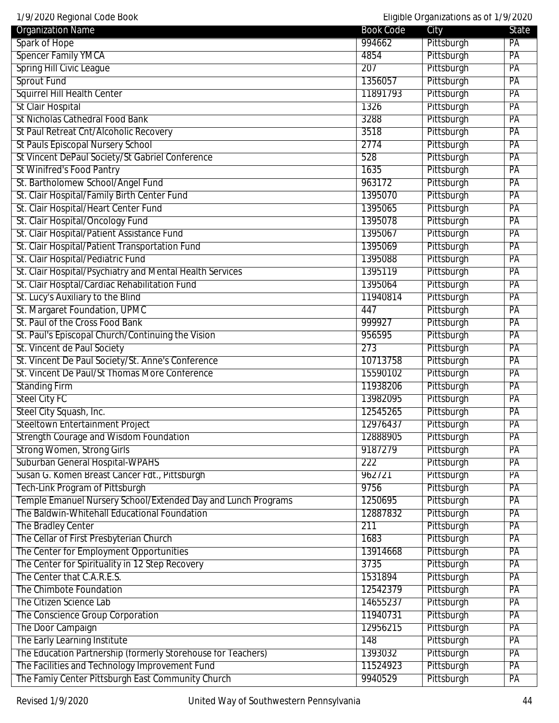| 1/9/2020 Regional Code Book                                   |                      | Eligible Organizations as of 1/9/2020 |                 |
|---------------------------------------------------------------|----------------------|---------------------------------------|-----------------|
| <b>Organization Name</b>                                      | <b>Book Code</b>     | City                                  | State           |
| Spark of Hope                                                 | 994662               | Pittsburgh                            | PA              |
| <b>Spencer Family YMCA</b>                                    | 4854                 | Pittsburgh                            | PA              |
| <b>Spring Hill Civic League</b>                               | 207                  | Pittsburgh                            | PA              |
| <b>Sprout Fund</b>                                            | 1356057              | Pittsburgh                            | PA              |
| <b>Squirrel Hill Health Center</b>                            | 11891793             | Pittsburgh                            | PA              |
| <b>St Clair Hospital</b>                                      | 1326                 | Pittsburgh                            | PA              |
| <b>St Nicholas Cathedral Food Bank</b>                        | 3288                 | Pittsburgh                            | PA              |
| St Paul Retreat Cnt/Alcoholic Recovery                        | 3518                 | Pittsburgh                            | PA              |
| <b>St Pauls Episcopal Nursery School</b>                      | 2774                 | Pittsburgh                            | PA              |
| St Vincent DePaul Society/St Gabriel Conference               | 528                  | Pittsburgh                            | PA              |
| <b>St Winifred's Food Pantry</b>                              | 1635                 | Pittsburgh                            | PA              |
| St. Bartholomew School/Angel Fund                             | 963172               | Pittsburgh                            | PA              |
| St. Clair Hospital/Family Birth Center Fund                   | 1395070              | Pittsburgh                            | PA              |
| St. Clair Hospital/Heart Center Fund                          | 1395065              | Pittsburgh                            | PA              |
| St. Clair Hospital/Oncology Fund                              | 1395078              | Pittsburgh                            | PA              |
| St. Clair Hospital/Patient Assistance Fund                    | 1395067              | Pittsburgh                            | PA              |
| St. Clair Hospital/Patient Transportation Fund                | 1395069              | Pittsburgh                            | PA              |
| St. Clair Hospital/Pediatric Fund                             | 1395088              | Pittsburgh                            | PA              |
| St. Clair Hospital/Psychiatry and Mental Health Services      | 1395119              | Pittsburgh                            | PA              |
| St. Clair Hosptal/Cardiac Rehabilitation Fund                 | 1395064              | Pittsburgh                            | PA              |
| St. Lucy's Auxiliary to the Blind                             | 11940814             | Pittsburgh                            | PA              |
| St. Margaret Foundation, UPMC                                 | 447                  | Pittsburgh                            | PA              |
| St. Paul of the Cross Food Bank                               | 999927               | Pittsburgh                            | PA              |
| St. Paul's Episcopal Church/Continuing the Vision             | 956595               | Pittsburgh                            | PA              |
| St. Vincent de Paul Society                                   | 273                  | Pittsburgh                            | PA              |
| St. Vincent De Paul Society/St. Anne's Conference             | 10713758             | Pittsburgh                            | PA              |
| St. Vincent De Paul/St Thomas More Conference                 | 15590102             | Pittsburgh                            | PA              |
| <b>Standing Firm</b>                                          | 11938206             | Pittsburgh                            | PA              |
| <b>Steel City FC</b>                                          | 13982095             | Pittsburgh                            | PA              |
| Steel City Squash, Inc.                                       | 12545265             | Pittsburgh                            | PA              |
| Steeltown Entertainment Project                               | 12976437             | Pittsburgh                            | $\overline{PA}$ |
| <b>Strength Courage and Wisdom Foundation</b>                 | 12888905             | Pittsburgh                            | $\overline{PA}$ |
| <b>Strong Women, Strong Girls</b>                             | 9187279              | Pittsburgh                            | PA              |
| Suburban General Hospital-WPAHS                               | 222                  | Pittsburgh                            | PA              |
| Susan G. Komen Breast Cancer Fdt., Pittsburgh                 | 962721               | Pittsburgh                            | PA              |
| Tech-Link Program of Pittsburgh                               | 9756                 | Pittsburgh                            | PA              |
| Temple Emanuel Nursery School/Extended Day and Lunch Programs | 1250695              | Pittsburgh                            | PA              |
| The Baldwin-Whitehall Educational Foundation                  | 12887832             | Pittsburgh                            | PA              |
| <b>The Bradley Center</b>                                     | 211                  | Pittsburgh                            | PA              |
| The Cellar of First Presbyterian Church                       | 1683                 | Pittsburgh                            | PA              |
| The Center for Employment Opportunities                       | 13914668             | Pittsburgh                            | PA              |
| The Center for Spirituality in 12 Step Recovery               | 3735                 | Pittsburgh                            | PA              |
| The Center that C.A.R.E.S.                                    | 1531894              | Pittsburgh                            | PA              |
| The Chimbote Foundation                                       | 12542379             | Pittsburgh                            | PA              |
| The Citizen Science Lab                                       |                      | Pittsburgh                            | PA              |
| The Conscience Group Corporation                              | 14655237<br>11940731 | Pittsburgh                            | PA              |
|                                                               | 12956215             |                                       |                 |
| The Door Campaign                                             |                      | Pittsburgh                            | PA              |
| The Early Learning Institute                                  | 148                  | Pittsburgh                            | PA              |
| The Education Partnership (formerly Storehouse for Teachers)  | 1393032              | Pittsburgh                            | PA              |
| The Facilities and Technology Improvement Fund                | 11524923             | Pittsburgh                            | PA              |
| The Famiy Center Pittsburgh East Community Church             | 9940529              | Pittsburgh                            | PA              |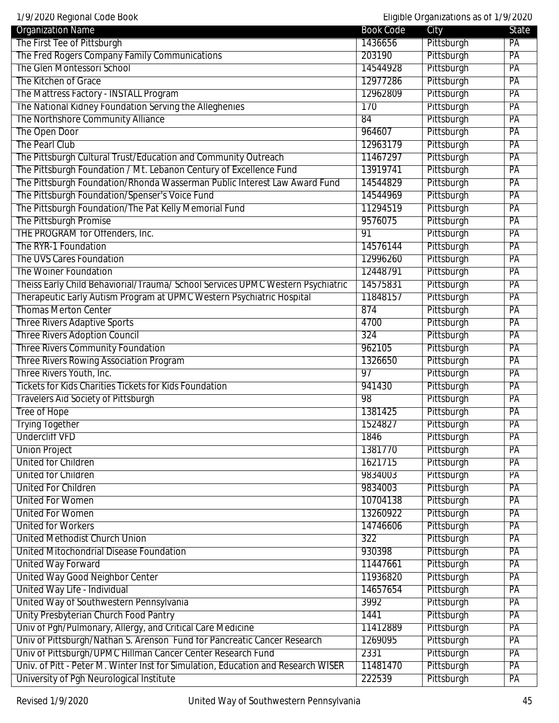1/9/2020 Regional Code Book Eligible Organizations as of 1/9/2020

| 17 77 ZUZU NGYNTAI GOUG DOON                                                      |                   | Lilyibic Organizations as OFTI 772020 |          |
|-----------------------------------------------------------------------------------|-------------------|---------------------------------------|----------|
| <b>Organization Name</b>                                                          | <b>Book Code</b>  | City                                  | State    |
| The First Tee of Pittsburgh<br>The Fred Rogers Company Family Communications      | 1436656<br>203190 | Pittsburgh                            | PA<br>PA |
| <b>The Glen Montessori School</b>                                                 |                   | Pittsburgh                            |          |
|                                                                                   | 14544928          | Pittsburgh                            | PA       |
| The Kitchen of Grace                                                              | 12977286          | Pittsburgh                            | PA       |
| The Mattress Factory - INSTALL Program                                            | 12962809          | Pittsburgh                            | PA       |
| The National Kidney Foundation Serving the Alleghenies                            | 170               | Pittsburgh                            | PA       |
| The Northshore Community Alliance                                                 | 84                | Pittsburgh                            | PA       |
| The Open Door                                                                     | 964607            | Pittsburgh                            | PA       |
| The Pearl Club                                                                    | 12963179          | Pittsburgh                            | PA       |
| The Pittsburgh Cultural Trust/Education and Community Outreach                    | 11467297          | Pittsburgh                            | PA       |
| The Pittsburgh Foundation / Mt. Lebanon Century of Excellence Fund                | 13919741          | Pittsburgh                            | PA       |
| The Pittsburgh Foundation/Rhonda Wasserman Public Interest Law Award Fund         | 14544829          | Pittsburgh                            | PA       |
| The Pittsburgh Foundation/Spenser's Voice Fund                                    | 14544969          | Pittsburgh                            | PA       |
| The Pittsburgh Foundation/The Pat Kelly Memorial Fund                             | 11294519          | Pittsburgh                            | PA       |
| The Pittsburgh Promise                                                            | 9576075           | Pittsburgh                            | PA       |
| THE PROGRAM for Offenders, Inc.                                                   | 91                | Pittsburgh                            | PA       |
| The RYR-1 Foundation                                                              | 14576144          | Pittsburgh                            | PA       |
| The UVS Cares Foundation                                                          | 12996260          | Pittsburgh                            | PA       |
| The Woiner Foundation                                                             | 12448791          | Pittsburgh                            | PA       |
| Theiss Early Child Behaviorial/Trauma/ School Services UPMC Western Psychiatric   | 14575831          | Pittsburgh                            | PA       |
| Therapeutic Early Autism Program at UPMC Western Psychiatric Hospital             | 11848157          | Pittsburgh                            | PA       |
| <b>Thomas Merton Center</b>                                                       | 874               | Pittsburgh                            | PA       |
| <b>Three Rivers Adaptive Sports</b>                                               | 4700              | Pittsburgh                            | PA       |
| <b>Three Rivers Adoption Council</b>                                              | 324               | Pittsburgh                            | PA       |
| Three Rivers Community Foundation                                                 | 962105            | Pittsburgh                            | PA       |
| <b>Three Rivers Rowing Association Program</b>                                    | 1326650           | Pittsburgh                            | PA       |
| Three Rivers Youth, Inc.                                                          | 97                | Pittsburgh                            | PA       |
| <b>Tickets for Kids Charities Tickets for Kids Foundation</b>                     | 941430            | Pittsburgh                            | PA       |
| <b>Travelers Aid Society of Pittsburgh</b>                                        | 98                | Pittsburgh                            | PA       |
| <b>Tree of Hope</b>                                                               | 1381425           | Pittsburgh                            | PA       |
| <b>Trying Together</b>                                                            | 1524827           | Pittsburgh                            | PA       |
| <b>Undercliff VFD</b>                                                             | 1846              | Pittsburgh                            | PA       |
| <b>Union Project</b>                                                              | 1381770           | Pittsburgh                            | PA       |
| <b>United for Children</b>                                                        | 1621715           | Pittsburgh                            | PA       |
| <b>United for Children</b>                                                        | 9834003           | Pittsburgh                            | PA       |
| <b>United For Children</b>                                                        | 9834003           | Pittsburgh                            | PA       |
| <b>United For Women</b>                                                           | 10704138          | Pittsburgh                            | PA       |
| <b>United For Women</b>                                                           | 13260922          | Pittsburgh                            | PA       |
| <b>United for Workers</b>                                                         | 14746606          | Pittsburgh                            | PA       |
| <b>United Methodist Church Union</b>                                              | 322               | Pittsburgh                            | PA       |
| <b>United Mitochondrial Disease Foundation</b>                                    | 930398            | Pittsburgh                            | PA       |
| <b>United Way Forward</b>                                                         | 11447661          | Pittsburgh                            | PA       |
| <b>United Way Good Neighbor Center</b>                                            | 11936820          | Pittsburgh                            | PA       |
| United Way Life - Individual                                                      | 14657654          | Pittsburgh                            | PA       |
| United Way of Southwestern Pennsylvania                                           | 3992              | Pittsburgh                            | PA       |
| Unity Presbyterian Church Food Pantry                                             | 1441              | Pittsburgh                            | PA       |
| Univ of Pgh/Pulmonary, Allergy, and Critical Care Medicine                        | 11412889          | Pittsburgh                            | PA       |
| Univ of Pittsburgh/Nathan S. Arenson Fund for Pancreatic Cancer Research          | 1269095           | Pittsburgh                            | PA       |
|                                                                                   | 2331              |                                       | PA       |
| Univ of Pittsburgh/UPMC Hillman Cancer Center Research Fund                       |                   | Pittsburgh                            |          |
| Univ. of Pitt - Peter M. Winter Inst for Simulation, Education and Research WISER | 11481470          | Pittsburgh                            | PA       |
| University of Pgh Neurological Institute                                          | 222539            | Pittsburgh                            | PA       |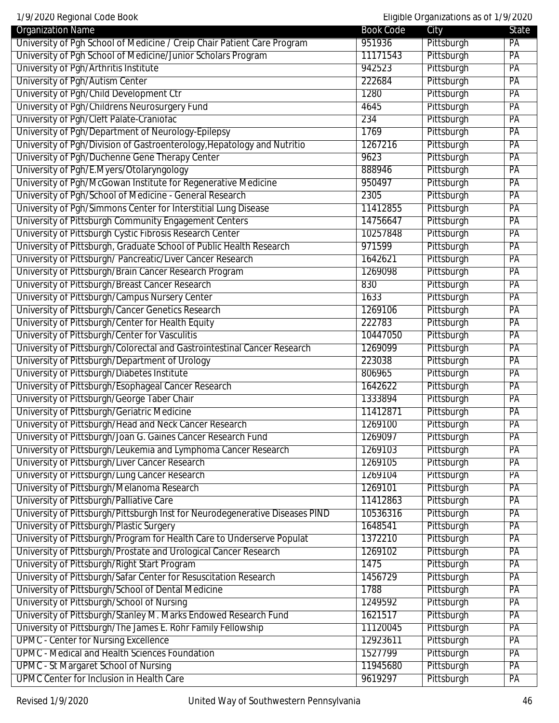1/9/2020 Regional Code Book Eligible Organizations as of 1/9/2020 Organization Name State State City State State City University of Pgh School of Medicine / Creip Chair Patient Care Program 1951936 Pittsburgh PA University of Pgh School of Medicine/Junior Scholars Program 11171543 Pittsburgh PA University of Pgh/Arthritis Institute 942523 Pittsburgh PA University of Pgh/Autism Center PA University of Pgh/Child Development Ctr 1280 Pittsburgh PA University of Pgh/Childrens Neurosurgery Fund 4645 Pittsburgh PA University of Pgh/Cleft Palate-Craniofac 234 Pittsburgh PA University of Pgh/Department of Neurology-Epilepsy 1769 1769 Pittsburgh PA University of Pgh/Division of Gastroenterology, Hepatology and Nutritio 1267216 Pittsburgh PA University of Pgh/Duchenne Gene Therapy Center **1982** 9623 Pittsburgh PA University of Pgh/E.Myers/Otolaryngology entity and the state of the state of Pittsburgh PA University of Pgh/McGowan Institute for Regenerative Medicine 1950497 Pittsburgh PA University of Pgh/School of Medicine - General Research 2305 Pittsburgh PA University of Pgh/Simmons Center for Interstitial Lung Disease 11412855 Pittsburgh PA University of Pittsburgh Community Engagement Centers 14756647 Pittsburgh PA University of Pittsburgh Cystic Fibrosis Research Center 10257848 | Pittsburgh PA University of Pittsburgh, Graduate School of Public Health Research 971599 Pittsburgh PA University of Pittsburgh/Pancreatic/Liver Cancer Research 1642621 Pittsburgh PA University of Pittsburgh/Brain Cancer Research Program 1269098 Pittsburgh PA University of Pittsburgh/Breast Cancer Research **830** Pittsburgh PA University of Pittsburgh/Campus Nursery Center 1633 Pittsburgh PA University of Pittsburgh/Cancer Genetics Research 1269106 Pittsburgh PA University of Pittsburgh/Center for Health Equity 222783 Pittsburgh PA University of Pittsburgh/Center for Vasculitis **10447050** Pittsburgh PA University of Pittsburgh/Colorectal and Gastrointestinal Cancer Research 1269099 Pittsburgh PA University of Pittsburgh/Department of Urology 223038 Pittsburgh PA University of Pittsburgh/Diabetes Institute PA and Participal Participal Participal PA and PA and PA University of Pittsburgh/Esophageal Cancer Research 1642622 Pittsburgh PA University of Pittsburgh/George Taber Chair 1333894 Pittsburgh PA University of Pittsburgh/Geriatric Medicine 11412871 Pittsburgh PA University of Pittsburgh/Head and Neck Cancer Research 1269100 Pittsburgh PA University of Pittsburgh/Joan G. Gaines Cancer Research Fund 1269097 Pittsburgh PA University of Pittsburgh/Leukemia and Lymphoma Cancer Research 1269103 Pittsburgh PA University of Pittsburgh/Liver Cancer Research 1269105 Pittsburgh PA University of Pittsburgh/Lung Cancer Research 1269104 Pittsburgh PA University of Pittsburgh/Melanoma Research 1269101 Pittsburgh PA University of Pittsburgh/Palliative Care 11412863 Pittsburgh PA University of Pittsburgh/Pittsburgh Inst for Neurodegenerative Diseases PIND 10536316 Pittsburgh PA University of Pittsburgh/Plastic Surgery **1648541** Pittsburgh PA University of Pittsburgh/Program for Health Care to Underserve Populat 1372210 Pittsburgh PA University of Pittsburgh/Prostate and Urological Cancer Research 1269102 Pittsburgh PA University of Pittsburgh/Right Start Program 1475 Pittsburgh PA University of Pittsburgh/Safar Center for Resuscitation Research 1456729 Pittsburgh PA University of Pittsburgh/School of Dental Medicine 1788 Pittsburgh PA University of Pittsburgh/School of Nursing The Communication of the 1249592 Pittsburgh PA University of Pittsburgh/Stanley M. Marks Endowed Research Fund 1621517 Pittsburgh PA University of Pittsburgh/The James E. Rohr Family Fellowship 11120045 Pittsburgh PA UPMC - Center for Nursing Excellence 12923611 Pittsburgh PA UPMC - Medical and Health Sciences Foundation 1527799 Pittsburgh PA UPMC - St Margaret School of Nursing The Communication of the Communication of the PA

UPMC Center for Inclusion in Health Care 19619297 Pittsburgh PA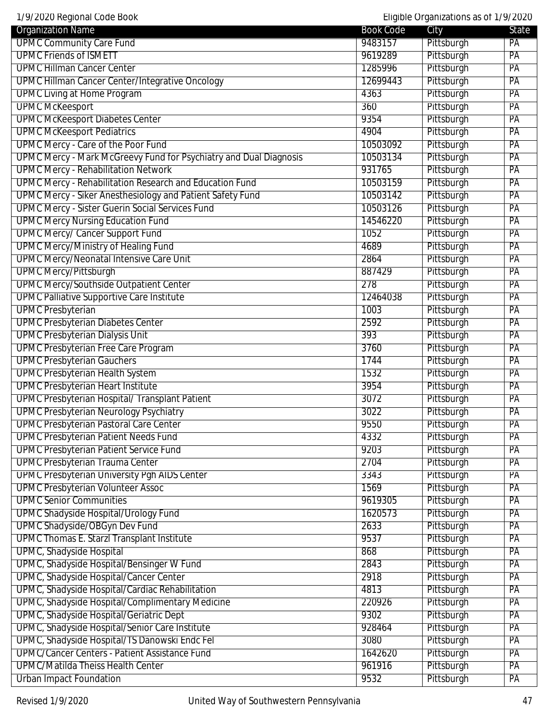| 1/9/2020 Regional Code Book                                       | Eligible Organizations as of 1/9/2020 |            |                 |
|-------------------------------------------------------------------|---------------------------------------|------------|-----------------|
| <b>Organization Name</b>                                          | <b>Book Code</b>                      | City       | State           |
| <b>UPMC Community Care Fund</b>                                   | 9483157                               | Pittsburgh | PA              |
| <b>UPMC Friends of ISMETT</b>                                     | 9619289                               | Pittsburgh | PA              |
| <b>UPMC Hillman Cancer Center</b>                                 | 1285996                               | Pittsburgh | PA              |
| <b>UPMC Hillman Cancer Center/Integrative Oncology</b>            | 12699443                              | Pittsburgh | PA              |
| <b>UPMC Living at Home Program</b>                                | 4363                                  | Pittsburgh | $\overline{PA}$ |
| <b>UPMC McKeesport</b>                                            | 360                                   | Pittsburgh | PA              |
| <b>UPMC McKeesport Diabetes Center</b>                            | 9354                                  | Pittsburgh | PA              |
| <b>UPMC McKeesport Pediatrics</b>                                 | 4904                                  | Pittsburgh | PA              |
| <b>UPMC Mercy - Care of the Poor Fund</b>                         | 10503092                              | Pittsburgh | PA              |
| UPMC Mercy - Mark McGreevy Fund for Psychiatry and Dual Diagnosis | 10503134                              | Pittsburgh | PA              |
| <b>UPMC Mercy - Rehabilitation Network</b>                        | 931765                                | Pittsburgh | PA              |
| UPMC Mercy - Rehabilitation Research and Education Fund           | 10503159                              | Pittsburgh | PA              |
| UPMC Mercy - Siker Anesthesiology and Patient Safety Fund         | 10503142                              | Pittsburgh | PA              |
| <b>UPMC Mercy - Sister Guerin Social Services Fund</b>            | 10503126                              | Pittsburgh | PA              |
| <b>UPMC Mercy Nursing Education Fund</b>                          | 14546220                              | Pittsburgh | PA              |
| <b>UPMC Mercy/ Cancer Support Fund</b>                            | 1052                                  | Pittsburgh | PA              |
| <b>UPMC Mercy/Ministry of Healing Fund</b>                        | 4689                                  | Pittsburgh | PA              |
| <b>UPMC Mercy/Neonatal Intensive Care Unit</b>                    | 2864                                  | Pittsburgh | $\overline{PA}$ |
| <b>UPMC Mercy/Pittsburgh</b>                                      | 887429                                | Pittsburgh | PA              |
| <b>UPMC Mercy/Southside Outpatient Center</b>                     | 278                                   | Pittsburgh | PA              |
| <b>UPMC Palliative Supportive Care Institute</b>                  | 12464038                              | Pittsburgh | PA              |
| <b>UPMC Presbyterian</b>                                          | 1003                                  | Pittsburgh | PA              |
| <b>UPMC Presbyterian Diabetes Center</b>                          | 2592                                  | Pittsburgh | PA              |
| <b>UPMC Presbyterian Dialysis Unit</b>                            | 393                                   | Pittsburgh | PA              |
| <b>UPMC Presbyterian Free Care Program</b>                        | 3760                                  | Pittsburgh | PA              |
| <b>UPMC Presbyterian Gauchers</b>                                 | 1744                                  | Pittsburgh | PA              |
| <b>UPMC Presbyterian Health System</b>                            | 1532                                  | Pittsburgh | PA              |
| <b>UPMC Presbyterian Heart Institute</b>                          | 3954                                  | Pittsburgh | PA              |
| UPMC Presbyterian Hospital/ Transplant Patient                    | 3072                                  | Pittsburgh | PA              |
| <b>UPMC Presbyterian Neurology Psychiatry</b>                     | 3022                                  | Pittsburgh | PA              |
| <b>UPMC Presbyterian Pastoral Care Center</b>                     | 9550                                  | Pittsburgh | PA              |
| <b>UPMC Presbyterian Patient Needs Fund</b>                       | 4332                                  | Pittsburgh | PA              |
| <b>UPMC Presbyterian Patient Service Fund</b>                     | 9203                                  | Pittsburgh | PA              |
| <b>UPMC Presbyterian Trauma Center</b>                            | 2704                                  | Pittsburgh | PA              |
| <b>UPMC Presbyterian University Pgh AIDS Center</b>               | 3343                                  | Pittsburgh | PA              |
| <b>UPMC Presbyterian Volunteer Assoc</b>                          | 1569                                  | Pittsburgh | PA              |
| <b>UPMC Senior Communities</b>                                    | 9619305                               | Pittsburgh | PA              |
| <b>UPMC Shadyside Hospital/Urology Fund</b>                       | 1620573                               | Pittsburgh | PA              |
| <b>UPMC Shadyside/OBGyn Dev Fund</b>                              | 2633                                  | Pittsburgh | PA              |
| <b>UPMC Thomas E. Starzl Transplant Institute</b>                 | 9537                                  | Pittsburgh | PA              |
| <b>UPMC, Shadyside Hospital</b>                                   | 868                                   | Pittsburgh | PA              |
| UPMC, Shadyside Hospital/Bensinger W Fund                         | 2843                                  | Pittsburgh | PA              |
| UPMC, Shadyside Hospital/Cancer Center                            | 2918                                  | Pittsburgh | PA              |
| UPMC, Shadyside Hospital/Cardiac Rehabilitation                   | 4813                                  | Pittsburgh | PA              |
| UPMC, Shadyside Hospital/Complimentary Medicine                   | 220926                                | Pittsburgh | PA              |
| UPMC, Shadyside Hospital/Geriatric Dept                           | 9302                                  | Pittsburgh | PA              |
| UPMC, Shadyside Hospital/Senior Care Institute                    | 928464                                | Pittsburgh | PA              |
| UPMC, Shadyside Hospital/TS Danowski Endc Fel                     | 3080                                  | Pittsburgh | PA              |
| <b>UPMC/Cancer Centers - Patient Assistance Fund</b>              | 1642620                               | Pittsburgh | PA              |
| <b>UPMC/Matilda Theiss Health Center</b>                          | 961916                                | Pittsburgh | PA              |
| <b>Urban Impact Foundation</b>                                    | 9532                                  | Pittsburgh | PA              |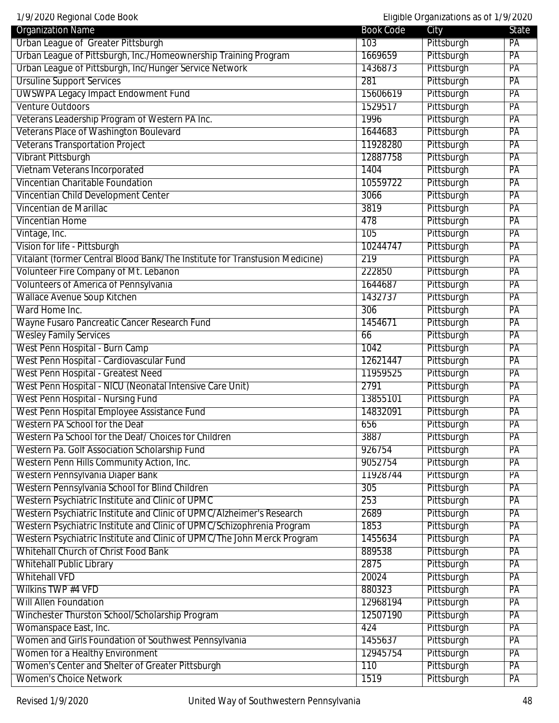1/9/2020 Regional Code Book Eligible Organizations as of 1/9/2020

| <b>Organization Name</b>                                                    | <b>Book Code</b> | City       | <b>State</b>    |
|-----------------------------------------------------------------------------|------------------|------------|-----------------|
| Urban League of Greater Pittsburgh                                          | 103              | Pittsburgh | PA              |
| Urban League of Pittsburgh, Inc./Homeownership Training Program             | 1669659          | Pittsburgh | PA              |
| Urban League of Pittsburgh, Inc/Hunger Service Network                      | 1436873          | Pittsburgh | PA              |
| <b>Ursuline Support Services</b>                                            | 281              | Pittsburgh | PA              |
| <b>UWSWPA Legacy Impact Endowment Fund</b>                                  | 15606619         | Pittsburgh | PA              |
| Venture Outdoors                                                            | 1529517          | Pittsburgh | PA              |
| Veterans Leadership Program of Western PA Inc.                              | 1996             | Pittsburgh | PA              |
| Veterans Place of Washington Boulevard                                      | 1644683          | Pittsburgh | PA              |
| <b>Veterans Transportation Project</b>                                      | 11928280         | Pittsburgh | PA              |
| <b>Vibrant Pittsburgh</b>                                                   | 12887758         | Pittsburgh | PA              |
| Vietnam Veterans Incorporated                                               | 1404             | Pittsburgh | PA              |
| <b>Vincentian Charitable Foundation</b>                                     | 10559722         | Pittsburgh | PA              |
| Vincentian Child Development Center                                         | 3066             | Pittsburgh | PA              |
| Vincentian de Marillac                                                      | 3819             | Pittsburgh | PA              |
| <b>Vincentian Home</b>                                                      | 478              | Pittsburgh | PA              |
| Vintage, Inc.                                                               | 105              | Pittsburgh | PA              |
| Vision for life - Pittsburgh                                                | 10244747         | Pittsburgh | PA              |
| Vitalant (former Central Blood Bank/The Institute for Transfusion Medicine) | 219              | Pittsburgh | PA              |
| Volunteer Fire Company of Mt. Lebanon                                       | 222850           | Pittsburgh | PA              |
| Volunteers of America of Pennsylvania                                       | 1644687          | Pittsburgh | PA              |
| <b>Wallace Avenue Soup Kitchen</b>                                          | 1432737          | Pittsburgh | PA              |
| Ward Home Inc.                                                              | 306              | Pittsburgh | PA              |
| Wayne Fusaro Pancreatic Cancer Research Fund                                | 1454671          | Pittsburgh | PA              |
| <b>Wesley Family Services</b>                                               | 66               | Pittsburgh | PA              |
| West Penn Hospital - Burn Camp                                              | 1042             | Pittsburgh | PA              |
| West Penn Hospital - Cardiovascular Fund                                    | 12621447         | Pittsburgh | PA              |
| West Penn Hospital - Greatest Need                                          | 11959525         | Pittsburgh | PA              |
| West Penn Hospital - NICU (Neonatal Intensive Care Unit)                    | 2791             | Pittsburgh | PA              |
| West Penn Hospital - Nursing Fund                                           | 13855101         | Pittsburgh | PA              |
| West Penn Hospital Employee Assistance Fund                                 | 14832091         | Pittsburgh | PA              |
| Western PA School for the Deaf                                              | 656              | Pittsburgh | PA              |
| Western Pa School for the Deaf/ Choices for Children                        | 3887             | Pittsburgh | PA              |
| Western Pa. Golf Association Scholarship Fund                               | 926754           | Pittsburgh | PA              |
| Western Penn Hills Community Action, Inc.                                   | 9052754          | Pittsburgh | PA              |
| Western Pennsylvania Diaper Bank                                            | 11928744         | Pittsburgh | PA              |
| Western Pennsylvania School for Blind Children                              | 305              | Pittsburgh | PA              |
| Western Psychiatric Institute and Clinic of UPMC                            | 253              | Pittsburgh | PA              |
| Western Psychiatric Institute and Clinic of UPMC/Alzheimer's Research       | 2689             | Pittsburgh | PA              |
| Western Psychiatric Institute and Clinic of UPMC/Schizophrenia Program      | 1853             | Pittsburgh | PA              |
| Western Psychiatric Institute and Clinic of UPMC/The John Merck Program     | 1455634          | Pittsburgh | PA              |
| <b>Whitehall Church of Christ Food Bank</b>                                 | 889538           | Pittsburgh | PA              |
| <b>Whitehall Public Library</b>                                             | 2875             | Pittsburgh | PA              |
| <b>Whitehall VFD</b>                                                        | 20024            | Pittsburgh | PA              |
| Wilkins TWP #4 VFD                                                          | 880323           | Pittsburgh | PA              |
| <b>Will Allen Foundation</b>                                                | 12968194         | Pittsburgh | PA              |
| Winchester Thurston School/Scholarship Program                              | 12507190         | Pittsburgh | PA              |
| Womanspace East, Inc.                                                       | 424              | Pittsburgh | $\overline{PA}$ |
| Women and Girls Foundation of Southwest Pennsylvania                        | 1455637          | Pittsburgh | PA              |
| Women for a Healthy Environment                                             | 12945754         | Pittsburgh | PA              |
| Women's Center and Shelter of Greater Pittsburgh                            | 110              | Pittsburgh | PA              |
| <b>Women's Choice Network</b>                                               | 1519             | Pittsburgh | PA              |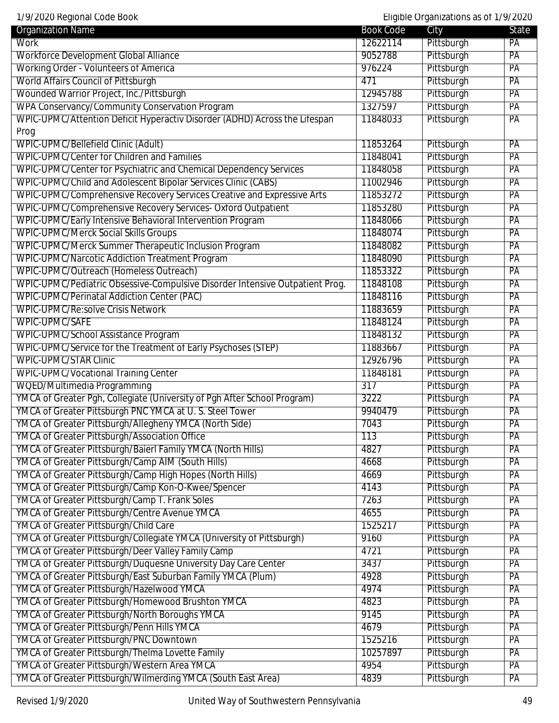1/9/2020 Regional Code Book Eligible Organizations as of 1/9/2020

| <b>Organization Name</b><br>City<br><b>Book Code</b><br>Work<br>Pittsburgh<br>12622114<br>PA<br><b>Workforce Development Global Alliance</b><br>Pittsburgh<br>9052788<br>PA<br><b>Working Order - Volunteers of America</b><br>Pittsburgh<br>976224<br>PA<br><b>World Affairs Council of Pittsburgh</b><br>471<br>Pittsburgh<br>PA |
|------------------------------------------------------------------------------------------------------------------------------------------------------------------------------------------------------------------------------------------------------------------------------------------------------------------------------------|
|                                                                                                                                                                                                                                                                                                                                    |
|                                                                                                                                                                                                                                                                                                                                    |
|                                                                                                                                                                                                                                                                                                                                    |
|                                                                                                                                                                                                                                                                                                                                    |
| Wounded Warrior Project, Inc./Pittsburgh<br>12945788<br>Pittsburgh<br>PA                                                                                                                                                                                                                                                           |
| WPA Conservancy/Community Conservation Program<br>Pittsburgh<br>1327597<br>PA                                                                                                                                                                                                                                                      |
| WPIC-UPMC/Attention Deficit Hyperactiv Disorder (ADHD) Across the Lifespan<br>Pittsburgh<br>PA<br>11848033                                                                                                                                                                                                                         |
| Prog                                                                                                                                                                                                                                                                                                                               |
| WPIC-UPMC/Bellefield Clinic (Adult)<br>11853264<br>Pittsburgh<br>PA                                                                                                                                                                                                                                                                |
| <b>WPIC-UPMC/Center for Children and Families</b><br>Pittsburgh<br>PA<br>11848041                                                                                                                                                                                                                                                  |
| WPIC-UPMC/Center for Psychiatric and Chemical Dependency Services<br>Pittsburgh<br>11848058<br>PA                                                                                                                                                                                                                                  |
| WPIC-UPMC/Child and Adolescent Bipolar Services Clinic (CABS)<br>Pittsburgh<br>11002946<br>PA                                                                                                                                                                                                                                      |
| WPIC-UPMC/Comprehensive Recovery Services Creative and Expressive Arts<br>11853272<br>Pittsburgh<br>PA                                                                                                                                                                                                                             |
| WPIC-UPMC/Comprehensive Recovery Services- Oxford Outpatient<br>Pittsburgh<br>PA<br>11853280                                                                                                                                                                                                                                       |
| WPIC-UPMC/Early Intensive Behavioral Intervention Program<br>Pittsburgh<br>PA<br>11848066                                                                                                                                                                                                                                          |
| <b>WPIC-UPMC/Merck Social Skills Groups</b><br>Pittsburgh<br>11848074<br>PA                                                                                                                                                                                                                                                        |
| WPIC-UPMC/Merck Summer Therapeutic Inclusion Program<br>11848082<br>Pittsburgh<br>PA                                                                                                                                                                                                                                               |
| <b>WPIC-UPMC/Narcotic Addiction Treatment Program</b><br>Pittsburgh<br>11848090<br>PA                                                                                                                                                                                                                                              |
| WPIC-UPMC/Outreach (Homeless Outreach)<br>11853322<br>Pittsburgh<br>PA                                                                                                                                                                                                                                                             |
| WPIC-UPMC/Pediatric Obsessive-Compulsive Disorder Intensive Outpatient Prog.<br>11848108<br>Pittsburgh<br>PA                                                                                                                                                                                                                       |
| <b>WPIC-UPMC/Perinatal Addiction Center (PAC)</b><br>Pittsburgh<br>11848116<br>PA                                                                                                                                                                                                                                                  |
| WPIC-UPMC/Re:solve Crisis Network<br>Pittsburgh<br>11883659<br>PA                                                                                                                                                                                                                                                                  |
| WPIC-UPMC/SAFE<br>11848124<br>Pittsburgh<br>PA                                                                                                                                                                                                                                                                                     |
| WPIC-UPMC/School Assistance Program<br>Pittsburgh<br>11848132<br>PA                                                                                                                                                                                                                                                                |
| WPIC-UPMC/Service for the Treatment of Early Psychoses (STEP)<br>Pittsburgh<br>11883667<br>PA                                                                                                                                                                                                                                      |
| <b>WPIC-UPMC/STAR Clinic</b><br>Pittsburgh<br>12926796<br>PA                                                                                                                                                                                                                                                                       |
| <b>WPIC-UPMC/Vocational Training Center</b><br>11848181<br>Pittsburgh<br>PA                                                                                                                                                                                                                                                        |
| WQED/Multimedia Programming<br>Pittsburgh<br>PA<br>$\overline{317}$                                                                                                                                                                                                                                                                |
| YMCA of Greater Pgh, Collegiate (University of Pgh After School Program)<br>Pittsburgh<br>3222<br>PA                                                                                                                                                                                                                               |
| YMCA of Greater Pittsburgh PNC YMCA at U.S. Steel Tower<br>9940479<br>Pittsburgh<br>PA                                                                                                                                                                                                                                             |
| YMCA of Greater Pittsburgh/Allegheny YMCA (North Side)<br>Pittsburgh<br>PA<br>7043                                                                                                                                                                                                                                                 |
| YMCA of Greater Pittsburgh/Association Office<br>113<br>Pittsburgh<br>PA                                                                                                                                                                                                                                                           |
| YMCA of Greater Pittsburgh/Baierl Family YMCA (North Hills)<br>Pittsburgh<br>4827<br>PA                                                                                                                                                                                                                                            |
| YMCA of Greater Pittsburgh/Camp AIM (South Hills)<br>Pittsburgh<br>4668<br>PA                                                                                                                                                                                                                                                      |
| YMCA of Greater Pittsburgh/Camp High Hopes (North Hills)<br>4669<br>Pittsburgh<br>PA                                                                                                                                                                                                                                               |
| YMCA of Greater Pittsburgh/Camp Kon-O-Kwee/Spencer<br>Pittsburgh<br>PA<br>4143                                                                                                                                                                                                                                                     |
| YMCA of Greater Pittsburgh/Camp T. Frank Soles<br>Pittsburgh<br>7263<br>PA                                                                                                                                                                                                                                                         |
| YMCA of Greater Pittsburgh/Centre Avenue YMCA<br>4655<br>Pittsburgh<br>PA                                                                                                                                                                                                                                                          |
| YMCA of Greater Pittsburgh/Child Care<br>Pittsburgh<br>1525217<br>PA                                                                                                                                                                                                                                                               |
| YMCA of Greater Pittsburgh/Collegiate YMCA (University of Pittsburgh)<br>Pittsburgh<br>9160<br>PA                                                                                                                                                                                                                                  |
| YMCA of Greater Pittsburgh/Deer Valley Family Camp<br>4721<br>Pittsburgh<br>PA                                                                                                                                                                                                                                                     |
| YMCA of Greater Pittsburgh/Duquesne University Day Care Center<br>3437<br>Pittsburgh<br>PA                                                                                                                                                                                                                                         |
| YMCA of Greater Pittsburgh/East Suburban Family YMCA (Plum)<br>Pittsburgh<br>4928<br>PA                                                                                                                                                                                                                                            |
| YMCA of Greater Pittsburgh/Hazelwood YMCA<br>4974<br>Pittsburgh<br>PA                                                                                                                                                                                                                                                              |
| YMCA of Greater Pittsburgh/Homewood Brushton YMCA<br>4823<br>Pittsburgh<br>PA                                                                                                                                                                                                                                                      |
| YMCA of Greater Pittsburgh/North Boroughs YMCA<br>Pittsburgh<br>9145<br>PA                                                                                                                                                                                                                                                         |
| YMCA of Greater Pittsburgh/Penn Hills YMCA<br>4679<br>Pittsburgh<br>PA                                                                                                                                                                                                                                                             |
| YMCA of Greater Pittsburgh/PNC Downtown<br>Pittsburgh<br>PA<br>1525216                                                                                                                                                                                                                                                             |
| YMCA of Greater Pittsburgh/Thelma Lovette Family<br>Pittsburgh<br>10257897<br>PA                                                                                                                                                                                                                                                   |
| YMCA of Greater Pittsburgh/Western Area YMCA<br>4954<br>Pittsburgh<br>PA                                                                                                                                                                                                                                                           |
| YMCA of Greater Pittsburgh/Wilmerding YMCA (South East Area)<br>Pittsburgh<br>4839<br>PA                                                                                                                                                                                                                                           |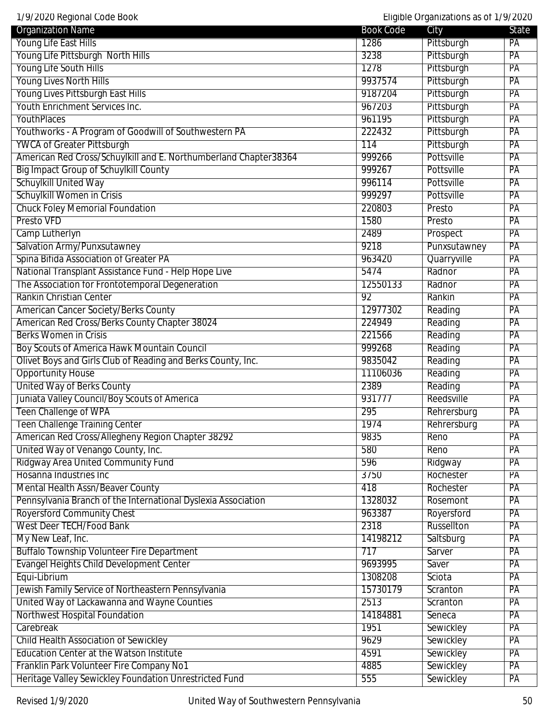| <b>Organization Name</b>                                         | <b>Book Code</b> | City         | State           |
|------------------------------------------------------------------|------------------|--------------|-----------------|
| Young Life East Hills                                            | 1286             | Pittsburgh   | PA              |
| Young Life Pittsburgh North Hills                                | 3238             | Pittsburgh   | PA              |
| Young Life South Hills                                           | 1278             | Pittsburgh   | PA              |
| <b>Young Lives North Hills</b>                                   | 9937574          | Pittsburgh   | $\overline{PA}$ |
| Young Lives Pittsburgh East Hills                                | 9187204          | Pittsburgh   | PA              |
| Youth Enrichment Services Inc.                                   | 967203           | Pittsburgh   | PA              |
| YouthPlaces                                                      | 961195           | Pittsburgh   | PA              |
| Youthworks - A Program of Goodwill of Southwestern PA            | 222432           | Pittsburgh   | PA              |
| <b>YWCA of Greater Pittsburgh</b>                                | 114              | Pittsburgh   | PA              |
| American Red Cross/Schuylkill and E. Northumberland Chapter38364 | 999266           | Pottsville   | PA              |
| <b>Big Impact Group of Schuylkill County</b>                     | 999267           | Pottsville   | PA              |
| <b>Schuylkill United Way</b>                                     | 996114           | Pottsville   | PA              |
| Schuylkill Women in Crisis                                       | 999297           | Pottsville   | PA              |
| <b>Chuck Foley Memorial Foundation</b>                           | 220803           | Presto       | PA              |
| Presto VFD                                                       | 1580             | Presto       | PA              |
| Camp Lutherlyn                                                   | 2489             | Prospect     | PA              |
| Salvation Army/Punxsutawney                                      | 9218             | Punxsutawney | PA              |
| Spina Bifida Association of Greater PA                           | 963420           | Quarryville  | PA              |
| National Transplant Assistance Fund - Help Hope Live             | 5474             | Radnor       | PA              |
| The Association for Frontotemporal Degeneration                  | 12550133         | Radnor       | PA              |
| Rankin Christian Center                                          | 92               | Rankin       | PA              |
| American Cancer Society/Berks County                             | 12977302         | Reading      | PA              |
| American Red Cross/Berks County Chapter 38024                    | 224949           | Reading      | PA              |
| <b>Berks Women in Crisis</b>                                     | 221566           | Reading      | PA              |
| Boy Scouts of America Hawk Mountain Council                      | 999268           | Reading      | $\overline{PA}$ |
| Olivet Boys and Girls Club of Reading and Berks County, Inc.     | 9835042          | Reading      | $\overline{PA}$ |
| <b>Opportunity House</b>                                         | 11106036         | Reading      | PA              |
| <b>United Way of Berks County</b>                                | 2389             | Reading      | PA              |
| Juniata Valley Council/Boy Scouts of America                     | 931777           | Reedsville   | PA              |
| Teen Challenge of WPA                                            | 295              | Rehrersburg  | PA              |
| <b>Teen Challenge Training Center</b>                            | 1974             | Rehrersburg  | PA              |
| American Red Cross/Allegheny Region Chapter 38292                | 9835             | Reno         | PA              |
| United Way of Venango County, Inc.                               | 580              | Reno         | PA              |
| Ridgway Area United Community Fund                               | 596              | Ridgway      | PA              |
| Hosanna Industries Inc                                           | 3750             | Rochester    | PA              |
| Mental Health Assn/Beaver County                                 | 418              | Rochester    | PA              |
| Pennsylvania Branch of the International Dyslexia Association    | 1328032          | Rosemont     | PA              |
| <b>Royersford Community Chest</b>                                | 963387           | Royersford   | PA              |
| <b>West Deer TECH/Food Bank</b>                                  | 2318             | Russellton   | PA              |
| My New Leaf, Inc.                                                | 14198212         | Saltsburg    | PA              |
| <b>Buffalo Township Volunteer Fire Department</b>                | 717              | Sarver       | PA              |
| Evangel Heights Child Development Center                         | 9693995          | Saver        | PA              |
| Equi-Librium                                                     | 1308208          | Sciota       | PA              |
| Jewish Family Service of Northeastern Pennsylvania               | 15730179         | Scranton     | PA              |
| United Way of Lackawanna and Wayne Counties                      | 2513             | Scranton     | PA              |
| Northwest Hospital Foundation                                    | 14184881         | Seneca       | PA              |
| Carebreak                                                        | 1951             | Sewickley    | PA              |
| <b>Child Health Association of Sewickley</b>                     | 9629             | Sewickley    | PA              |
| <b>Education Center at the Watson Institute</b>                  | 4591             | Sewickley    | PA              |
| Franklin Park Volunteer Fire Company No1                         | 4885             | Sewickley    | PA              |
| Heritage Valley Sewickley Foundation Unrestricted Fund           | 555              | Sewickley    | PA              |
|                                                                  |                  |              |                 |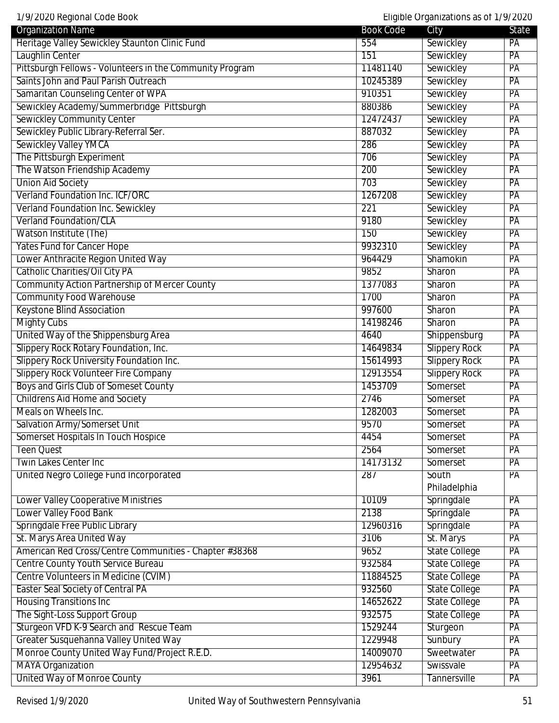1/9/2020 Regional Code Book Eligible Organizations as of 1/9/2020

| <b>Organization Name</b>                                 | <b>Book Code</b> | City                 | State           |
|----------------------------------------------------------|------------------|----------------------|-----------------|
| Heritage Valley Sewickley Staunton Clinic Fund           | 554              | Sewickley            | PA              |
| Laughlin Center                                          | 151              | Sewickley            | PA              |
| Pittsburgh Fellows - Volunteers in the Community Program | 11481140         | Sewickley            | PA              |
| Saints John and Paul Parish Outreach                     | 10245389         | Sewickley            | PA              |
| Samaritan Counseling Center of WPA                       | 910351           | Sewickley            | PA              |
| Sewickley Academy/Summerbridge Pittsburgh                | 880386           | Sewickley            | PA              |
| Sewickley Community Center                               | 12472437         | Sewickley            | PA              |
| Sewickley Public Library-Referral Ser.                   | 887032           | Sewickley            | PA              |
| <b>Sewickley Valley YMCA</b>                             | 286              | Sewickley            | PA              |
| The Pittsburgh Experiment                                | 706              | Sewickley            | PA              |
| The Watson Friendship Academy                            | 200              | Sewickley            | PA              |
| <b>Union Aid Society</b>                                 | 703              | Sewickley            | PA              |
| Verland Foundation Inc. ICF/ORC                          | 1267208          | Sewickley            | PA              |
| Verland Foundation Inc. Sewickley                        | 221              | Sewickley            | PA              |
| <b>Verland Foundation/CLA</b>                            | 9180             | Sewickley            | PA              |
| Watson Institute (The)                                   | 150              | Sewickley            | PA              |
| <b>Yates Fund for Cancer Hope</b>                        | 9932310          | Sewickley            | PA              |
| Lower Anthracite Region United Way                       | 964429           | Shamokin             | PA              |
| Catholic Charities/Oil City PA                           | 9852             | Sharon               | PA              |
| <b>Community Action Partnership of Mercer County</b>     | 1377083          | Sharon               | PA              |
| <b>Community Food Warehouse</b>                          | 1700             | Sharon               | PA              |
| <b>Keystone Blind Association</b>                        | 997600           | Sharon               | PA              |
| <b>Mighty Cubs</b>                                       | 14198246         | Sharon               | PA              |
| United Way of the Shippensburg Area                      | 4640             | Shippensburg         | PA              |
| Slippery Rock Rotary Foundation, Inc.                    | 14649834         | <b>Slippery Rock</b> | PA              |
| <b>Slippery Rock University Foundation Inc.</b>          | 15614993         | <b>Slippery Rock</b> | PA              |
| Slippery Rock Volunteer Fire Company                     | 12913554         | <b>Slippery Rock</b> | PA              |
| Boys and Girls Club of Someset County                    | 1453709          | Somerset             | PA              |
| <b>Childrens Aid Home and Society</b>                    | 2746             | Somerset             | PA              |
| Meals on Wheels Inc.                                     | 1282003          | Somerset             | PA              |
| <b>Salvation Army/Somerset Unit</b>                      | 9570             | Somerset             | $\overline{PA}$ |
| Somerset Hospitals In Touch Hospice                      | 4454             | Somerset             | PA              |
| Teen Quest                                               | 2564             | Somerset             | PA              |
| <b>Twin Lakes Center Inc</b>                             | 14173132         | Somerset             | PA              |
| United Negro College Fund Incorporated                   | 287              | South                | PA              |
|                                                          |                  | Philadelphia         |                 |
| <b>Lower Valley Cooperative Ministries</b>               | 10109            | Springdale           | PA              |
| Lower Valley Food Bank                                   | 2138             | Springdale           | PA              |
| Springdale Free Public Library                           | 12960316         | Springdale           | PA              |
| St. Marys Area United Way                                | 3106             | St. Marys            | PA              |
| American Red Cross/Centre Communities - Chapter #38368   | 9652             | <b>State College</b> | PA              |
| Centre County Youth Service Bureau                       | 932584           | <b>State College</b> | PA              |
| Centre Volunteers in Medicine (CVIM)                     | 11884525         | <b>State College</b> | PA              |
| <b>Easter Seal Society of Central PA</b>                 | 932560           | <b>State College</b> | PA              |
| <b>Housing Transitions Inc</b>                           | 14652622         | <b>State College</b> | PA              |
| The Sight-Loss Support Group                             | 932575           | State College        | PA              |
| Sturgeon VFD K-9 Search and Rescue Team                  | 1529244          | Sturgeon             | PA              |
| Greater Susquehanna Valley United Way                    | 1229948          | Sunbury              | PA              |
| Monroe County United Way Fund/Project R.E.D.             | 14009070         | Sweetwater           | PA              |
| <b>MAYA Organization</b>                                 | 12954632         | Swissvale            | PA              |
| United Way of Monroe County                              | 3961             | <b>Tannersville</b>  | PA              |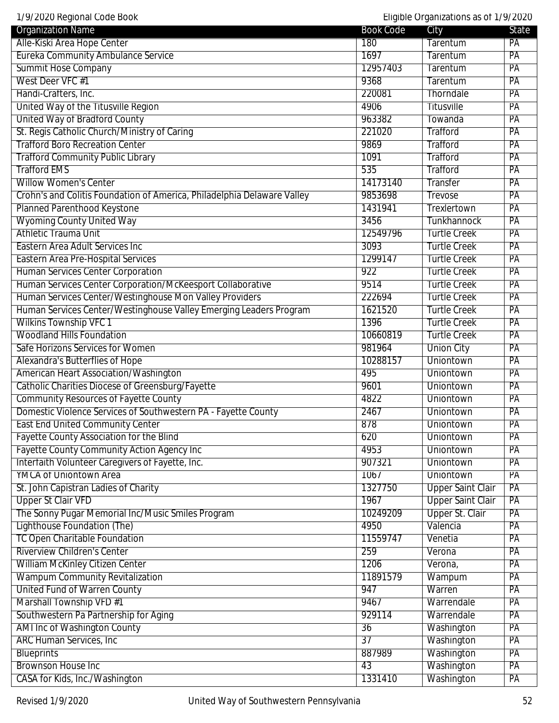1/9/2020 Regional Code Book Eligible Organizations as of 1/9/2020

| 1797 ZUZU NEYIUHAI GUUE DUUN                                             |                  | Liigipie Organizations as OL 1797 2020 |          |
|--------------------------------------------------------------------------|------------------|----------------------------------------|----------|
| <b>Organization Name</b>                                                 | <b>Book Code</b> | City                                   | State    |
| Alle-Kiski Area Hope Center<br><b>Eureka Community Ambulance Service</b> | 180<br>1697      | Tarentum<br><b>Tarentum</b>            | PA<br>PA |
| <b>Summit Hose Company</b>                                               | 12957403         | <b>Tarentum</b>                        | PA       |
| West Deer VFC #1                                                         | 9368             | Tarentum                               | PA       |
| Handi-Crafters, Inc.                                                     | 220081           | Thorndale                              | PA       |
| United Way of the Titusville Region                                      | 4906             | <b>Titusville</b>                      | PA       |
| <b>United Way of Bradford County</b>                                     | 963382           | Towanda                                | PA       |
| St. Regis Catholic Church/Ministry of Caring                             | 221020           | Trafford                               | PA       |
| <b>Trafford Boro Recreation Center</b>                                   | 9869             | Trafford                               | PA       |
| <b>Trafford Community Public Library</b>                                 | 1091             | Trafford                               | PA       |
| <b>Trafford EMS</b>                                                      | 535              | <b>Trafford</b>                        | PA       |
| <b>Willow Women's Center</b>                                             | 14173140         | <b>Transfer</b>                        | PA       |
| Crohn's and Colitis Foundation of America, Philadelphia Delaware Valley  | 9853698          | Trevose                                | PA       |
| Planned Parenthood Keystone                                              | 1431941          | Trexlertown                            | PA       |
| <b>Wyoming County United Way</b>                                         | 3456             | <b>Tunkhannock</b>                     | PA       |
| <b>Athletic Trauma Unit</b>                                              | 12549796         | <b>Turtle Creek</b>                    | PA       |
| Eastern Area Adult Services Inc                                          | 3093             | <b>Turtle Creek</b>                    | PA       |
| <b>Eastern Area Pre-Hospital Services</b>                                | 1299147          | <b>Turtle Creek</b>                    | PA       |
| <b>Human Services Center Corporation</b>                                 | 922              | <b>Turtle Creek</b>                    | PA       |
| Human Services Center Corporation/McKeesport Collaborative               | 9514             | <b>Turtle Creek</b>                    | PA       |
| Human Services Center/Westinghouse Mon Valley Providers                  | 222694           | <b>Turtle Creek</b>                    | PA       |
| Human Services Center/Westinghouse Valley Emerging Leaders Program       | 1621520          | <b>Turtle Creek</b>                    | PA       |
| <b>Wilkins Township VFC 1</b>                                            | 1396             | <b>Turtle Creek</b>                    | PA       |
| <b>Woodland Hills Foundation</b>                                         | 10660819         | <b>Turtle Creek</b>                    | PA       |
| Safe Horizons Services for Women                                         | 981964           | <b>Union City</b>                      | PA       |
| Alexandra's Butterflies of Hope                                          | 10288157         | Uniontown                              | PA       |
| <b>American Heart Association/Washington</b>                             | 495              | Uniontown                              | PA       |
| Catholic Charities Diocese of Greensburg/Fayette                         | 9601             | Uniontown                              | PA       |
| <b>Community Resources of Fayette County</b>                             | 4822             | Uniontown                              | PA       |
| Domestic Violence Services of Southwestern PA - Fayette County           | 2467             | Uniontown                              | PA       |
| <b>East End United Community Center</b>                                  | 878              | Uniontown                              | PA       |
| <b>Fayette County Association for the Blind</b>                          | 620              | Uniontown                              | PA       |
| <b>Fayette County Community Action Agency Inc</b>                        | 4953             | <b>Uniontown</b>                       | PA       |
| Interfaith Volunteer Caregivers of Fayette, Inc.                         | 907321           | Uniontown                              | PA       |
| <b>YMCA of Uniontown Area</b>                                            | 1067             | <b>Uniontown</b>                       | PA       |
| St. John Capistran Ladies of Charity                                     | 1327750          | <b>Upper Saint Clair</b>               | PA       |
| <b>Upper St Clair VFD</b>                                                | 1967             | <b>Upper Saint Clair</b>               | PA       |
| The Sonny Pugar Memorial Inc/Music Smiles Program                        | 10249209         | <b>Upper St. Clair</b>                 | PA       |
| Lighthouse Foundation (The)                                              | 4950             | Valencia                               | PA       |
| <b>TC Open Charitable Foundation</b>                                     | 11559747         | Venetia                                | PA       |
| <b>Riverview Children's Center</b>                                       | 259              | Verona                                 | PA       |
| William McKinley Citizen Center                                          | 1206             | Verona,                                | PA       |
| <b>Wampum Community Revitalization</b>                                   | 11891579         | Wampum                                 | PA       |
| United Fund of Warren County                                             | 947              | Warren                                 | PA       |
| Marshall Township VFD #1                                                 | 9467             | Warrendale                             | PA       |
| Southwestern Pa Partnership for Aging                                    | 929114           | Warrendale                             | PA       |
| <b>AMI Inc of Washington County</b>                                      | 36               | Washington                             | PA       |
| <b>ARC Human Services, Inc.</b>                                          | $\overline{37}$  | Washington                             | PA       |
| <b>Blueprints</b>                                                        | 887989           | Washington                             | PA       |
| <b>Brownson House Inc</b>                                                | 43               | Washington                             | PA       |
| CASA for Kids, Inc./Washington                                           | 1331410          | Washington                             | PA       |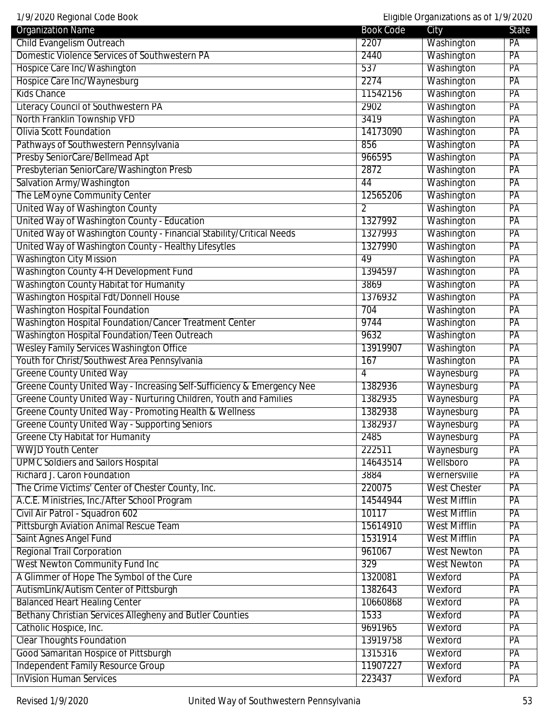1/9/2020 Regional Code Book Eligible Organizations as of 1/9/2020

| <b>Organization Name</b>                                               | <b>Book Code</b> | City                | State           |
|------------------------------------------------------------------------|------------------|---------------------|-----------------|
| Child Evangelism Outreach                                              | 2207             | Washington          | PA              |
| Domestic Violence Services of Southwestern PA                          | 2440             | Washington          | PA              |
| Hospice Care Inc/Washington                                            | 537              | Washington          | PA              |
| Hospice Care Inc/Waynesburg                                            | 2274             | Washington          | $\overline{PA}$ |
| <b>Kids Chance</b>                                                     | 11542156         | Washington          | PA              |
| <b>Literacy Council of Southwestern PA</b>                             | 2902             | Washington          | PA              |
| North Franklin Township VFD                                            | 3419             | Washington          | PA              |
| <b>Olivia Scott Foundation</b>                                         | 14173090         | Washington          | PA              |
| Pathways of Southwestern Pennsylvania                                  | 856              | Washington          | PA              |
| Presby SeniorCare/Bellmead Apt                                         | 966595           | Washington          | PA              |
| Presbyterian SeniorCare/Washington Presb                               | 2872             | Washington          | PA              |
| Salvation Army/Washington                                              | 44               | Washington          | PA              |
| The LeMoyne Community Center                                           | 12565206         | Washington          | PA              |
| United Way of Washington County                                        | 2                | Washington          | PA              |
| United Way of Washington County - Education                            | 1327992          | Washington          | PA              |
| United Way of Washington County - Financial Stability/Critical Needs   | 1327993          | Washington          | PA              |
| United Way of Washington County - Healthy Lifesytles                   | 1327990          | Washington          | PA              |
| <b>Washington City Mission</b>                                         | 49               | Washington          | PA              |
| Washington County 4-H Development Fund                                 | 1394597          | Washington          | PA              |
| Washington County Habitat for Humanity                                 | 3869             | Washington          | PA              |
| Washington Hospital Fdt/Donnell House                                  | 1376932          | Washington          | PA              |
| <b>Washington Hospital Foundation</b>                                  | 704              | Washington          | PA              |
| Washington Hospital Foundation/Cancer Treatment Center                 | 9744             | Washington          | PA              |
| Washington Hospital Foundation/Teen Outreach                           | 9632             | Washington          | PA              |
| <b>Wesley Family Services Washington Office</b>                        | 13919907         | Washington          | PA              |
| Youth for Christ/Southwest Area Pennsylvania                           | 167              | Washington          | PA              |
| <b>Greene County United Way</b>                                        | 4                | Waynesburg          | PA              |
| Greene County United Way - Increasing Self-Sufficiency & Emergency Nee | 1382936          | Waynesburg          | PA              |
| Greene County United Way - Nurturing Children, Youth and Families      | 1382935          | Waynesburg          | PA              |
| Greene County United Way - Promoting Health & Wellness                 | 1382938          | Waynesburg          | PA              |
| <b>Greene County United Way - Supporting Seniors</b>                   | 1382937          | Waynesburg          | PA              |
| <b>Greene Cty Habitat for Humanity</b>                                 | 2485             | Waynesburg          | PA              |
| <b>WWJD Youth Center</b>                                               | 222511           | Waynesburg          | PA              |
| <b>UPMC Soldiers and Sailors Hospital</b>                              | 14643514         | Wellsboro           | PA              |
| Richard J. Caron Foundation                                            | 3884             | Wernersville        | PA              |
| The Crime Victims' Center of Chester County, Inc.                      | 220075           | <b>West Chester</b> | PA              |
| A.C.E. Ministries, Inc./After School Program                           | 14544944         | <b>West Mifflin</b> | PA              |
| Civil Air Patrol - Squadron 602                                        | 10117            | <b>West Mifflin</b> | PA              |
| <b>Pittsburgh Aviation Animal Rescue Team</b>                          | 15614910         | <b>West Mifflin</b> | PA              |
| Saint Agnes Angel Fund                                                 | 1531914          | <b>West Mifflin</b> | PA              |
| <b>Regional Trail Corporation</b>                                      | 961067           | <b>West Newton</b>  | PA              |
| West Newton Community Fund Inc                                         | 329              | <b>West Newton</b>  | PA              |
| A Glimmer of Hope The Symbol of the Cure                               | 1320081          | Wexford             | PA              |
| AutismLink/Autism Center of Pittsburgh                                 | 1382643          | Wexford             | PA              |
| <b>Balanced Heart Healing Center</b>                                   | 10660868         | Wexford             | PA              |
| Bethany Christian Services Allegheny and Butler Counties               | 1533             | Wexford             | PA              |
| Catholic Hospice, Inc.                                                 | 9691965          | Wexford             | PA              |
| <b>Clear Thoughts Foundation</b>                                       | 13919758         | Wexford             | PA              |
| Good Samaritan Hospice of Pittsburgh                                   | 1315316          | Wexford             | PA              |
| Independent Family Resource Group                                      | 11907227         | Wexford             | PA              |
| <b>InVision Human Services</b>                                         | 223437           | Wexford             | PA              |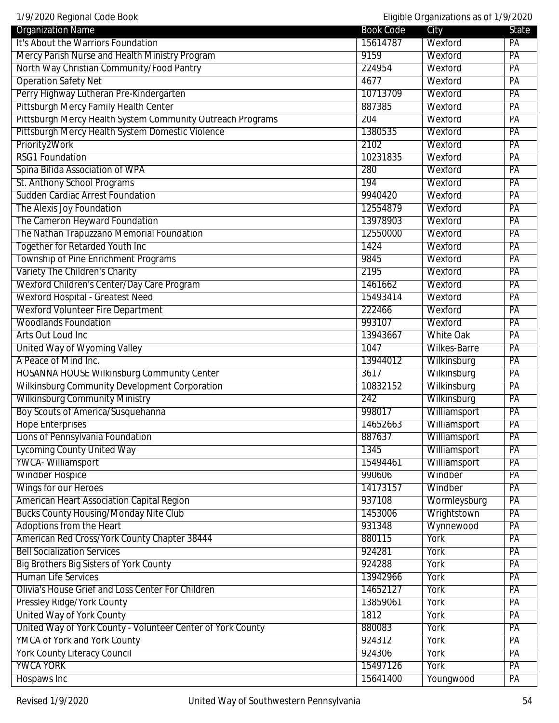1/9/2020 Regional Code Book Eligible Organizations as of 1/9/2020

| It's About the Warriors Foundation<br>PA<br>15614787<br>Wexford<br>Mercy Parish Nurse and Health Ministry Program<br>9159<br>PA<br>Wexford<br>North Way Christian Community/Food Pantry<br>PA<br>224954<br>Wexford<br><b>Operation Safety Net</b><br>4677<br>PA<br>Wexford<br>Perry Highway Lutheran Pre-Kindergarten<br>10713709<br>Wexford<br>PA<br>Pittsburgh Mercy Family Health Center<br>887385<br>Wexford<br>PA<br>Pittsburgh Mercy Health System Community Outreach Programs<br>204<br>PA<br>Wexford<br>Pittsburgh Mercy Health System Domestic Violence<br>PA<br>1380535<br>Wexford<br>Priority2Work<br>2102<br>Wexford<br>PA<br><b>RSG1 Foundation</b><br>10231835<br>PA<br>Wexford<br>Spina Bifida Association of WPA<br>280<br>Wexford<br>PA<br>St. Anthony School Programs<br>194<br>Wexford<br>PA<br><b>Sudden Cardiac Arrest Foundation</b><br>9940420<br>Wexford<br>PA<br>The Alexis Joy Foundation<br>12554879<br>Wexford<br>PA<br>The Cameron Heyward Foundation<br>13978903<br>Wexford<br>PA<br>The Nathan Trapuzzano Memorial Foundation<br>PA<br>12550000<br>Wexford<br><b>Together for Retarded Youth Inc</b><br>1424<br>Wexford<br>PA<br>Township of Pine Enrichment Programs<br>9845<br>Wexford<br>PA<br>Variety The Children's Charity<br>2195<br>PA<br>Wexford<br>Wexford Children's Center/Day Care Program<br>PA<br>1461662<br>Wexford<br><b>Wexford Hospital - Greatest Need</b><br>15493414<br>Wexford<br>PA<br><b>Wexford Volunteer Fire Department</b><br>222466<br>Wexford<br>PA<br><b>Woodlands Foundation</b><br>993107<br>PA<br>Wexford<br>Arts Out Loud Inc<br>13943667<br><b>White Oak</b><br>PA<br>United Way of Wyoming Valley<br>1047<br>Wilkes-Barre<br>PA<br>A Peace of Mind Inc.<br>13944012<br>Wilkinsburg<br>PA<br><b>HOSANNA HOUSE Wilkinsburg Community Center</b><br>Wilkinsburg<br>3617<br>PA<br><b>Wilkinsburg Community Development Corporation</b><br>Wilkinsburg<br>PA<br>10832152<br><b>Wilkinsburg Community Ministry</b><br>Wilkinsburg<br>PA<br>242<br><b>Boy Scouts of America/Susquehanna</b><br>Williamsport<br>998017<br>PA<br><b>Hope Enterprises</b><br>Williamsport<br>14652663<br>PA<br>Lions of Pennsylvania Foundation<br>Williamsport<br>PA<br>887637<br>Lycoming County United Way<br>Williamsport<br>1345<br>PA<br><b>YWCA-Williamsport</b><br>Williamsport<br>15494461<br>PA<br><b>Windber Hospice</b><br>Windber<br>990606<br>PA<br>Wings for our Heroes<br>14173157<br>Windber<br>PA<br>American Heart Association Capital Region<br>Wormleysburg<br>937108<br>PA<br><b>Bucks County Housing/Monday Nite Club</b><br>Wrightstown<br>1453006<br>PA<br><b>Adoptions from the Heart</b><br>Wynnewood<br>931348<br>PA<br>American Red Cross/York County Chapter 38444<br>York<br>880115<br>PA<br><b>Bell Socialization Services</b><br>924281<br>York<br>PA<br><b>Big Brothers Big Sisters of York County</b><br>924288<br>PA<br>York<br><b>Human Life Services</b><br>PA<br>13942966<br>York<br>Olivia's House Grief and Loss Center For Children<br>PA<br>14652127<br>York<br><b>Pressley Ridge/York County</b><br>13859061<br>PA<br><b>York</b><br><b>United Way of York County</b><br>1812<br>York<br>PA<br>United Way of York County - Volunteer Center of York County<br>880083<br>PA<br>York<br>YMCA of York and York County<br>PA<br>924312<br>York<br><b>York County Literacy Council</b><br>924306<br>PA<br>York<br><b>YWCA YORK</b><br>PA<br>15497126<br>York | <b>Organization Name</b> | <b>Book Code</b> | City      | State |
|------------------------------------------------------------------------------------------------------------------------------------------------------------------------------------------------------------------------------------------------------------------------------------------------------------------------------------------------------------------------------------------------------------------------------------------------------------------------------------------------------------------------------------------------------------------------------------------------------------------------------------------------------------------------------------------------------------------------------------------------------------------------------------------------------------------------------------------------------------------------------------------------------------------------------------------------------------------------------------------------------------------------------------------------------------------------------------------------------------------------------------------------------------------------------------------------------------------------------------------------------------------------------------------------------------------------------------------------------------------------------------------------------------------------------------------------------------------------------------------------------------------------------------------------------------------------------------------------------------------------------------------------------------------------------------------------------------------------------------------------------------------------------------------------------------------------------------------------------------------------------------------------------------------------------------------------------------------------------------------------------------------------------------------------------------------------------------------------------------------------------------------------------------------------------------------------------------------------------------------------------------------------------------------------------------------------------------------------------------------------------------------------------------------------------------------------------------------------------------------------------------------------------------------------------------------------------------------------------------------------------------------------------------------------------------------------------------------------------------------------------------------------------------------------------------------------------------------------------------------------------------------------------------------------------------------------------------------------------------------------------------------------------------------------------------------------------------------------------------------------------------------------------------------------------------------------------------------------------------------------------------------------------------------------------------------------------------------------------------------------------------------------------------------------------------------------|--------------------------|------------------|-----------|-------|
|                                                                                                                                                                                                                                                                                                                                                                                                                                                                                                                                                                                                                                                                                                                                                                                                                                                                                                                                                                                                                                                                                                                                                                                                                                                                                                                                                                                                                                                                                                                                                                                                                                                                                                                                                                                                                                                                                                                                                                                                                                                                                                                                                                                                                                                                                                                                                                                                                                                                                                                                                                                                                                                                                                                                                                                                                                                                                                                                                                                                                                                                                                                                                                                                                                                                                                                                                                                                                                                |                          |                  |           |       |
|                                                                                                                                                                                                                                                                                                                                                                                                                                                                                                                                                                                                                                                                                                                                                                                                                                                                                                                                                                                                                                                                                                                                                                                                                                                                                                                                                                                                                                                                                                                                                                                                                                                                                                                                                                                                                                                                                                                                                                                                                                                                                                                                                                                                                                                                                                                                                                                                                                                                                                                                                                                                                                                                                                                                                                                                                                                                                                                                                                                                                                                                                                                                                                                                                                                                                                                                                                                                                                                |                          |                  |           |       |
|                                                                                                                                                                                                                                                                                                                                                                                                                                                                                                                                                                                                                                                                                                                                                                                                                                                                                                                                                                                                                                                                                                                                                                                                                                                                                                                                                                                                                                                                                                                                                                                                                                                                                                                                                                                                                                                                                                                                                                                                                                                                                                                                                                                                                                                                                                                                                                                                                                                                                                                                                                                                                                                                                                                                                                                                                                                                                                                                                                                                                                                                                                                                                                                                                                                                                                                                                                                                                                                |                          |                  |           |       |
|                                                                                                                                                                                                                                                                                                                                                                                                                                                                                                                                                                                                                                                                                                                                                                                                                                                                                                                                                                                                                                                                                                                                                                                                                                                                                                                                                                                                                                                                                                                                                                                                                                                                                                                                                                                                                                                                                                                                                                                                                                                                                                                                                                                                                                                                                                                                                                                                                                                                                                                                                                                                                                                                                                                                                                                                                                                                                                                                                                                                                                                                                                                                                                                                                                                                                                                                                                                                                                                |                          |                  |           |       |
|                                                                                                                                                                                                                                                                                                                                                                                                                                                                                                                                                                                                                                                                                                                                                                                                                                                                                                                                                                                                                                                                                                                                                                                                                                                                                                                                                                                                                                                                                                                                                                                                                                                                                                                                                                                                                                                                                                                                                                                                                                                                                                                                                                                                                                                                                                                                                                                                                                                                                                                                                                                                                                                                                                                                                                                                                                                                                                                                                                                                                                                                                                                                                                                                                                                                                                                                                                                                                                                |                          |                  |           |       |
|                                                                                                                                                                                                                                                                                                                                                                                                                                                                                                                                                                                                                                                                                                                                                                                                                                                                                                                                                                                                                                                                                                                                                                                                                                                                                                                                                                                                                                                                                                                                                                                                                                                                                                                                                                                                                                                                                                                                                                                                                                                                                                                                                                                                                                                                                                                                                                                                                                                                                                                                                                                                                                                                                                                                                                                                                                                                                                                                                                                                                                                                                                                                                                                                                                                                                                                                                                                                                                                |                          |                  |           |       |
|                                                                                                                                                                                                                                                                                                                                                                                                                                                                                                                                                                                                                                                                                                                                                                                                                                                                                                                                                                                                                                                                                                                                                                                                                                                                                                                                                                                                                                                                                                                                                                                                                                                                                                                                                                                                                                                                                                                                                                                                                                                                                                                                                                                                                                                                                                                                                                                                                                                                                                                                                                                                                                                                                                                                                                                                                                                                                                                                                                                                                                                                                                                                                                                                                                                                                                                                                                                                                                                |                          |                  |           |       |
|                                                                                                                                                                                                                                                                                                                                                                                                                                                                                                                                                                                                                                                                                                                                                                                                                                                                                                                                                                                                                                                                                                                                                                                                                                                                                                                                                                                                                                                                                                                                                                                                                                                                                                                                                                                                                                                                                                                                                                                                                                                                                                                                                                                                                                                                                                                                                                                                                                                                                                                                                                                                                                                                                                                                                                                                                                                                                                                                                                                                                                                                                                                                                                                                                                                                                                                                                                                                                                                |                          |                  |           |       |
|                                                                                                                                                                                                                                                                                                                                                                                                                                                                                                                                                                                                                                                                                                                                                                                                                                                                                                                                                                                                                                                                                                                                                                                                                                                                                                                                                                                                                                                                                                                                                                                                                                                                                                                                                                                                                                                                                                                                                                                                                                                                                                                                                                                                                                                                                                                                                                                                                                                                                                                                                                                                                                                                                                                                                                                                                                                                                                                                                                                                                                                                                                                                                                                                                                                                                                                                                                                                                                                |                          |                  |           |       |
|                                                                                                                                                                                                                                                                                                                                                                                                                                                                                                                                                                                                                                                                                                                                                                                                                                                                                                                                                                                                                                                                                                                                                                                                                                                                                                                                                                                                                                                                                                                                                                                                                                                                                                                                                                                                                                                                                                                                                                                                                                                                                                                                                                                                                                                                                                                                                                                                                                                                                                                                                                                                                                                                                                                                                                                                                                                                                                                                                                                                                                                                                                                                                                                                                                                                                                                                                                                                                                                |                          |                  |           |       |
|                                                                                                                                                                                                                                                                                                                                                                                                                                                                                                                                                                                                                                                                                                                                                                                                                                                                                                                                                                                                                                                                                                                                                                                                                                                                                                                                                                                                                                                                                                                                                                                                                                                                                                                                                                                                                                                                                                                                                                                                                                                                                                                                                                                                                                                                                                                                                                                                                                                                                                                                                                                                                                                                                                                                                                                                                                                                                                                                                                                                                                                                                                                                                                                                                                                                                                                                                                                                                                                |                          |                  |           |       |
|                                                                                                                                                                                                                                                                                                                                                                                                                                                                                                                                                                                                                                                                                                                                                                                                                                                                                                                                                                                                                                                                                                                                                                                                                                                                                                                                                                                                                                                                                                                                                                                                                                                                                                                                                                                                                                                                                                                                                                                                                                                                                                                                                                                                                                                                                                                                                                                                                                                                                                                                                                                                                                                                                                                                                                                                                                                                                                                                                                                                                                                                                                                                                                                                                                                                                                                                                                                                                                                |                          |                  |           |       |
|                                                                                                                                                                                                                                                                                                                                                                                                                                                                                                                                                                                                                                                                                                                                                                                                                                                                                                                                                                                                                                                                                                                                                                                                                                                                                                                                                                                                                                                                                                                                                                                                                                                                                                                                                                                                                                                                                                                                                                                                                                                                                                                                                                                                                                                                                                                                                                                                                                                                                                                                                                                                                                                                                                                                                                                                                                                                                                                                                                                                                                                                                                                                                                                                                                                                                                                                                                                                                                                |                          |                  |           |       |
|                                                                                                                                                                                                                                                                                                                                                                                                                                                                                                                                                                                                                                                                                                                                                                                                                                                                                                                                                                                                                                                                                                                                                                                                                                                                                                                                                                                                                                                                                                                                                                                                                                                                                                                                                                                                                                                                                                                                                                                                                                                                                                                                                                                                                                                                                                                                                                                                                                                                                                                                                                                                                                                                                                                                                                                                                                                                                                                                                                                                                                                                                                                                                                                                                                                                                                                                                                                                                                                |                          |                  |           |       |
|                                                                                                                                                                                                                                                                                                                                                                                                                                                                                                                                                                                                                                                                                                                                                                                                                                                                                                                                                                                                                                                                                                                                                                                                                                                                                                                                                                                                                                                                                                                                                                                                                                                                                                                                                                                                                                                                                                                                                                                                                                                                                                                                                                                                                                                                                                                                                                                                                                                                                                                                                                                                                                                                                                                                                                                                                                                                                                                                                                                                                                                                                                                                                                                                                                                                                                                                                                                                                                                |                          |                  |           |       |
|                                                                                                                                                                                                                                                                                                                                                                                                                                                                                                                                                                                                                                                                                                                                                                                                                                                                                                                                                                                                                                                                                                                                                                                                                                                                                                                                                                                                                                                                                                                                                                                                                                                                                                                                                                                                                                                                                                                                                                                                                                                                                                                                                                                                                                                                                                                                                                                                                                                                                                                                                                                                                                                                                                                                                                                                                                                                                                                                                                                                                                                                                                                                                                                                                                                                                                                                                                                                                                                |                          |                  |           |       |
|                                                                                                                                                                                                                                                                                                                                                                                                                                                                                                                                                                                                                                                                                                                                                                                                                                                                                                                                                                                                                                                                                                                                                                                                                                                                                                                                                                                                                                                                                                                                                                                                                                                                                                                                                                                                                                                                                                                                                                                                                                                                                                                                                                                                                                                                                                                                                                                                                                                                                                                                                                                                                                                                                                                                                                                                                                                                                                                                                                                                                                                                                                                                                                                                                                                                                                                                                                                                                                                |                          |                  |           |       |
|                                                                                                                                                                                                                                                                                                                                                                                                                                                                                                                                                                                                                                                                                                                                                                                                                                                                                                                                                                                                                                                                                                                                                                                                                                                                                                                                                                                                                                                                                                                                                                                                                                                                                                                                                                                                                                                                                                                                                                                                                                                                                                                                                                                                                                                                                                                                                                                                                                                                                                                                                                                                                                                                                                                                                                                                                                                                                                                                                                                                                                                                                                                                                                                                                                                                                                                                                                                                                                                |                          |                  |           |       |
|                                                                                                                                                                                                                                                                                                                                                                                                                                                                                                                                                                                                                                                                                                                                                                                                                                                                                                                                                                                                                                                                                                                                                                                                                                                                                                                                                                                                                                                                                                                                                                                                                                                                                                                                                                                                                                                                                                                                                                                                                                                                                                                                                                                                                                                                                                                                                                                                                                                                                                                                                                                                                                                                                                                                                                                                                                                                                                                                                                                                                                                                                                                                                                                                                                                                                                                                                                                                                                                |                          |                  |           |       |
|                                                                                                                                                                                                                                                                                                                                                                                                                                                                                                                                                                                                                                                                                                                                                                                                                                                                                                                                                                                                                                                                                                                                                                                                                                                                                                                                                                                                                                                                                                                                                                                                                                                                                                                                                                                                                                                                                                                                                                                                                                                                                                                                                                                                                                                                                                                                                                                                                                                                                                                                                                                                                                                                                                                                                                                                                                                                                                                                                                                                                                                                                                                                                                                                                                                                                                                                                                                                                                                |                          |                  |           |       |
|                                                                                                                                                                                                                                                                                                                                                                                                                                                                                                                                                                                                                                                                                                                                                                                                                                                                                                                                                                                                                                                                                                                                                                                                                                                                                                                                                                                                                                                                                                                                                                                                                                                                                                                                                                                                                                                                                                                                                                                                                                                                                                                                                                                                                                                                                                                                                                                                                                                                                                                                                                                                                                                                                                                                                                                                                                                                                                                                                                                                                                                                                                                                                                                                                                                                                                                                                                                                                                                |                          |                  |           |       |
|                                                                                                                                                                                                                                                                                                                                                                                                                                                                                                                                                                                                                                                                                                                                                                                                                                                                                                                                                                                                                                                                                                                                                                                                                                                                                                                                                                                                                                                                                                                                                                                                                                                                                                                                                                                                                                                                                                                                                                                                                                                                                                                                                                                                                                                                                                                                                                                                                                                                                                                                                                                                                                                                                                                                                                                                                                                                                                                                                                                                                                                                                                                                                                                                                                                                                                                                                                                                                                                |                          |                  |           |       |
|                                                                                                                                                                                                                                                                                                                                                                                                                                                                                                                                                                                                                                                                                                                                                                                                                                                                                                                                                                                                                                                                                                                                                                                                                                                                                                                                                                                                                                                                                                                                                                                                                                                                                                                                                                                                                                                                                                                                                                                                                                                                                                                                                                                                                                                                                                                                                                                                                                                                                                                                                                                                                                                                                                                                                                                                                                                                                                                                                                                                                                                                                                                                                                                                                                                                                                                                                                                                                                                |                          |                  |           |       |
|                                                                                                                                                                                                                                                                                                                                                                                                                                                                                                                                                                                                                                                                                                                                                                                                                                                                                                                                                                                                                                                                                                                                                                                                                                                                                                                                                                                                                                                                                                                                                                                                                                                                                                                                                                                                                                                                                                                                                                                                                                                                                                                                                                                                                                                                                                                                                                                                                                                                                                                                                                                                                                                                                                                                                                                                                                                                                                                                                                                                                                                                                                                                                                                                                                                                                                                                                                                                                                                |                          |                  |           |       |
|                                                                                                                                                                                                                                                                                                                                                                                                                                                                                                                                                                                                                                                                                                                                                                                                                                                                                                                                                                                                                                                                                                                                                                                                                                                                                                                                                                                                                                                                                                                                                                                                                                                                                                                                                                                                                                                                                                                                                                                                                                                                                                                                                                                                                                                                                                                                                                                                                                                                                                                                                                                                                                                                                                                                                                                                                                                                                                                                                                                                                                                                                                                                                                                                                                                                                                                                                                                                                                                |                          |                  |           |       |
|                                                                                                                                                                                                                                                                                                                                                                                                                                                                                                                                                                                                                                                                                                                                                                                                                                                                                                                                                                                                                                                                                                                                                                                                                                                                                                                                                                                                                                                                                                                                                                                                                                                                                                                                                                                                                                                                                                                                                                                                                                                                                                                                                                                                                                                                                                                                                                                                                                                                                                                                                                                                                                                                                                                                                                                                                                                                                                                                                                                                                                                                                                                                                                                                                                                                                                                                                                                                                                                |                          |                  |           |       |
|                                                                                                                                                                                                                                                                                                                                                                                                                                                                                                                                                                                                                                                                                                                                                                                                                                                                                                                                                                                                                                                                                                                                                                                                                                                                                                                                                                                                                                                                                                                                                                                                                                                                                                                                                                                                                                                                                                                                                                                                                                                                                                                                                                                                                                                                                                                                                                                                                                                                                                                                                                                                                                                                                                                                                                                                                                                                                                                                                                                                                                                                                                                                                                                                                                                                                                                                                                                                                                                |                          |                  |           |       |
|                                                                                                                                                                                                                                                                                                                                                                                                                                                                                                                                                                                                                                                                                                                                                                                                                                                                                                                                                                                                                                                                                                                                                                                                                                                                                                                                                                                                                                                                                                                                                                                                                                                                                                                                                                                                                                                                                                                                                                                                                                                                                                                                                                                                                                                                                                                                                                                                                                                                                                                                                                                                                                                                                                                                                                                                                                                                                                                                                                                                                                                                                                                                                                                                                                                                                                                                                                                                                                                |                          |                  |           |       |
|                                                                                                                                                                                                                                                                                                                                                                                                                                                                                                                                                                                                                                                                                                                                                                                                                                                                                                                                                                                                                                                                                                                                                                                                                                                                                                                                                                                                                                                                                                                                                                                                                                                                                                                                                                                                                                                                                                                                                                                                                                                                                                                                                                                                                                                                                                                                                                                                                                                                                                                                                                                                                                                                                                                                                                                                                                                                                                                                                                                                                                                                                                                                                                                                                                                                                                                                                                                                                                                |                          |                  |           |       |
|                                                                                                                                                                                                                                                                                                                                                                                                                                                                                                                                                                                                                                                                                                                                                                                                                                                                                                                                                                                                                                                                                                                                                                                                                                                                                                                                                                                                                                                                                                                                                                                                                                                                                                                                                                                                                                                                                                                                                                                                                                                                                                                                                                                                                                                                                                                                                                                                                                                                                                                                                                                                                                                                                                                                                                                                                                                                                                                                                                                                                                                                                                                                                                                                                                                                                                                                                                                                                                                |                          |                  |           |       |
|                                                                                                                                                                                                                                                                                                                                                                                                                                                                                                                                                                                                                                                                                                                                                                                                                                                                                                                                                                                                                                                                                                                                                                                                                                                                                                                                                                                                                                                                                                                                                                                                                                                                                                                                                                                                                                                                                                                                                                                                                                                                                                                                                                                                                                                                                                                                                                                                                                                                                                                                                                                                                                                                                                                                                                                                                                                                                                                                                                                                                                                                                                                                                                                                                                                                                                                                                                                                                                                |                          |                  |           |       |
|                                                                                                                                                                                                                                                                                                                                                                                                                                                                                                                                                                                                                                                                                                                                                                                                                                                                                                                                                                                                                                                                                                                                                                                                                                                                                                                                                                                                                                                                                                                                                                                                                                                                                                                                                                                                                                                                                                                                                                                                                                                                                                                                                                                                                                                                                                                                                                                                                                                                                                                                                                                                                                                                                                                                                                                                                                                                                                                                                                                                                                                                                                                                                                                                                                                                                                                                                                                                                                                |                          |                  |           |       |
|                                                                                                                                                                                                                                                                                                                                                                                                                                                                                                                                                                                                                                                                                                                                                                                                                                                                                                                                                                                                                                                                                                                                                                                                                                                                                                                                                                                                                                                                                                                                                                                                                                                                                                                                                                                                                                                                                                                                                                                                                                                                                                                                                                                                                                                                                                                                                                                                                                                                                                                                                                                                                                                                                                                                                                                                                                                                                                                                                                                                                                                                                                                                                                                                                                                                                                                                                                                                                                                |                          |                  |           |       |
|                                                                                                                                                                                                                                                                                                                                                                                                                                                                                                                                                                                                                                                                                                                                                                                                                                                                                                                                                                                                                                                                                                                                                                                                                                                                                                                                                                                                                                                                                                                                                                                                                                                                                                                                                                                                                                                                                                                                                                                                                                                                                                                                                                                                                                                                                                                                                                                                                                                                                                                                                                                                                                                                                                                                                                                                                                                                                                                                                                                                                                                                                                                                                                                                                                                                                                                                                                                                                                                |                          |                  |           |       |
|                                                                                                                                                                                                                                                                                                                                                                                                                                                                                                                                                                                                                                                                                                                                                                                                                                                                                                                                                                                                                                                                                                                                                                                                                                                                                                                                                                                                                                                                                                                                                                                                                                                                                                                                                                                                                                                                                                                                                                                                                                                                                                                                                                                                                                                                                                                                                                                                                                                                                                                                                                                                                                                                                                                                                                                                                                                                                                                                                                                                                                                                                                                                                                                                                                                                                                                                                                                                                                                |                          |                  |           |       |
|                                                                                                                                                                                                                                                                                                                                                                                                                                                                                                                                                                                                                                                                                                                                                                                                                                                                                                                                                                                                                                                                                                                                                                                                                                                                                                                                                                                                                                                                                                                                                                                                                                                                                                                                                                                                                                                                                                                                                                                                                                                                                                                                                                                                                                                                                                                                                                                                                                                                                                                                                                                                                                                                                                                                                                                                                                                                                                                                                                                                                                                                                                                                                                                                                                                                                                                                                                                                                                                |                          |                  |           |       |
|                                                                                                                                                                                                                                                                                                                                                                                                                                                                                                                                                                                                                                                                                                                                                                                                                                                                                                                                                                                                                                                                                                                                                                                                                                                                                                                                                                                                                                                                                                                                                                                                                                                                                                                                                                                                                                                                                                                                                                                                                                                                                                                                                                                                                                                                                                                                                                                                                                                                                                                                                                                                                                                                                                                                                                                                                                                                                                                                                                                                                                                                                                                                                                                                                                                                                                                                                                                                                                                |                          |                  |           |       |
|                                                                                                                                                                                                                                                                                                                                                                                                                                                                                                                                                                                                                                                                                                                                                                                                                                                                                                                                                                                                                                                                                                                                                                                                                                                                                                                                                                                                                                                                                                                                                                                                                                                                                                                                                                                                                                                                                                                                                                                                                                                                                                                                                                                                                                                                                                                                                                                                                                                                                                                                                                                                                                                                                                                                                                                                                                                                                                                                                                                                                                                                                                                                                                                                                                                                                                                                                                                                                                                |                          |                  |           |       |
|                                                                                                                                                                                                                                                                                                                                                                                                                                                                                                                                                                                                                                                                                                                                                                                                                                                                                                                                                                                                                                                                                                                                                                                                                                                                                                                                                                                                                                                                                                                                                                                                                                                                                                                                                                                                                                                                                                                                                                                                                                                                                                                                                                                                                                                                                                                                                                                                                                                                                                                                                                                                                                                                                                                                                                                                                                                                                                                                                                                                                                                                                                                                                                                                                                                                                                                                                                                                                                                |                          |                  |           |       |
|                                                                                                                                                                                                                                                                                                                                                                                                                                                                                                                                                                                                                                                                                                                                                                                                                                                                                                                                                                                                                                                                                                                                                                                                                                                                                                                                                                                                                                                                                                                                                                                                                                                                                                                                                                                                                                                                                                                                                                                                                                                                                                                                                                                                                                                                                                                                                                                                                                                                                                                                                                                                                                                                                                                                                                                                                                                                                                                                                                                                                                                                                                                                                                                                                                                                                                                                                                                                                                                |                          |                  |           |       |
|                                                                                                                                                                                                                                                                                                                                                                                                                                                                                                                                                                                                                                                                                                                                                                                                                                                                                                                                                                                                                                                                                                                                                                                                                                                                                                                                                                                                                                                                                                                                                                                                                                                                                                                                                                                                                                                                                                                                                                                                                                                                                                                                                                                                                                                                                                                                                                                                                                                                                                                                                                                                                                                                                                                                                                                                                                                                                                                                                                                                                                                                                                                                                                                                                                                                                                                                                                                                                                                |                          |                  |           |       |
|                                                                                                                                                                                                                                                                                                                                                                                                                                                                                                                                                                                                                                                                                                                                                                                                                                                                                                                                                                                                                                                                                                                                                                                                                                                                                                                                                                                                                                                                                                                                                                                                                                                                                                                                                                                                                                                                                                                                                                                                                                                                                                                                                                                                                                                                                                                                                                                                                                                                                                                                                                                                                                                                                                                                                                                                                                                                                                                                                                                                                                                                                                                                                                                                                                                                                                                                                                                                                                                |                          |                  |           |       |
|                                                                                                                                                                                                                                                                                                                                                                                                                                                                                                                                                                                                                                                                                                                                                                                                                                                                                                                                                                                                                                                                                                                                                                                                                                                                                                                                                                                                                                                                                                                                                                                                                                                                                                                                                                                                                                                                                                                                                                                                                                                                                                                                                                                                                                                                                                                                                                                                                                                                                                                                                                                                                                                                                                                                                                                                                                                                                                                                                                                                                                                                                                                                                                                                                                                                                                                                                                                                                                                |                          |                  |           |       |
|                                                                                                                                                                                                                                                                                                                                                                                                                                                                                                                                                                                                                                                                                                                                                                                                                                                                                                                                                                                                                                                                                                                                                                                                                                                                                                                                                                                                                                                                                                                                                                                                                                                                                                                                                                                                                                                                                                                                                                                                                                                                                                                                                                                                                                                                                                                                                                                                                                                                                                                                                                                                                                                                                                                                                                                                                                                                                                                                                                                                                                                                                                                                                                                                                                                                                                                                                                                                                                                |                          |                  |           |       |
|                                                                                                                                                                                                                                                                                                                                                                                                                                                                                                                                                                                                                                                                                                                                                                                                                                                                                                                                                                                                                                                                                                                                                                                                                                                                                                                                                                                                                                                                                                                                                                                                                                                                                                                                                                                                                                                                                                                                                                                                                                                                                                                                                                                                                                                                                                                                                                                                                                                                                                                                                                                                                                                                                                                                                                                                                                                                                                                                                                                                                                                                                                                                                                                                                                                                                                                                                                                                                                                |                          |                  |           |       |
|                                                                                                                                                                                                                                                                                                                                                                                                                                                                                                                                                                                                                                                                                                                                                                                                                                                                                                                                                                                                                                                                                                                                                                                                                                                                                                                                                                                                                                                                                                                                                                                                                                                                                                                                                                                                                                                                                                                                                                                                                                                                                                                                                                                                                                                                                                                                                                                                                                                                                                                                                                                                                                                                                                                                                                                                                                                                                                                                                                                                                                                                                                                                                                                                                                                                                                                                                                                                                                                |                          |                  |           |       |
|                                                                                                                                                                                                                                                                                                                                                                                                                                                                                                                                                                                                                                                                                                                                                                                                                                                                                                                                                                                                                                                                                                                                                                                                                                                                                                                                                                                                                                                                                                                                                                                                                                                                                                                                                                                                                                                                                                                                                                                                                                                                                                                                                                                                                                                                                                                                                                                                                                                                                                                                                                                                                                                                                                                                                                                                                                                                                                                                                                                                                                                                                                                                                                                                                                                                                                                                                                                                                                                |                          |                  |           |       |
|                                                                                                                                                                                                                                                                                                                                                                                                                                                                                                                                                                                                                                                                                                                                                                                                                                                                                                                                                                                                                                                                                                                                                                                                                                                                                                                                                                                                                                                                                                                                                                                                                                                                                                                                                                                                                                                                                                                                                                                                                                                                                                                                                                                                                                                                                                                                                                                                                                                                                                                                                                                                                                                                                                                                                                                                                                                                                                                                                                                                                                                                                                                                                                                                                                                                                                                                                                                                                                                |                          |                  |           |       |
|                                                                                                                                                                                                                                                                                                                                                                                                                                                                                                                                                                                                                                                                                                                                                                                                                                                                                                                                                                                                                                                                                                                                                                                                                                                                                                                                                                                                                                                                                                                                                                                                                                                                                                                                                                                                                                                                                                                                                                                                                                                                                                                                                                                                                                                                                                                                                                                                                                                                                                                                                                                                                                                                                                                                                                                                                                                                                                                                                                                                                                                                                                                                                                                                                                                                                                                                                                                                                                                |                          |                  |           |       |
|                                                                                                                                                                                                                                                                                                                                                                                                                                                                                                                                                                                                                                                                                                                                                                                                                                                                                                                                                                                                                                                                                                                                                                                                                                                                                                                                                                                                                                                                                                                                                                                                                                                                                                                                                                                                                                                                                                                                                                                                                                                                                                                                                                                                                                                                                                                                                                                                                                                                                                                                                                                                                                                                                                                                                                                                                                                                                                                                                                                                                                                                                                                                                                                                                                                                                                                                                                                                                                                |                          |                  |           |       |
|                                                                                                                                                                                                                                                                                                                                                                                                                                                                                                                                                                                                                                                                                                                                                                                                                                                                                                                                                                                                                                                                                                                                                                                                                                                                                                                                                                                                                                                                                                                                                                                                                                                                                                                                                                                                                                                                                                                                                                                                                                                                                                                                                                                                                                                                                                                                                                                                                                                                                                                                                                                                                                                                                                                                                                                                                                                                                                                                                                                                                                                                                                                                                                                                                                                                                                                                                                                                                                                | Hospaws Inc              | 15641400         | Youngwood | PA    |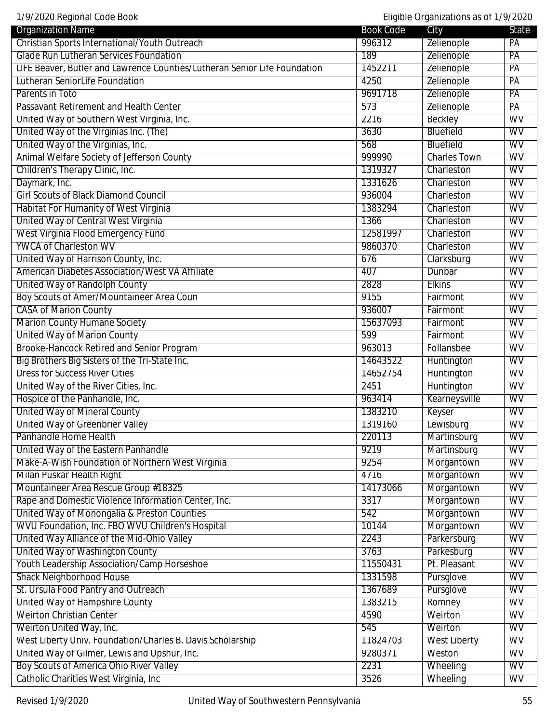|  | 1/9/2020 Regional Code Book |
|--|-----------------------------|
|  |                             |

Eligible Organizations as of 1/9/2020

| <b>Organization Name</b>                                                                       | <b>Book Code</b> | City                      | State                  |
|------------------------------------------------------------------------------------------------|------------------|---------------------------|------------------------|
| Christian Sports International/Youth Outreach                                                  | 996312           | Zelienople                | PA                     |
| <b>Glade Run Lutheran Services Foundation</b>                                                  | 189              | Zelienople                | PA                     |
| LIFE Beaver, Butler and Lawrence Counties/Lutheran Senior Life Foundation                      | 1452211          | Zelienople                | PA                     |
| Lutheran SeniorLife Foundation                                                                 | 4250             | Zelienople                | PA                     |
| Parents in Toto                                                                                | 9691718          | Zelienople                | PA                     |
| Passavant Retirement and Health Center                                                         | 573              | Zelienople                | PA                     |
| United Way of Southern West Virginia, Inc.                                                     | 2216             | <b>Beckley</b>            | <b>WV</b>              |
| United Way of the Virginias Inc. (The)                                                         | 3630             | <b>Bluefield</b>          | <b>WV</b>              |
| United Way of the Virginias, Inc.                                                              | 568              | <b>Bluefield</b>          | WV                     |
| Animal Welfare Society of Jefferson County                                                     | 999990           | <b>Charles Town</b>       | $\overline{\text{WV}}$ |
| Children's Therapy Clinic, Inc.                                                                | 1319327          | Charleston                | $\overline{\text{WV}}$ |
| Daymark, Inc.                                                                                  | 1331626          | Charleston                | WV                     |
| <b>Girl Scouts of Black Diamond Council</b>                                                    | 936004           | Charleston                | WV                     |
| Habitat For Humanity of West Virginia                                                          | 1383294          | Charleston                | <b>WV</b>              |
| United Way of Central West Virginia                                                            | 1366             | Charleston                | <b>WV</b>              |
| West Virginia Flood Emergency Fund                                                             | 12581997         | Charleston                | <b>WV</b>              |
| <b>YWCA of Charleston WV</b>                                                                   | 9860370          | Charleston                | WV                     |
| United Way of Harrison County, Inc.                                                            | 676              | Clarksburg                | WV                     |
| <b>American Diabetes Association/West VA Affiliate</b>                                         | 407              | Dunbar                    | WV                     |
| United Way of Randolph County                                                                  | 2828             | <b>Elkins</b>             | WV                     |
| Boy Scouts of Amer/Mountaineer Area Coun                                                       | 9155             | Fairmont                  | $\overline{\text{WV}}$ |
| <b>CASA of Marion County</b>                                                                   | 936007           | Fairmont                  | <b>WV</b>              |
| <b>Marion County Humane Society</b>                                                            | 15637093         | Fairmont                  | <b>WV</b>              |
| <b>United Way of Marion County</b>                                                             | 599              | Fairmont                  | $\overline{\text{WV}}$ |
| <b>Brooke-Hancock Retired and Senior Program</b>                                               | 963013           | Follansbee                | WV                     |
| Big Brothers Big Sisters of the Tri-State Inc.                                                 | 14643522         | Huntington                | WV                     |
| <b>Dress for Success River Cities</b>                                                          | 14652754         | Huntington                | WV                     |
| United Way of the River Cities, Inc.                                                           | 2451             | Huntington                | <b>WV</b>              |
| Hospice of the Panhandle, Inc.                                                                 | 963414           | Kearneysville             | WV                     |
| <b>United Way of Mineral County</b>                                                            | 1383210          | Keyser                    | WV                     |
| <b>United Way of Greenbrier Valley</b>                                                         | 1319160          | Lewisburg                 | WV                     |
| Panhandle Home Health                                                                          | 220113           | Martinsburg               | $\overline{\text{WV}}$ |
| United Way of the Eastern Panhandle                                                            | 9219             | Martinsburg               | $\overline{\text{WV}}$ |
| Make-A-Wish Foundation of Northern West Virginia                                               | 9254             | Morgantown                | WV                     |
| Milan Puskar Health Right                                                                      | 4716             | Morgantown                | <b>WV</b>              |
| Mountaineer Area Rescue Group #18325                                                           | 14173066         |                           | <b>WV</b>              |
| Rape and Domestic Violence Information Center, Inc.                                            | 3317             | Morgantown<br>Morgantown  | <b>WV</b>              |
|                                                                                                | 542              | Morgantown                | WV                     |
| United Way of Monongalia & Preston Counties                                                    |                  |                           | WV                     |
| WVU Foundation, Inc. FBO WVU Children's Hospital<br>United Way Alliance of the Mid-Ohio Valley | 10144            | Morgantown<br>Parkersburg | WV                     |
|                                                                                                | 2243             |                           | WV                     |
| United Way of Washington County                                                                | 3763             | Parkesburg                |                        |
| Youth Leadership Association/Camp Horseshoe                                                    | 11550431         | Pt. Pleasant              | WV                     |
| <b>Shack Neighborhood House</b>                                                                | 1331598          | Pursglove                 | <b>WV</b>              |
| St. Ursula Food Pantry and Outreach                                                            | 1367689          | Pursglove                 | WV                     |
| <b>United Way of Hampshire County</b>                                                          | 1383215          | Romney                    | $\overline{\text{WV}}$ |
| <b>Weirton Christian Center</b>                                                                | 4590             | Weirton                   | WV                     |
| Weirton United Way, Inc.                                                                       | 545              | Weirton                   | WV                     |
| West Liberty Univ. Foundation/Charles B. Davis Scholarship                                     | 11824703         | <b>West Liberty</b>       | WV                     |
| United Way of Gilmer, Lewis and Upshur, Inc.                                                   | 9280371          | Weston                    | $\overline{\text{WV}}$ |
| Boy Scouts of America Ohio River Valley                                                        | 2231             | Wheeling                  | <b>WV</b>              |
| Catholic Charities West Virginia, Inc.                                                         | 3526             | Wheeling                  | WV                     |